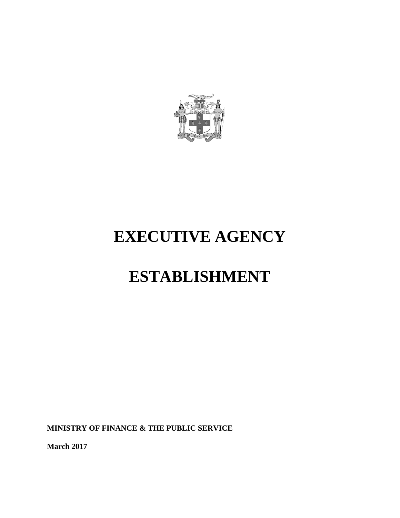

# **EXECUTIVE AGENCY**

# **ESTABLISHMENT**

**MINISTRY OF FINANCE & THE PUBLIC SERVICE**

**March 2017**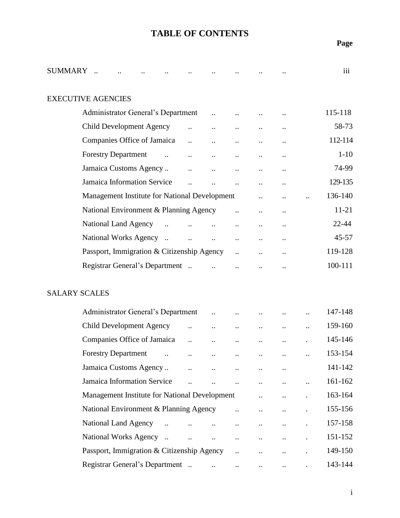### **TABLE OF CONTENTS**

| <b>SUMMARY</b> |                                                    |                      |                               |                      |                      |                      |                      | iii       |
|----------------|----------------------------------------------------|----------------------|-------------------------------|----------------------|----------------------|----------------------|----------------------|-----------|
|                | <b>EXECUTIVE AGENCIES</b>                          |                      |                               |                      |                      |                      |                      |           |
|                | Administrator General's Department                 |                      |                               |                      |                      |                      |                      | 115-118   |
|                | <b>Child Development Agency</b>                    | $\ddotsc$            |                               | $\ddot{\phantom{a}}$ |                      |                      |                      | 58-73     |
|                | Companies Office of Jamaica                        |                      | $\ddot{\phantom{a}}$          |                      |                      |                      |                      | 112-114   |
|                | <b>Forestry Department</b><br>$\ddots$             |                      | $\ddot{\phantom{a}}$          | $\ddot{\phantom{0}}$ | $\ddotsc$            |                      |                      | $1-10$    |
|                | Jamaica Customs Agency                             |                      |                               |                      |                      |                      |                      | 74-99     |
|                | Jamaica Information Service                        | $\ddot{\phantom{a}}$ | $\ddot{\phantom{a}}$          | $\ddotsc$            |                      | $\ddot{\phantom{0}}$ |                      | 129-135   |
|                | Management Institute for National Development      |                      |                               |                      |                      |                      |                      | 136-140   |
|                | National Environment & Planning Agency             |                      |                               | $\ddot{\phantom{a}}$ |                      |                      |                      | $11 - 21$ |
|                | National Land Agency<br>$\ddotsc$                  |                      |                               | $\ddot{\phantom{a}}$ |                      | $\cdot$ .            |                      | $22 - 44$ |
|                | National Works Agency                              | $\ddotsc$            | $\ddotsc$                     |                      |                      |                      |                      | $45 - 57$ |
|                | Passport, Immigration & Citizenship Agency         |                      |                               | $\ddot{\phantom{a}}$ |                      |                      |                      | 119-128   |
|                | Registrar General's Department                     |                      |                               |                      |                      |                      |                      | 100-111   |
|                | <b>SALARY SCALES</b>                               |                      |                               |                      |                      |                      |                      |           |
|                | Administrator General's Department                 |                      |                               |                      |                      |                      | $\ddot{\phantom{a}}$ | 147-148   |
|                | <b>Child Development Agency</b>                    |                      |                               |                      |                      |                      |                      | 159-160   |
|                | Companies Office of Jamaica                        | $\ddot{\phantom{a}}$ |                               |                      |                      |                      |                      | 145-146   |
|                | <b>Forestry Department</b><br>$\ddot{\phantom{0}}$ | $\ddotsc$            | $\cdot \cdot$                 | $\cdot$ .            | $\cdot \cdot$        | $\cdot \cdot$        | $\ddot{\phantom{0}}$ | 153-154   |
|                | Jamaica Customs Agency                             |                      |                               |                      |                      |                      |                      | 141-142   |
|                | Jamaica Information Service                        |                      |                               |                      | $\ddot{\phantom{a}}$ |                      | $\ddot{\phantom{a}}$ | 161-162   |
|                | Management Institute for National Development      |                      |                               |                      |                      |                      |                      | 163-164   |
|                | National Environment & Planning Agency             |                      |                               | $\ddot{\phantom{a}}$ |                      |                      |                      | 155-156   |
|                | National Land Agency<br>$\dddot{\phantom{0}}$      |                      |                               | $\ddot{\phantom{0}}$ | $\ddot{\phantom{0}}$ |                      |                      | 157-158   |
|                | National Works Agency                              | $\ddotsc$            | $\ddotsc$                     | $\ldots$             | $\ddotsc$            | $\ddot{\phantom{0}}$ | $\ddot{\phantom{0}}$ | 151-152   |
|                | Passport, Immigration & Citizenship Agency         |                      |                               |                      |                      |                      |                      | 149-150   |
|                | Registrar General's Department                     |                      | $\mathbf{a}$ and $\mathbf{b}$ | $\ddotsc$            | $\ddot{\phantom{a}}$ |                      |                      | 143-144   |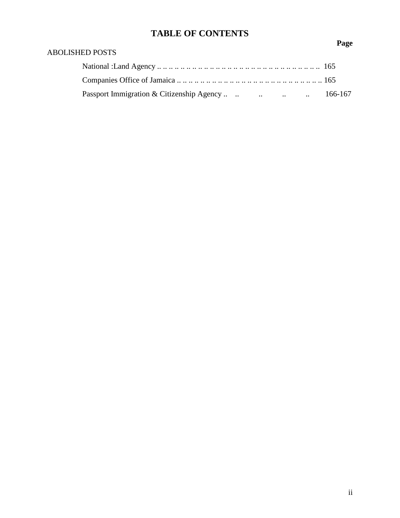# **TABLE OF CONTENTS**

### ABOLISHED POSTS

| Passport Immigration & Citizenship Agency     166-167 |  |
|-------------------------------------------------------|--|

**Page**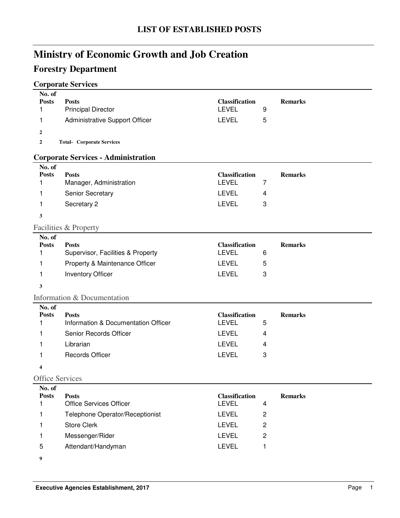# **Forestry Department**

### **Corporate Services**

| No. of<br><b>Posts</b> | <b>Posts</b>                                        | <b>Classification</b>                 |                         | <b>Remarks</b> |
|------------------------|-----------------------------------------------------|---------------------------------------|-------------------------|----------------|
| 1                      | <b>Principal Director</b>                           | <b>LEVEL</b>                          | 9                       |                |
| 1                      | Administrative Support Officer                      | <b>LEVEL</b>                          | 5                       |                |
| 2                      |                                                     |                                       |                         |                |
| 2                      | <b>Total- Corporate Services</b>                    |                                       |                         |                |
|                        | <b>Corporate Services - Administration</b>          |                                       |                         |                |
| No. of                 |                                                     |                                       |                         |                |
| <b>Posts</b>           | <b>Posts</b>                                        | <b>Classification</b>                 |                         | <b>Remarks</b> |
| 1                      | Manager, Administration                             | <b>LEVEL</b>                          | 7                       |                |
| 1                      | Senior Secretary                                    | <b>LEVEL</b>                          | 4                       |                |
| 1                      | Secretary 2                                         | <b>LEVEL</b>                          | 3                       |                |
| 3                      |                                                     |                                       |                         |                |
|                        | Facilities & Property                               |                                       |                         |                |
| No. of                 |                                                     |                                       |                         |                |
| <b>Posts</b>           | <b>Posts</b>                                        | <b>Classification</b><br><b>LEVEL</b> |                         | <b>Remarks</b> |
| 1                      | Supervisor, Facilities & Property                   |                                       | 6                       |                |
| 1                      | Property & Maintenance Officer                      | <b>LEVEL</b>                          | 5                       |                |
| 1                      | <b>Inventory Officer</b>                            | <b>LEVEL</b>                          | 3                       |                |
| 3                      |                                                     |                                       |                         |                |
|                        | Information & Documentation                         |                                       |                         |                |
| No. of                 |                                                     |                                       |                         |                |
| <b>Posts</b>           | <b>Posts</b><br>Information & Documentation Officer | <b>Classification</b><br><b>LEVEL</b> |                         | <b>Remarks</b> |
| 1                      |                                                     |                                       | 5                       |                |
| 1                      | Senior Records Officer                              | <b>LEVEL</b>                          | 4                       |                |
| 1                      | Librarian                                           | <b>LEVEL</b>                          | 4                       |                |
| 1                      | Records Officer                                     | <b>LEVEL</b>                          | 3                       |                |
| 4                      |                                                     |                                       |                         |                |
| <b>Office Services</b> |                                                     |                                       |                         |                |
| No. of                 |                                                     |                                       |                         |                |
| <b>Posts</b><br>1      | <b>Posts</b><br><b>Office Services Officer</b>      | <b>Classification</b><br><b>LEVEL</b> | $\overline{\mathbf{4}}$ | <b>Remarks</b> |
|                        |                                                     |                                       |                         |                |
| 1                      | Telephone Operator/Receptionist                     | <b>LEVEL</b>                          | 2                       |                |
| 1                      | <b>Store Clerk</b>                                  | LEVEL                                 | 2                       |                |
| 1                      | Messenger/Rider                                     | <b>LEVEL</b>                          | $\overline{c}$          |                |
| 5                      | Attendant/Handyman                                  | LEVEL                                 | 1                       |                |

**9**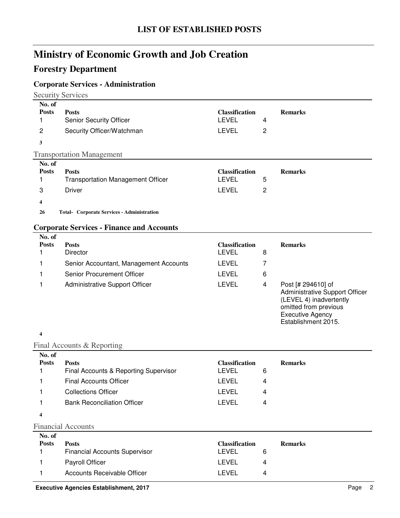### **Forestry Department**

### **Corporate Services - Administration**

Security Services

| No. of<br><b>Posts</b><br>$\overline{2}$ | <b>Posts</b><br><b>Senior Security Officer</b><br>Security Officer/Watchman | <b>Classification</b><br>LEVEL<br><b>LEVEL</b> | 4<br>2 | <b>Remarks</b> |
|------------------------------------------|-----------------------------------------------------------------------------|------------------------------------------------|--------|----------------|
| 3                                        | <b>Transportation Management</b>                                            |                                                |        |                |
| No. of                                   |                                                                             |                                                |        |                |
| <b>Posts</b>                             | <b>Posts</b><br><b>Transportation Management Officer</b>                    | <b>Classification</b><br>LEVEL                 | 5      | <b>Remarks</b> |
| 3<br>4                                   | <b>Driver</b>                                                               | <b>LEVEL</b>                                   | 2      |                |

#### **Corporate Services - Finance and Accounts**

| No. of<br><b>Posts</b> | <b>Posts</b>                           | <b>Classification</b> |   | <b>Remarks</b>                                                                                           |
|------------------------|----------------------------------------|-----------------------|---|----------------------------------------------------------------------------------------------------------|
|                        | <b>Director</b>                        | LEVEL.                | 8 |                                                                                                          |
|                        | Senior Accountant, Management Accounts | LEVEL                 |   |                                                                                                          |
|                        | Senior Procurement Officer             | LEVEL                 | 6 |                                                                                                          |
|                        | <b>Administrative Support Officer</b>  | LEVEL                 | 4 | Post [# 294610] of<br>Administrative Support Officer<br>(LEVEL 4) inadvertently<br>omitted from previous |

#### **4**

#### Final Accounts & Reporting

| No. of       |                                       |                       |                |
|--------------|---------------------------------------|-----------------------|----------------|
| <b>Posts</b> | <b>Posts</b>                          | <b>Classification</b> | <b>Remarks</b> |
|              | Final Accounts & Reporting Supervisor | LEVEL                 | 6              |
|              | <b>Final Accounts Officer</b>         | LEVEL                 | 4              |
|              | <b>Collections Officer</b>            | LEVEL                 | 4              |
|              | <b>Bank Reconciliation Officer</b>    | LEVEL                 | 4              |
|              |                                       |                       |                |

#### **4**

#### Financial Accounts

| No. of       |                                      |                       |                |
|--------------|--------------------------------------|-----------------------|----------------|
| <b>Posts</b> | <b>Posts</b>                         | <b>Classification</b> | <b>Remarks</b> |
|              | <b>Financial Accounts Supervisor</b> | LEVEL<br>6            |                |
|              | <b>Payroll Officer</b>               | LEVEL<br>4            |                |
|              | Accounts Receivable Officer          | LEVEL<br>4            |                |

Executive Agency Establishment 2015.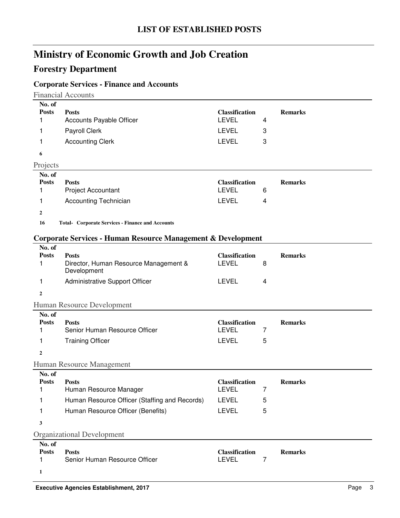### **Forestry Department**

### **Corporate Services - Finance and Accounts**

Financial Accounts

| No. of         |                          |                       |   |                |
|----------------|--------------------------|-----------------------|---|----------------|
| <b>Posts</b>   | <b>Posts</b>             | <b>Classification</b> |   | <b>Remarks</b> |
|                | Accounts Payable Officer | <b>LEVEL</b>          | 4 |                |
|                | Payroll Clerk            | <b>LEVEL</b>          | 3 |                |
|                | <b>Accounting Clerk</b>  | <b>LEVEL</b>          | 3 |                |
| 6              |                          |                       |   |                |
| Projects       |                          |                       |   |                |
|                |                          |                       |   |                |
| No. of         |                          |                       |   |                |
| <b>Posts</b>   | <b>Posts</b>             | <b>Classification</b> |   | <b>Remarks</b> |
|                | Project Accountant       | <b>LEVEL</b>          | 6 |                |
|                | Accounting Technician    | <b>LEVEL</b>          | 4 |                |
| $\overline{2}$ |                          |                       |   |                |

#### **Corporate Services - Human Resource Management & Development**

| No. of<br><b>Posts</b><br>1      | <b>Posts</b><br>Director, Human Resource Management &<br>Development                                                         | <b>Classification</b><br><b>LEVEL</b>                                 | 8           | <b>Remarks</b> |
|----------------------------------|------------------------------------------------------------------------------------------------------------------------------|-----------------------------------------------------------------------|-------------|----------------|
| 1                                | Administrative Support Officer                                                                                               | <b>LEVEL</b>                                                          | 4           |                |
| $\boldsymbol{2}$                 |                                                                                                                              |                                                                       |             |                |
|                                  | Human Resource Development                                                                                                   |                                                                       |             |                |
| No. of<br><b>Posts</b><br>1<br>1 | <b>Posts</b><br>Senior Human Resource Officer<br><b>Training Officer</b>                                                     | <b>Classification</b><br><b>LEVEL</b><br>LEVEL                        | 7<br>5      | <b>Remarks</b> |
| $\mathbf{2}$                     |                                                                                                                              |                                                                       |             |                |
|                                  | Human Resource Management                                                                                                    |                                                                       |             |                |
| No. of<br><b>Posts</b><br>1<br>1 | <b>Posts</b><br>Human Resource Manager<br>Human Resource Officer (Staffing and Records)<br>Human Resource Officer (Benefits) | <b>Classification</b><br><b>LEVEL</b><br><b>LEVEL</b><br><b>LEVEL</b> | 7<br>5<br>5 | <b>Remarks</b> |
| 3                                | <b>Organizational Development</b>                                                                                            |                                                                       |             |                |
| No. of<br><b>Posts</b><br>1<br>1 | <b>Posts</b><br>Senior Human Resource Officer                                                                                | <b>Classification</b><br><b>LEVEL</b>                                 | 7           | <b>Remarks</b> |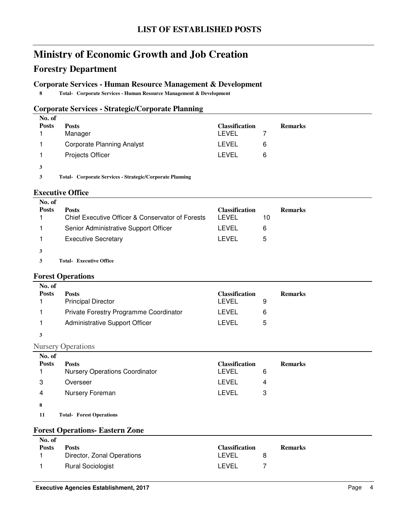### **Forestry Department**

#### **Corporate Services - Human Resource Management & Development**

**8 Total- Corporate Services - Human Resource Management & Development** 

#### **Corporate Services - Strategic/Corporate Planning**

| No. of       |                                   |                       |   |                |
|--------------|-----------------------------------|-----------------------|---|----------------|
| <b>Posts</b> | <b>Posts</b>                      | <b>Classification</b> |   | <b>Remarks</b> |
|              | Manager                           | LEVEL                 |   |                |
|              | <b>Corporate Planning Analyst</b> | LEVEL                 | 6 |                |
|              | <b>Projects Officer</b>           | LEVEL                 | 6 |                |
| 3            |                                   |                       |   |                |

**3 Corporate Services - Strategic/Corporate Planning Total-**

#### **Executive Office**

| No. of       |                                                  |                |    |                |
|--------------|--------------------------------------------------|----------------|----|----------------|
| <b>Posts</b> | <b>Posts</b>                                     | Classification |    | <b>Remarks</b> |
|              | Chief Executive Officer & Conservator of Forests | LEVEL          | 10 |                |
|              | Senior Administrative Support Officer            | LEVEL          | 6  |                |
|              | <b>Executive Secretary</b>                       | LEVEL          | 5  |                |
|              |                                                  |                |    |                |

**3 Executive Office Total-**

#### **Forest Operations**

| No. of<br><b>Posts</b> | <b>Posts</b><br><b>Principal Director</b> | <b>Classification</b><br>LEVEL |   | <b>Remarks</b> |
|------------------------|-------------------------------------------|--------------------------------|---|----------------|
|                        | Private Forestry Programme Coordinator    | LEVEL                          | 6 |                |
|                        | <b>Administrative Support Officer</b>     | LEVEL                          | 5 |                |

#### **3**

#### Nursery Operations

| No. of<br><b>Posts</b> | <b>Posts</b><br><b>Nursery Operations Coordinator</b> | <b>Classification</b><br><b>LEVEL</b><br>6 | <b>Remarks</b> |
|------------------------|-------------------------------------------------------|--------------------------------------------|----------------|
| 3                      | Overseer                                              | LEVEL<br>4                                 |                |
| 4                      | Nursery Foreman                                       | LEVEL<br>3                                 |                |
| 8                      |                                                       |                                            |                |

**11 Forest Operations Total-**

#### **Forest Operations- Eastern Zone**

| LEVEL<br><b>Rural Sociologist</b> |
|-----------------------------------|
|                                   |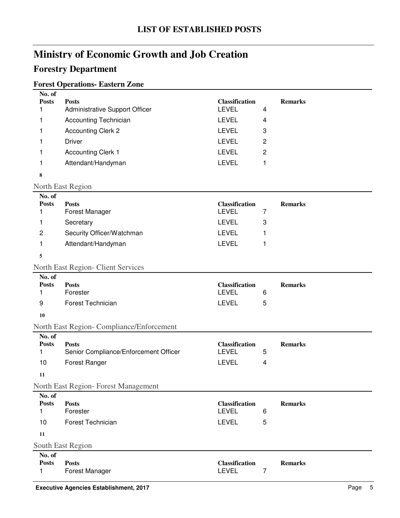### **Forestry Department**

### **Forest Operations- Eastern Zone**

| No. of       |                                       |                       |                |
|--------------|---------------------------------------|-----------------------|----------------|
| <b>Posts</b> | <b>Posts</b>                          | <b>Classification</b> | <b>Remarks</b> |
|              | <b>Administrative Support Officer</b> | LEVEL                 | 4              |
|              | Accounting Technician                 | <b>LEVEL</b>          | 4              |
|              | <b>Accounting Clerk 2</b>             | <b>LEVEL</b>          | 3              |
|              | Driver                                | <b>LEVEL</b>          | 2              |
|              | <b>Accounting Clerk 1</b>             | <b>LEVEL</b>          | 2              |
|              | Attendant/Handyman                    | <b>LEVEL</b>          |                |
| 8            |                                       |                       |                |

#### North East Region

| No. of<br><b>Posts</b><br>1 | <b>Posts</b><br><b>Forest Manager</b>                 | <b>Classification</b><br><b>LEVEL</b> | 7 | <b>Remarks</b> |
|-----------------------------|-------------------------------------------------------|---------------------------------------|---|----------------|
| 1                           | Secretary                                             | <b>LEVEL</b>                          | 3 |                |
| $\overline{c}$              | Security Officer/Watchman                             | <b>LEVEL</b>                          | 1 |                |
| 1                           | Attendant/Handyman                                    | <b>LEVEL</b>                          | 1 |                |
|                             |                                                       |                                       |   |                |
| 5                           |                                                       |                                       |   |                |
|                             | <b>North East Region- Client Services</b>             |                                       |   |                |
| No. of<br><b>Posts</b>      | <b>Posts</b>                                          | <b>Classification</b>                 |   | <b>Remarks</b> |
| 1                           | Forester                                              | <b>LEVEL</b>                          | 6 |                |
| 9                           | <b>Forest Technician</b>                              | <b>LEVEL</b>                          | 5 |                |
| 10                          |                                                       |                                       |   |                |
|                             | North East Region- Compliance/Enforcement             |                                       |   |                |
| No. of                      |                                                       |                                       |   |                |
| <b>Posts</b><br>1           | <b>Posts</b><br>Senior Compliance/Enforcement Officer | <b>Classification</b><br><b>LEVEL</b> | 5 | <b>Remarks</b> |
| 10                          | Forest Ranger                                         | <b>LEVEL</b>                          | 4 |                |
|                             |                                                       |                                       |   |                |
| 11                          |                                                       |                                       |   |                |
|                             | North East Region-Forest Management                   |                                       |   |                |
| No. of<br><b>Posts</b>      | <b>Posts</b>                                          | <b>Classification</b>                 |   | <b>Remarks</b> |
| 1                           | Forester                                              | <b>LEVEL</b>                          | 6 |                |
| 10                          | Forest Technician                                     | <b>LEVEL</b>                          | 5 |                |
| 11                          |                                                       |                                       |   |                |
|                             | South East Region                                     |                                       |   |                |
| No. of<br><b>Posts</b><br>1 | <b>Posts</b><br>Forest Manager                        | <b>Classification</b><br><b>LEVEL</b> | 7 | <b>Remarks</b> |
|                             |                                                       |                                       |   |                |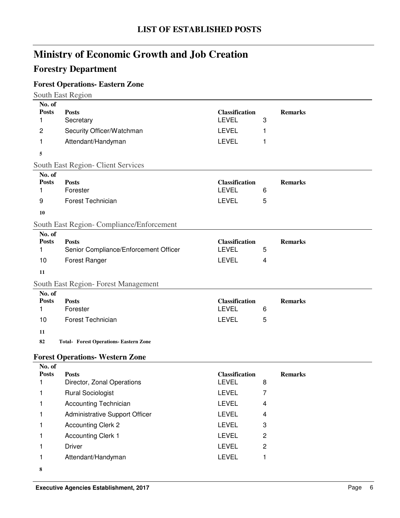### **Forestry Department**

# **Forest Operations- Eastern Zone**

|                                  | South East Region                                     |                                                       |        |                |
|----------------------------------|-------------------------------------------------------|-------------------------------------------------------|--------|----------------|
| No. of<br><b>Posts</b><br>1      | <b>Posts</b><br>Secretary                             | <b>Classification</b><br><b>LEVEL</b>                 | 3      | <b>Remarks</b> |
| $\overline{c}$                   | Security Officer/Watchman                             | <b>LEVEL</b>                                          | 1      |                |
| 1                                | Attendant/Handyman                                    | <b>LEVEL</b>                                          | 1      |                |
| 5                                |                                                       |                                                       |        |                |
|                                  | South East Region- Client Services                    |                                                       |        |                |
| No. of<br><b>Posts</b><br>1<br>9 | <b>Posts</b><br>Forester<br>Forest Technician         | <b>Classification</b><br><b>LEVEL</b><br><b>LEVEL</b> | 6<br>5 | <b>Remarks</b> |
| 10                               |                                                       |                                                       |        |                |
|                                  |                                                       |                                                       |        |                |
| No. of                           | South East Region- Compliance/Enforcement             |                                                       |        |                |
| <b>Posts</b><br>1                | <b>Posts</b><br>Senior Compliance/Enforcement Officer | <b>Classification</b><br><b>LEVEL</b><br><b>LEVEL</b> | 5      | <b>Remarks</b> |
| 10                               | Forest Ranger                                         |                                                       | 4      |                |
| 11                               |                                                       |                                                       |        |                |
| No. of                           | South East Region-Forest Management                   |                                                       |        |                |
| <b>Posts</b><br>1                | <b>Posts</b><br>Forester                              | <b>Classification</b><br><b>LEVEL</b>                 | 6      | <b>Remarks</b> |
| 10                               | Forest Technician                                     | <b>LEVEL</b>                                          | 5      |                |
| 11                               |                                                       |                                                       |        |                |
| 82                               | <b>Total- Forest Operations- Eastern Zone</b>         |                                                       |        |                |
|                                  | <b>Forest Operations- Western Zone</b>                |                                                       |        |                |
| $N_{\Omega}$ of                  |                                                       |                                                       |        |                |

| 170. QI      |                                |                       |                |
|--------------|--------------------------------|-----------------------|----------------|
| <b>Posts</b> | <b>Posts</b>                   | <b>Classification</b> | <b>Remarks</b> |
|              | Director, Zonal Operations     | <b>LEVEL</b>          | 8              |
|              | <b>Rural Sociologist</b>       | <b>LEVEL</b>          |                |
|              | <b>Accounting Technician</b>   | <b>LEVEL</b>          | 4              |
|              | Administrative Support Officer | <b>LEVEL</b>          | 4              |
|              | <b>Accounting Clerk 2</b>      | <b>LEVEL</b>          | 3              |
|              | <b>Accounting Clerk 1</b>      | <b>LEVEL</b>          | 2              |
|              | <b>Driver</b>                  | <b>LEVEL</b>          | 2              |
|              | Attendant/Handyman             | <b>LEVEL</b>          |                |
| 8            |                                |                       |                |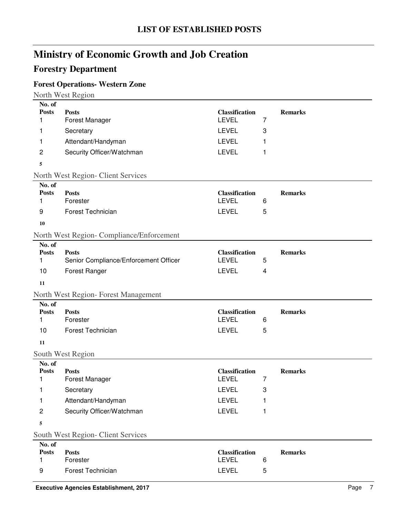### **Forestry Department**

### **Forest Operations- Western Zone**

North West Region

| No. of                 |                                           |                       |   |                |
|------------------------|-------------------------------------------|-----------------------|---|----------------|
| <b>Posts</b>           | <b>Posts</b>                              | <b>Classification</b> |   | <b>Remarks</b> |
| 1                      | Forest Manager                            | <b>LEVEL</b>          | 7 |                |
| 1                      | Secretary                                 | <b>LEVEL</b>          | 3 |                |
| 1                      | Attendant/Handyman                        | <b>LEVEL</b>          | 1 |                |
| $\overline{c}$         | Security Officer/Watchman                 | <b>LEVEL</b>          | 1 |                |
| 5                      |                                           |                       |   |                |
|                        | North West Region- Client Services        |                       |   |                |
| No. of                 |                                           |                       |   |                |
| <b>Posts</b>           | <b>Posts</b>                              | <b>Classification</b> |   | <b>Remarks</b> |
| 1                      | Forester                                  | <b>LEVEL</b>          | 6 |                |
| 9                      | <b>Forest Technician</b>                  | <b>LEVEL</b>          | 5 |                |
| 10                     |                                           |                       |   |                |
|                        | North West Region- Compliance/Enforcement |                       |   |                |
| No. of                 |                                           |                       |   |                |
| <b>Posts</b>           | <b>Posts</b>                              | <b>Classification</b> |   | <b>Remarks</b> |
| 1                      | Senior Compliance/Enforcement Officer     | <b>LEVEL</b>          | 5 |                |
| 10                     | Forest Ranger                             | <b>LEVEL</b>          | 4 |                |
| 11                     |                                           |                       |   |                |
|                        | North West Region-Forest Management       |                       |   |                |
| No. of                 |                                           |                       |   |                |
| <b>Posts</b>           | <b>Posts</b>                              | <b>Classification</b> |   | <b>Remarks</b> |
| 1                      | Forester                                  | <b>LEVEL</b>          | 6 |                |
| 10                     | <b>Forest Technician</b>                  | <b>LEVEL</b>          | 5 |                |
| 11                     |                                           |                       |   |                |
|                        | South West Region                         |                       |   |                |
| No. of<br><b>Posts</b> |                                           | <b>Classification</b> |   | <b>Remarks</b> |
| 1                      | <b>Posts</b><br><b>Forest Manager</b>     | <b>LEVEL</b>          | 7 |                |
| 1                      | Secretary                                 | LEVEL                 | 3 |                |
| 1                      | Attendant/Handyman                        | <b>LEVEL</b>          | 1 |                |
| $\overline{c}$         | Security Officer/Watchman                 | <b>LEVEL</b>          | 1 |                |
| 5                      |                                           |                       |   |                |
|                        | South West Region- Client Services        |                       |   |                |
| No. of                 |                                           |                       |   |                |
| <b>Posts</b>           | <b>Posts</b>                              | Classification        |   | <b>Remarks</b> |
| 1                      | Forester                                  | LEVEL                 | 6 |                |
| 9                      | Forest Technician                         | LEVEL                 | 5 |                |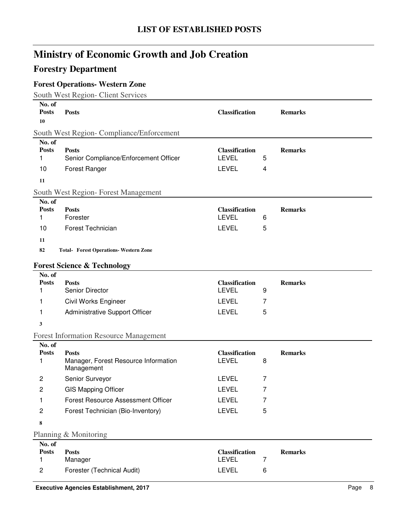### **Forestry Department**

### **Forest Operations- Western Zone**

South West Region- Client Services

| No. of<br><b>Posts</b><br>10 | <b>Posts</b>                                                       | <b>Classification</b>                 |                | <b>Remarks</b> |  |
|------------------------------|--------------------------------------------------------------------|---------------------------------------|----------------|----------------|--|
|                              | South West Region- Compliance/Enforcement                          |                                       |                |                |  |
| No. of<br><b>Posts</b><br>1  | <b>Posts</b><br>Senior Compliance/Enforcement Officer              | <b>Classification</b><br><b>LEVEL</b> | 5              | <b>Remarks</b> |  |
| 10                           | Forest Ranger                                                      | <b>LEVEL</b>                          | 4              |                |  |
| 11                           |                                                                    |                                       |                |                |  |
|                              | South West Region- Forest Management                               |                                       |                |                |  |
| No. of<br><b>Posts</b>       | <b>Posts</b>                                                       | <b>Classification</b>                 |                | <b>Remarks</b> |  |
| 1                            | Forester                                                           | <b>LEVEL</b>                          | 6              |                |  |
| 10                           | Forest Technician                                                  | <b>LEVEL</b>                          | 5              |                |  |
| 11                           |                                                                    |                                       |                |                |  |
| 82                           | <b>Total- Forest Operations- Western Zone</b>                      |                                       |                |                |  |
|                              | <b>Forest Science &amp; Technology</b>                             |                                       |                |                |  |
| No. of                       |                                                                    |                                       |                |                |  |
| <b>Posts</b><br>1            | <b>Posts</b><br>Senior Director                                    | <b>Classification</b><br><b>LEVEL</b> | 9              | <b>Remarks</b> |  |
|                              |                                                                    | <b>LEVEL</b>                          | 7              |                |  |
| 1<br>1                       | Civil Works Engineer<br>Administrative Support Officer             | <b>LEVEL</b>                          | 5              |                |  |
|                              |                                                                    |                                       |                |                |  |
| 3                            |                                                                    |                                       |                |                |  |
| No. of                       | <b>Forest Information Resource Management</b>                      |                                       |                |                |  |
| <b>Posts</b><br>1            | <b>Posts</b><br>Manager, Forest Resource Information<br>Management | <b>Classification</b><br><b>LEVEL</b> | 8              | <b>Remarks</b> |  |
| $\overline{c}$               | Senior Surveyor                                                    | <b>LEVEL</b>                          | 7              |                |  |
| 2                            | <b>GIS Mapping Officer</b>                                         | <b>LEVEL</b>                          | $\overline{7}$ |                |  |
| 1                            | <b>Forest Resource Assessment Officer</b>                          | <b>LEVEL</b>                          | 7              |                |  |
| $\overline{c}$               | Forest Technician (Bio-Inventory)                                  | <b>LEVEL</b>                          | 5              |                |  |
| 8                            |                                                                    |                                       |                |                |  |
|                              | Planning & Monitoring                                              |                                       |                |                |  |
| No. of<br><b>Posts</b><br>1  | <b>Posts</b><br>Manager                                            | <b>Classification</b><br><b>LEVEL</b> | 7              | <b>Remarks</b> |  |
| 2                            | Forester (Technical Audit)                                         | <b>LEVEL</b>                          | 6              |                |  |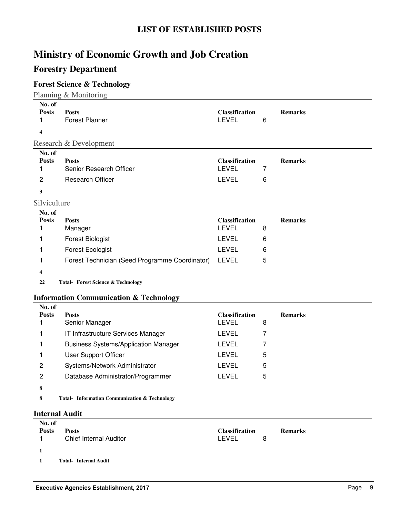### **Forestry Department**

### **Forest Science & Technology**

Planning & Monitoring

| No. of<br><b>Posts</b> | <b>Posts</b>                                      | <b>Classification</b> |   | <b>Remarks</b> |
|------------------------|---------------------------------------------------|-----------------------|---|----------------|
| 1                      | <b>Forest Planner</b>                             | <b>LEVEL</b>          | 6 |                |
| 4                      |                                                   |                       |   |                |
|                        | Research & Development                            |                       |   |                |
| No. of                 |                                                   |                       |   |                |
| <b>Posts</b>           | <b>Posts</b>                                      | <b>Classification</b> |   | <b>Remarks</b> |
| 1                      | Senior Research Officer                           | <b>LEVEL</b>          | 7 |                |
| 2                      | <b>Research Officer</b>                           | <b>LEVEL</b>          | 6 |                |
| 3                      |                                                   |                       |   |                |
| Silviculture           |                                                   |                       |   |                |
| No. of                 |                                                   |                       |   |                |
| <b>Posts</b>           | <b>Posts</b>                                      | <b>Classification</b> |   | <b>Remarks</b> |
| 1                      | Manager                                           | <b>LEVEL</b>          | 8 |                |
| 1                      | <b>Forest Biologist</b>                           | <b>LEVEL</b>          | 6 |                |
| 1                      | <b>Forest Ecologist</b>                           | <b>LEVEL</b>          | 6 |                |
| 1                      | Forest Technician (Seed Programme Coordinator)    | <b>LEVEL</b>          | 5 |                |
| 4                      |                                                   |                       |   |                |
| 22                     | <b>Total- Forest Science &amp; Technology</b>     |                       |   |                |
|                        | <b>Information Communication &amp; Technology</b> |                       |   |                |
| No. of                 |                                                   |                       |   |                |
| <b>Posts</b>           | <b>Posts</b>                                      | <b>Classification</b> |   | <b>Remarks</b> |
| 1                      | Senior Manager                                    | <b>LEVEL</b>          | 8 |                |
| 1                      | IT Infrastructure Services Manager                | <b>LEVEL</b>          | 7 |                |
| 1                      | <b>Business Systems/Application Manager</b>       | <b>LEVEL</b>          | 7 |                |
| 1                      | <b>User Support Officer</b>                       | <b>LEVEL</b>          | 5 |                |

**8**

8 Total- Information Communication & Technology

#### **Internal Audit**

| No. of<br><b>Posts</b> | <b>Posts</b><br>Chief Internal Auditor | <b>Classification</b><br>LEVEL | 8 | <b>Remarks</b> |
|------------------------|----------------------------------------|--------------------------------|---|----------------|
| $\mathbf{1}$           | <b>Total-Internal Audit</b>            |                                |   |                |

2 Systems/Network Administrator CHEVEL 5 2 Database Administrator/Programmer LEVEL 5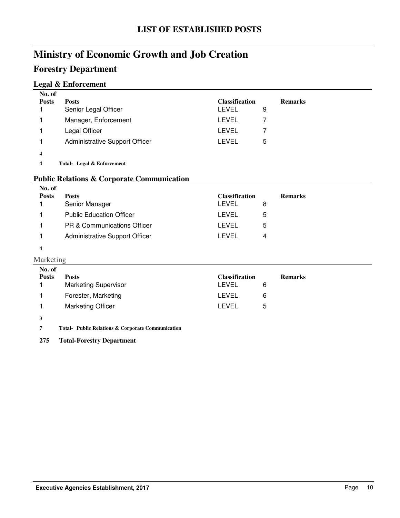### **Forestry Department**

#### **Legal & Enforcement**

| No. of<br><b>Posts</b> | <b>Posts</b>                          | <b>Classification</b> |   | <b>Remarks</b> |
|------------------------|---------------------------------------|-----------------------|---|----------------|
|                        | Senior Legal Officer                  | LEVEL                 | 9 |                |
|                        | Manager, Enforcement                  | LEVEL                 |   |                |
|                        | Legal Officer                         | LEVEL                 |   |                |
|                        | <b>Administrative Support Officer</b> | LEVEL                 | 5 |                |
| 4                      |                                       |                       |   |                |

**4 Legal & Enforcement Total-**

#### **Public Relations & Corporate Communication**

| No. of       |                                        |                       |                |
|--------------|----------------------------------------|-----------------------|----------------|
| <b>Posts</b> | <b>Posts</b>                           | <b>Classification</b> | <b>Remarks</b> |
|              | Senior Manager                         | LEVEL                 | 8              |
|              | <b>Public Education Officer</b>        | LEVEL                 | 5              |
|              | <b>PR &amp; Communications Officer</b> | LEVEL                 | 5              |
|              | Administrative Support Officer         | LEVEL                 | 4              |
| 4            |                                        |                       |                |

#### Marketing

| No. of       |                             |                       |   |                |
|--------------|-----------------------------|-----------------------|---|----------------|
| <b>Posts</b> | <b>Posts</b>                | <b>Classification</b> |   | <b>Remarks</b> |
|              | <b>Marketing Supervisor</b> | LEVEL                 | 6 |                |
|              | Forester, Marketing         | LEVEL                 | 6 |                |
|              | <b>Marketing Officer</b>    | LEVEL                 | 5 |                |
|              |                             |                       |   |                |

**3**

**7 Public Relations & Corporate Communication Total-**

**275 Total-Forestry Department**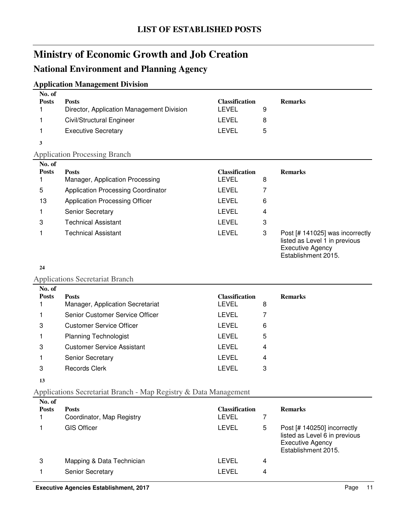### **National Environment and Planning Agency**

#### **Application Management Division**

| . .                    |                                           |                       |   |                                                                                                                    |
|------------------------|-------------------------------------------|-----------------------|---|--------------------------------------------------------------------------------------------------------------------|
| No. of<br><b>Posts</b> | <b>Posts</b>                              | <b>Classification</b> |   | <b>Remarks</b>                                                                                                     |
|                        | Director, Application Management Division | LEVEL                 | 9 |                                                                                                                    |
|                        | Civil/Structural Engineer                 | LEVEL                 | 8 |                                                                                                                    |
|                        | <b>Executive Secretary</b>                | <b>LEVEL</b>          | 5 |                                                                                                                    |
| 3                      |                                           |                       |   |                                                                                                                    |
|                        | <b>Application Processing Branch</b>      |                       |   |                                                                                                                    |
| No. of                 |                                           |                       |   |                                                                                                                    |
| <b>Posts</b>           | <b>Posts</b>                              | <b>Classification</b> |   | <b>Remarks</b>                                                                                                     |
|                        | Manager, Application Processing           | LEVEL                 | 8 |                                                                                                                    |
| 5                      | <b>Application Processing Coordinator</b> | LEVEL                 |   |                                                                                                                    |
| 13                     | <b>Application Processing Officer</b>     | LEVEL                 | 6 |                                                                                                                    |
|                        | <b>Senior Secretary</b>                   | <b>LEVEL</b>          | 4 |                                                                                                                    |
| 3                      | <b>Technical Assistant</b>                | <b>LEVEL</b>          | 3 |                                                                                                                    |
|                        | Technical Assistant                       | <b>LEVEL</b>          | 3 | Post [# 141025] was incorrectly<br>listed as Level 1 in previous<br><b>Executive Agency</b><br>Establishment 2015. |

#### **24**

#### Applications Secretariat Branch

| No. of       |                                   |                       |   |                |
|--------------|-----------------------------------|-----------------------|---|----------------|
| <b>Posts</b> | <b>Posts</b>                      | <b>Classification</b> |   | <b>Remarks</b> |
|              | Manager, Application Secretariat  | <b>LEVEL</b>          | 8 |                |
|              | Senior Customer Service Officer   | <b>LEVEL</b>          |   |                |
| 3            | <b>Customer Service Officer</b>   | <b>LEVEL</b>          | 6 |                |
|              | <b>Planning Technologist</b>      | <b>LEVEL</b>          | 5 |                |
| 3            | <b>Customer Service Assistant</b> | <b>LEVEL</b>          | 4 |                |
|              | <b>Senior Secretary</b>           | LEVEL                 | 4 |                |
| 3            | <b>Records Clerk</b>              | LEVEL                 | 3 |                |
|              |                                   |                       |   |                |

#### **13**

#### Applications Secretariat Branch - Map Registry & Data Management

| No. of<br><b>Posts</b> | <b>Posts</b><br>Coordinator, Map Registry | <b>Classification</b><br>LEVEL |   | <b>Remarks</b>                                                                                                 |
|------------------------|-------------------------------------------|--------------------------------|---|----------------------------------------------------------------------------------------------------------------|
|                        | <b>GIS Officer</b>                        | LEVEL                          | 5 | Post [# 140250] incorrectly<br>listed as Level 6 in previous<br><b>Executive Agency</b><br>Establishment 2015. |
| 3                      | Mapping & Data Technician                 | LEVEL                          | 4 |                                                                                                                |
|                        | <b>Senior Secretary</b>                   | LEVEL                          | 4 |                                                                                                                |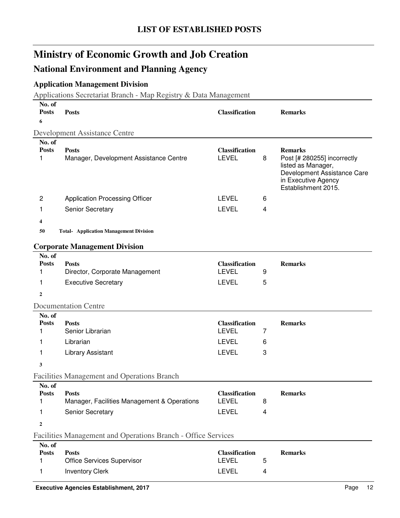### **National Environment and Planning Agency**

### **Application Management Division**

Applications Secretariat Branch - Map Registry & Data Management

| No. of<br><b>Posts</b><br>6           | <b>Posts</b>                                                                    | <b>Classification</b>                                                 |             | <b>Remarks</b>                                                                                                                                   |
|---------------------------------------|---------------------------------------------------------------------------------|-----------------------------------------------------------------------|-------------|--------------------------------------------------------------------------------------------------------------------------------------------------|
|                                       | Development Assistance Centre                                                   |                                                                       |             |                                                                                                                                                  |
| No. of<br><b>Posts</b><br>1           | <b>Posts</b><br>Manager, Development Assistance Centre                          | <b>Classification</b><br><b>LEVEL</b>                                 | 8           | <b>Remarks</b><br>Post [# 280255] incorrectly<br>listed as Manager,<br>Development Assistance Care<br>in Executive Agency<br>Establishment 2015. |
| 2                                     | <b>Application Processing Officer</b>                                           | LEVEL                                                                 | 6           |                                                                                                                                                  |
| 1                                     | Senior Secretary                                                                | <b>LEVEL</b>                                                          | 4           |                                                                                                                                                  |
| 4<br>50                               | <b>Total- Application Management Division</b>                                   |                                                                       |             |                                                                                                                                                  |
| No. of                                | <b>Corporate Management Division</b>                                            |                                                                       |             |                                                                                                                                                  |
| <b>Posts</b><br>1<br>1                | <b>Posts</b><br>Director, Corporate Management<br><b>Executive Secretary</b>    | <b>Classification</b><br><b>LEVEL</b><br>LEVEL                        | 9<br>5      | <b>Remarks</b>                                                                                                                                   |
| $\overline{2}$                        |                                                                                 |                                                                       |             |                                                                                                                                                  |
|                                       | <b>Documentation Centre</b>                                                     |                                                                       |             |                                                                                                                                                  |
| No. of<br><b>Posts</b><br>1<br>1<br>1 | <b>Posts</b><br>Senior Librarian<br>Librarian<br><b>Library Assistant</b>       | <b>Classification</b><br><b>LEVEL</b><br><b>LEVEL</b><br><b>LEVEL</b> | 7<br>6<br>3 | <b>Remarks</b>                                                                                                                                   |
| 3                                     |                                                                                 |                                                                       |             |                                                                                                                                                  |
|                                       | <b>Facilities Management and Operations Branch</b>                              |                                                                       |             |                                                                                                                                                  |
| No. of<br><b>Posts</b><br>1<br>1<br>2 | <b>Posts</b><br>Manager, Facilities Management & Operations<br>Senior Secretary | Classification<br><b>LEVEL</b><br><b>LEVEL</b>                        | 8<br>4      | <b>Remarks</b>                                                                                                                                   |
|                                       | Facilities Management and Operations Branch - Office Services                   |                                                                       |             |                                                                                                                                                  |
| No. of<br><b>Posts</b><br>1<br>1      | <b>Posts</b><br><b>Office Services Supervisor</b><br><b>Inventory Clerk</b>     | <b>Classification</b><br><b>LEVEL</b><br>LEVEL                        | 5<br>4      | <b>Remarks</b>                                                                                                                                   |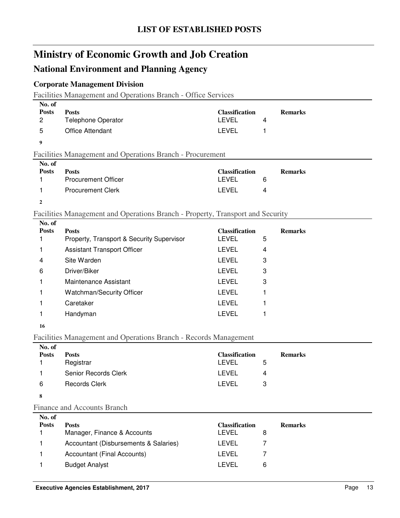### **National Environment and Planning Agency**

#### **Corporate Management Division**

Facilities Management and Operations Branch - Office Services

|                                | I actities management and Operations Dranch Office Services                    |                                       |   |                |
|--------------------------------|--------------------------------------------------------------------------------|---------------------------------------|---|----------------|
| No. of                         |                                                                                |                                       |   |                |
| <b>Posts</b><br>$\overline{c}$ | <b>Posts</b><br>Telephone Operator                                             | <b>Classification</b><br><b>LEVEL</b> | 4 | <b>Remarks</b> |
| 5                              | Office Attendant                                                               | <b>LEVEL</b>                          | 1 |                |
| 9                              |                                                                                |                                       |   |                |
|                                | Facilities Management and Operations Branch - Procurement                      |                                       |   |                |
| No. of                         |                                                                                |                                       |   |                |
| <b>Posts</b>                   | <b>Posts</b>                                                                   | <b>Classification</b>                 |   | <b>Remarks</b> |
| 1                              | <b>Procurement Officer</b>                                                     | <b>LEVEL</b>                          | 6 |                |
| 1                              | <b>Procurement Clerk</b>                                                       | <b>LEVEL</b>                          | 4 |                |
| $\mathbf{2}$                   |                                                                                |                                       |   |                |
|                                | Facilities Management and Operations Branch - Property, Transport and Security |                                       |   |                |
| No. of                         |                                                                                |                                       |   |                |
| <b>Posts</b><br>1              | <b>Posts</b><br>Property, Transport & Security Supervisor                      | <b>Classification</b><br><b>LEVEL</b> | 5 | <b>Remarks</b> |
| 1                              | <b>Assistant Transport Officer</b>                                             | <b>LEVEL</b>                          | 4 |                |
| 4                              | Site Warden                                                                    | <b>LEVEL</b>                          | 3 |                |
|                                |                                                                                |                                       |   |                |
| 6                              | Driver/Biker                                                                   | <b>LEVEL</b>                          | 3 |                |
| 1                              | Maintenance Assistant                                                          | <b>LEVEL</b>                          | 3 |                |
| 1                              | Watchman/Security Officer                                                      | <b>LEVEL</b>                          | 1 |                |
| 1                              | Caretaker                                                                      | <b>LEVEL</b>                          | 1 |                |
| 1                              | Handyman                                                                       | <b>LEVEL</b>                          | 1 |                |
| 16                             |                                                                                |                                       |   |                |
|                                | Facilities Management and Operations Branch - Records Management               |                                       |   |                |
| No. of                         |                                                                                |                                       |   |                |
| <b>Posts</b><br>1              | <b>Posts</b><br>Registrar                                                      | <b>Classification</b><br><b>LEVEL</b> | 5 | <b>Remarks</b> |
| 1                              | Senior Records Clerk                                                           | <b>LEVEL</b>                          | 4 |                |
|                                | Records Clerk                                                                  | <b>LEVEL</b>                          | 3 |                |
| 6                              |                                                                                |                                       |   |                |
| 8                              |                                                                                |                                       |   |                |
|                                | <b>Finance and Accounts Branch</b>                                             |                                       |   |                |
| No. of<br><b>Posts</b>         | <b>Posts</b>                                                                   | <b>Classification</b>                 |   | <b>Remarks</b> |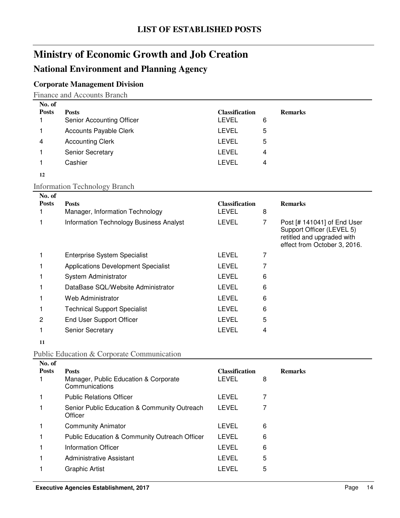### **National Environment and Planning Agency**

### **Corporate Management Division**

Finance and Accounts Branch

| No. of       |                               |                       |   |                |
|--------------|-------------------------------|-----------------------|---|----------------|
| <b>Posts</b> | <b>Posts</b>                  | <b>Classification</b> |   | <b>Remarks</b> |
|              | Senior Accounting Officer     | <b>LEVEL</b>          | 6 |                |
|              | <b>Accounts Payable Clerk</b> | LEVEL                 | 5 |                |
| 4            | <b>Accounting Clerk</b>       | <b>LEVEL</b>          | 5 |                |
|              | <b>Senior Secretary</b>       | LEVEL                 | 4 |                |
|              | Cashier                       | LEVEL                 | 4 |                |
| 12           |                               |                       |   |                |

#### Information Technology Branch

| No. of       |                                                |                       |   |                                                                                                                        |
|--------------|------------------------------------------------|-----------------------|---|------------------------------------------------------------------------------------------------------------------------|
| <b>Posts</b> | <b>Posts</b>                                   | <b>Classification</b> |   | <b>Remarks</b>                                                                                                         |
|              | Manager, Information Technology                | LEVEL                 | 8 |                                                                                                                        |
|              | <b>Information Technology Business Analyst</b> | LEVEL                 | 7 | Post [# 141041] of End User<br>Support Officer (LEVEL 5)<br>retitled and upgraded with<br>effect from October 3, 2016. |
|              | <b>Enterprise System Specialist</b>            | <b>LEVEL</b>          |   |                                                                                                                        |
|              | <b>Applications Development Specialist</b>     | <b>LEVEL</b>          |   |                                                                                                                        |
|              | System Administrator                           | LEVEL                 | 6 |                                                                                                                        |
|              | DataBase SQL/Website Administrator             | LEVEL                 | 6 |                                                                                                                        |
|              | Web Administrator                              | LEVEL                 | 6 |                                                                                                                        |
|              | <b>Technical Support Specialist</b>            | LEVEL                 | 6 |                                                                                                                        |
| 2            | <b>End User Support Officer</b>                | LEVEL                 | 5 |                                                                                                                        |
|              | <b>Senior Secretary</b>                        | LEVEL                 | 4 |                                                                                                                        |
|              |                                                |                       |   |                                                                                                                        |

**11**

### Public Education & Corporate Communication

| No. of       |                                                         |                       |   |                |
|--------------|---------------------------------------------------------|-----------------------|---|----------------|
| <b>Posts</b> | <b>Posts</b>                                            | <b>Classification</b> |   | <b>Remarks</b> |
|              | Manager, Public Education & Corporate<br>Communications | <b>LEVEL</b>          | 8 |                |
|              | <b>Public Relations Officer</b>                         | LEVEL                 |   |                |
|              | Senior Public Education & Community Outreach<br>Officer | LEVEL                 |   |                |
|              | <b>Community Animator</b>                               | <b>LEVEL</b>          | 6 |                |
|              | Public Education & Community Outreach Officer           | LEVEL                 | 6 |                |
|              | Information Officer                                     | <b>LEVEL</b>          | 6 |                |
|              | Administrative Assistant                                | LEVEL                 | 5 |                |
|              | Graphic Artist                                          | LEVEL                 | 5 |                |
|              |                                                         |                       |   |                |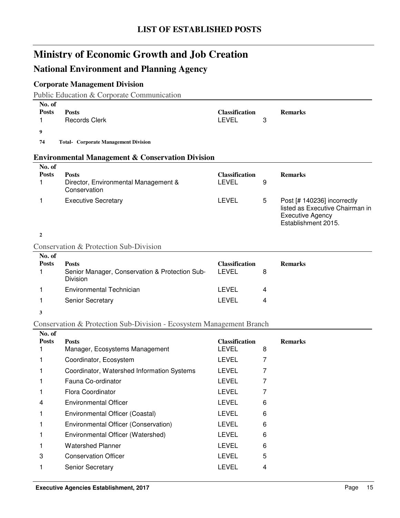### **National Environment and Planning Agency**

### **Corporate Management Division**

Public Education & Corporate Communication

| No. of<br><b>Posts</b> | <b>Posts</b>                                                         | <b>Classification</b>                 |   | <b>Remarks</b>                                                                                                   |
|------------------------|----------------------------------------------------------------------|---------------------------------------|---|------------------------------------------------------------------------------------------------------------------|
| 1                      | <b>Records Clerk</b>                                                 | <b>LEVEL</b>                          | 3 |                                                                                                                  |
| 9                      |                                                                      |                                       |   |                                                                                                                  |
| 74                     | <b>Total- Corporate Management Division</b>                          |                                       |   |                                                                                                                  |
|                        | <b>Environmental Management &amp; Conservation Division</b>          |                                       |   |                                                                                                                  |
| No. of                 |                                                                      |                                       |   |                                                                                                                  |
| <b>Posts</b><br>1      | <b>Posts</b><br>Director, Environmental Management &<br>Conservation | <b>Classification</b><br><b>LEVEL</b> | 9 | <b>Remarks</b>                                                                                                   |
| 1                      | <b>Executive Secretary</b>                                           | <b>LEVEL</b>                          | 5 | Post [# 140236] incorrectly<br>listed as Executive Chairman in<br><b>Executive Agency</b><br>Establishment 2015. |
| $\overline{2}$         |                                                                      |                                       |   |                                                                                                                  |
|                        | Conservation & Protection Sub-Division                               |                                       |   |                                                                                                                  |
| No. of                 |                                                                      |                                       |   |                                                                                                                  |
| <b>Posts</b>           | <b>Posts</b>                                                         | <b>Classification</b>                 |   | <b>Remarks</b>                                                                                                   |
| 1                      | Senior Manager, Conservation & Protection Sub-<br>Division           | <b>LEVEL</b>                          | 8 |                                                                                                                  |
| 1                      | Environmental Technician                                             | <b>LEVEL</b>                          | 4 |                                                                                                                  |
| 1                      | Senior Secretary                                                     | <b>LEVEL</b>                          | 4 |                                                                                                                  |
| 3                      |                                                                      |                                       |   |                                                                                                                  |
|                        | Conservation & Protection Sub-Division - Ecosystem Management Branch |                                       |   |                                                                                                                  |
| No. of                 |                                                                      |                                       |   |                                                                                                                  |
| <b>Posts</b><br>1      | <b>Posts</b><br>Manager, Ecosystems Management                       | <b>Classification</b><br>LEVEL        | 8 | <b>Remarks</b>                                                                                                   |
|                        |                                                                      |                                       |   |                                                                                                                  |

| 1 | Coordinator, Ecosystem                     | <b>LEVEL</b> |   |
|---|--------------------------------------------|--------------|---|
|   | Coordinator, Watershed Information Systems | <b>LEVEL</b> |   |
|   | Fauna Co-ordinator                         | <b>LEVEL</b> |   |
|   | Flora Coordinator                          | <b>LEVEL</b> |   |
| 4 | <b>Environmental Officer</b>               | <b>LEVEL</b> | 6 |
|   | Environmental Officer (Coastal)            | <b>LEVEL</b> | 6 |
|   | Environmental Officer (Conservation)       | <b>LEVEL</b> | 6 |
|   | Environmental Officer (Watershed)          | <b>LEVEL</b> | 6 |
|   | <b>Watershed Planner</b>                   | <b>LEVEL</b> | 6 |
| 3 | <b>Conservation Officer</b>                | <b>LEVEL</b> | 5 |
|   | <b>Senior Secretary</b>                    | LEVEL        | 4 |
|   |                                            |              |   |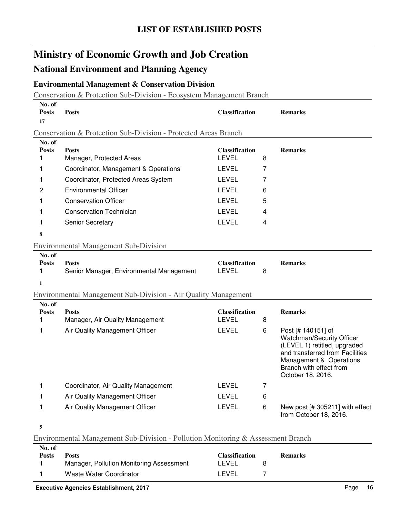### **National Environment and Planning Agency**

### **Environmental Management & Conservation Division**

Conservation & Protection Sub-Division - Ecosystem Management Branch

| No. of<br><b>Posts</b><br>17                                    | <b>Posts</b>                                                                     | <b>Classification</b>                 |   | <b>Remarks</b>                                                                                                                                                                                |  |  |  |
|-----------------------------------------------------------------|----------------------------------------------------------------------------------|---------------------------------------|---|-----------------------------------------------------------------------------------------------------------------------------------------------------------------------------------------------|--|--|--|
| Conservation & Protection Sub-Division - Protected Areas Branch |                                                                                  |                                       |   |                                                                                                                                                                                               |  |  |  |
| No. of<br><b>Posts</b><br>1                                     | <b>Posts</b><br>Manager, Protected Areas                                         | <b>Classification</b><br><b>LEVEL</b> | 8 | <b>Remarks</b>                                                                                                                                                                                |  |  |  |
| 1                                                               | Coordinator, Management & Operations                                             | <b>LEVEL</b>                          | 7 |                                                                                                                                                                                               |  |  |  |
| 1                                                               | Coordinator, Protected Areas System                                              | <b>LEVEL</b>                          | 7 |                                                                                                                                                                                               |  |  |  |
| 2                                                               | <b>Environmental Officer</b>                                                     | <b>LEVEL</b>                          | 6 |                                                                                                                                                                                               |  |  |  |
| 1                                                               | <b>Conservation Officer</b>                                                      | <b>LEVEL</b>                          | 5 |                                                                                                                                                                                               |  |  |  |
| 1                                                               | <b>Conservation Technician</b>                                                   | <b>LEVEL</b>                          | 4 |                                                                                                                                                                                               |  |  |  |
| 1                                                               | Senior Secretary                                                                 | <b>LEVEL</b>                          | 4 |                                                                                                                                                                                               |  |  |  |
| 8                                                               |                                                                                  |                                       |   |                                                                                                                                                                                               |  |  |  |
|                                                                 | <b>Environmental Management Sub-Division</b>                                     |                                       |   |                                                                                                                                                                                               |  |  |  |
| No. of<br><b>Posts</b><br>1                                     | <b>Posts</b><br>Senior Manager, Environmental Management                         | <b>Classification</b><br><b>LEVEL</b> | 8 | <b>Remarks</b>                                                                                                                                                                                |  |  |  |
| 1                                                               |                                                                                  |                                       |   |                                                                                                                                                                                               |  |  |  |
|                                                                 | Environmental Management Sub-Division - Air Quality Management                   |                                       |   |                                                                                                                                                                                               |  |  |  |
| No. of<br><b>Posts</b><br>1                                     | <b>Posts</b><br>Manager, Air Quality Management                                  | <b>Classification</b><br><b>LEVEL</b> | 8 | <b>Remarks</b>                                                                                                                                                                                |  |  |  |
| 1                                                               | Air Quality Management Officer                                                   | <b>LEVEL</b>                          | 6 | Post [# 140151] of<br>Watchman/Security Officer<br>(LEVEL 1) retitled, upgraded<br>and transferred from Facilities<br>Management & Operations<br>Branch with effect from<br>October 18, 2016. |  |  |  |
| 1                                                               | Coordinator, Air Quality Management                                              | <b>LEVEL</b>                          | 7 |                                                                                                                                                                                               |  |  |  |
| 1                                                               | Air Quality Management Officer                                                   | LEVEL                                 | 6 |                                                                                                                                                                                               |  |  |  |
| 1                                                               | Air Quality Management Officer                                                   | <b>LEVEL</b>                          | 6 | New post [# 305211] with effect<br>from October 18, 2016.                                                                                                                                     |  |  |  |
| 5                                                               |                                                                                  |                                       |   |                                                                                                                                                                                               |  |  |  |
|                                                                 | Environmental Management Sub-Division - Pollution Monitoring & Assessment Branch |                                       |   |                                                                                                                                                                                               |  |  |  |
| $No$ of                                                         |                                                                                  |                                       |   |                                                                                                                                                                                               |  |  |  |

| 140. QL<br><b>Posts</b> | Posts<br>Manager, Pollution Monitoring Assessment | Classification<br>LEVEL | <b>Remarks</b> |
|-------------------------|---------------------------------------------------|-------------------------|----------------|
|                         | Waste Water Coordinator                           | LEVEL                   |                |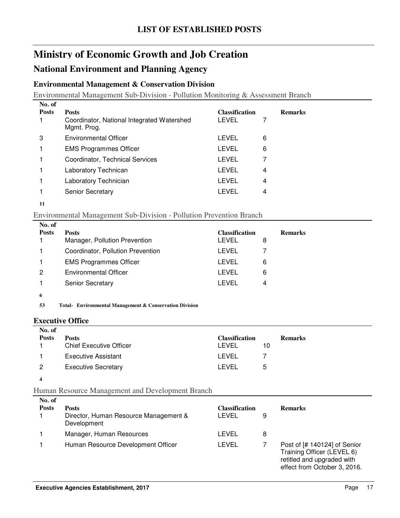### **National Environment and Planning Agency**

#### **Environmental Management & Conservation Division**

Environmental Management Sub-Division - Pollution Monitoring & Assessment Branch

| No. of       |                                                           |                       |   |                |
|--------------|-----------------------------------------------------------|-----------------------|---|----------------|
| <b>Posts</b> | <b>Posts</b>                                              | <b>Classification</b> |   | <b>Remarks</b> |
|              | Coordinator, National Integrated Watershed<br>Mgmt. Prog. | LEVEL                 |   |                |
| 3            | <b>Environmental Officer</b>                              | LEVEL                 | 6 |                |
|              | <b>EMS Programmes Officer</b>                             | LEVEL                 | 6 |                |
|              | Coordinator, Technical Services                           | LEVEL                 |   |                |
|              | Laboratory Technican                                      | <b>LEVEL</b>          | 4 |                |
|              | Laboratory Technician                                     | LEVEL                 | 4 |                |
|              | <b>Senior Secretary</b>                                   | LEVEL                 | 4 |                |
|              |                                                           |                       |   |                |

**<sup>11</sup>**

#### Environmental Management Sub-Division - Pollution Prevention Branch

| No. of       |                                   |                       |                |
|--------------|-----------------------------------|-----------------------|----------------|
| <b>Posts</b> | <b>Posts</b>                      | <b>Classification</b> | <b>Remarks</b> |
|              | Manager, Pollution Prevention     | LEVEL<br>8            |                |
|              | Coordinator, Pollution Prevention | LEVEL                 |                |
|              | <b>EMS Programmes Officer</b>     | LEVEL<br>6            |                |
| 2            | <b>Environmental Officer</b>      | LEVEL<br>6            |                |
|              | <b>Senior Secretary</b>           | I EVEL<br>4           |                |
|              |                                   |                       |                |

**6**

**53 Environmental Management & Conservation Division Total-**

#### **Executive Office**

| No. of       |                                |                       |    |                |  |
|--------------|--------------------------------|-----------------------|----|----------------|--|
| <b>Posts</b> | <b>Posts</b>                   | <b>Classification</b> |    | <b>Remarks</b> |  |
|              | <b>Chief Executive Officer</b> | LEVEL                 | 10 |                |  |
|              | Executive Assistant            | LEVEL                 |    |                |  |
| 2            | <b>Executive Secretary</b>     | LEVEL                 | 5  |                |  |
|              |                                |                       |    |                |  |

#### Human Resource Management and Development Branch

| No. of<br><b>Posts</b> | <b>Posts</b><br>Director, Human Resource Management &<br>Development | <b>Classification</b><br>LEVEL | 9 | <b>Remarks</b>                                                                                                           |
|------------------------|----------------------------------------------------------------------|--------------------------------|---|--------------------------------------------------------------------------------------------------------------------------|
|                        | Manager, Human Resources                                             | LEVEL                          | 8 |                                                                                                                          |
|                        | Human Resource Development Officer                                   | LEVEL                          |   | Post of [# 140124] of Senior<br>Training Officer (LEVEL 6)<br>retitled and upgraded with<br>effect from October 3, 2016. |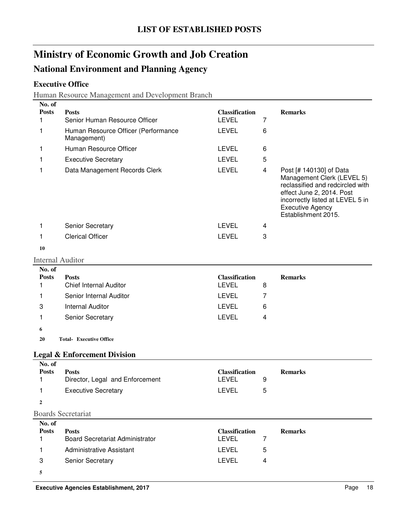### **National Environment and Planning Agency**

### **Executive Office**

Human Resource Management and Development Branch

| No. of                  |                                                        |                                       |   |                                                                                                                                                                                                              |
|-------------------------|--------------------------------------------------------|---------------------------------------|---|--------------------------------------------------------------------------------------------------------------------------------------------------------------------------------------------------------------|
| <b>Posts</b><br>1       | <b>Posts</b><br>Senior Human Resource Officer          | <b>Classification</b><br><b>LEVEL</b> | 7 | <b>Remarks</b>                                                                                                                                                                                               |
| 1                       | Human Resource Officer (Performance                    | <b>LEVEL</b>                          | 6 |                                                                                                                                                                                                              |
|                         | Management)                                            |                                       |   |                                                                                                                                                                                                              |
| 1                       | Human Resource Officer                                 | <b>LEVEL</b>                          | 6 |                                                                                                                                                                                                              |
| 1                       | <b>Executive Secretary</b>                             | <b>LEVEL</b>                          | 5 |                                                                                                                                                                                                              |
| 1                       | Data Management Records Clerk                          | <b>LEVEL</b>                          | 4 | Post [# 140130] of Data<br>Management Clerk (LEVEL 5)<br>reclassified and redcircled with<br>effect June 2, 2014. Post<br>incorrectly listed at LEVEL 5 in<br><b>Executive Agency</b><br>Establishment 2015. |
| 1                       | Senior Secretary                                       | <b>LEVEL</b>                          | 4 |                                                                                                                                                                                                              |
| 1                       | <b>Clerical Officer</b>                                | <b>LEVEL</b>                          | 3 |                                                                                                                                                                                                              |
| 10                      |                                                        |                                       |   |                                                                                                                                                                                                              |
| <b>Internal Auditor</b> |                                                        |                                       |   |                                                                                                                                                                                                              |
| No. of                  |                                                        |                                       |   |                                                                                                                                                                                                              |
| <b>Posts</b><br>1       | <b>Posts</b><br><b>Chief Internal Auditor</b>          | <b>Classification</b><br><b>LEVEL</b> | 8 | <b>Remarks</b>                                                                                                                                                                                               |
| 1                       | Senior Internal Auditor                                | <b>LEVEL</b>                          | 7 |                                                                                                                                                                                                              |
| 3                       | <b>Internal Auditor</b>                                | <b>LEVEL</b>                          | 6 |                                                                                                                                                                                                              |
| 1                       | Senior Secretary                                       | <b>LEVEL</b>                          | 4 |                                                                                                                                                                                                              |
| 6                       |                                                        |                                       |   |                                                                                                                                                                                                              |
| 20                      | <b>Total- Executive Office</b>                         |                                       |   |                                                                                                                                                                                                              |
|                         |                                                        |                                       |   |                                                                                                                                                                                                              |
| No. of                  | <b>Legal &amp; Enforcement Division</b>                |                                       |   |                                                                                                                                                                                                              |
| <b>Posts</b>            | <b>Posts</b>                                           | <b>Classification</b>                 |   | <b>Remarks</b>                                                                                                                                                                                               |
| 1                       | Director, Legal and Enforcement                        | <b>LEVEL</b>                          | 9 |                                                                                                                                                                                                              |
| 1                       | <b>Executive Secretary</b>                             | <b>LEVEL</b>                          | 5 |                                                                                                                                                                                                              |
| 2                       |                                                        |                                       |   |                                                                                                                                                                                                              |
|                         | <b>Boards Secretariat</b>                              |                                       |   |                                                                                                                                                                                                              |
| No. of                  |                                                        |                                       |   |                                                                                                                                                                                                              |
| <b>Posts</b><br>1       | <b>Posts</b><br><b>Board Secretariat Administrator</b> | <b>Classification</b><br><b>LEVEL</b> | 7 | <b>Remarks</b>                                                                                                                                                                                               |
| 1                       | <b>Administrative Assistant</b>                        | <b>LEVEL</b>                          | 5 |                                                                                                                                                                                                              |
|                         |                                                        |                                       |   |                                                                                                                                                                                                              |
| 3                       | Senior Secretary                                       | <b>LEVEL</b>                          | 4 |                                                                                                                                                                                                              |
| 5                       |                                                        |                                       |   |                                                                                                                                                                                                              |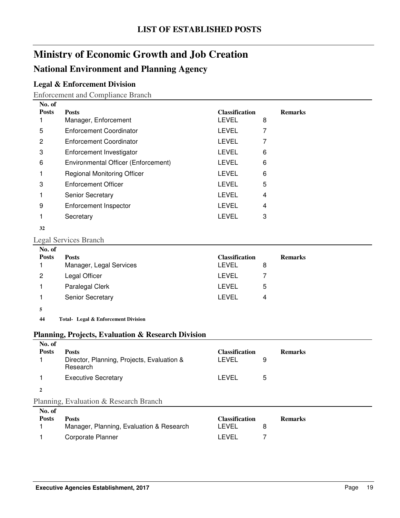### **National Environment and Planning Agency**

### **Legal & Enforcement Division**

Enforcement and Compliance Branch

| No. of       |                                     |                       |   |                |
|--------------|-------------------------------------|-----------------------|---|----------------|
| <b>Posts</b> | <b>Posts</b>                        | <b>Classification</b> |   | <b>Remarks</b> |
|              | Manager, Enforcement                | <b>LEVEL</b>          | 8 |                |
| 5            | Enforcement Coordinator             | <b>LEVEL</b>          |   |                |
| 2            | Enforcement Coordinator             | <b>LEVEL</b>          |   |                |
| 3            | Enforcement Investigator            | <b>LEVEL</b>          | 6 |                |
| 6            | Environmental Officer (Enforcement) | <b>LEVEL</b>          | 6 |                |
|              | <b>Regional Monitoring Officer</b>  | <b>LEVEL</b>          | 6 |                |
| 3            | Enforcement Officer                 | <b>LEVEL</b>          | 5 |                |
|              | <b>Senior Secretary</b>             | <b>LEVEL</b>          | 4 |                |
| 9            | Enforcement Inspector               | LEVEL                 | 4 |                |
|              | Secretary                           | <b>LEVEL</b>          | 3 |                |
|              |                                     |                       |   |                |

#### **32**

#### Legal Services Branch

| No. of<br><b>Posts</b> | <b>Posts</b><br>Manager, Legal Services | <b>Classification</b><br>LEVEL | 8 | <b>Remarks</b> |
|------------------------|-----------------------------------------|--------------------------------|---|----------------|
| 2                      | Legal Officer                           | LEVEL                          |   |                |
|                        | Paralegal Clerk                         | LEVEL                          | 5 |                |
|                        | <b>Senior Secretary</b>                 | LEVEL                          | 4 |                |
|                        |                                         |                                |   |                |

**5**

**44 Legal & Enforcement Division Total-**

#### **Planning, Projects, Evaluation & Research Division**

| No. of<br><b>Posts</b> | <b>Posts</b><br>Director, Planning, Projects, Evaluation &<br>Research | <b>Classification</b><br><b>LEVEL</b> | 9 | <b>Remarks</b> |
|------------------------|------------------------------------------------------------------------|---------------------------------------|---|----------------|
|                        | <b>Executive Secretary</b>                                             | <b>LEVEL</b>                          | 5 |                |
|                        |                                                                        |                                       |   |                |
|                        | Planning, Evaluation & Research Branch                                 |                                       |   |                |
| $N_0$ of               |                                                                        |                                       |   |                |

| 180. OL<br><b>Posts</b> | <b>Posts</b>                             | <b>Classification</b> | <b>Remarks</b> |
|-------------------------|------------------------------------------|-----------------------|----------------|
|                         | Manager, Planning, Evaluation & Research | LEVEL                 |                |
|                         | Corporate Planner                        | I FVFI.               |                |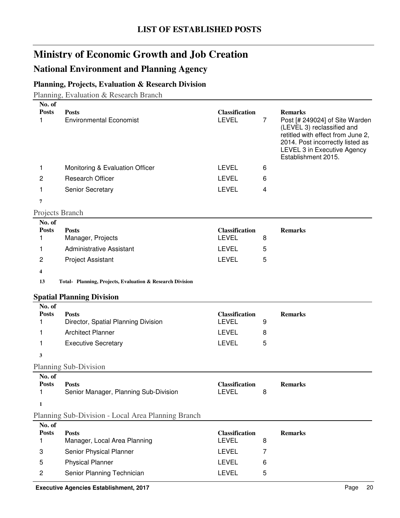### **National Environment and Planning Agency**

### **Planning, Projects, Evaluation & Research Division**

Planning, Evaluation & Research Branch

| No. of<br><b>Posts</b><br>1 | <b>Posts</b><br><b>Environmental Economist</b>            | <b>Classification</b><br><b>LEVEL</b> | $\overline{7}$ | <b>Remarks</b><br>Post [# 249024] of Site Warden<br>(LEVEL 3) reclassified and<br>retitled with effect from June 2,<br>2014. Post incorrectly listed as |
|-----------------------------|-----------------------------------------------------------|---------------------------------------|----------------|---------------------------------------------------------------------------------------------------------------------------------------------------------|
|                             |                                                           |                                       |                | LEVEL 3 in Executive Agency<br>Establishment 2015.                                                                                                      |
| 1                           | Monitoring & Evaluation Officer                           | <b>LEVEL</b>                          | 6              |                                                                                                                                                         |
| 2                           | <b>Research Officer</b>                                   | <b>LEVEL</b>                          | 6              |                                                                                                                                                         |
| 1                           | Senior Secretary                                          | <b>LEVEL</b>                          | 4              |                                                                                                                                                         |
| 7                           |                                                           |                                       |                |                                                                                                                                                         |
| Projects Branch             |                                                           |                                       |                |                                                                                                                                                         |
| No. of                      |                                                           |                                       |                |                                                                                                                                                         |
| <b>Posts</b>                | <b>Posts</b>                                              | <b>Classification</b>                 |                | <b>Remarks</b>                                                                                                                                          |
| 1                           | Manager, Projects                                         | <b>LEVEL</b>                          | 8              |                                                                                                                                                         |
| 1                           | Administrative Assistant                                  | <b>LEVEL</b>                          | 5              |                                                                                                                                                         |
| $\overline{c}$              | <b>Project Assistant</b>                                  | <b>LEVEL</b>                          | 5              |                                                                                                                                                         |
| 4                           |                                                           |                                       |                |                                                                                                                                                         |
| 13                          | Total- Planning, Projects, Evaluation & Research Division |                                       |                |                                                                                                                                                         |
|                             | <b>Spatial Planning Division</b>                          |                                       |                |                                                                                                                                                         |
| No. of                      |                                                           |                                       |                |                                                                                                                                                         |
| <b>Posts</b>                | <b>Posts</b>                                              | <b>Classification</b>                 |                | <b>Remarks</b>                                                                                                                                          |
| 1                           | Director, Spatial Planning Division                       | <b>LEVEL</b>                          | 9              |                                                                                                                                                         |
| 1                           | <b>Architect Planner</b>                                  | <b>LEVEL</b>                          | 8              |                                                                                                                                                         |
| 1                           | <b>Executive Secretary</b>                                | <b>LEVEL</b>                          | 5              |                                                                                                                                                         |
| 3                           |                                                           |                                       |                |                                                                                                                                                         |
|                             | Planning Sub-Division                                     |                                       |                |                                                                                                                                                         |
| No. of                      |                                                           |                                       |                |                                                                                                                                                         |
| <b>Posts</b><br>1           | <b>Posts</b><br>Senior Manager, Planning Sub-Division     | <b>Classification</b><br><b>LEVEL</b> | 8              | <b>Remarks</b>                                                                                                                                          |
| 1                           |                                                           |                                       |                |                                                                                                                                                         |
|                             | Planning Sub-Division - Local Area Planning Branch        |                                       |                |                                                                                                                                                         |
| No. of                      |                                                           |                                       |                |                                                                                                                                                         |
| <b>Posts</b>                | <b>Posts</b>                                              | <b>Classification</b>                 |                | <b>Remarks</b>                                                                                                                                          |
| 1                           | Manager, Local Area Planning                              | <b>LEVEL</b>                          | 8              |                                                                                                                                                         |
| 3                           | Senior Physical Planner                                   | <b>LEVEL</b>                          | 7              |                                                                                                                                                         |
| 5                           | <b>Physical Planner</b>                                   | <b>LEVEL</b>                          | 6              |                                                                                                                                                         |
| 2                           | Senior Planning Technician                                | LEVEL                                 | 5              |                                                                                                                                                         |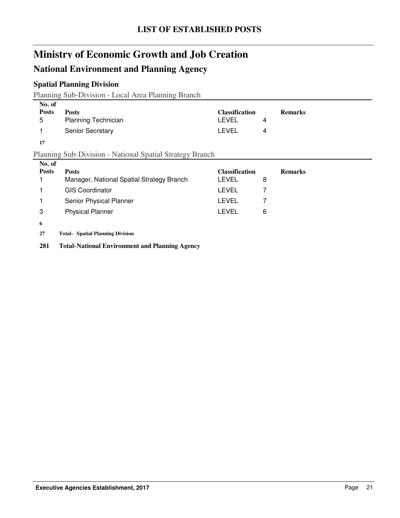### **National Environment and Planning Agency**

### **Spatial Planning Division**

Planning Sub-Division - Local Area Planning Branch

| No. of       |                            |                       |                |
|--------------|----------------------------|-----------------------|----------------|
| <b>Posts</b> | <b>Posts</b>               | <b>Classification</b> | <b>Remarks</b> |
| 5            | <b>Planning Technician</b> | LEVEL                 |                |
|              | <b>Senior Secretary</b>    | LEVEL<br>4            |                |

**17**

#### Planning Sub-Division - National Spatial Strategy Branch

| No. of       |                                           |                       |                |
|--------------|-------------------------------------------|-----------------------|----------------|
| <b>Posts</b> | <b>Posts</b>                              | <b>Classification</b> | <b>Remarks</b> |
|              | Manager, National Spatial Strategy Branch | LEVEL                 | 8              |
|              | <b>GIS Coordinator</b>                    | LEVEL                 |                |
|              | Senior Physical Planner                   | LEVEL                 |                |
| 3            | <b>Physical Planner</b>                   | LEVEL                 | 6              |
| 6            |                                           |                       |                |
| 27           | <b>Total- Spatial Planning Division</b>   |                       |                |

**281 Total-National Environment and Planning Agency**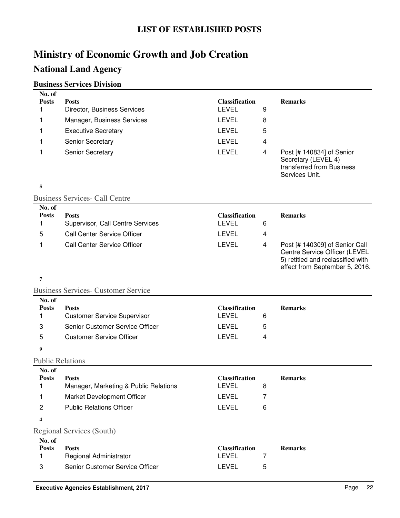### **National Land Agency**

#### **Business Services Division**

| No. of                  |                                                                       |                                       |   |                                                                                                      |
|-------------------------|-----------------------------------------------------------------------|---------------------------------------|---|------------------------------------------------------------------------------------------------------|
| <b>Posts</b><br>1       | <b>Posts</b><br>Director, Business Services                           | <b>Classification</b><br><b>LEVEL</b> | 9 | <b>Remarks</b>                                                                                       |
|                         |                                                                       |                                       |   |                                                                                                      |
| 1                       | Manager, Business Services                                            | <b>LEVEL</b>                          | 8 |                                                                                                      |
| 1                       | <b>Executive Secretary</b>                                            | <b>LEVEL</b>                          | 5 |                                                                                                      |
| 1                       | Senior Secretary                                                      | <b>LEVEL</b>                          | 4 |                                                                                                      |
| 1                       | Senior Secretary                                                      | <b>LEVEL</b>                          | 4 | Post [# 140834] of Senior<br>Secretary (LEVEL 4)<br>transferred from Business<br>Services Unit.      |
| 5                       |                                                                       |                                       |   |                                                                                                      |
|                         | <b>Business Services- Call Centre</b>                                 |                                       |   |                                                                                                      |
| No. of                  |                                                                       |                                       |   |                                                                                                      |
| <b>Posts</b><br>1       | <b>Posts</b><br>Supervisor, Call Centre Services                      | <b>Classification</b><br><b>LEVEL</b> | 6 | <b>Remarks</b>                                                                                       |
| 5                       | <b>Call Center Service Officer</b>                                    | <b>LEVEL</b>                          | 4 |                                                                                                      |
| 1                       | <b>Call Center Service Officer</b>                                    | <b>LEVEL</b>                          | 4 | Post [# 140309] of Senior Call                                                                       |
|                         |                                                                       |                                       |   | Centre Service Officer (LEVEL<br>5) retitled and reclassified with<br>effect from September 5, 2016. |
| 7                       |                                                                       |                                       |   |                                                                                                      |
|                         | <b>Business Services- Customer Service</b>                            |                                       |   |                                                                                                      |
| No. of                  |                                                                       |                                       |   |                                                                                                      |
| <b>Posts</b><br>1       | <b>Posts</b>                                                          | <b>Classification</b><br><b>LEVEL</b> | 6 | <b>Remarks</b>                                                                                       |
|                         | <b>Customer Service Supervisor</b><br>Senior Customer Service Officer | <b>LEVEL</b>                          |   |                                                                                                      |
| 3                       |                                                                       |                                       | 5 |                                                                                                      |
| 5                       | <b>Customer Service Officer</b>                                       | <b>LEVEL</b>                          | 4 |                                                                                                      |
| 9                       |                                                                       |                                       |   |                                                                                                      |
| <b>Public Relations</b> |                                                                       |                                       |   |                                                                                                      |
| No. of                  |                                                                       |                                       |   |                                                                                                      |
| <b>Posts</b><br>1       | <b>Posts</b><br>Manager, Marketing & Public Relations                 | <b>Classification</b><br>LEVEL        | 8 | <b>Remarks</b>                                                                                       |
| 1                       | Market Development Officer                                            | LEVEL                                 | 7 |                                                                                                      |
| $\overline{c}$          | <b>Public Relations Officer</b>                                       | <b>LEVEL</b>                          | 6 |                                                                                                      |
|                         |                                                                       |                                       |   |                                                                                                      |
| 4                       |                                                                       |                                       |   |                                                                                                      |
|                         | <b>Regional Services (South)</b>                                      |                                       |   |                                                                                                      |
| No. of<br><b>Posts</b>  | <b>Posts</b>                                                          | <b>Classification</b>                 |   | <b>Remarks</b>                                                                                       |
| 1                       | Regional Administrator                                                | <b>LEVEL</b>                          | 7 |                                                                                                      |
|                         |                                                                       |                                       |   |                                                                                                      |

3 Senior Customer Service Officer **CHACK EXECUTE 15**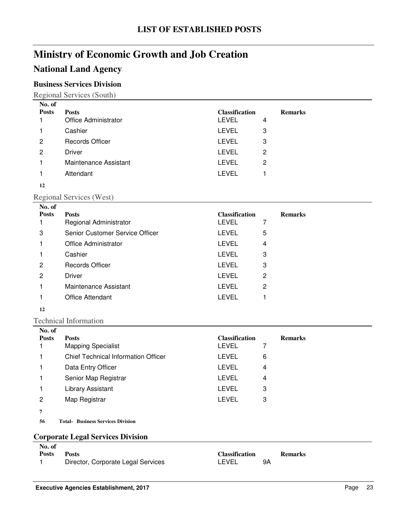### **National Land Agency**

### **Business Services Division**

Regional Services (South)

| No. of       |                        |                       |   |                |
|--------------|------------------------|-----------------------|---|----------------|
| <b>Posts</b> | <b>Posts</b>           | <b>Classification</b> |   | <b>Remarks</b> |
|              | Office Administrator   | <b>LEVEL</b>          | 4 |                |
|              | Cashier                | <b>LEVEL</b>          | 3 |                |
| 2            | <b>Records Officer</b> | <b>LEVEL</b>          | 3 |                |
| 2            | Driver                 | <b>LEVEL</b>          | 2 |                |
|              | Maintenance Assistant  | <b>LEVEL</b>          | 2 |                |
|              | Attendant              | <b>LEVEL</b>          |   |                |
| 12           |                        |                       |   |                |

#### Regional Services (West)

| No. of       |                                 |                       |   |                |
|--------------|---------------------------------|-----------------------|---|----------------|
| <b>Posts</b> | <b>Posts</b>                    | <b>Classification</b> |   | <b>Remarks</b> |
|              | Regional Administrator          | <b>LEVEL</b>          | 7 |                |
| 3            | Senior Customer Service Officer | <b>LEVEL</b>          | 5 |                |
|              | Office Administrator            | <b>LEVEL</b>          | 4 |                |
|              | Cashier                         | <b>LEVEL</b>          | 3 |                |
| 2            | <b>Records Officer</b>          | <b>LEVEL</b>          | 3 |                |
| 2            | <b>Driver</b>                   | <b>LEVEL</b>          | 2 |                |
|              | Maintenance Assistant           | <b>LEVEL</b>          | 2 |                |
|              | <b>Office Attendant</b>         | LEVEL                 |   |                |
|              |                                 |                       |   |                |

#### **12**

Technical Information

| No. of       |                                            |                       |                |
|--------------|--------------------------------------------|-----------------------|----------------|
| <b>Posts</b> | <b>Posts</b>                               | <b>Classification</b> | <b>Remarks</b> |
|              | <b>Mapping Specialist</b>                  | LEVEL<br>7            |                |
|              | <b>Chief Technical Information Officer</b> | LEVEL<br>6            |                |
|              | Data Entry Officer                         | <b>LEVEL</b><br>4     |                |
|              | Senior Map Registrar                       | <b>LEVEL</b><br>4     |                |
|              | Library Assistant                          | <b>LEVEL</b><br>3     |                |
| 2            | Map Registrar                              | <b>LEVEL</b><br>3     |                |
| 7            |                                            |                       |                |
| 56           | <b>Total- Business Services Division</b>   |                       |                |

#### **Corporate Legal Services Division**

|              | -                                  |                       |    |                |
|--------------|------------------------------------|-----------------------|----|----------------|
| No. of       |                                    |                       |    |                |
| <b>Posts</b> | Posts                              | <b>Classification</b> |    | <b>Remarks</b> |
|              | Director, Corporate Legal Services | LEVEL                 | 9Α |                |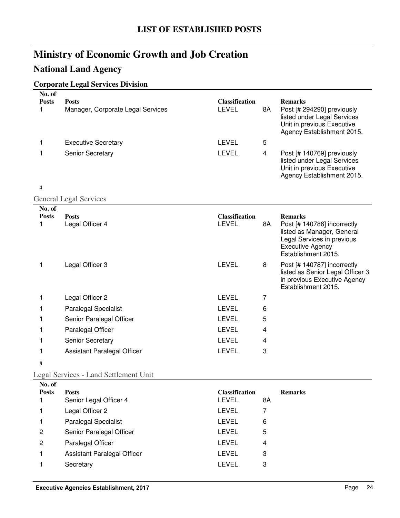### **National Land Agency**

### **Corporate Legal Services Division**

| No. of<br><b>Posts</b><br>1 | <b>Posts</b><br>Manager, Corporate Legal Services | <b>Classification</b><br><b>LEVEL</b> | 8A             | <b>Remarks</b><br>Post [# 294290] previously<br>listed under Legal Services<br>Unit in previous Executive<br>Agency Establishment 2015.                     |
|-----------------------------|---------------------------------------------------|---------------------------------------|----------------|-------------------------------------------------------------------------------------------------------------------------------------------------------------|
| 1                           | <b>Executive Secretary</b>                        | <b>LEVEL</b>                          | 5              |                                                                                                                                                             |
| 1                           | Senior Secretary                                  | <b>LEVEL</b>                          | $\overline{4}$ | Post [# 140769] previously<br>listed under Legal Services<br>Unit in previous Executive<br>Agency Establishment 2015.                                       |
| 4                           |                                                   |                                       |                |                                                                                                                                                             |
|                             | <b>General Legal Services</b>                     |                                       |                |                                                                                                                                                             |
| No. of<br><b>Posts</b><br>1 | <b>Posts</b><br>Legal Officer 4                   | <b>Classification</b><br><b>LEVEL</b> | 8A             | <b>Remarks</b><br>Post [# 140786] incorrectly<br>listed as Manager, General<br>Legal Services in previous<br><b>Executive Agency</b><br>Establishment 2015. |
| 1                           | Legal Officer 3                                   | <b>LEVEL</b>                          | 8              | Post [# 140787] incorrectly<br>listed as Senior Legal Officer 3<br>in previous Executive Agency<br>Establishment 2015.                                      |
| 1                           | Legal Officer 2                                   | <b>LEVEL</b>                          | 7              |                                                                                                                                                             |
| 1                           | <b>Paralegal Specialist</b>                       | <b>LEVEL</b>                          | 6              |                                                                                                                                                             |
| 1                           | Senior Paralegal Officer                          | <b>LEVEL</b>                          | 5              |                                                                                                                                                             |
| 1                           | Paralegal Officer                                 | <b>LEVEL</b>                          | 4              |                                                                                                                                                             |
| 1                           | Senior Secretary                                  | <b>LEVEL</b>                          | 4              |                                                                                                                                                             |
| 1                           | Assistant Paralegal Officer                       | <b>LEVEL</b>                          | 3              |                                                                                                                                                             |
| 8                           |                                                   |                                       |                |                                                                                                                                                             |

#### Legal Services - Land Settlement Unit

| No. of       |                             |                       |    |                |
|--------------|-----------------------------|-----------------------|----|----------------|
| <b>Posts</b> | <b>Posts</b>                | <b>Classification</b> |    | <b>Remarks</b> |
|              | Senior Legal Officer 4      | <b>LEVEL</b>          | 8A |                |
|              | Legal Officer 2             | <b>LEVEL</b>          |    |                |
|              | <b>Paralegal Specialist</b> | <b>LEVEL</b>          | 6  |                |
| 2            | Senior Paralegal Officer    | <b>LEVEL</b>          | 5  |                |
| 2            | Paralegal Officer           | <b>LEVEL</b>          | 4  |                |
|              | Assistant Paralegal Officer | LEVEL                 | 3  |                |
|              | Secretary                   | LEVEL                 | 3  |                |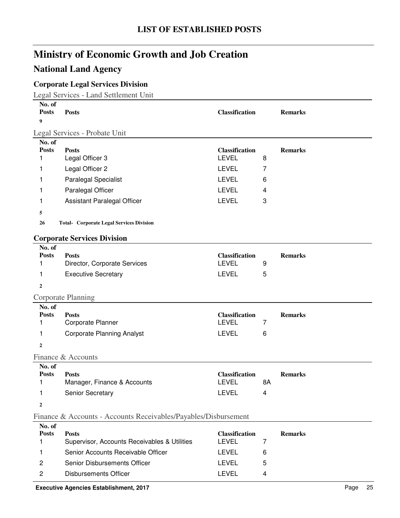### **National Land Agency**

### **Corporate Legal Services Division**

Legal Services - Land Settlement Unit

| No. of<br><b>Posts</b>      | <b>Posts</b>                                                    | <b>Classification</b>                 |    | <b>Remarks</b> |
|-----------------------------|-----------------------------------------------------------------|---------------------------------------|----|----------------|
| 9                           |                                                                 |                                       |    |                |
|                             | Legal Services - Probate Unit                                   |                                       |    |                |
| No. of<br><b>Posts</b><br>1 | <b>Posts</b><br>Legal Officer 3                                 | <b>Classification</b><br><b>LEVEL</b> | 8  | <b>Remarks</b> |
| 1                           | Legal Officer 2                                                 | <b>LEVEL</b>                          | 7  |                |
| 1                           | Paralegal Specialist                                            | <b>LEVEL</b>                          | 6  |                |
| 1                           | Paralegal Officer                                               | <b>LEVEL</b>                          | 4  |                |
| 1                           | Assistant Paralegal Officer                                     | <b>LEVEL</b>                          | 3  |                |
| 5                           |                                                                 |                                       |    |                |
| 26                          | <b>Total- Corporate Legal Services Division</b>                 |                                       |    |                |
|                             |                                                                 |                                       |    |                |
|                             | <b>Corporate Services Division</b>                              |                                       |    |                |
| No. of<br><b>Posts</b><br>1 | <b>Posts</b><br>Director, Corporate Services                    | <b>Classification</b><br><b>LEVEL</b> | 9  | <b>Remarks</b> |
| 1                           | <b>Executive Secretary</b>                                      | <b>LEVEL</b>                          | 5  |                |
| 2                           |                                                                 |                                       |    |                |
|                             | Corporate Planning                                              |                                       |    |                |
| No. of                      |                                                                 |                                       |    |                |
| <b>Posts</b><br>1           | <b>Posts</b><br>Corporate Planner                               | <b>Classification</b><br><b>LEVEL</b> | 7  | <b>Remarks</b> |
| 1                           | <b>Corporate Planning Analyst</b>                               | <b>LEVEL</b>                          | 6  |                |
| $\overline{2}$              |                                                                 |                                       |    |                |
|                             | Finance & Accounts                                              |                                       |    |                |
| No. of                      |                                                                 |                                       |    |                |
| <b>Posts</b>                | <b>Posts</b>                                                    | <b>Classification</b>                 |    | <b>Remarks</b> |
| 1                           | Manager, Finance & Accounts                                     | <b>LEVEL</b>                          | 8A |                |
| $\mathbf{1}$                | Senior Secretary                                                | LEVEL                                 | 4  |                |
| $\boldsymbol{2}$            |                                                                 |                                       |    |                |
|                             | Finance & Accounts - Accounts Receivables/Payables/Disbursement |                                       |    |                |
| No. of<br><b>Posts</b>      | <b>Posts</b><br>Supenzisor Accounts Receivables & Utilities     | <b>Classification</b><br>I EVEL       |    | <b>Remarks</b> |

| <b>Posts</b>                                 | <b>Classification</b> |   | <b>Remarks</b> |
|----------------------------------------------|-----------------------|---|----------------|
| Supervisor, Accounts Receivables & Utilities | I EVEL                |   |                |
| Senior Accounts Receivable Officer           | I EVEL                |   |                |
| Senior Disbursements Officer                 | I EVEL                | 5 |                |
| Disbursements Officer                        | I EVEL                | Δ |                |
|                                              |                       |   |                |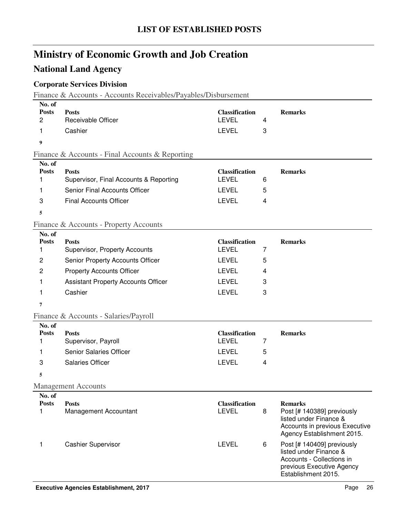### **National Land Agency**

### **Corporate Services Division**

Finance & Accounts - Accounts Receivables/Payables/Disbursement

| No. of<br><b>Posts</b><br>2 | <b>Posts</b><br>Receivable Officer              | <b>Classification</b><br><b>LEVEL</b> | 4              | <b>Remarks</b>                                                                                                                         |
|-----------------------------|-------------------------------------------------|---------------------------------------|----------------|----------------------------------------------------------------------------------------------------------------------------------------|
| 1                           | Cashier                                         | <b>LEVEL</b>                          | 3              |                                                                                                                                        |
| 9                           |                                                 |                                       |                |                                                                                                                                        |
|                             |                                                 |                                       |                |                                                                                                                                        |
| No. of                      | Finance & Accounts - Final Accounts & Reporting |                                       |                |                                                                                                                                        |
| <b>Posts</b>                | <b>Posts</b>                                    | <b>Classification</b>                 |                | <b>Remarks</b>                                                                                                                         |
| 1                           | Supervisor, Final Accounts & Reporting          | <b>LEVEL</b>                          | 6              |                                                                                                                                        |
| 1                           | Senior Final Accounts Officer                   | <b>LEVEL</b>                          | 5              |                                                                                                                                        |
| 3                           | <b>Final Accounts Officer</b>                   | <b>LEVEL</b>                          | 4              |                                                                                                                                        |
| 5                           |                                                 |                                       |                |                                                                                                                                        |
|                             | Finance & Accounts - Property Accounts          |                                       |                |                                                                                                                                        |
| No. of<br><b>Posts</b><br>1 | <b>Posts</b><br>Supervisor, Property Accounts   | <b>Classification</b><br><b>LEVEL</b> | 7              | <b>Remarks</b>                                                                                                                         |
| $\overline{c}$              | Senior Property Accounts Officer                | <b>LEVEL</b>                          | 5              |                                                                                                                                        |
| $\overline{c}$              | <b>Property Accounts Officer</b>                | <b>LEVEL</b>                          | 4              |                                                                                                                                        |
| 1                           | <b>Assistant Property Accounts Officer</b>      | <b>LEVEL</b>                          | 3              |                                                                                                                                        |
| 1                           | Cashier                                         | <b>LEVEL</b>                          | 3              |                                                                                                                                        |
| 7                           |                                                 |                                       |                |                                                                                                                                        |
|                             | Finance & Accounts - Salaries/Payroll           |                                       |                |                                                                                                                                        |
| No. of                      |                                                 |                                       |                |                                                                                                                                        |
| <b>Posts</b><br>1           | <b>Posts</b><br>Supervisor, Payroll             | <b>Classification</b><br><b>LEVEL</b> | $\overline{7}$ | <b>Remarks</b>                                                                                                                         |
| 1                           | Senior Salaries Officer                         | <b>LEVEL</b>                          | 5              |                                                                                                                                        |
| 3                           | <b>Salaries Officer</b>                         | <b>LEVEL</b>                          | 4              |                                                                                                                                        |
|                             |                                                 |                                       |                |                                                                                                                                        |
| 5                           |                                                 |                                       |                |                                                                                                                                        |
|                             | <b>Management Accounts</b>                      |                                       |                |                                                                                                                                        |
| No. of<br><b>Posts</b><br>1 | <b>Posts</b><br>Management Accountant           | <b>Classification</b><br><b>LEVEL</b> | 8              | <b>Remarks</b><br>Post [# 140389] previously<br>listed under Finance &<br>Accounts in previous Executive<br>Agency Establishment 2015. |
| 1                           | <b>Cashier Supervisor</b>                       | <b>LEVEL</b>                          | 6              | Post [# 140409] previously<br>listed under Finance &<br>Accounts - Collections in<br>previous Executive Agency<br>Establishment 2015.  |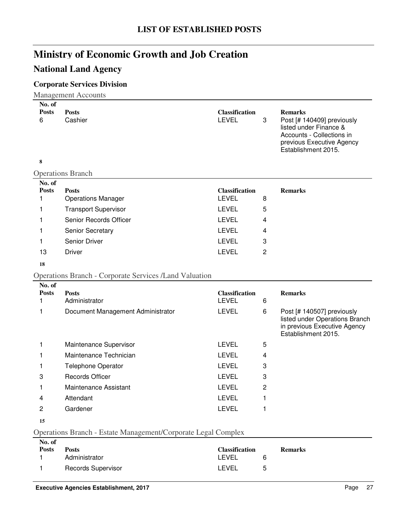### **National Land Agency**

### **Corporate Services Division**

Management Accounts

| No. of            |                                                               |                                       |                |                                                                                                                                                         |
|-------------------|---------------------------------------------------------------|---------------------------------------|----------------|---------------------------------------------------------------------------------------------------------------------------------------------------------|
| <b>Posts</b><br>6 | <b>Posts</b><br>Cashier                                       | <b>Classification</b><br><b>LEVEL</b> | 3              | <b>Remarks</b><br>Post [# 140409] previously<br>listed under Finance &<br>Accounts - Collections in<br>previous Executive Agency<br>Establishment 2015. |
| 8                 |                                                               |                                       |                |                                                                                                                                                         |
|                   | <b>Operations Branch</b>                                      |                                       |                |                                                                                                                                                         |
| No. of            |                                                               |                                       |                |                                                                                                                                                         |
| <b>Posts</b>      | <b>Posts</b>                                                  | <b>Classification</b><br><b>LEVEL</b> |                | <b>Remarks</b>                                                                                                                                          |
| 1                 | <b>Operations Manager</b>                                     |                                       | 8              |                                                                                                                                                         |
| 1                 | <b>Transport Supervisor</b>                                   | LEVEL                                 | 5              |                                                                                                                                                         |
| 1                 | Senior Records Officer                                        | <b>LEVEL</b>                          | 4              |                                                                                                                                                         |
| 1                 | Senior Secretary                                              | <b>LEVEL</b>                          | 4              |                                                                                                                                                         |
| 1                 | Senior Driver                                                 | LEVEL                                 | 3              |                                                                                                                                                         |
| 13                | <b>Driver</b>                                                 | <b>LEVEL</b>                          | 2              |                                                                                                                                                         |
| 18                |                                                               |                                       |                |                                                                                                                                                         |
|                   | <b>Operations Branch - Corporate Services /Land Valuation</b> |                                       |                |                                                                                                                                                         |
| No. of            |                                                               |                                       |                |                                                                                                                                                         |
| <b>Posts</b>      | <b>Posts</b>                                                  | <b>Classification</b>                 |                | <b>Remarks</b>                                                                                                                                          |
| 1                 | Administrator                                                 | <b>LEVEL</b>                          | 6              |                                                                                                                                                         |
| 1                 | Document Management Administrator                             | <b>LEVEL</b>                          | 6              | Post [# 140507] previously<br>listed under Operations Branch<br>in previous Executive Agency<br>Establishment 2015.                                     |
| 1                 | Maintenance Supervisor                                        | <b>LEVEL</b>                          | 5              |                                                                                                                                                         |
| 1                 | Maintenance Technician                                        | <b>LEVEL</b>                          | 4              |                                                                                                                                                         |
| 1                 | Telephone Operator                                            | <b>LEVEL</b>                          | 3              |                                                                                                                                                         |
| 3                 | <b>Records Officer</b>                                        | <b>LEVEL</b>                          | 3              |                                                                                                                                                         |
| 1                 | Maintenance Assistant                                         | <b>LEVEL</b>                          | $\overline{c}$ |                                                                                                                                                         |
| 4                 | Attendant                                                     | LEVEL                                 | 1              |                                                                                                                                                         |
| $\overline{c}$    | Gardener                                                      | <b>LEVEL</b>                          | 1              |                                                                                                                                                         |
| 15                |                                                               |                                       |                |                                                                                                                                                         |
|                   |                                                               |                                       |                |                                                                                                                                                         |

Operations Branch - Estate Management/Corporate Legal Complex

| No. of       |                           |                       |                |
|--------------|---------------------------|-----------------------|----------------|
| <b>Posts</b> | <b>Posts</b>              | <b>Classification</b> | <b>Remarks</b> |
|              | Administrator             | LEVEL<br>6            |                |
|              | <b>Records Supervisor</b> | LEVEL<br>5            |                |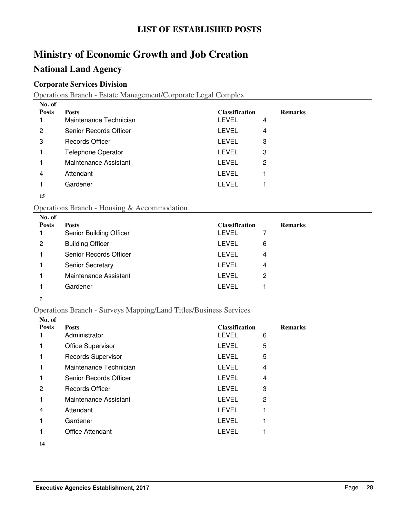### **National Land Agency**

#### **Corporate Services Division**

Operations Branch - Estate Management/Corporate Legal Complex

| No. of       |                           |                       |   |                |
|--------------|---------------------------|-----------------------|---|----------------|
| <b>Posts</b> | <b>Posts</b>              | <b>Classification</b> |   | <b>Remarks</b> |
|              | Maintenance Technician    | LEVEL                 | 4 |                |
| 2            | Senior Records Officer    | LEVEL                 | 4 |                |
| 3            | <b>Records Officer</b>    | <b>LEVEL</b>          | 3 |                |
|              | <b>Telephone Operator</b> | LEVEL                 | 3 |                |
|              | Maintenance Assistant     | <b>LEVEL</b>          | 2 |                |
| 4            | Attendant                 | <b>LEVEL</b>          |   |                |
|              | Gardener                  | LEVEL                 |   |                |
|              |                           |                       |   |                |

#### 

#### Operations Branch - Housing & Accommodation

| No. of<br><b>Posts</b> | <b>Posts</b><br>Senior Building Officer | <b>Classification</b><br><b>LEVEL</b> | <b>Remarks</b> |
|------------------------|-----------------------------------------|---------------------------------------|----------------|
| 2                      | <b>Building Officer</b>                 | LEVEL                                 | 6              |
|                        | Senior Records Officer                  | LEVEL                                 | 4              |
|                        | <b>Senior Secretary</b>                 | LEVEL                                 | 4              |
|                        | Maintenance Assistant                   | LEVEL                                 | 2              |
|                        | Gardener                                | LEVEL                                 |                |

#### 

#### Operations Branch - Surveys Mapping/Land Titles/Business Services

| No. of       |                           |                       |   |                |
|--------------|---------------------------|-----------------------|---|----------------|
| <b>Posts</b> | <b>Posts</b>              | <b>Classification</b> |   | <b>Remarks</b> |
|              | Administrator             | <b>LEVEL</b>          | 6 |                |
|              | <b>Office Supervisor</b>  | <b>LEVEL</b>          | 5 |                |
|              | <b>Records Supervisor</b> | <b>LEVEL</b>          | 5 |                |
|              | Maintenance Technician    | <b>LEVEL</b>          | 4 |                |
|              | Senior Records Officer    | <b>LEVEL</b>          | 4 |                |
| 2            | Records Officer           | <b>LEVEL</b>          | 3 |                |
|              | Maintenance Assistant     | <b>LEVEL</b>          | 2 |                |
| 4            | Attendant                 | <b>LEVEL</b>          |   |                |
|              | Gardener                  | <b>LEVEL</b>          |   |                |
|              | <b>Office Attendant</b>   | <b>LEVEL</b>          |   |                |
|              |                           |                       |   |                |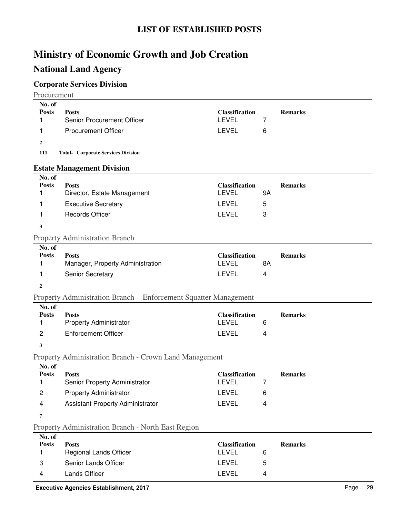# **National Land Agency**

### **Corporate Services Division**

Procurement

| No. of                 |                                                                  |                                       |    |                |
|------------------------|------------------------------------------------------------------|---------------------------------------|----|----------------|
| <b>Posts</b><br>1      | <b>Posts</b><br>Senior Procurement Officer                       | <b>Classification</b><br><b>LEVEL</b> | 7  | <b>Remarks</b> |
| 1                      | <b>Procurement Officer</b>                                       | <b>LEVEL</b>                          | 6  |                |
| $\mathbf{2}$           |                                                                  |                                       |    |                |
| 111                    | <b>Total- Corporate Services Division</b>                        |                                       |    |                |
|                        | <b>Estate Management Division</b>                                |                                       |    |                |
| No. of                 |                                                                  |                                       |    |                |
| <b>Posts</b>           | <b>Posts</b>                                                     | <b>Classification</b>                 |    | <b>Remarks</b> |
| 1                      | Director, Estate Management                                      | <b>LEVEL</b>                          | 9Α |                |
| 1                      | <b>Executive Secretary</b>                                       | <b>LEVEL</b>                          | 5  |                |
| 1                      | <b>Records Officer</b>                                           | <b>LEVEL</b>                          | 3  |                |
| 3                      |                                                                  |                                       |    |                |
|                        | <b>Property Administration Branch</b>                            |                                       |    |                |
| No. of<br><b>Posts</b> |                                                                  |                                       |    |                |
| 1                      | <b>Posts</b><br>Manager, Property Administration                 | <b>Classification</b><br><b>LEVEL</b> | 8A | <b>Remarks</b> |
| 1                      | Senior Secretary                                                 | <b>LEVEL</b>                          | 4  |                |
| $\mathbf{2}$           |                                                                  |                                       |    |                |
|                        | Property Administration Branch - Enforcement Squatter Management |                                       |    |                |
| No. of                 |                                                                  |                                       |    |                |
| <b>Posts</b>           | <b>Posts</b>                                                     | <b>Classification</b>                 |    | <b>Remarks</b> |
| 1                      | <b>Property Administrator</b>                                    | <b>LEVEL</b>                          | 6  |                |
| $\overline{c}$         | <b>Enforcement Officer</b>                                       | <b>LEVEL</b>                          | 4  |                |
| 3                      |                                                                  |                                       |    |                |
|                        | Property Administration Branch - Crown Land Management           |                                       |    |                |
| No. of<br><b>Posts</b> |                                                                  | <b>Classification</b>                 |    | <b>Remarks</b> |
| 1                      | <b>Posts</b><br>Senior Property Administrator                    | <b>LEVEL</b>                          | 7  |                |
| 2                      | <b>Property Administrator</b>                                    | LEVEL                                 | 6  |                |
| 4                      | Assistant Property Administrator                                 | <b>LEVEL</b>                          | 4  |                |
| 7                      |                                                                  |                                       |    |                |
|                        | Property Administration Branch - North East Region               |                                       |    |                |
| No. of                 |                                                                  |                                       |    |                |
| <b>Posts</b><br>1      | <b>Posts</b><br>Regional Lands Officer                           | <b>Classification</b><br><b>LEVEL</b> | 6  | <b>Remarks</b> |
|                        | Senior Lands Officer                                             | <b>LEVEL</b>                          |    |                |
| 3                      |                                                                  |                                       | 5  |                |
| 4                      | Lands Officer                                                    | <b>LEVEL</b>                          | 4  |                |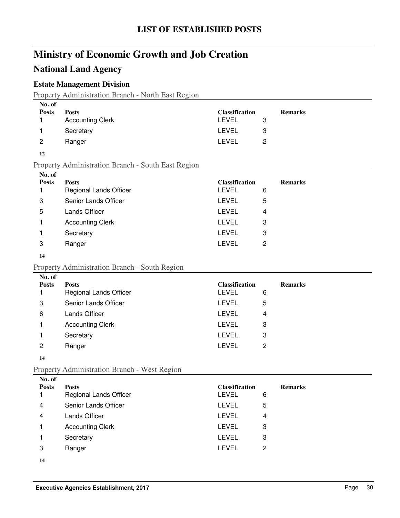### **National Land Agency**

#### **Estate Management Division**

Property Administration Branch - North East Region

| No. of       |                         |                       |   |                |
|--------------|-------------------------|-----------------------|---|----------------|
| <b>Posts</b> | <b>Posts</b>            | <b>Classification</b> |   | <b>Remarks</b> |
|              | <b>Accounting Clerk</b> | LEVEL                 | 3 |                |
|              | Secretary               | LEVEL                 | 3 |                |
| 2            | Ranger                  | LEVEL                 | 2 |                |
|              |                         |                       |   |                |

#### **12**

Property Administration Branch - South East Region

| No. of       |                               |                       |   |                |  |
|--------------|-------------------------------|-----------------------|---|----------------|--|
| <b>Posts</b> | <b>Posts</b>                  | <b>Classification</b> |   | <b>Remarks</b> |  |
|              | <b>Regional Lands Officer</b> | LEVEL                 | 6 |                |  |
| 3            | Senior Lands Officer          | LEVEL                 | 5 |                |  |
| 5            | <b>Lands Officer</b>          | LEVEL                 | 4 |                |  |
|              | <b>Accounting Clerk</b>       | LEVEL                 | 3 |                |  |
|              | Secretary                     | LEVEL                 | 3 |                |  |
| 3            | Ranger                        | LEVEL                 | 2 |                |  |
|              |                               |                       |   |                |  |

#### **14**

#### Property Administration Branch - South Region

| No. of       |                         |                       |   |                |
|--------------|-------------------------|-----------------------|---|----------------|
| <b>Posts</b> | <b>Posts</b>            | <b>Classification</b> |   | <b>Remarks</b> |
|              | Regional Lands Officer  | <b>LEVEL</b>          | 6 |                |
| 3            | Senior Lands Officer    | <b>LEVEL</b>          | 5 |                |
| 6            | <b>Lands Officer</b>    | LEVEL                 | 4 |                |
|              | <b>Accounting Clerk</b> | <b>LEVEL</b>          | 3 |                |
|              | Secretary               | LEVEL                 | 3 |                |
| 2            | Ranger                  | LEVEL                 | 2 |                |
|              |                         |                       |   |                |

#### **14**

#### Property Administration Branch - West Region

| No. of       |                               |                       |   |                |
|--------------|-------------------------------|-----------------------|---|----------------|
| <b>Posts</b> | <b>Posts</b>                  | <b>Classification</b> |   | <b>Remarks</b> |
|              | <b>Regional Lands Officer</b> | <b>LEVEL</b>          | 6 |                |
| 4            | Senior Lands Officer          | <b>LEVEL</b>          | 5 |                |
| 4            | Lands Officer                 | <b>LEVEL</b>          | 4 |                |
|              | <b>Accounting Clerk</b>       | <b>LEVEL</b>          | 3 |                |
|              | Secretary                     | <b>LEVEL</b>          | 3 |                |
| 3            | Ranger                        | <b>LEVEL</b>          | 2 |                |
| 14           |                               |                       |   |                |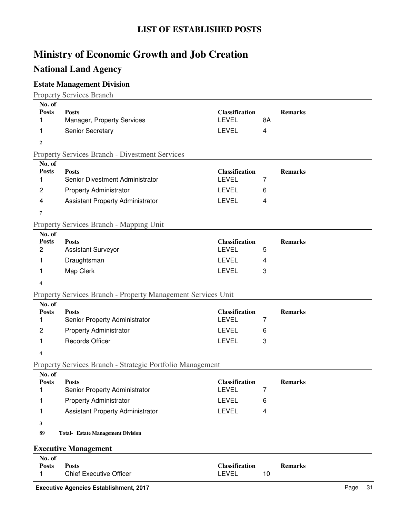### **National Land Agency**

### **Estate Management Division**

Property Services Branch

| No. of<br><b>Posts</b> | <b>Posts</b>                                                        | <b>Classification</b>                 |    | <b>Remarks</b> |
|------------------------|---------------------------------------------------------------------|---------------------------------------|----|----------------|
| 1                      | Manager, Property Services                                          | <b>LEVEL</b>                          | 8A |                |
| 1                      | Senior Secretary                                                    | <b>LEVEL</b>                          | 4  |                |
| $\boldsymbol{2}$       |                                                                     |                                       |    |                |
|                        | <b>Property Services Branch - Divestment Services</b>               |                                       |    |                |
| No. of                 |                                                                     |                                       |    |                |
| <b>Posts</b>           | <b>Posts</b>                                                        | <b>Classification</b>                 |    | <b>Remarks</b> |
| 1                      | Senior Divestment Administrator                                     | <b>LEVEL</b>                          | 7  |                |
| 2                      | <b>Property Administrator</b>                                       | <b>LEVEL</b>                          | 6  |                |
| 4                      | Assistant Property Administrator                                    | <b>LEVEL</b>                          | 4  |                |
| 7                      |                                                                     |                                       |    |                |
|                        | <b>Property Services Branch - Mapping Unit</b>                      |                                       |    |                |
| No. of                 |                                                                     |                                       |    |                |
| <b>Posts</b><br>2      | <b>Posts</b><br><b>Assistant Surveyor</b>                           | <b>Classification</b><br><b>LEVEL</b> | 5  | <b>Remarks</b> |
| 1                      | Draughtsman                                                         | <b>LEVEL</b>                          | 4  |                |
| 1                      | Map Clerk                                                           | <b>LEVEL</b>                          | 3  |                |
| 4                      |                                                                     |                                       |    |                |
|                        | <b>Property Services Branch - Property Management Services Unit</b> |                                       |    |                |
| No. of                 |                                                                     |                                       |    |                |
| <b>Posts</b>           | <b>Posts</b>                                                        | <b>Classification</b>                 |    | <b>Remarks</b> |
| 1                      | Senior Property Administrator                                       | <b>LEVEL</b>                          | 7  |                |
| $\overline{c}$         | <b>Property Administrator</b>                                       | <b>LEVEL</b>                          | 6  |                |
| 1                      | <b>Records Officer</b>                                              | <b>LEVEL</b>                          | 3  |                |
| 4                      |                                                                     |                                       |    |                |
|                        | Property Services Branch - Strategic Portfolio Management           |                                       |    |                |
| No. of                 |                                                                     |                                       |    |                |
| <b>Posts</b>           | <b>Posts</b>                                                        | <b>Classification</b><br><b>LEVEL</b> |    | <b>Remarks</b> |
|                        | Senior Property Administrator                                       |                                       | 7  |                |
| 1                      | <b>Property Administrator</b>                                       | <b>LEVEL</b>                          | 6  |                |
| 1                      | <b>Assistant Property Administrator</b>                             | <b>LEVEL</b>                          | 4  |                |
| 3                      |                                                                     |                                       |    |                |
| 89                     | <b>Total- Estate Management Division</b>                            |                                       |    |                |
|                        | <b>Executive Management</b>                                         |                                       |    |                |
| No. of                 |                                                                     |                                       |    |                |
| <b>Posts</b>           | <b>Posts</b><br><b>Chief Executive Officer</b>                      | <b>Classification</b><br>LEVEL        | 10 | <b>Remarks</b> |
| 1                      |                                                                     |                                       |    |                |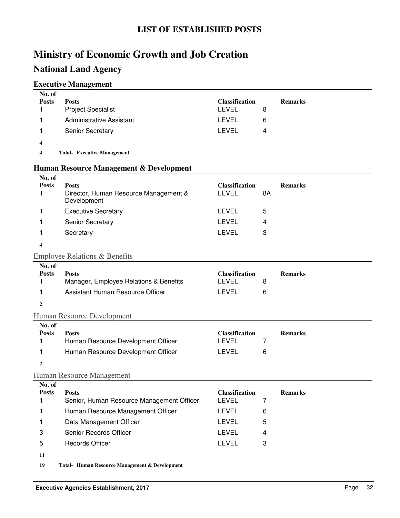### **National Land Agency**

#### **Executive Management**

| No. of             |                                    |                       |   |                |
|--------------------|------------------------------------|-----------------------|---|----------------|
| <b>Posts</b>       | <b>Posts</b>                       | <b>Classification</b> |   | <b>Remarks</b> |
|                    | <b>Project Specialist</b>          | LEVEL                 | 8 |                |
|                    | Administrative Assistant           | LEVEL                 | 6 |                |
|                    | <b>Senior Secretary</b>            | LEVEL                 | 4 |                |
| $\overline{\bf 4}$ |                                    |                       |   |                |
| 4                  | <b>Total- Executive Management</b> |                       |   |                |

#### **Human Resource Management & Development**

| No. of<br><b>Posts</b> | <b>Posts</b><br>Director, Human Resource Management &<br>Development | <b>Classification</b><br><b>LEVEL</b> | 8A | <b>Remarks</b> |
|------------------------|----------------------------------------------------------------------|---------------------------------------|----|----------------|
|                        | <b>Executive Secretary</b>                                           | LEVEL                                 | 5  |                |
|                        | <b>Senior Secretary</b>                                              | LEVEL                                 | 4  |                |
|                        | Secretary                                                            | LEVEL                                 | 3  |                |
| 4                      |                                                                      |                                       |    |                |

#### Employee Relations & Benefits

| No. of       |                                        |                       |                |
|--------------|----------------------------------------|-----------------------|----------------|
| <b>Posts</b> | <b>Posts</b>                           | <b>Classification</b> | <b>Remarks</b> |
|              | Manager, Employee Relations & Benefits | LEVEL                 |                |
|              | Assistant Human Resource Officer       | LEVEL                 | 6              |
|              |                                        |                       |                |

#### Human Resource Development

| No. of       |                                    |                       |                |
|--------------|------------------------------------|-----------------------|----------------|
| <b>Posts</b> | <b>Posts</b>                       | <b>Classification</b> | <b>Remarks</b> |
|              | Human Resource Development Officer | LEVEL                 |                |
|              | Human Resource Development Officer | LEVEL                 |                |

**2**

#### Human Resource Management

| No. of       |                                           |                       |   |                |
|--------------|-------------------------------------------|-----------------------|---|----------------|
| <b>Posts</b> | <b>Posts</b>                              | <b>Classification</b> |   | <b>Remarks</b> |
|              | Senior, Human Resource Management Officer | <b>LEVEL</b>          |   |                |
|              | Human Resource Management Officer         | LEVEL                 | 6 |                |
|              | Data Management Officer                   | LEVEL                 | 5 |                |
| 3            | Senior Records Officer                    | LEVEL                 | 4 |                |
| 5            | <b>Records Officer</b>                    | LEVEL                 | 3 |                |
| 11           |                                           |                       |   |                |

19 Total- Human Resource Management & Development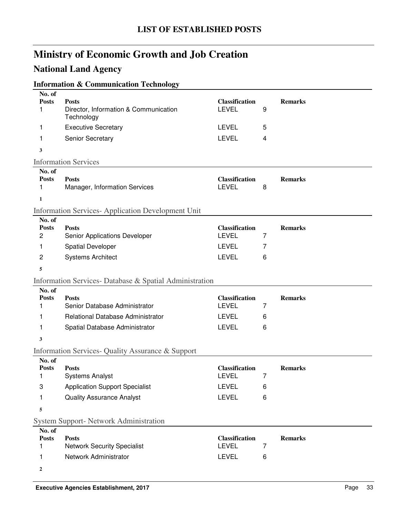### **National Land Agency**

### **Information & Communication Technology**

| No. of<br><b>Posts</b><br>1                                          | <b>Posts</b><br>Director, Information & Communication<br>Technology                                                 | <b>Classification</b><br><b>LEVEL</b>                                 | 9           | <b>Remarks</b> |  |
|----------------------------------------------------------------------|---------------------------------------------------------------------------------------------------------------------|-----------------------------------------------------------------------|-------------|----------------|--|
| 1                                                                    | <b>Executive Secretary</b>                                                                                          | <b>LEVEL</b>                                                          | 5           |                |  |
| 1                                                                    | Senior Secretary                                                                                                    | <b>LEVEL</b>                                                          | 4           |                |  |
| 3                                                                    |                                                                                                                     |                                                                       |             |                |  |
|                                                                      | <b>Information Services</b>                                                                                         |                                                                       |             |                |  |
| No. of<br><b>Posts</b><br>1<br>1                                     | <b>Posts</b><br>Manager, Information Services                                                                       | <b>Classification</b><br><b>LEVEL</b>                                 | 8           | <b>Remarks</b> |  |
|                                                                      | <b>Information Services-Application Development Unit</b>                                                            |                                                                       |             |                |  |
| No. of<br><b>Posts</b><br>$\overline{c}$<br>1<br>$\overline{c}$<br>5 | <b>Posts</b><br>Senior Applications Developer<br><b>Spatial Developer</b><br><b>Systems Architect</b>               | <b>Classification</b><br><b>LEVEL</b><br><b>LEVEL</b><br><b>LEVEL</b> | 7<br>7<br>6 | <b>Remarks</b> |  |
|                                                                      | Information Services-Database & Spatial Administration                                                              |                                                                       |             |                |  |
| No. of<br><b>Posts</b><br>1<br>1                                     | <b>Posts</b><br>Senior Database Administrator<br>Relational Database Administrator                                  | <b>Classification</b><br><b>LEVEL</b><br><b>LEVEL</b>                 | 7<br>6      | <b>Remarks</b> |  |
| 1                                                                    | Spatial Database Administrator                                                                                      | <b>LEVEL</b>                                                          | 6           |                |  |
| 3                                                                    | Information Services- Quality Assurance & Support                                                                   |                                                                       |             |                |  |
| No. of<br><b>Posts</b><br>1<br>3<br>1<br>5                           | <b>Posts</b><br><b>Systems Analyst</b><br><b>Application Support Specialist</b><br><b>Quality Assurance Analyst</b> | <b>Classification</b><br><b>LEVEL</b><br><b>LEVEL</b><br><b>LEVEL</b> | 7<br>6<br>6 | <b>Remarks</b> |  |
| <b>System Support- Network Administration</b>                        |                                                                                                                     |                                                                       |             |                |  |
| No. of                                                               |                                                                                                                     |                                                                       |             |                |  |
| <b>Posts</b><br>1<br>1                                               | <b>Posts</b><br><b>Network Security Specialist</b><br>Network Administrator                                         | <b>Classification</b><br><b>LEVEL</b><br><b>LEVEL</b>                 | 7<br>6      | <b>Remarks</b> |  |
| 2                                                                    |                                                                                                                     |                                                                       |             |                |  |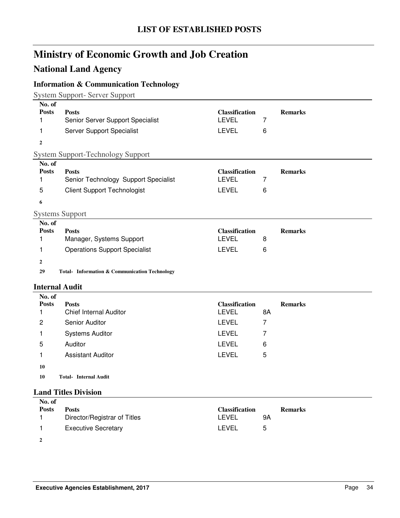## **National Land Agency**

### **Information & Communication Technology**

System Support- Server Support

| No. of<br><b>Posts</b> | <b>Posts</b>                                             | <b>Classification</b> |                | <b>Remarks</b> |
|------------------------|----------------------------------------------------------|-----------------------|----------------|----------------|
| 1                      | Senior Server Support Specialist                         | <b>LEVEL</b>          | 7              |                |
| 1                      | Server Support Specialist                                | <b>LEVEL</b>          | 6              |                |
| $\overline{2}$         |                                                          |                       |                |                |
|                        | <b>System Support-Technology Support</b>                 |                       |                |                |
| No. of                 |                                                          |                       |                |                |
| <b>Posts</b>           | <b>Posts</b>                                             | <b>Classification</b> |                | <b>Remarks</b> |
| 1                      | Senior Technology Support Specialist                     | <b>LEVEL</b>          | $\overline{7}$ |                |
| 5                      | <b>Client Support Technologist</b>                       | <b>LEVEL</b>          | 6              |                |
| 6                      |                                                          |                       |                |                |
|                        | <b>Systems Support</b>                                   |                       |                |                |
| No. of                 |                                                          |                       |                |                |
| <b>Posts</b>           | <b>Posts</b>                                             | <b>Classification</b> |                | <b>Remarks</b> |
| 1                      | Manager, Systems Support                                 | <b>LEVEL</b>          | 8              |                |
| 1                      | <b>Operations Support Specialist</b>                     | <b>LEVEL</b>          | 6              |                |
| $\boldsymbol{2}$       |                                                          |                       |                |                |
| 29                     | <b>Total- Information &amp; Communication Technology</b> |                       |                |                |
|                        | <b>Internal Audit</b>                                    |                       |                |                |
| No. of                 |                                                          |                       |                |                |
| <b>Posts</b>           | <b>Posts</b>                                             | <b>Classification</b> |                | <b>Remarks</b> |
| 1                      | <b>Chief Internal Auditor</b>                            | <b>LEVEL</b>          | 8A             |                |
| $\overline{c}$         | Senior Auditor                                           | <b>LEVEL</b>          | $\overline{7}$ |                |
| 1                      | <b>Systems Auditor</b>                                   | <b>LEVEL</b>          | 7              |                |
| 5                      | Auditor                                                  | <b>LEVEL</b>          | 6              |                |
| 1                      | <b>Assistant Auditor</b>                                 | <b>LEVEL</b>          | 5              |                |
| 10                     |                                                          |                       |                |                |
| 10                     | <b>Total- Internal Audit</b>                             |                       |                |                |
|                        | <b>Land Titles Division</b>                              |                       |                |                |
| No. of                 |                                                          |                       |                |                |
| <b>Posts</b>           | <b>Posts</b>                                             | <b>Classification</b> |                | <b>Remarks</b> |
| 1                      | Director/Registrar of Titles                             | <b>LEVEL</b>          | <b>9A</b>      |                |

**2**

1 Executive Secretary **LEVEL** 5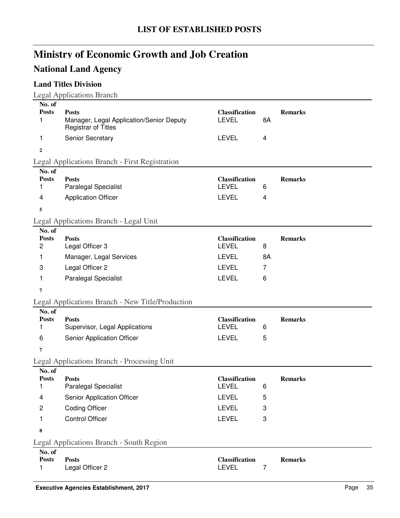# **National Land Agency**

### **Land Titles Division**

| No. of<br><b>Posts</b><br>1              | <b>Posts</b><br>Manager, Legal Application/Senior Deputy                     | <b>Classification</b><br><b>LEVEL</b>                 | 8A                        | <b>Remarks</b> |
|------------------------------------------|------------------------------------------------------------------------------|-------------------------------------------------------|---------------------------|----------------|
|                                          | <b>Registrar of Titles</b>                                                   |                                                       |                           |                |
| 1                                        | Senior Secretary                                                             | <b>LEVEL</b>                                          | 4                         |                |
| $\mathbf{2}$                             |                                                                              |                                                       |                           |                |
|                                          | Legal Applications Branch - First Registration                               |                                                       |                           |                |
| No. of<br><b>Posts</b><br>1              | <b>Posts</b><br><b>Paralegal Specialist</b>                                  | <b>Classification</b><br><b>LEVEL</b>                 | 6                         | <b>Remarks</b> |
| 4                                        | <b>Application Officer</b>                                                   | <b>LEVEL</b>                                          | 4                         |                |
| 5                                        |                                                                              |                                                       |                           |                |
|                                          | Legal Applications Branch - Legal Unit                                       |                                                       |                           |                |
| No. of<br><b>Posts</b><br>$\overline{c}$ | <b>Posts</b><br>Legal Officer 3                                              | <b>Classification</b><br><b>LEVEL</b>                 | 8                         | <b>Remarks</b> |
| 1                                        | Manager, Legal Services                                                      | <b>LEVEL</b>                                          | 8A                        |                |
| 3                                        | Legal Officer 2                                                              | <b>LEVEL</b>                                          | 7                         |                |
| 1.                                       | Paralegal Specialist                                                         | <b>LEVEL</b>                                          | 6                         |                |
| 7                                        |                                                                              |                                                       |                           |                |
|                                          | Legal Applications Branch - New Title/Production                             |                                                       |                           |                |
| No. of<br><b>Posts</b><br>1<br>6         | <b>Posts</b><br>Supervisor, Legal Applications<br>Senior Application Officer | <b>Classification</b><br><b>LEVEL</b><br><b>LEVEL</b> | 6<br>5                    | <b>Remarks</b> |
| 7                                        |                                                                              |                                                       |                           |                |
|                                          | Legal Applications Branch - Processing Unit                                  |                                                       |                           |                |
| No. of<br><b>Posts</b><br>1              | <b>Posts</b><br><b>Paralegal Specialist</b>                                  | <b>Classification</b><br><b>LEVEL</b>                 | 6                         | <b>Remarks</b> |
| 4                                        | Senior Application Officer                                                   | <b>LEVEL</b>                                          | 5                         |                |
| $\overline{c}$                           | <b>Coding Officer</b>                                                        | LEVEL                                                 | 3                         |                |
| 1                                        | <b>Control Officer</b>                                                       | <b>LEVEL</b>                                          | $\ensuremath{\mathsf{3}}$ |                |
| 8                                        |                                                                              |                                                       |                           |                |
|                                          | Legal Applications Branch - South Region                                     |                                                       |                           |                |
| No. of<br><b>Posts</b><br>1              | <b>Posts</b><br>Legal Officer 2                                              | Classification<br>LEVEL                               | 7                         | <b>Remarks</b> |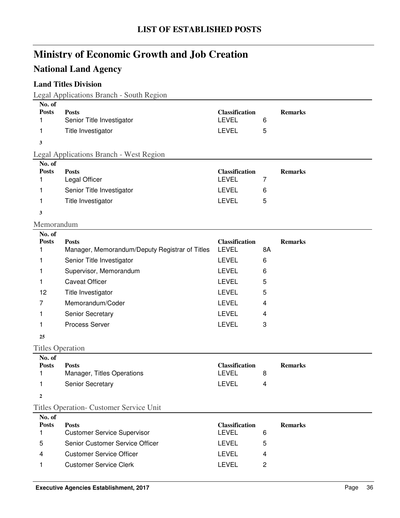## **National Land Agency**

### **Land Titles Division**

Legal Applications Branch - South Region

| No. of                  |                                                                |                                       |                |                |
|-------------------------|----------------------------------------------------------------|---------------------------------------|----------------|----------------|
| <b>Posts</b><br>1       | <b>Posts</b><br>Senior Title Investigator                      | <b>Classification</b><br><b>LEVEL</b> | 6              | <b>Remarks</b> |
| 1                       | Title Investigator                                             | <b>LEVEL</b>                          | 5              |                |
|                         |                                                                |                                       |                |                |
| 3                       |                                                                |                                       |                |                |
| No. of                  | Legal Applications Branch - West Region                        |                                       |                |                |
| <b>Posts</b>            | <b>Posts</b>                                                   | <b>Classification</b>                 |                | <b>Remarks</b> |
| 1                       | Legal Officer                                                  | <b>LEVEL</b>                          | $\overline{7}$ |                |
| 1                       | Senior Title Investigator                                      | <b>LEVEL</b>                          | 6              |                |
| 1                       | Title Investigator                                             | <b>LEVEL</b>                          | 5              |                |
| 3                       |                                                                |                                       |                |                |
| Memorandum              |                                                                |                                       |                |                |
| No. of                  |                                                                |                                       |                |                |
| <b>Posts</b><br>1       | <b>Posts</b><br>Manager, Memorandum/Deputy Registrar of Titles | <b>Classification</b><br><b>LEVEL</b> | 8A             | <b>Remarks</b> |
| 1                       | Senior Title Investigator                                      | LEVEL                                 | 6              |                |
| 1                       | Supervisor, Memorandum                                         | <b>LEVEL</b>                          | 6              |                |
| 1                       | <b>Caveat Officer</b>                                          | <b>LEVEL</b>                          | 5              |                |
| 12                      | Title Investigator                                             | <b>LEVEL</b>                          | 5              |                |
| 7                       | Memorandum/Coder                                               | <b>LEVEL</b>                          | 4              |                |
| 1                       | Senior Secretary                                               | <b>LEVEL</b>                          | 4              |                |
| 1                       | Process Server                                                 | <b>LEVEL</b>                          | 3              |                |
|                         |                                                                |                                       |                |                |
| 25                      |                                                                |                                       |                |                |
| <b>Titles Operation</b> |                                                                |                                       |                |                |
| No. of<br><b>Posts</b>  | <b>Posts</b>                                                   | <b>Classification</b>                 |                | <b>Remarks</b> |
| 1                       | Manager, Titles Operations                                     | <b>LEVEL</b>                          | 8              |                |
| 1                       | Senior Secretary                                               | <b>LEVEL</b>                          | 4              |                |
| $\boldsymbol{2}$        |                                                                |                                       |                |                |
|                         | Titles Operation- Customer Service Unit                        |                                       |                |                |
| No. of                  |                                                                |                                       |                |                |
| <b>Posts</b><br>1       | <b>Posts</b><br><b>Customer Service Supervisor</b>             | <b>Classification</b><br><b>LEVEL</b> | 6              | <b>Remarks</b> |
| 5                       | Senior Customer Service Officer                                | <b>LEVEL</b>                          | 5              |                |
| 4                       | <b>Customer Service Officer</b>                                | <b>LEVEL</b>                          | 4              |                |
| 1                       | <b>Customer Service Clerk</b>                                  | <b>LEVEL</b>                          | $\overline{c}$ |                |
|                         |                                                                |                                       |                |                |
|                         |                                                                |                                       |                |                |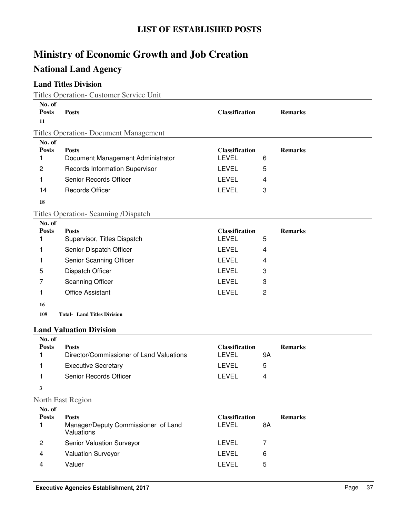## **National Land Agency**

### **Land Titles Division**

Titles Operation- Customer Service Unit

| No. of<br><b>Posts</b><br>11 | <b>Posts</b>                                                      | <b>Classification</b>                 |                | <b>Remarks</b> |
|------------------------------|-------------------------------------------------------------------|---------------------------------------|----------------|----------------|
|                              | <b>Titles Operation- Document Management</b>                      |                                       |                |                |
| No. of<br><b>Posts</b><br>1  | <b>Posts</b><br>Document Management Administrator                 | <b>Classification</b><br><b>LEVEL</b> | 6              | <b>Remarks</b> |
| $\overline{c}$               | Records Information Supervisor                                    | LEVEL                                 | 5              |                |
| 1                            | Senior Records Officer                                            | <b>LEVEL</b>                          | 4              |                |
| 14                           | <b>Records Officer</b>                                            | <b>LEVEL</b>                          | 3              |                |
| 18                           |                                                                   |                                       |                |                |
|                              | <b>Titles Operation- Scanning /Dispatch</b>                       |                                       |                |                |
| No. of<br><b>Posts</b><br>1  | <b>Posts</b><br>Supervisor, Titles Dispatch                       | <b>Classification</b><br><b>LEVEL</b> | 5              | <b>Remarks</b> |
| 1                            | Senior Dispatch Officer                                           | <b>LEVEL</b>                          | 4              |                |
| 1                            | Senior Scanning Officer                                           | <b>LEVEL</b>                          | 4              |                |
| 5                            | Dispatch Officer                                                  | <b>LEVEL</b>                          | 3              |                |
| 7                            | <b>Scanning Officer</b>                                           | <b>LEVEL</b>                          | 3              |                |
| 1                            | <b>Office Assistant</b>                                           | <b>LEVEL</b>                          | $\overline{c}$ |                |
| 16                           |                                                                   |                                       |                |                |
| 109                          | <b>Total- Land Titles Division</b>                                |                                       |                |                |
|                              | <b>Land Valuation Division</b>                                    |                                       |                |                |
| No. of<br><b>Posts</b><br>1  | <b>Posts</b><br>Director/Commissioner of Land Valuations          | <b>Classification</b><br><b>LEVEL</b> | 9A             | <b>Remarks</b> |
| 1                            | <b>Executive Secretary</b>                                        | <b>LEVEL</b>                          | 5              |                |
| 1                            | Senior Records Officer                                            | <b>LEVEL</b>                          | 4              |                |
| 3                            |                                                                   |                                       |                |                |
|                              | North East Region                                                 |                                       |                |                |
| No. of<br><b>Posts</b><br>1  | <b>Posts</b><br>Manager/Deputy Commissioner of Land<br>Valuations | <b>Classification</b><br><b>LEVEL</b> | 8A             | <b>Remarks</b> |
| 2                            | Senior Valuation Surveyor                                         | <b>LEVEL</b>                          | $\overline{7}$ |                |
| 4                            | <b>Valuation Surveyor</b>                                         | <b>LEVEL</b>                          | 6              |                |
| 4                            | Valuer                                                            | <b>LEVEL</b>                          | 5              |                |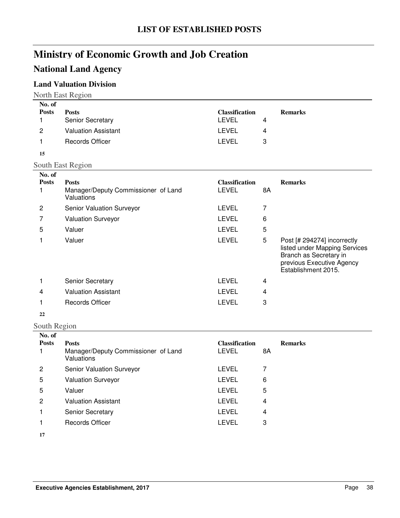## **National Land Agency**

### **Land Valuation Division**

| No. of       |                            |                       |   |                |
|--------------|----------------------------|-----------------------|---|----------------|
| <b>Posts</b> | <b>Posts</b>               | <b>Classification</b> |   | <b>Remarks</b> |
|              | Senior Secretary           | LEVEL                 | 4 |                |
| 2            | <b>Valuation Assistant</b> | LEVEL                 | 4 |                |
|              | <b>Records Officer</b>     | LEVEL                 | 3 |                |
| 15           |                            |                       |   |                |

South East Region

| No. of<br><b>Posts</b> | <b>Posts</b><br>Manager/Deputy Commissioner of Land<br><b>Valuations</b> | <b>Classification</b><br><b>LEVEL</b> | 8A | <b>Remarks</b>                                                                                                                             |
|------------------------|--------------------------------------------------------------------------|---------------------------------------|----|--------------------------------------------------------------------------------------------------------------------------------------------|
| 2                      | <b>Senior Valuation Surveyor</b>                                         | LEVEL                                 | 7  |                                                                                                                                            |
|                        | <b>Valuation Surveyor</b>                                                | LEVEL                                 | 6  |                                                                                                                                            |
| 5                      | Valuer                                                                   | LEVEL                                 | 5  |                                                                                                                                            |
|                        | Valuer                                                                   | LEVEL                                 | 5  | Post [# 294274] incorrectly<br>listed under Mapping Services<br>Branch as Secretary in<br>previous Executive Agency<br>Establishment 2015. |
|                        | <b>Senior Secretary</b>                                                  | LEVEL                                 | 4  |                                                                                                                                            |
| 4                      | <b>Valuation Assistant</b>                                               | LEVEL                                 | 4  |                                                                                                                                            |
|                        | <b>Records Officer</b>                                                   | LEVEL                                 | 3  |                                                                                                                                            |
|                        |                                                                          |                                       |    |                                                                                                                                            |

#### **22**

#### South Region

| No. of       |                                                   |                       |    |                |
|--------------|---------------------------------------------------|-----------------------|----|----------------|
| <b>Posts</b> | <b>Posts</b>                                      | <b>Classification</b> |    | <b>Remarks</b> |
|              | Manager/Deputy Commissioner of Land<br>Valuations | LEVEL                 | 8Α |                |
| 2            | Senior Valuation Surveyor                         | LEVEL                 | 7  |                |
| 5            | <b>Valuation Surveyor</b>                         | LEVEL                 | 6  |                |
| 5            | Valuer                                            | LEVEL                 | 5  |                |
| 2            | <b>Valuation Assistant</b>                        | LEVEL                 | 4  |                |
|              | <b>Senior Secretary</b>                           | LEVEL                 | 4  |                |
|              | <b>Records Officer</b>                            | LEVEL                 | 3  |                |
| 17           |                                                   |                       |    |                |

**17**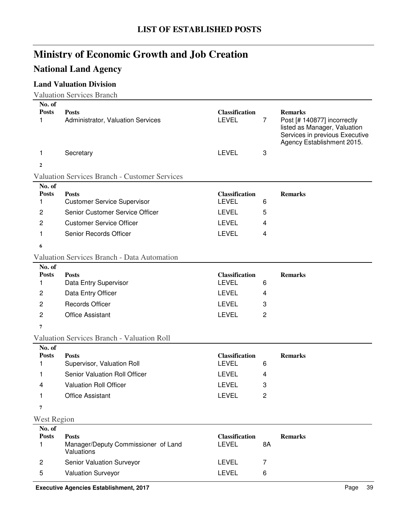## **National Land Agency**

### **Land Valuation Division**

Valuation Services Branch

| No. of<br><b>Posts</b><br>1 | <b>Posts</b><br>Administrator, Valuation Services                 | <b>Classification</b><br><b>LEVEL</b> | $\overline{7}$ | <b>Remarks</b><br>Post [# 140877] incorrectly<br>listed as Manager, Valuation<br>Services in previous Executive<br>Agency Establishment 2015. |
|-----------------------------|-------------------------------------------------------------------|---------------------------------------|----------------|-----------------------------------------------------------------------------------------------------------------------------------------------|
| 1                           | Secretary                                                         | <b>LEVEL</b>                          | 3              |                                                                                                                                               |
| $\mathbf{2}$                |                                                                   |                                       |                |                                                                                                                                               |
|                             | <b>Valuation Services Branch - Customer Services</b>              |                                       |                |                                                                                                                                               |
| No. of<br><b>Posts</b><br>1 | <b>Posts</b><br><b>Customer Service Supervisor</b>                | <b>Classification</b><br><b>LEVEL</b> | 6              | <b>Remarks</b>                                                                                                                                |
| 2                           | Senior Customer Service Officer                                   | <b>LEVEL</b>                          | 5              |                                                                                                                                               |
| 2                           | <b>Customer Service Officer</b>                                   | <b>LEVEL</b>                          | 4              |                                                                                                                                               |
| 1                           | Senior Records Officer                                            | <b>LEVEL</b>                          | 4              |                                                                                                                                               |
| 6                           |                                                                   |                                       |                |                                                                                                                                               |
|                             | <b>Valuation Services Branch - Data Automation</b>                |                                       |                |                                                                                                                                               |
| No. of<br><b>Posts</b><br>1 | <b>Posts</b><br>Data Entry Supervisor                             | <b>Classification</b><br><b>LEVEL</b> | 6              | <b>Remarks</b>                                                                                                                                |
| 2                           | Data Entry Officer                                                | <b>LEVEL</b>                          | 4              |                                                                                                                                               |
| $\overline{c}$              | <b>Records Officer</b>                                            | <b>LEVEL</b>                          | 3              |                                                                                                                                               |
| 2                           | <b>Office Assistant</b>                                           | <b>LEVEL</b>                          | $\overline{2}$ |                                                                                                                                               |
| 7                           |                                                                   |                                       |                |                                                                                                                                               |
|                             | <b>Valuation Services Branch - Valuation Roll</b>                 |                                       |                |                                                                                                                                               |
| No. of<br><b>Posts</b><br>1 | <b>Posts</b><br>Supervisor, Valuation Roll                        | <b>Classification</b><br><b>LEVEL</b> | 6              | <b>Remarks</b>                                                                                                                                |
| 1                           | Senior Valuation Roll Officer                                     | <b>LEVEL</b>                          | 4              |                                                                                                                                               |
| 4                           | <b>Valuation Roll Officer</b>                                     | <b>LEVEL</b>                          | 3              |                                                                                                                                               |
| 1                           | <b>Office Assistant</b>                                           | <b>LEVEL</b>                          | $\overline{c}$ |                                                                                                                                               |
| 7                           |                                                                   |                                       |                |                                                                                                                                               |
| <b>West Region</b>          |                                                                   |                                       |                |                                                                                                                                               |
| No. of<br><b>Posts</b><br>1 | <b>Posts</b><br>Manager/Deputy Commissioner of Land<br>Valuations | <b>Classification</b><br><b>LEVEL</b> | 8A             | <b>Remarks</b>                                                                                                                                |
| $\overline{c}$              | Senior Valuation Surveyor                                         | LEVEL                                 | 7              |                                                                                                                                               |
| 5                           | Valuation Surveyor                                                | <b>LEVEL</b>                          | 6              |                                                                                                                                               |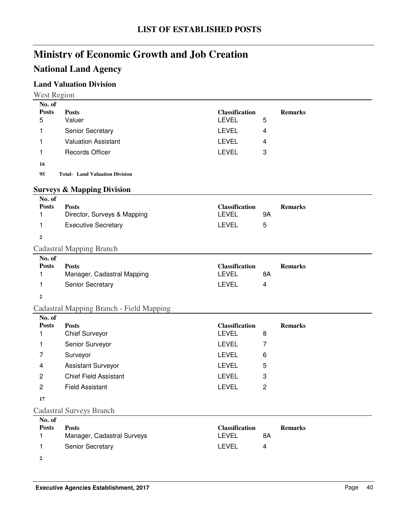## **National Land Agency**

### **Land Valuation Division**

| No. of                 |                                             |                                       |                |                |
|------------------------|---------------------------------------------|---------------------------------------|----------------|----------------|
| <b>Posts</b><br>5      | <b>Posts</b><br>Valuer                      | <b>Classification</b><br><b>LEVEL</b> | 5              | <b>Remarks</b> |
| 1                      | Senior Secretary                            | <b>LEVEL</b>                          | 4              |                |
| 1                      | <b>Valuation Assistant</b>                  | <b>LEVEL</b>                          | 4              |                |
| 1                      | <b>Records Officer</b>                      | <b>LEVEL</b>                          | 3              |                |
|                        |                                             |                                       |                |                |
| 16<br>95               | <b>Total- Land Valuation Division</b>       |                                       |                |                |
|                        |                                             |                                       |                |                |
|                        | <b>Surveys &amp; Mapping Division</b>       |                                       |                |                |
| No. of                 |                                             |                                       |                |                |
| <b>Posts</b><br>1      | <b>Posts</b><br>Director, Surveys & Mapping | <b>Classification</b><br><b>LEVEL</b> | <b>9A</b>      | <b>Remarks</b> |
| 1                      | <b>Executive Secretary</b>                  | <b>LEVEL</b>                          | 5              |                |
| $\overline{2}$         |                                             |                                       |                |                |
|                        |                                             |                                       |                |                |
| No. of                 | <b>Cadastral Mapping Branch</b>             |                                       |                |                |
| <b>Posts</b>           | <b>Posts</b>                                | <b>Classification</b>                 |                | <b>Remarks</b> |
| 1                      | Manager, Cadastral Mapping                  | <b>LEVEL</b>                          | 8A             |                |
| 1                      | Senior Secretary                            | <b>LEVEL</b>                          | 4              |                |
| $\boldsymbol{2}$       |                                             |                                       |                |                |
|                        | Cadastral Mapping Branch - Field Mapping    |                                       |                |                |
| No. of                 |                                             |                                       |                |                |
| <b>Posts</b><br>1      | <b>Posts</b><br><b>Chief Surveyor</b>       | <b>Classification</b><br><b>LEVEL</b> | 8              | <b>Remarks</b> |
| 1                      | Senior Surveyor                             | <b>LEVEL</b>                          | 7              |                |
| 7                      | Surveyor                                    | <b>LEVEL</b>                          | 6              |                |
| 4                      | <b>Assistant Surveyor</b>                   | <b>LEVEL</b>                          | 5              |                |
| $\overline{c}$         | <b>Chief Field Assistant</b>                | <b>LEVEL</b>                          | 3              |                |
| $\overline{c}$         | <b>Field Assistant</b>                      | <b>LEVEL</b>                          | $\overline{2}$ |                |
|                        |                                             |                                       |                |                |
| 17                     |                                             |                                       |                |                |
|                        | <b>Cadastral Surveys Branch</b>             |                                       |                |                |
| No. of<br><b>Posts</b> |                                             |                                       |                |                |
|                        |                                             |                                       |                |                |
| 1                      | <b>Posts</b><br>Manager, Cadastral Surveys  | <b>Classification</b><br><b>LEVEL</b> | 8A             | <b>Remarks</b> |

**2**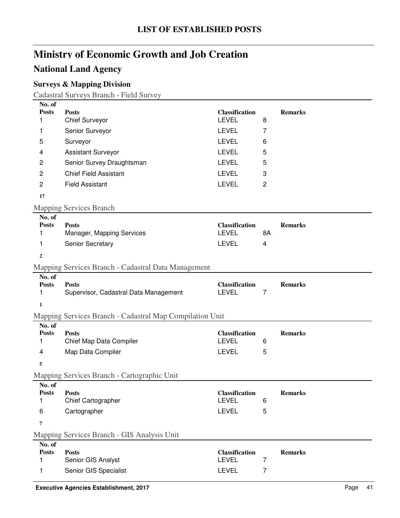## **National Land Agency**

### **Surveys & Mapping Division**

Cadastral Surveys Branch - Field Survey

| No. of<br><b>Posts</b> | <b>Posts</b>                                             | <b>Classification</b>                 |                | <b>Remarks</b> |
|------------------------|----------------------------------------------------------|---------------------------------------|----------------|----------------|
| 1                      | <b>Chief Surveyor</b>                                    | <b>LEVEL</b>                          | 8              |                |
| 1                      | Senior Surveyor                                          | <b>LEVEL</b>                          | 7              |                |
| 5                      | Surveyor                                                 | <b>LEVEL</b>                          | 6              |                |
| 4                      | <b>Assistant Surveyor</b>                                | <b>LEVEL</b>                          | 5              |                |
| 2                      | Senior Survey Draughtsman                                | <b>LEVEL</b>                          | 5              |                |
| $\overline{c}$         | <b>Chief Field Assistant</b>                             | <b>LEVEL</b>                          | 3              |                |
| $\overline{c}$         | <b>Field Assistant</b>                                   | <b>LEVEL</b>                          | $\overline{c}$ |                |
| 17                     |                                                          |                                       |                |                |
|                        | <b>Mapping Services Branch</b>                           |                                       |                |                |
| No. of                 |                                                          |                                       |                |                |
| <b>Posts</b><br>1      | <b>Posts</b><br>Manager, Mapping Services                | <b>Classification</b><br><b>LEVEL</b> | 8A             | <b>Remarks</b> |
| 1                      | Senior Secretary                                         | <b>LEVEL</b>                          | 4              |                |
| $\boldsymbol{2}$       |                                                          |                                       |                |                |
|                        | Mapping Services Branch - Cadastral Data Management      |                                       |                |                |
| No. of                 |                                                          |                                       |                |                |
| <b>Posts</b>           | <b>Posts</b>                                             | <b>Classification</b>                 |                | <b>Remarks</b> |
| 1                      | Supervisor, Cadastral Data Management                    | <b>LEVEL</b>                          | 7              |                |
| $\mathbf{1}$           |                                                          |                                       |                |                |
|                        | Mapping Services Branch - Cadastral Map Compilation Unit |                                       |                |                |
| No. of<br><b>Posts</b> | <b>Posts</b>                                             | <b>Classification</b>                 |                | <b>Remarks</b> |
| 1                      | Chief Map Data Compiler                                  | <b>LEVEL</b>                          | 6              |                |
| 4                      | Map Data Compiler                                        | <b>LEVEL</b>                          | 5              |                |
| 5                      |                                                          |                                       |                |                |
|                        | Mapping Services Branch - Cartographic Unit              |                                       |                |                |
| No. of                 |                                                          |                                       |                |                |
| <b>Posts</b><br>1      | <b>Posts</b><br>Chief Cartographer                       | <b>Classification</b><br><b>LEVEL</b> | 6              | <b>Remarks</b> |
| 6                      | Cartographer                                             | LEVEL                                 | 5              |                |
|                        |                                                          |                                       |                |                |
| 7                      |                                                          |                                       |                |                |
| No. of                 | Mapping Services Branch - GIS Analysis Unit              |                                       |                |                |
| <b>Posts</b>           | <b>Posts</b>                                             | <b>Classification</b>                 |                | <b>Remarks</b> |
| 1                      | Senior GIS Analyst                                       | <b>LEVEL</b>                          | 7              |                |
| 1                      | Senior GIS Specialist                                    | <b>LEVEL</b>                          | 7              |                |
|                        |                                                          |                                       |                |                |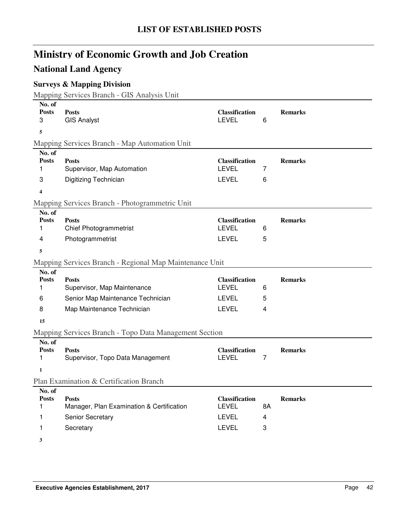## **National Land Agency**

### **Surveys & Mapping Division**

Mapping Services Branch - GIS Analysis Unit

| No. of<br><b>Posts</b><br>3<br>5            | <b>Posts</b><br><b>GIS Analyst</b>                                                                             | <b>Classification</b><br><b>LEVEL</b>                                 | 6           | <b>Remarks</b> |
|---------------------------------------------|----------------------------------------------------------------------------------------------------------------|-----------------------------------------------------------------------|-------------|----------------|
|                                             | Mapping Services Branch - Map Automation Unit                                                                  |                                                                       |             |                |
| No. of<br><b>Posts</b><br>1<br>3            | <b>Posts</b><br>Supervisor, Map Automation<br>Digitizing Technician                                            | <b>Classification</b><br><b>LEVEL</b><br><b>LEVEL</b>                 | 7<br>6      | <b>Remarks</b> |
| 4                                           |                                                                                                                |                                                                       |             |                |
|                                             | Mapping Services Branch - Photogrammetric Unit                                                                 |                                                                       |             |                |
| No. of<br><b>Posts</b><br>1<br>4            | <b>Posts</b><br><b>Chief Photogrammetrist</b><br>Photogrammetrist                                              | <b>Classification</b><br><b>LEVEL</b><br><b>LEVEL</b>                 | 6<br>5      | <b>Remarks</b> |
| 5                                           |                                                                                                                |                                                                       |             |                |
|                                             | Mapping Services Branch - Regional Map Maintenance Unit                                                        |                                                                       |             |                |
| No. of<br><b>Posts</b><br>1<br>6<br>8       | <b>Posts</b><br>Supervisor, Map Maintenance<br>Senior Map Maintenance Technician<br>Map Maintenance Technician | <b>Classification</b><br><b>LEVEL</b><br><b>LEVEL</b><br><b>LEVEL</b> | 6<br>5<br>4 | <b>Remarks</b> |
| 15                                          |                                                                                                                |                                                                       |             |                |
|                                             | Mapping Services Branch - Topo Data Management Section                                                         |                                                                       |             |                |
| No. of<br><b>Posts</b><br>1<br>$\mathbf{1}$ | <b>Posts</b><br>Supervisor, Topo Data Management                                                               | <b>Classification</b><br><b>LEVEL</b>                                 | 7           | <b>Remarks</b> |
|                                             | Plan Examination & Certification Branch                                                                        |                                                                       |             |                |
| No. of                                      |                                                                                                                |                                                                       |             |                |
| <b>Posts</b><br>1                           | <b>Posts</b><br>Manager, Plan Examination & Certification                                                      | <b>Classification</b><br><b>LEVEL</b>                                 | 8A          | <b>Remarks</b> |
| 1                                           | Senior Secretary                                                                                               | <b>LEVEL</b>                                                          | 4           |                |
| 1                                           | Secretary                                                                                                      | <b>LEVEL</b>                                                          | 3           |                |
| 3                                           |                                                                                                                |                                                                       |             |                |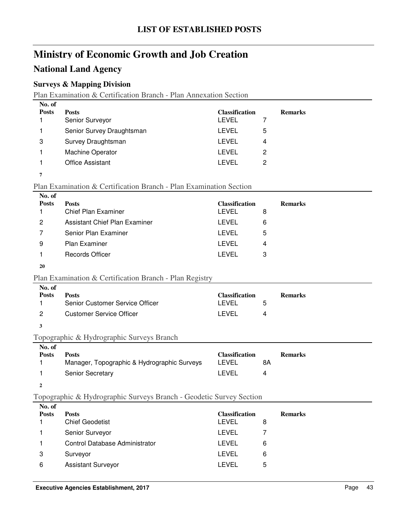### **National Land Agency**

### **Surveys & Mapping Division**

Plan Examination & Certification Branch - Plan Annexation Section

| No. of       |                           |                       |   |                |
|--------------|---------------------------|-----------------------|---|----------------|
| <b>Posts</b> | <b>Posts</b>              | <b>Classification</b> |   | <b>Remarks</b> |
|              | Senior Surveyor           | LEVEL                 |   |                |
|              | Senior Survey Draughtsman | <b>LEVEL</b>          | 5 |                |
| 3            | Survey Draughtsman        | LEVEL                 | 4 |                |
|              | <b>Machine Operator</b>   | LEVEL                 | 2 |                |
|              | <b>Office Assistant</b>   | <b>LEVEL</b>          | 2 |                |
|              |                           |                       |   |                |

#### Plan Examination & Certification Branch - Plan Examination Section

| No. of       |                               |                       |   |                |
|--------------|-------------------------------|-----------------------|---|----------------|
| <b>Posts</b> | <b>Posts</b>                  | <b>Classification</b> |   | <b>Remarks</b> |
|              | <b>Chief Plan Examiner</b>    | LEVEL                 | 8 |                |
| 2            | Assistant Chief Plan Examiner | LEVEL                 | 6 |                |
|              | Senior Plan Examiner          | LEVEL                 | 5 |                |
| 9            | <b>Plan Examiner</b>          | LEVEL                 | 4 |                |
|              | Records Officer               | I FVFI.               | 3 |                |

#### **20**

#### Plan Examination & Certification Branch - Plan Registry

| No. of<br><b>Posts</b> | <b>Posts</b><br>Senior Customer Service Officer | <b>Classification</b><br><b>FVEL</b> | h | <b>Remarks</b> |
|------------------------|-------------------------------------------------|--------------------------------------|---|----------------|
|                        | Customer Service Officer                        | LEVEL                                |   |                |

#### **3**

#### Topographic & Hydrographic Surveys Branch

| No. of       |                                             |                       |                |
|--------------|---------------------------------------------|-----------------------|----------------|
| <b>Posts</b> | Posts                                       | <b>Classification</b> | <b>Remarks</b> |
|              | Manager, Topographic & Hydrographic Surveys | LEVEL                 | 8Α             |
|              | <b>Senior Secretary</b>                     | LEVEL                 | 4              |
|              |                                             |                       |                |

### Topographic & Hydrographic Surveys Branch - Geodetic Survey Section

| No. of       |                                |                       |                |
|--------------|--------------------------------|-----------------------|----------------|
| <b>Posts</b> | <b>Posts</b>                   | <b>Classification</b> | <b>Remarks</b> |
|              | <b>Chief Geodetist</b>         | LEVEL                 | 8              |
|              | Senior Surveyor                | LEVEL                 |                |
|              | Control Database Administrator | LEVEL                 | 6              |
| 3            | Surveyor                       | LEVEL                 | 6              |
| 6            | <b>Assistant Surveyor</b>      | LEVEL                 | 5              |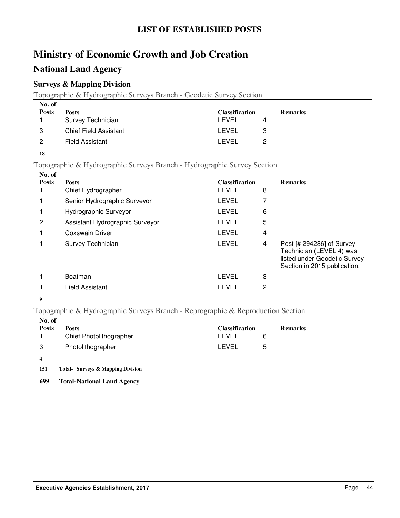### **National Land Agency**

### **Surveys & Mapping Division**

Topographic & Hydrographic Surveys Branch - Geodetic Survey Section

| No. of       |                       |                       |   |                |
|--------------|-----------------------|-----------------------|---|----------------|
| <b>Posts</b> | <b>Posts</b>          | <b>Classification</b> |   | <b>Remarks</b> |
|              | Survey Technician     | I FVFI.               | 4 |                |
| 3            | Chief Field Assistant | LEVEL                 |   |                |
| 2            | Field Assistant       | I FVFI.               |   |                |

**18**

#### Topographic & Hydrographic Surveys Branch - Hydrographic Survey Section

| No. of       |                                 |                       |   |                                                                                                                       |
|--------------|---------------------------------|-----------------------|---|-----------------------------------------------------------------------------------------------------------------------|
| <b>Posts</b> | <b>Posts</b>                    | <b>Classification</b> |   | <b>Remarks</b>                                                                                                        |
|              | Chief Hydrographer              | LEVEL                 | 8 |                                                                                                                       |
|              | Senior Hydrographic Surveyor    | LEVEL                 |   |                                                                                                                       |
|              | Hydrographic Surveyor           | LEVEL                 | 6 |                                                                                                                       |
| 2            | Assistant Hydrographic Surveyor | LEVEL                 | 5 |                                                                                                                       |
|              | Coxswain Driver                 | LEVEL                 | 4 |                                                                                                                       |
|              | Survey Technician               | LEVEL                 | 4 | Post [# 294286] of Survey<br>Technician (LEVEL 4) was<br>listed under Geodetic Survey<br>Section in 2015 publication. |
|              | Boatman                         | LEVEL                 | 3 |                                                                                                                       |
|              | <b>Field Assistant</b>          | LEVEL                 | 2 |                                                                                                                       |
|              |                                 |                       |   |                                                                                                                       |

#### **9**

#### Topographic & Hydrographic Surveys Branch - Reprographic & Reproduction Section

| No. of       |                         |                       |                |  |
|--------------|-------------------------|-----------------------|----------------|--|
| <b>Posts</b> | <b>Posts</b>            | <b>Classification</b> | <b>Remarks</b> |  |
|              | Chief Photolithographer | LEVEL                 | 6              |  |
| 3            | Photolithographer       | LEVEL                 | 5              |  |
| 4            |                         |                       |                |  |

151 Total- Surveys & Mapping Division

**699 Total-National Land Agency**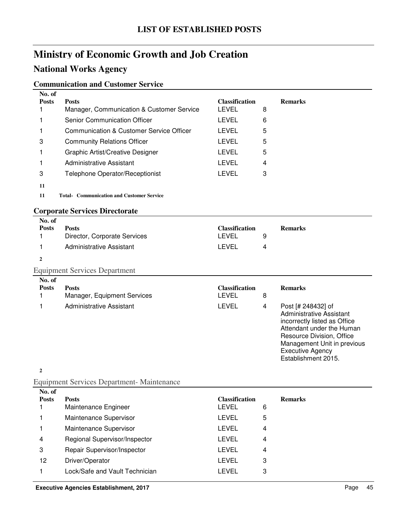## **National Works Agency**

#### **Communication and Customer Service**

| No. of       |                                                  |                       |   |                |
|--------------|--------------------------------------------------|-----------------------|---|----------------|
| <b>Posts</b> | <b>Posts</b>                                     | <b>Classification</b> |   | <b>Remarks</b> |
|              | Manager, Communication & Customer Service        | <b>LEVEL</b>          | 8 |                |
|              | <b>Senior Communication Officer</b>              | LEVEL                 | 6 |                |
|              | Communication & Customer Service Officer         | LEVEL                 | 5 |                |
| 3            | <b>Community Relations Officer</b>               | LEVEL                 | 5 |                |
|              | <b>Graphic Artist/Creative Designer</b>          | LEVEL                 | 5 |                |
|              | Administrative Assistant                         | LEVEL                 | 4 |                |
| 3            | Telephone Operator/Receptionist                  | <b>LEVEL</b>          | 3 |                |
| 11           |                                                  |                       |   |                |
| 11           | <b>Total- Communication and Customer Service</b> |                       |   |                |
|              |                                                  |                       |   |                |

### **Corporate Services Directorate**

| No. of       |                              |                       |   |                |
|--------------|------------------------------|-----------------------|---|----------------|
| <b>Posts</b> | <b>Posts</b>                 | <b>Classification</b> |   | <b>Remarks</b> |
|              | Director, Corporate Services | LEVEL                 |   |                |
|              | Administrative Assistant     | LEVEL                 | 4 |                |
|              |                              |                       |   |                |

### Equipment Services Department

| No. of<br><b>Posts</b> | <b>Posts</b><br>Manager, Equipment Services | <b>Classification</b><br>LEVEL | 8 | <b>Remarks</b>                                                                                                                                                                                                            |
|------------------------|---------------------------------------------|--------------------------------|---|---------------------------------------------------------------------------------------------------------------------------------------------------------------------------------------------------------------------------|
|                        | Administrative Assistant                    | LEVEL                          | 4 | Post [# 248432] of<br>Administrative Assistant<br>incorrectly listed as Office<br>Attendant under the Human<br>Resource Division, Office<br>Management Unit in previous<br><b>Executive Agency</b><br>Establishment 2015. |

**2**

### Equipment Services Department- Maintenance

| No. of         |                                |                       |                |
|----------------|--------------------------------|-----------------------|----------------|
| <b>Posts</b>   | <b>Posts</b>                   | <b>Classification</b> | <b>Remarks</b> |
|                | Maintenance Engineer           | LEVEL                 | 6              |
|                | Maintenance Supervisor         | LEVEL                 | 5              |
|                | Maintenance Supervisor         | LEVEL                 | 4              |
| $\overline{4}$ | Regional Supervisor/Inspector  | LEVEL                 | 4              |
| 3              | Repair Supervisor/Inspector    | <b>LEVEL</b>          | 4              |
| 12             | Driver/Operator                | LEVEL                 | 3              |
|                | Lock/Safe and Vault Technician | LEVEL                 | 3              |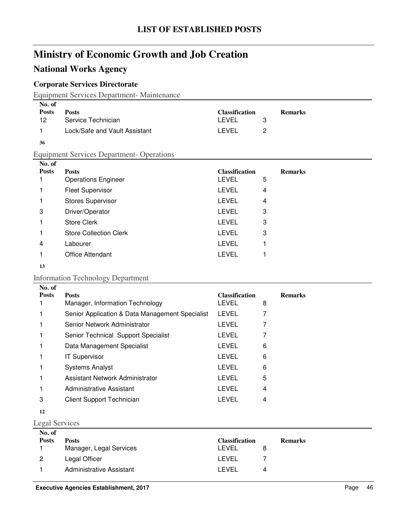## **National Works Agency**

### **Corporate Services Directorate**

Equipment Services Department- Maintenance

| No. of       |                               |                       |                |
|--------------|-------------------------------|-----------------------|----------------|
| <b>Posts</b> | <b>Posts</b>                  | <b>Classification</b> | <b>Remarks</b> |
| 12           | Service Technician            | LEVEL                 |                |
|              | Lock/Safe and Vault Assistant | LEVEL                 |                |

#### Equipment Services Department- Operations

| No. of       |                               |                       |                |
|--------------|-------------------------------|-----------------------|----------------|
| <b>Posts</b> | <b>Posts</b>                  | <b>Classification</b> | <b>Remarks</b> |
|              | <b>Operations Engineer</b>    | <b>LEVEL</b>          | 5              |
|              | <b>Fleet Supervisor</b>       | <b>LEVEL</b>          | 4              |
|              | <b>Stores Supervisor</b>      | <b>LEVEL</b>          | 4              |
| 3            | Driver/Operator               | <b>LEVEL</b>          | 3              |
|              | <b>Store Clerk</b>            | <b>LEVEL</b>          | 3              |
|              | <b>Store Collection Clerk</b> | <b>LEVEL</b>          | 3              |
| 4            | Labourer                      | <b>LEVEL</b>          |                |
|              | <b>Office Attendant</b>       | LEVEL                 |                |
|              |                               |                       |                |

#### 

#### Information Technology Department

| No. of       |                                                 |                       |   |                |
|--------------|-------------------------------------------------|-----------------------|---|----------------|
| <b>Posts</b> | <b>Posts</b>                                    | <b>Classification</b> |   | <b>Remarks</b> |
|              | Manager, Information Technology                 | <b>LEVEL</b>          | 8 |                |
|              | Senior Application & Data Management Specialist | <b>LEVEL</b>          |   |                |
|              | Senior Network Administrator                    | <b>LEVEL</b>          |   |                |
|              | Senior Technical Support Specialist             | <b>LEVEL</b>          |   |                |
|              | Data Management Specialist                      | <b>LEVEL</b>          | 6 |                |
|              | <b>IT Supervisor</b>                            | <b>LEVEL</b>          | 6 |                |
|              | <b>Systems Analyst</b>                          | <b>LEVEL</b>          | 6 |                |
|              | Assistant Network Administrator                 | LEVEL                 | 5 |                |
|              | Administrative Assistant                        | <b>LEVEL</b>          | 4 |                |
| 3            | <b>Client Support Technician</b>                | LEVEL                 | 4 |                |
|              |                                                 |                       |   |                |

#### Legal Services

| No. of       |                          |                       |   |                |
|--------------|--------------------------|-----------------------|---|----------------|
| <b>Posts</b> | <b>Posts</b>             | <b>Classification</b> |   | <b>Remarks</b> |
|              | Manager, Legal Services  | LEVEL                 |   |                |
| - 2          | Legal Officer            | LEVEL                 |   |                |
|              | Administrative Assistant | I EVEL                | 4 |                |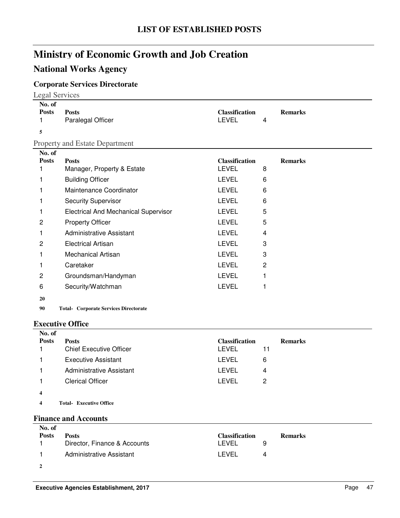## **National Works Agency**

### **Corporate Services Directorate**

|                             | <b>Legal Services</b>                        |                                       |   |                |  |
|-----------------------------|----------------------------------------------|---------------------------------------|---|----------------|--|
| No. of<br><b>Posts</b><br>1 | <b>Posts</b><br>Paralegal Officer            | <b>Classification</b><br><b>LEVEL</b> | 4 | <b>Remarks</b> |  |
| 5                           |                                              |                                       |   |                |  |
|                             | <b>Property and Estate Department</b>        |                                       |   |                |  |
| No. of<br><b>Posts</b>      | <b>Posts</b><br>Manager, Property & Estate   | <b>Classification</b><br><b>LEVEL</b> | 8 | <b>Remarks</b> |  |
|                             | <b>Building Officer</b>                      | <b>LEVEL</b>                          | 6 |                |  |
|                             | Maintenance Coordinator                      | <b>LEVEL</b>                          | 6 |                |  |
|                             | <b>Security Supervisor</b>                   | <b>LEVEL</b>                          | 6 |                |  |
|                             | <b>Electrical And Mechanical Supervisor</b>  | <b>LEVEL</b>                          | 5 |                |  |
| 2                           | <b>Property Officer</b>                      | <b>LEVEL</b>                          | 5 |                |  |
|                             | <b>Administrative Assistant</b>              | <b>LEVEL</b>                          | 4 |                |  |
| 2                           | <b>Electrical Artisan</b>                    | <b>LEVEL</b>                          | 3 |                |  |
|                             | <b>Mechanical Artisan</b>                    | <b>LEVEL</b>                          | 3 |                |  |
|                             | Caretaker                                    | <b>LEVEL</b>                          | 2 |                |  |
| 2                           | Groundsman/Handyman                          | <b>LEVEL</b>                          |   |                |  |
| 6                           | Security/Watchman                            | <b>LEVEL</b>                          | 1 |                |  |
| 20                          |                                              |                                       |   |                |  |
| 90                          | <b>Total- Corporate Services Directorate</b> |                                       |   |                |  |

#### **Executive Office**

| No. of                  |                                 |                       |    |                |
|-------------------------|---------------------------------|-----------------------|----|----------------|
| <b>Posts</b>            | <b>Posts</b>                    | <b>Classification</b> |    | <b>Remarks</b> |
|                         | <b>Chief Executive Officer</b>  | <b>LEVEL</b>          | 11 |                |
|                         | <b>Executive Assistant</b>      | LEVEL                 | 6  |                |
|                         | <b>Administrative Assistant</b> | LEVEL                 | 4  |                |
|                         | <b>Clerical Officer</b>         | <b>LEVEL</b>          | 2  |                |
| $\overline{\mathbf{4}}$ |                                 |                       |    |                |
| 4                       | <b>Total- Executive Office</b>  |                       |    |                |
|                         |                                 |                       |    |                |

### **Finance and Accounts**

| No. of       |                              |                       |                |
|--------------|------------------------------|-----------------------|----------------|
| <b>Posts</b> | <b>Posts</b>                 | <b>Classification</b> | <b>Remarks</b> |
|              | Director, Finance & Accounts | LEVEL                 |                |
|              | Administrative Assistant     | I FVFL<br>Δ           |                |
|              |                              |                       |                |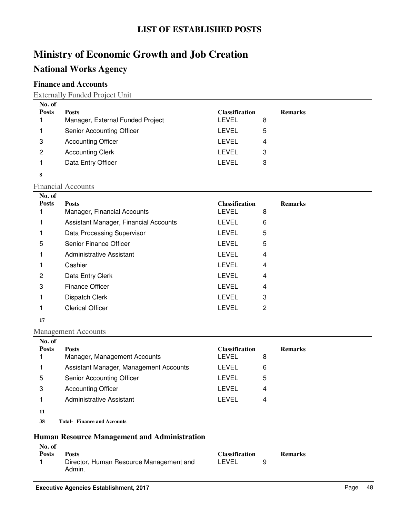## **National Works Agency**

### **Finance and Accounts**

#### Externally Funded Project Unit

| No. of       |                                  |                       |                |
|--------------|----------------------------------|-----------------------|----------------|
| <b>Posts</b> | <b>Posts</b>                     | <b>Classification</b> | <b>Remarks</b> |
|              | Manager, External Funded Project | <b>LEVEL</b>          | 8              |
|              | Senior Accounting Officer        | <b>LEVEL</b>          | 5              |
| 3            | <b>Accounting Officer</b>        | LEVEL                 | 4              |
| 2            | <b>Accounting Clerk</b>          | LEVEL                 | 3              |
|              | Data Entry Officer               | LEVEL                 | 3              |
| 8            |                                  |                       |                |

#### Financial Accounts

| No. of       |                                       |                       |   |                |
|--------------|---------------------------------------|-----------------------|---|----------------|
| <b>Posts</b> | <b>Posts</b>                          | <b>Classification</b> |   | <b>Remarks</b> |
|              | Manager, Financial Accounts           | <b>LEVEL</b>          | 8 |                |
|              | Assistant Manager, Financial Accounts | <b>LEVEL</b>          | 6 |                |
|              | Data Processing Supervisor            | <b>LEVEL</b>          | 5 |                |
| 5            | Senior Finance Officer                | <b>LEVEL</b>          | 5 |                |
|              | Administrative Assistant              | <b>LEVEL</b>          | 4 |                |
|              | Cashier                               | <b>LEVEL</b>          | 4 |                |
| 2            | Data Entry Clerk                      | <b>LEVEL</b>          | 4 |                |
| 3            | Finance Officer                       | <b>LEVEL</b>          | 4 |                |
|              | Dispatch Clerk                        | <b>LEVEL</b>          | 3 |                |
|              | <b>Clerical Officer</b>               | LEVEL                 | 2 |                |

#### **17**

#### Management Accounts

| No. of       |                                        |                       |                |
|--------------|----------------------------------------|-----------------------|----------------|
| <b>Posts</b> | <b>Posts</b>                           | <b>Classification</b> | <b>Remarks</b> |
|              | Manager, Management Accounts           | LEVEL                 | 8              |
|              | Assistant Manager, Management Accounts | LEVEL                 | 6              |
| 5            | Senior Accounting Officer              | LEVEL                 | 5              |
| 3            | <b>Accounting Officer</b>              | LEVEL                 | 4              |
|              | Administrative Assistant               | LEVEL                 | 4              |
| -11-11       |                                        |                       |                |

## **11**

**38 Finance and Accounts Total-**

#### **Human Resource Management and Administration**

| No. of       |                                         |                       |   |                |
|--------------|-----------------------------------------|-----------------------|---|----------------|
| <b>Posts</b> | <b>Posts</b>                            | <b>Classification</b> |   | <b>Remarks</b> |
|              | Director, Human Resource Management and | LEVEL                 | a |                |
|              | Admin.                                  |                       |   |                |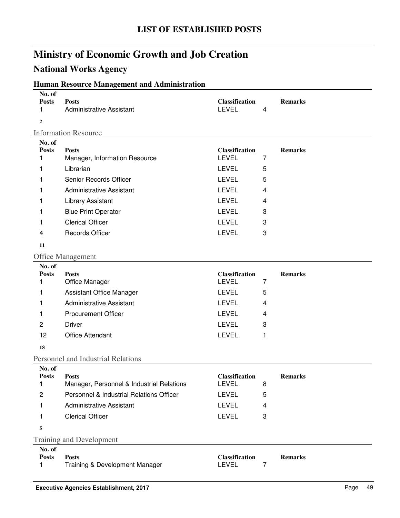## **National Works Agency**

### **Human Resource Management and Administration**

| No. of<br><b>Posts</b><br>1 | <b>Posts</b><br><b>Administrative Assistant</b> | <b>Classification</b><br><b>LEVEL</b> | 4 | <b>Remarks</b> |  |  |  |  |
|-----------------------------|-------------------------------------------------|---------------------------------------|---|----------------|--|--|--|--|
| $\mathbf{2}$                |                                                 |                                       |   |                |  |  |  |  |
|                             | <b>Information Resource</b>                     |                                       |   |                |  |  |  |  |
| No. of<br><b>Posts</b>      | <b>Posts</b>                                    | <b>Classification</b>                 |   | <b>Remarks</b> |  |  |  |  |
| 1                           | Manager, Information Resource                   | <b>LEVEL</b>                          | 7 |                |  |  |  |  |
| 1                           | Librarian                                       | <b>LEVEL</b>                          | 5 |                |  |  |  |  |
| 1                           | Senior Records Officer                          | <b>LEVEL</b>                          | 5 |                |  |  |  |  |
| 1                           | <b>Administrative Assistant</b>                 | <b>LEVEL</b>                          | 4 |                |  |  |  |  |
| 1                           | Library Assistant                               | <b>LEVEL</b>                          | 4 |                |  |  |  |  |
| 1                           | <b>Blue Print Operator</b>                      | <b>LEVEL</b>                          | 3 |                |  |  |  |  |
| 1                           | <b>Clerical Officer</b>                         | <b>LEVEL</b>                          | 3 |                |  |  |  |  |
| 4                           | <b>Records Officer</b>                          | <b>LEVEL</b>                          | 3 |                |  |  |  |  |
| 11                          |                                                 |                                       |   |                |  |  |  |  |
|                             | <b>Office Management</b>                        |                                       |   |                |  |  |  |  |
| No. of<br><b>Posts</b>      | <b>Posts</b>                                    | <b>Classification</b>                 |   | <b>Remarks</b> |  |  |  |  |
| 1                           | Office Manager                                  | <b>LEVEL</b>                          | 7 |                |  |  |  |  |
| 1                           | <b>Assistant Office Manager</b>                 | <b>LEVEL</b>                          | 5 |                |  |  |  |  |
| 1                           | <b>Administrative Assistant</b>                 | <b>LEVEL</b>                          | 4 |                |  |  |  |  |
| 1                           | <b>Procurement Officer</b>                      | <b>LEVEL</b>                          | 4 |                |  |  |  |  |
| $\overline{c}$              | <b>Driver</b>                                   | <b>LEVEL</b>                          | 3 |                |  |  |  |  |
| 12                          | <b>Office Attendant</b>                         | <b>LEVEL</b>                          | 1 |                |  |  |  |  |
| 18                          |                                                 |                                       |   |                |  |  |  |  |
|                             | Personnel and Industrial Relations              |                                       |   |                |  |  |  |  |
| No. of<br><b>Posts</b>      | <b>Posts</b>                                    | <b>Classification</b>                 |   | <b>Remarks</b> |  |  |  |  |
| 1                           | Manager, Personnel & Industrial Relations       | <b>LEVEL</b>                          | 8 |                |  |  |  |  |
| 2                           | Personnel & Industrial Relations Officer        | <b>LEVEL</b>                          | 5 |                |  |  |  |  |
| 1                           | <b>Administrative Assistant</b>                 | <b>LEVEL</b>                          | 4 |                |  |  |  |  |
| 1                           | <b>Clerical Officer</b>                         | <b>LEVEL</b>                          | 3 |                |  |  |  |  |
| 5                           |                                                 |                                       |   |                |  |  |  |  |
|                             | <b>Training and Development</b>                 |                                       |   |                |  |  |  |  |
| No. of<br><b>Posts</b><br>1 | <b>Posts</b><br>Training & Development Manager  | <b>Classification</b><br><b>LEVEL</b> | 7 | <b>Remarks</b> |  |  |  |  |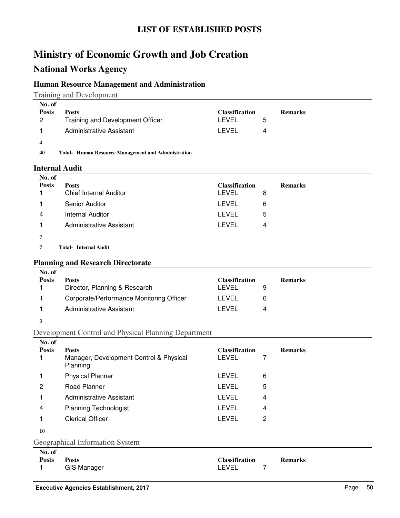## **National Works Agency**

#### **Human Resource Management and Administration**

Training and Development

| No. of<br><b>Posts</b> | <b>Posts</b>                                               | <b>Classification</b> |   | <b>Remarks</b> |
|------------------------|------------------------------------------------------------|-----------------------|---|----------------|
| $\overline{2}$         | Training and Development Officer                           | LEVEL                 | 5 |                |
|                        | Administrative Assistant                                   | LEVEL                 | 4 |                |
| 4                      |                                                            |                       |   |                |
| 40                     | <b>Total-</b> Human Resource Management and Administration |                       |   |                |

#### **Internal Audit**

| No. of       |                               |                       |   |                |
|--------------|-------------------------------|-----------------------|---|----------------|
| <b>Posts</b> | <b>Posts</b>                  | <b>Classification</b> |   | <b>Remarks</b> |
|              | <b>Chief Internal Auditor</b> | LEVEL                 | 8 |                |
|              | Senior Auditor                | LEVEL                 | 6 |                |
| 4            | <b>Internal Auditor</b>       | LEVEL                 | 5 |                |
|              | Administrative Assistant      | LEVEL                 | 4 |                |
|              |                               |                       |   |                |

**7 Internal Audit Total-**

#### **Planning and Research Directorate**

| Corporate/Performance Monitoring Officer<br>LEVEL<br>6<br>Administrative Assistant<br>I EVEL | No. of<br><b>Posts</b> | <b>Posts</b><br>Director, Planning & Research | <b>Classification</b><br>LEVEL | <b>Remarks</b> |
|----------------------------------------------------------------------------------------------|------------------------|-----------------------------------------------|--------------------------------|----------------|
|                                                                                              |                        |                                               |                                |                |
|                                                                                              |                        |                                               |                                |                |

#### **3**

**No. of** 

### Development Control and Physical Planning Department

| No. of       |                                                                     |                                |   |                |
|--------------|---------------------------------------------------------------------|--------------------------------|---|----------------|
| <b>Posts</b> | <b>Posts</b><br>Manager, Development Control & Physical<br>Planning | <b>Classification</b><br>LEVEL | 7 | <b>Remarks</b> |
|              | <b>Physical Planner</b>                                             | <b>LEVEL</b>                   | 6 |                |
| 2            | Road Planner                                                        | LEVEL                          | 5 |                |
|              | Administrative Assistant                                            | LEVEL                          | 4 |                |
| 4            | <b>Planning Technologist</b>                                        | <b>LEVEL</b>                   | 4 |                |
|              | <b>Clerical Officer</b>                                             | <b>LEVEL</b>                   | 2 |                |
| 10           |                                                                     |                                |   |                |
|              | Geographical Information System                                     |                                |   |                |

| No. of       |                    |                       |                |
|--------------|--------------------|-----------------------|----------------|
| <b>Posts</b> | <b>Posts</b>       | <b>Classification</b> | <b>Remarks</b> |
|              | <b>GIS Manager</b> | LEVEL                 |                |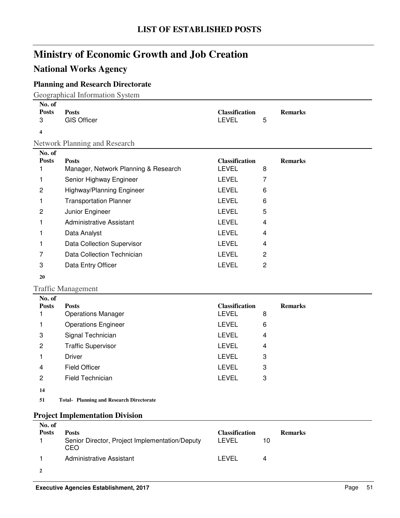## **National Works Agency**

### **Planning and Research Directorate**

Geographical Information System

| No. of<br><b>Posts</b><br>3 | <b>Posts</b><br><b>GIS Officer</b>              | <b>Classification</b><br><b>LEVEL</b> | 5              | <b>Remarks</b> |  |  |  |  |
|-----------------------------|-------------------------------------------------|---------------------------------------|----------------|----------------|--|--|--|--|
| 4                           |                                                 |                                       |                |                |  |  |  |  |
|                             | Network Planning and Research                   |                                       |                |                |  |  |  |  |
| No. of<br><b>Posts</b>      | <b>Posts</b>                                    | <b>Classification</b>                 |                | <b>Remarks</b> |  |  |  |  |
| 1                           | Manager, Network Planning & Research            | <b>LEVEL</b>                          | 8              |                |  |  |  |  |
| 1                           | Senior Highway Engineer                         | <b>LEVEL</b>                          | $\overline{7}$ |                |  |  |  |  |
| $\overline{c}$              | Highway/Planning Engineer                       | <b>LEVEL</b>                          | 6              |                |  |  |  |  |
| 1                           | <b>Transportation Planner</b>                   | <b>LEVEL</b>                          | 6              |                |  |  |  |  |
| 2                           | Junior Engineer                                 | <b>LEVEL</b>                          | 5              |                |  |  |  |  |
| 1                           | <b>Administrative Assistant</b>                 | <b>LEVEL</b>                          | 4              |                |  |  |  |  |
| 1                           | Data Analyst                                    | <b>LEVEL</b>                          | 4              |                |  |  |  |  |
| 1                           | Data Collection Supervisor                      | <b>LEVEL</b>                          | 4              |                |  |  |  |  |
| 7                           | Data Collection Technician                      | <b>LEVEL</b>                          | 2              |                |  |  |  |  |
| 3                           | Data Entry Officer                              | <b>LEVEL</b>                          | $\overline{c}$ |                |  |  |  |  |
| 20                          |                                                 |                                       |                |                |  |  |  |  |
|                             | <b>Traffic Management</b>                       |                                       |                |                |  |  |  |  |
| No. of                      |                                                 |                                       |                |                |  |  |  |  |
| <b>Posts</b><br>1           | <b>Posts</b><br><b>Operations Manager</b>       | <b>Classification</b><br><b>LEVEL</b> | 8              | <b>Remarks</b> |  |  |  |  |
| 1                           | <b>Operations Engineer</b>                      | <b>LEVEL</b>                          | 6              |                |  |  |  |  |
|                             |                                                 | <b>LEVEL</b>                          | 4              |                |  |  |  |  |
| 3                           | Signal Technician                               |                                       |                |                |  |  |  |  |
| 2                           | <b>Traffic Supervisor</b>                       | <b>LEVEL</b>                          | 4              |                |  |  |  |  |
| 1                           | <b>Driver</b>                                   | <b>LEVEL</b>                          | 3              |                |  |  |  |  |
| 4                           | <b>Field Officer</b>                            | <b>LEVEL</b>                          | 3              |                |  |  |  |  |
| $\overline{c}$              | <b>Field Technician</b>                         | <b>LEVEL</b>                          | 3              |                |  |  |  |  |
| 14                          |                                                 |                                       |                |                |  |  |  |  |
| 51                          | <b>Total- Planning and Research Directorate</b> |                                       |                |                |  |  |  |  |
|                             | <b>Project Implementation Division</b>          |                                       |                |                |  |  |  |  |
| No. of                      |                                                 |                                       |                |                |  |  |  |  |

| . <b>.</b><br><b>Posts</b> | <b>Posts</b><br>Senior Director, Project Implementation/Deputy<br>CEO | <b>Classification</b><br>LEVEL | 10 | <b>Remarks</b> |
|----------------------------|-----------------------------------------------------------------------|--------------------------------|----|----------------|
|                            | Administrative Assistant                                              | LEVEL                          |    |                |
|                            |                                                                       |                                |    |                |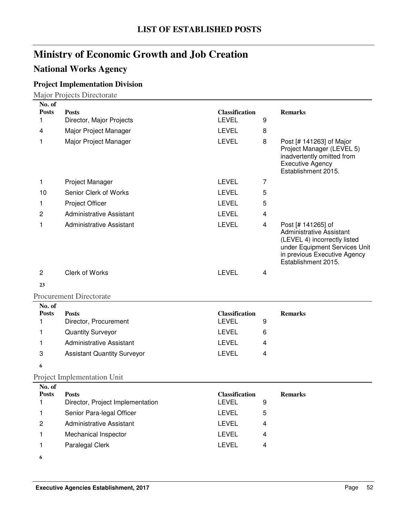## **National Works Agency**

### **Project Implementation Division**

Major Projects Directorate

| No. of<br><b>Posts</b>           |                                                                   | <b>Classification</b>                                 |                              |                                                                                                                                                                               |
|----------------------------------|-------------------------------------------------------------------|-------------------------------------------------------|------------------------------|-------------------------------------------------------------------------------------------------------------------------------------------------------------------------------|
| 1                                | <b>Posts</b><br>Director, Major Projects                          | <b>LEVEL</b>                                          | 9                            | <b>Remarks</b>                                                                                                                                                                |
| 4                                | Major Project Manager                                             | <b>LEVEL</b>                                          | 8                            |                                                                                                                                                                               |
| 1                                | Major Project Manager                                             | <b>LEVEL</b>                                          | 8                            | Post [# 141263] of Major<br>Project Manager (LEVEL 5)<br>inadvertently omitted from<br><b>Executive Agency</b><br>Establishment 2015.                                         |
| 1                                | Project Manager                                                   | <b>LEVEL</b>                                          | 7                            |                                                                                                                                                                               |
| 10                               | Senior Clerk of Works                                             | <b>LEVEL</b>                                          | 5                            |                                                                                                                                                                               |
| 1                                | Project Officer                                                   | <b>LEVEL</b>                                          | 5                            |                                                                                                                                                                               |
| $\overline{c}$                   | <b>Administrative Assistant</b>                                   | <b>LEVEL</b>                                          | 4                            |                                                                                                                                                                               |
| 1                                | <b>Administrative Assistant</b>                                   | <b>LEVEL</b>                                          | 4                            | Post [# 141265] of<br><b>Administrative Assistant</b><br>(LEVEL 4) incorrectly listed<br>under Equipment Services Unit<br>in previous Executive Agency<br>Establishment 2015. |
| $\overline{c}$                   | Clerk of Works                                                    | <b>LEVEL</b>                                          | $\overline{\mathbf{4}}$      |                                                                                                                                                                               |
| 23                               |                                                                   |                                                       |                              |                                                                                                                                                                               |
|                                  | <b>Procurement Directorate</b>                                    |                                                       |                              |                                                                                                                                                                               |
| No. of<br><b>Posts</b><br>1<br>1 | <b>Posts</b><br>Director, Procurement<br><b>Quantity Surveyor</b> | <b>Classification</b><br><b>LEVEL</b><br><b>LEVEL</b> | 9<br>6                       | <b>Remarks</b>                                                                                                                                                                |
| 1                                | <b>Administrative Assistant</b>                                   | <b>LEVEL</b>                                          | 4                            |                                                                                                                                                                               |
| 3                                | <b>Assistant Quantity Surveyor</b>                                | <b>LEVEL</b>                                          | 4                            |                                                                                                                                                                               |
| 6                                |                                                                   |                                                       |                              |                                                                                                                                                                               |
|                                  | <b>Project Implementation Unit</b>                                |                                                       |                              |                                                                                                                                                                               |
| No. of<br><b>Posts</b><br>1<br>1 | <b>Posts</b><br>Director, Project Implementation                  | Classification<br><b>LEVEL</b>                        | 9                            | <b>Remarks</b>                                                                                                                                                                |
|                                  |                                                                   |                                                       |                              |                                                                                                                                                                               |
|                                  | Senior Para-legal Officer                                         | <b>LEVEL</b>                                          | 5                            |                                                                                                                                                                               |
| $\mathbf{2}$                     | <b>Administrative Assistant</b>                                   | <b>LEVEL</b>                                          | 4                            |                                                                                                                                                                               |
| 1<br>1                           | Mechanical Inspector<br>Paralegal Clerk                           | LEVEL<br>LEVEL                                        | 4<br>$\overline{\mathbf{4}}$ |                                                                                                                                                                               |

**6**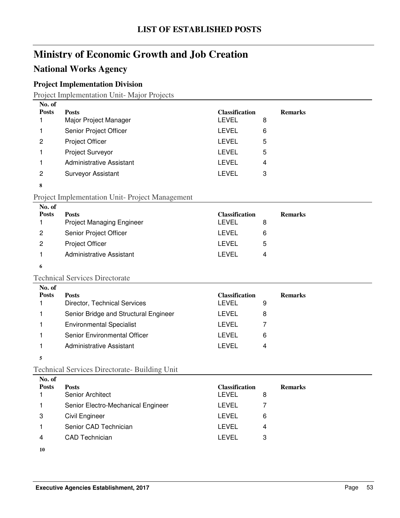## **National Works Agency**

### **Project Implementation Division**

Project Implementation Unit- Major Projects

| No. of       |                                 |                       |   |                |
|--------------|---------------------------------|-----------------------|---|----------------|
| <b>Posts</b> | <b>Posts</b>                    | <b>Classification</b> |   | <b>Remarks</b> |
|              | Major Project Manager           | <b>LEVEL</b>          | 8 |                |
|              | Senior Project Officer          | <b>LEVEL</b>          | 6 |                |
| 2            | <b>Project Officer</b>          | <b>LEVEL</b>          | 5 |                |
|              | <b>Project Surveyor</b>         | <b>LEVEL</b>          | 5 |                |
|              | <b>Administrative Assistant</b> | <b>LEVEL</b>          | 4 |                |
| 2            | <b>Surveyor Assistant</b>       | <b>LEVEL</b>          | 3 |                |
| 8            |                                 |                       |   |                |

#### Project Implementation Unit- Project Management

| No. of<br><b>Posts</b> | <b>Posts</b><br><b>Project Managing Engineer</b> | <b>Classification</b><br>LEVEL | 8 | <b>Remarks</b> |
|------------------------|--------------------------------------------------|--------------------------------|---|----------------|
| 2                      | Senior Project Officer                           | LEVEL                          | 6 |                |
| 2                      | <b>Project Officer</b>                           | LEVEL                          | 5 |                |
|                        | Administrative Assistant                         | I FVFI.                        | 4 |                |
|                        |                                                  |                                |   |                |

#### **6**

#### Technical Services Directorate

| No. of       |                                              |                                |   |                |
|--------------|----------------------------------------------|--------------------------------|---|----------------|
| <b>Posts</b> | <b>Posts</b><br>Director, Technical Services | <b>Classification</b><br>LEVEL | 9 | <b>Remarks</b> |
|              | Senior Bridge and Structural Engineer        | LEVEL                          | 8 |                |
|              | <b>Environmental Specialist</b>              | LEVEL                          |   |                |
|              | Senior Environmental Officer                 | LEVEL                          | 6 |                |
|              | Administrative Assistant                     | LEVEL                          | 4 |                |
|              |                                              |                                |   |                |

**5**

#### Technical Services Directorate- Building Unit

| No. of<br><b>Posts</b> |                                    | <b>Classification</b> |   |                |
|------------------------|------------------------------------|-----------------------|---|----------------|
|                        | <b>Posts</b><br>Senior Architect   | <b>LEVEL</b>          | 8 | <b>Remarks</b> |
|                        | Senior Electro-Mechanical Engineer | LEVEL                 |   |                |
| 3                      | Civil Engineer                     | LEVEL                 | 6 |                |
|                        | Senior CAD Technician              | <b>LEVEL</b>          | 4 |                |
| 4                      | <b>CAD</b> Technician              | LEVEL                 | 3 |                |
|                        |                                    |                       |   |                |

**10**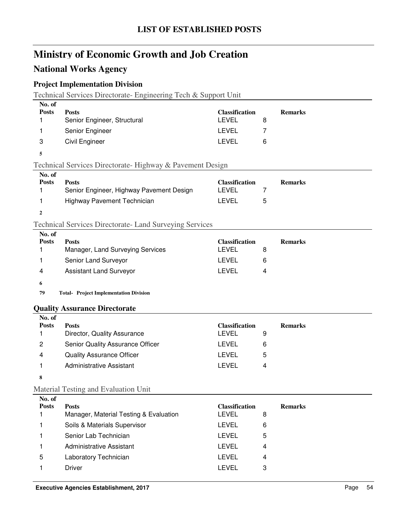### **National Works Agency**

### **Project Implementation Division**

Technical Services Directorate- Engineering Tech & Support Unit

| No. of       |                                                           |                       |   |                |
|--------------|-----------------------------------------------------------|-----------------------|---|----------------|
| <b>Posts</b> | <b>Posts</b>                                              | <b>Classification</b> |   | <b>Remarks</b> |
|              | Senior Engineer, Structural                               | LEVEL                 | 8 |                |
|              | Senior Engineer                                           | LEVEL                 |   |                |
| 3            | Civil Engineer                                            | LEVEL                 | 6 |                |
| 5            |                                                           |                       |   |                |
|              | Technical Services Directorate- Highway & Pavement Design |                       |   |                |
| No. of       |                                                           |                       |   |                |
| <b>Posts</b> | <b>Posts</b>                                              | <b>Classification</b> |   | <b>Remarks</b> |
|              | Senior Engineer, Highway Pavement Design                  | LEVEL                 | 7 |                |
|              | Highway Pavement Technician                               | LEVEL                 | 5 |                |
| $\mathbf{2}$ |                                                           |                       |   |                |

#### Technical Services Directorate- Land Surveying Services

| No. of<br><b>Posts</b> |                                  | <b>Classification</b> | <b>Remarks</b> |
|------------------------|----------------------------------|-----------------------|----------------|
|                        | <b>Posts</b>                     |                       |                |
|                        | Manager, Land Surveying Services | LEVEL                 | 8              |
|                        | Senior Land Surveyor             | LEVEL                 | 6              |
| 4                      | <b>Assistant Land Surveyor</b>   | LEVEL                 | 4              |
| 6                      |                                  |                       |                |
| -^                     | .                                |                       |                |

79 Total- Project Implementation Division

#### **Quality Assurance Directorate**

| No. of       |                                  |                       |                |
|--------------|----------------------------------|-----------------------|----------------|
| <b>Posts</b> | <b>Posts</b>                     | <b>Classification</b> | <b>Remarks</b> |
|              | Director, Quality Assurance      | <b>LEVEL</b><br>9     |                |
| 2            | Senior Quality Assurance Officer | LEVEL<br>6            |                |
| 4            | <b>Quality Assurance Officer</b> | <b>LEVEL</b><br>5     |                |
|              | Administrative Assistant         | LEVEL<br>4            |                |
| 8            |                                  |                       |                |

#### Material Testing and Evaluation Unit

| No. of       |                                        |                       |                |
|--------------|----------------------------------------|-----------------------|----------------|
| <b>Posts</b> | <b>Posts</b>                           | <b>Classification</b> | <b>Remarks</b> |
|              | Manager, Material Testing & Evaluation | LEVEL                 | 8              |
|              | Soils & Materials Supervisor           | LEVEL                 | 6              |
|              | Senior Lab Technician                  | LEVEL                 | 5              |
|              | Administrative Assistant               | <b>LEVEL</b>          | 4              |
| 5            | Laboratory Technician                  | LEVEL                 | 4              |
|              | Driver                                 | LEVEL                 | 3              |
|              |                                        |                       |                |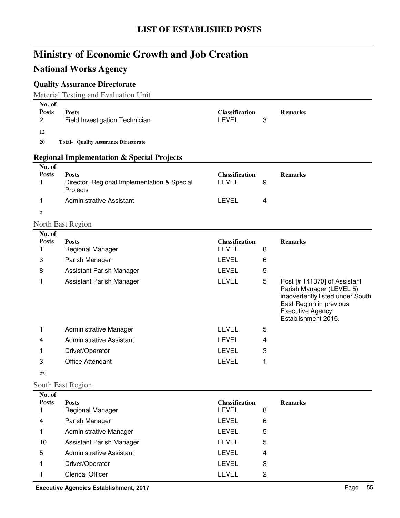## **National Works Agency**

### **Quality Assurance Directorate**

Material Testing and Evaluation Unit

| No. of<br><b>Posts</b><br>2 | <b>Posts</b><br>Field Investigation Technician                          | <b>Classification</b><br><b>LEVEL</b> | 3 | <b>Remarks</b>                                                                                                                                                            |
|-----------------------------|-------------------------------------------------------------------------|---------------------------------------|---|---------------------------------------------------------------------------------------------------------------------------------------------------------------------------|
| 12                          |                                                                         |                                       |   |                                                                                                                                                                           |
| 20                          | <b>Total- Quality Assurance Directorate</b>                             |                                       |   |                                                                                                                                                                           |
|                             | <b>Regional Implementation &amp; Special Projects</b>                   |                                       |   |                                                                                                                                                                           |
| No. of<br><b>Posts</b>      |                                                                         |                                       |   |                                                                                                                                                                           |
| 1                           | <b>Posts</b><br>Director, Regional Implementation & Special<br>Projects | <b>Classification</b><br><b>LEVEL</b> | 9 | <b>Remarks</b>                                                                                                                                                            |
| 1                           | <b>Administrative Assistant</b>                                         | <b>LEVEL</b>                          | 4 |                                                                                                                                                                           |
| $\mathbf{2}$                |                                                                         |                                       |   |                                                                                                                                                                           |
|                             | North East Region                                                       |                                       |   |                                                                                                                                                                           |
| No. of<br><b>Posts</b><br>1 | <b>Posts</b><br>Regional Manager                                        | <b>Classification</b><br><b>LEVEL</b> | 8 | <b>Remarks</b>                                                                                                                                                            |
| 3                           | Parish Manager                                                          | <b>LEVEL</b>                          | 6 |                                                                                                                                                                           |
| 8                           | Assistant Parish Manager                                                | <b>LEVEL</b>                          | 5 |                                                                                                                                                                           |
| 1                           | Assistant Parish Manager                                                | <b>LEVEL</b>                          | 5 | Post [# 141370] of Assistant<br>Parish Manager (LEVEL 5)<br>inadvertently listed under South<br>East Region in previous<br><b>Executive Agency</b><br>Establishment 2015. |
| 1                           | Administrative Manager                                                  | <b>LEVEL</b>                          | 5 |                                                                                                                                                                           |
| 4                           | <b>Administrative Assistant</b>                                         | <b>LEVEL</b>                          | 4 |                                                                                                                                                                           |
| 1                           | Driver/Operator                                                         | <b>LEVEL</b>                          | 3 |                                                                                                                                                                           |
| 3                           | <b>Office Attendant</b>                                                 | <b>LEVEL</b>                          | 1 |                                                                                                                                                                           |
| 22                          |                                                                         |                                       |   |                                                                                                                                                                           |
|                             | South East Region                                                       |                                       |   |                                                                                                                                                                           |
| No. of<br><b>Posts</b>      | <b>Posts</b>                                                            | <b>Classification</b>                 |   | <b>Remarks</b>                                                                                                                                                            |
| 1                           | Regional Manager                                                        | <b>LEVEL</b>                          | 8 |                                                                                                                                                                           |
| 4                           | Parish Manager                                                          | <b>LEVEL</b>                          | 6 |                                                                                                                                                                           |
| 1.                          | Administrative Manager                                                  | <b>LEVEL</b>                          | 5 |                                                                                                                                                                           |
| 10                          | Assistant Parish Manager                                                | <b>LEVEL</b>                          | 5 |                                                                                                                                                                           |
| 5                           | <b>Administrative Assistant</b>                                         | <b>LEVEL</b>                          | 4 |                                                                                                                                                                           |
| 1                           | Driver/Operator                                                         | <b>LEVEL</b>                          | 3 |                                                                                                                                                                           |
| 1                           | <b>Clerical Officer</b>                                                 | LEVEL                                 | 2 |                                                                                                                                                                           |

**Executive Agencies Establishment, 2017 Page 55**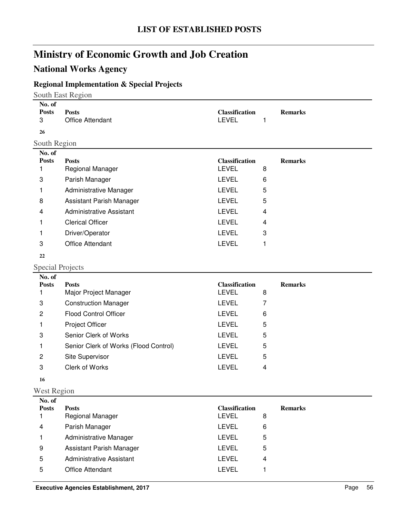## **National Works Agency**

### **Regional Implementation & Special Projects**

South East Region

| No. of<br><b>Posts</b><br>3 | <b>Posts</b><br>Office Attendant | <b>Classification</b><br><b>LEVEL</b> |   | <b>Remarks</b> |
|-----------------------------|----------------------------------|---------------------------------------|---|----------------|
| 26                          |                                  |                                       |   |                |
| South Region                |                                  |                                       |   |                |
| No. of                      |                                  |                                       |   |                |
| <b>Posts</b>                | <b>Posts</b>                     | <b>Classification</b>                 |   | <b>Remarks</b> |
|                             | Regional Manager                 | <b>LEVEL</b>                          | 8 |                |
| 3                           | Parish Manager                   | <b>LEVEL</b>                          | 6 |                |
| 1                           | Administrative Manager           | <b>LEVEL</b>                          | 5 |                |
| 8                           | Assistant Parish Manager         | <b>LEVEL</b>                          | 5 |                |
| 4                           | <b>Administrative Assistant</b>  | <b>LEVEL</b>                          | 4 |                |
|                             | <b>Clerical Officer</b>          | <b>LEVEL</b>                          | 4 |                |
|                             | Driver/Operator                  | <b>LEVEL</b>                          | 3 |                |
| 3                           | <b>Office Attendant</b>          | <b>LEVEL</b>                          |   |                |
| 22                          |                                  |                                       |   |                |

## Special Projects

| No. of       |                                       |                       |   |                |
|--------------|---------------------------------------|-----------------------|---|----------------|
| <b>Posts</b> | <b>Posts</b>                          | <b>Classification</b> |   | <b>Remarks</b> |
|              | Major Project Manager                 | <b>LEVEL</b>          | 8 |                |
| 3            | <b>Construction Manager</b>           | LEVEL                 |   |                |
| 2            | <b>Flood Control Officer</b>          | <b>LEVEL</b>          | 6 |                |
|              | Project Officer                       | <b>LEVEL</b>          | 5 |                |
| 3            | Senior Clerk of Works                 | <b>LEVEL</b>          | 5 |                |
|              | Senior Clerk of Works (Flood Control) | LEVEL                 | 5 |                |
| 2            | Site Supervisor                       | <b>LEVEL</b>          | 5 |                |
| 3            | Clerk of Works                        | LEVEL                 | 4 |                |
|              |                                       |                       |   |                |

## West Region

| No. of       |                          |                       |   |                |
|--------------|--------------------------|-----------------------|---|----------------|
| <b>Posts</b> | <b>Posts</b>             | <b>Classification</b> |   | <b>Remarks</b> |
|              | Regional Manager         | <b>LEVEL</b>          | 8 |                |
| 4            | Parish Manager           | LEVEL                 | 6 |                |
|              | Administrative Manager   | LEVEL                 | 5 |                |
| 9            | Assistant Parish Manager | LEVEL                 | 5 |                |
| 5            | Administrative Assistant | LEVEL                 | 4 |                |
| 5            | Office Attendant         | LEVEL                 |   |                |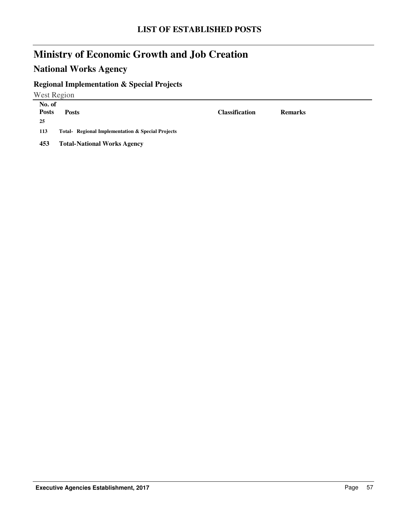## **National Works Agency**

## **Regional Implementation & Special Projects**

West Region

| No. of<br><b>Posts</b><br>-25 | <b>Posts</b>                                      | <b>Classification</b> | <b>Remarks</b> |
|-------------------------------|---------------------------------------------------|-----------------------|----------------|
| 113                           | Total- Regional Implementation & Special Projects |                       |                |
| 453                           | <b>Total-National Works Agency</b>                |                       |                |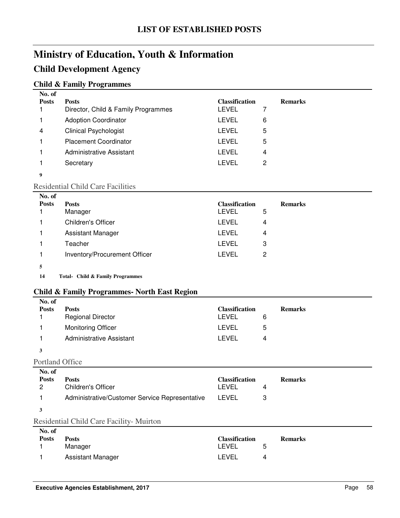### **Child Development Agency**

#### **Child & Family Programmes**

| No. of       |                                     |                       |   |                |
|--------------|-------------------------------------|-----------------------|---|----------------|
| <b>Posts</b> | <b>Posts</b>                        | <b>Classification</b> |   | <b>Remarks</b> |
|              | Director, Child & Family Programmes | LEVEL                 | 7 |                |
|              | <b>Adoption Coordinator</b>         | LEVEL                 | 6 |                |
| 4            | <b>Clinical Psychologist</b>        | <b>LEVEL</b>          | 5 |                |
|              | <b>Placement Coordinator</b>        | LEVEL                 | 5 |                |
|              | Administrative Assistant            | LEVEL                 | 4 |                |
|              | Secretary                           | LEVEL                 | 2 |                |
| 9            |                                     |                       |   |                |

#### Residential Child Care Facilities

| No. of       |                               |                       |   |                |
|--------------|-------------------------------|-----------------------|---|----------------|
| <b>Posts</b> | <b>Posts</b>                  | <b>Classification</b> |   | <b>Remarks</b> |
|              | Manager                       | LEVEL                 | 5 |                |
|              | Children's Officer            | <b>LEVEL</b>          | 4 |                |
|              | Assistant Manager             | LEVEL                 | 4 |                |
|              | Teacher                       | LEVEL                 | 3 |                |
|              | Inventory/Procurement Officer | <b>LEVEL</b>          | 2 |                |
|              |                               |                       |   |                |

14 Total- Child & Family Programmes

#### **Child & Family Programmes- North East Region**

| No. of<br><b>Posts</b> | <b>Posts</b><br><b>Regional Director</b> | <b>Classification</b><br><b>LEVEL</b> | 6 | <b>Remarks</b> |
|------------------------|------------------------------------------|---------------------------------------|---|----------------|
|                        | <b>Monitoring Officer</b>                | <b>LEVEL</b>                          | 5 |                |
|                        | <b>Administrative Assistant</b>          | LEVEL                                 | 4 |                |
| 3                      |                                          |                                       |   |                |
| Portland Office        |                                          |                                       |   |                |
| $N_A$ of               |                                          |                                       |   |                |

| No. of       |                                                |                       |                |
|--------------|------------------------------------------------|-----------------------|----------------|
| <b>Posts</b> | <b>Posts</b>                                   | <b>Classification</b> | <b>Remarks</b> |
| 2            | <b>Children's Officer</b>                      | LEVEL                 |                |
|              | Administrative/Customer Service Representative | LEVEL                 |                |
|              |                                                |                       |                |

#### Residential Child Care Facility- Muirton

| No. of       |                   |                       |   |                |
|--------------|-------------------|-----------------------|---|----------------|
| <b>Posts</b> | <b>Posts</b>      | <b>Classification</b> |   | <b>Remarks</b> |
|              | Manager           | I FVFI                | 5 |                |
|              | Assistant Manager | I FVFI                | 4 |                |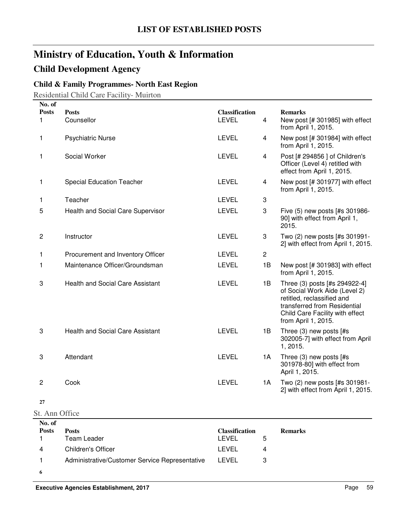## **Child Development Agency**

### **Child & Family Programmes- North East Region**

Residential Child Care Facility- Muirton

| No. of         |                                         |                       |                |                                                                                                                                                                                        |
|----------------|-----------------------------------------|-----------------------|----------------|----------------------------------------------------------------------------------------------------------------------------------------------------------------------------------------|
| <b>Posts</b>   | <b>Posts</b>                            | <b>Classification</b> |                | <b>Remarks</b>                                                                                                                                                                         |
| 1              | Counsellor                              | <b>LEVEL</b>          | 4              | New post [# 301985] with effect<br>from April 1, 2015.                                                                                                                                 |
| 1              | <b>Psychiatric Nurse</b>                | <b>LEVEL</b>          | 4              | New post [# 301984] with effect<br>from April 1, 2015.                                                                                                                                 |
| 1              | Social Worker                           | <b>LEVEL</b>          | 4              | Post [# 294856 ] of Children's<br>Officer (Level 4) retitled with<br>effect from April 1, 2015.                                                                                        |
| 1              | <b>Special Education Teacher</b>        | <b>LEVEL</b>          | 4              | New post [# 301977] with effect<br>from April 1, 2015.                                                                                                                                 |
| 1              | Teacher                                 | <b>LEVEL</b>          | 3              |                                                                                                                                                                                        |
| 5              | Health and Social Care Supervisor       | <b>LEVEL</b>          | 3              | Five (5) new posts [#s 301986-<br>90] with effect from April 1,<br>2015.                                                                                                               |
| $\overline{c}$ | Instructor                              | <b>LEVEL</b>          | 3              | Two (2) new posts [#s 301991-<br>2] with effect from April 1, 2015.                                                                                                                    |
| 1              | Procurement and Inventory Officer       | <b>LEVEL</b>          | $\overline{c}$ |                                                                                                                                                                                        |
| 1              | Maintenance Officer/Groundsman          | <b>LEVEL</b>          | 1B             | New post [# 301983] with effect<br>from April 1, 2015.                                                                                                                                 |
| 3              | <b>Health and Social Care Assistant</b> | <b>LEVEL</b>          | 1B             | Three (3) posts [#s 294922-4]<br>of Social Work Aide (Level 2)<br>retitled, reclassified and<br>transferred from Residential<br>Child Care Facility with effect<br>from April 1, 2015. |
| 3              | <b>Health and Social Care Assistant</b> | <b>LEVEL</b>          | 1B             | Three (3) new posts [#s<br>302005-7] with effect from April<br>1, 2015.                                                                                                                |
| 3              | Attendant                               | <b>LEVEL</b>          | 1A             | Three (3) new posts [#s<br>301978-80] with effect from<br>April 1, 2015.                                                                                                               |
| $\overline{c}$ | Cook                                    | <b>LEVEL</b>          | 1A             | Two (2) new posts [#s 301981-<br>2] with effect from April 1, 2015.                                                                                                                    |
| 27             |                                         |                       |                |                                                                                                                                                                                        |
| St. Ann Office |                                         |                       |                |                                                                                                                                                                                        |

| No. of       |                                                |                       |   |                |
|--------------|------------------------------------------------|-----------------------|---|----------------|
| <b>Posts</b> | <b>Posts</b>                                   | <b>Classification</b> |   | <b>Remarks</b> |
|              | Team Leader                                    | LEVEL                 | 5 |                |
| 4            | <b>Children's Officer</b>                      | LEVEL                 | 4 |                |
|              | Administrative/Customer Service Representative | LEVEL                 |   |                |
|              |                                                |                       |   |                |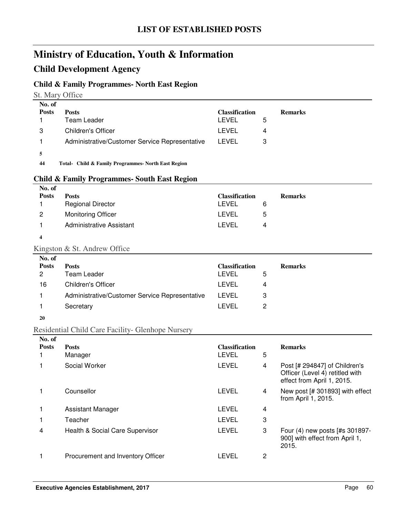### **Child Development Agency**

#### **Child & Family Programmes- North East Region**

St. Mary Office

| No. of       |                                                     |                       |   |                |
|--------------|-----------------------------------------------------|-----------------------|---|----------------|
| <b>Posts</b> | <b>Posts</b>                                        | <b>Classification</b> |   | <b>Remarks</b> |
|              | Team Leader                                         | LEVEL                 | 5 |                |
| 3            | <b>Children's Officer</b>                           | LEVEL                 | 4 |                |
|              | Administrative/Customer Service Representative      | LEVEL                 | 3 |                |
| 5            |                                                     |                       |   |                |
| 44           | Total- Child & Family Programmes- North East Region |                       |   |                |

#### **Child & Family Programmes- South East Region**

| No. of       |                           |                       |                |
|--------------|---------------------------|-----------------------|----------------|
| <b>Posts</b> | <b>Posts</b>              | <b>Classification</b> | <b>Remarks</b> |
|              | <b>Regional Director</b>  | <b>LEVEL</b>          | 6              |
| 2            | <b>Monitoring Officer</b> | LEVEL                 | 5              |
|              | Administrative Assistant  | LEVEL                 | 4              |
|              |                           |                       |                |

### Kingston & St. Andrew Office

| <b>LEVEL</b><br>3<br>LEVEL<br>Secretary<br>2 | No. of<br><b>Posts</b><br>2<br>16 | <b>Posts</b><br>Team Leader<br>Children's Officer | <b>Classification</b><br>LEVEL<br>LEVEL | <b>Remarks</b><br>5<br>4 |  |
|----------------------------------------------|-----------------------------------|---------------------------------------------------|-----------------------------------------|--------------------------|--|
|                                              |                                   | Administrative/Customer Service Representative    |                                         |                          |  |
|                                              |                                   |                                                   |                                         |                          |  |

#### **20**

### Residential Child Care Facility- Glenhope Nursery

| No. of       |                                   |                                |   |                                                                                                |
|--------------|-----------------------------------|--------------------------------|---|------------------------------------------------------------------------------------------------|
| <b>Posts</b> | <b>Posts</b><br>Manager           | <b>Classification</b><br>LEVEL | 5 | <b>Remarks</b>                                                                                 |
|              | Social Worker                     | LEVEL                          | 4 | Post [# 294847] of Children's<br>Officer (Level 4) retitled with<br>effect from April 1, 2015. |
|              | Counsellor                        | LEVEL                          | 4 | New post [# 301893] with effect<br>from April 1, 2015.                                         |
|              | Assistant Manager                 | LEVEL                          | 4 |                                                                                                |
|              | Teacher                           | LEVEL                          | 3 |                                                                                                |
| 4            | Health & Social Care Supervisor   | LEVEL                          | 3 | Four (4) new posts [#s 301897-<br>900] with effect from April 1,<br>2015.                      |
|              | Procurement and Inventory Officer | LEVEL                          | 2 |                                                                                                |
|              |                                   |                                |   |                                                                                                |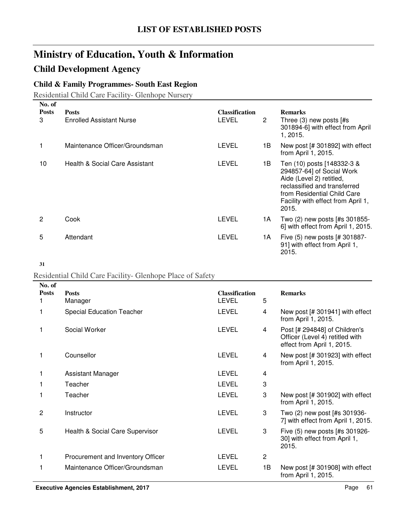# **Child Development Agency**

### **Child & Family Programmes- South East Region**

Residential Child Care Facility- Glenhope Nursery

| No. of            |                                                 |                                |                       |                                                                                                                                                                                                   |
|-------------------|-------------------------------------------------|--------------------------------|-----------------------|---------------------------------------------------------------------------------------------------------------------------------------------------------------------------------------------------|
| <b>Posts</b><br>3 | <b>Posts</b><br><b>Enrolled Assistant Nurse</b> | <b>Classification</b><br>LEVEL | $\mathbf{2}^{\prime}$ | <b>Remarks</b><br>Three $(3)$ new posts $[#s]$<br>301894-6] with effect from April<br>1, 2015.                                                                                                    |
|                   | Maintenance Officer/Groundsman                  | <b>LEVEL</b>                   | 1B.                   | New post $[# 301892]$ with effect<br>from April 1, 2015.                                                                                                                                          |
| 10                | Health & Social Care Assistant                  | LEVEL                          | 1B.                   | Ten (10) posts [148332-3 &<br>294857-64] of Social Work<br>Aide (Level 2) retitled,<br>reclassified and transferred<br>from Residential Child Care<br>Facility with effect from April 1,<br>2015. |
| 2                 | Cook                                            | LEVEL                          | 1A                    | Two (2) new posts [#s 301855-<br>6] with effect from April 1, 2015.                                                                                                                               |
| 5                 | Attendant                                       | LEVEL                          | 1A                    | Five (5) new posts [# 301887-<br>91] with effect from April 1,<br>2015.                                                                                                                           |

**<sup>31</sup>**

#### Residential Child Care Facility- Glenhope Place of Safety

| No. of       |                                   |                                       |                |                                                                                                |
|--------------|-----------------------------------|---------------------------------------|----------------|------------------------------------------------------------------------------------------------|
| <b>Posts</b> | <b>Posts</b><br>Manager           | <b>Classification</b><br><b>LEVEL</b> | 5              | <b>Remarks</b>                                                                                 |
|              | <b>Special Education Teacher</b>  | <b>LEVEL</b>                          | 4              | New post $[# 301941]$ with effect<br>from April 1, 2015.                                       |
|              | Social Worker                     | <b>LEVEL</b>                          | 4              | Post [# 294848] of Children's<br>Officer (Level 4) retitled with<br>effect from April 1, 2015. |
|              | Counsellor                        | <b>LEVEL</b>                          | 4              | New post [# 301923] with effect<br>from April 1, 2015.                                         |
|              | Assistant Manager                 | <b>LEVEL</b>                          | 4              |                                                                                                |
|              | Teacher                           | <b>LEVEL</b>                          | 3              |                                                                                                |
|              | Teacher                           | <b>LEVEL</b>                          | 3              | New post $[# 301902]$ with effect<br>from April 1, 2015.                                       |
| 2            | Instructor                        | <b>LEVEL</b>                          | 3              | Two (2) new post [#s 301936-<br>7] with effect from April 1, 2015.                             |
| 5            | Health & Social Care Supervisor   | <b>LEVEL</b>                          | 3              | Five (5) new posts [#s 301926-<br>30] with effect from April 1,<br>2015.                       |
| 1            | Procurement and Inventory Officer | <b>LEVEL</b>                          | $\overline{c}$ |                                                                                                |
|              | Maintenance Officer/Groundsman    | <b>LEVEL</b>                          | 1B             | New post $[# 301908]$ with effect<br>from April 1, 2015.                                       |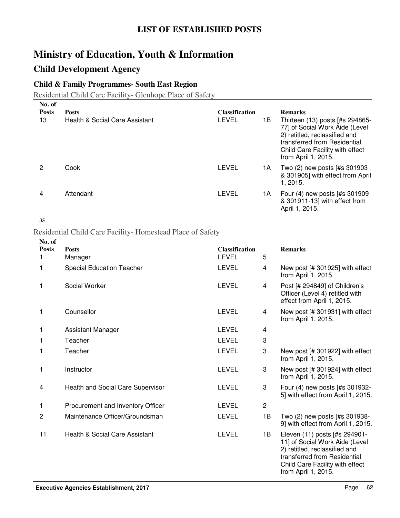### **Child Development Agency**

### **Child & Family Programmes- South East Region**

Residential Child Care Facility- Glenhope Place of Safety

| No. of             |                                                |                                |     |                                                                                                                                                                                                                |
|--------------------|------------------------------------------------|--------------------------------|-----|----------------------------------------------------------------------------------------------------------------------------------------------------------------------------------------------------------------|
| <b>Posts</b><br>13 | <b>Posts</b><br>Health & Social Care Assistant | <b>Classification</b><br>LEVEL | 1B. | <b>Remarks</b><br>Thirteen (13) posts [#s 294865-<br>77] of Social Work Aide (Level<br>2) retitled, reclassified and<br>transferred from Residential<br>Child Care Facility with effect<br>from April 1, 2015. |
|                    | Cook                                           | LEVEL                          | 1А  | Two (2) new posts [#s 301903<br>& 301905] with effect from April<br>1.2015.                                                                                                                                    |
| 4                  | Attendant                                      | LEVEL                          | 1A  | Four (4) new posts [#s 301909<br>& 301911-13] with effect from<br>April 1, 2015.                                                                                                                               |

**35**

#### Residential Child Care Facility- Homestead Place of Safety

| No. of         |                                   |                       |                |                                                                                                                                                                                            |
|----------------|-----------------------------------|-----------------------|----------------|--------------------------------------------------------------------------------------------------------------------------------------------------------------------------------------------|
| <b>Posts</b>   | <b>Posts</b>                      | <b>Classification</b> |                | <b>Remarks</b>                                                                                                                                                                             |
| 1.             | Manager                           | <b>LEVEL</b>          | 5              |                                                                                                                                                                                            |
| 1              | <b>Special Education Teacher</b>  | <b>LEVEL</b>          | 4              | New post [# 301925] with effect<br>from April 1, 2015.                                                                                                                                     |
| 1              | Social Worker                     | <b>LEVEL</b>          | 4              | Post [# 294849] of Children's<br>Officer (Level 4) retitled with<br>effect from April 1, 2015.                                                                                             |
| 1              | Counsellor                        | <b>LEVEL</b>          | 4              | New post [# 301931] with effect<br>from April 1, 2015.                                                                                                                                     |
| 1              | <b>Assistant Manager</b>          | <b>LEVEL</b>          | 4              |                                                                                                                                                                                            |
| 1              | Teacher                           | <b>LEVEL</b>          | 3              |                                                                                                                                                                                            |
| 1              | Teacher                           | <b>LEVEL</b>          | 3              | New post [# 301922] with effect<br>from April 1, 2015.                                                                                                                                     |
| 1              | Instructor                        | <b>LEVEL</b>          | 3              | New post [# 301924] with effect<br>from April 1, 2015.                                                                                                                                     |
| 4              | Health and Social Care Supervisor | <b>LEVEL</b>          | 3              | Four (4) new posts [#s 301932-<br>5] with effect from April 1, 2015.                                                                                                                       |
| 1              | Procurement and Inventory Officer | <b>LEVEL</b>          | $\overline{c}$ |                                                                                                                                                                                            |
| $\overline{c}$ | Maintenance Officer/Groundsman    | <b>LEVEL</b>          | 1B             | Two (2) new posts [#s 301938-<br>9] with effect from April 1, 2015.                                                                                                                        |
| 11             | Health & Social Care Assistant    | <b>LEVEL</b>          | 1B             | Eleven (11) posts [#s 294901-<br>11] of Social Work Aide (Level<br>2) retitled, reclassified and<br>transferred from Residential<br>Child Care Facility with effect<br>from April 1, 2015. |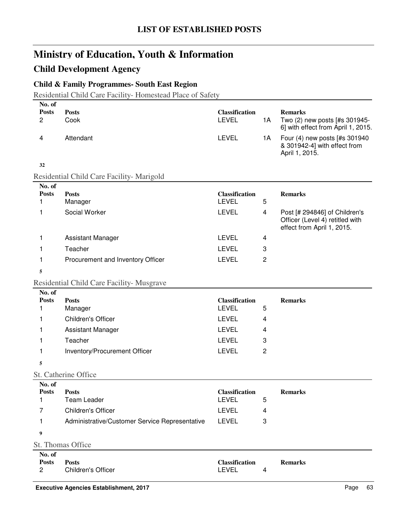## **Child Development Agency**

### **Child & Family Programmes- South East Region**

Residential Child Care Facility- Homestead Place of Safety

| No. of                                   |                                                |                                       |                |                                                                                       |
|------------------------------------------|------------------------------------------------|---------------------------------------|----------------|---------------------------------------------------------------------------------------|
| <b>Posts</b><br>$\overline{c}$           | <b>Posts</b><br>Cook                           | <b>Classification</b><br><b>LEVEL</b> | 1A             | <b>Remarks</b><br>Two (2) new posts [#s 301945-<br>6] with effect from April 1, 2015. |
| 4                                        | Attendant                                      | <b>LEVEL</b>                          | 1A             | Four (4) new posts [#s 301940<br>& 301942-4] with effect from<br>April 1, 2015.       |
| 32                                       |                                                |                                       |                |                                                                                       |
|                                          | Residential Child Care Facility- Marigold      |                                       |                |                                                                                       |
| No. of                                   |                                                |                                       |                |                                                                                       |
| <b>Posts</b><br>1                        | <b>Posts</b><br>Manager                        | <b>Classification</b><br><b>LEVEL</b> | 5              | <b>Remarks</b>                                                                        |
| 1                                        | Social Worker                                  | <b>LEVEL</b>                          | 4              | Post [# 294846] of Children's                                                         |
|                                          |                                                |                                       |                | Officer (Level 4) retitled with<br>effect from April 1, 2015.                         |
| 1                                        | <b>Assistant Manager</b>                       | <b>LEVEL</b>                          | 4              |                                                                                       |
| 1                                        | Teacher                                        | <b>LEVEL</b>                          | 3              |                                                                                       |
| 1                                        | Procurement and Inventory Officer              | <b>LEVEL</b>                          | $\overline{c}$ |                                                                                       |
| 5                                        |                                                |                                       |                |                                                                                       |
|                                          | Residential Child Care Facility- Musgrave      |                                       |                |                                                                                       |
| No. of                                   |                                                |                                       |                |                                                                                       |
| <b>Posts</b><br>1                        | <b>Posts</b>                                   | <b>Classification</b><br><b>LEVEL</b> | 5              | <b>Remarks</b>                                                                        |
|                                          | Manager<br>Children's Officer                  | <b>LEVEL</b>                          |                |                                                                                       |
| 1                                        |                                                | <b>LEVEL</b>                          | 4              |                                                                                       |
| 1                                        | <b>Assistant Manager</b>                       |                                       | 4              |                                                                                       |
| 1                                        | Teacher                                        | <b>LEVEL</b>                          | 3              |                                                                                       |
| 1                                        | Inventory/Procurement Officer                  | <b>LEVEL</b>                          | $\overline{c}$ |                                                                                       |
| 5                                        |                                                |                                       |                |                                                                                       |
|                                          | St. Catherine Office                           |                                       |                |                                                                                       |
| No. of<br><b>Posts</b>                   | <b>Posts</b>                                   | <b>Classification</b>                 |                | <b>Remarks</b>                                                                        |
| 1                                        | Team Leader                                    | <b>LEVEL</b>                          | 5              |                                                                                       |
| 7                                        | Children's Officer                             | <b>LEVEL</b>                          | 4              |                                                                                       |
| 1                                        | Administrative/Customer Service Representative | <b>LEVEL</b>                          | 3              |                                                                                       |
| 9                                        |                                                |                                       |                |                                                                                       |
|                                          | St. Thomas Office                              |                                       |                |                                                                                       |
| No. of<br><b>Posts</b><br>$\overline{c}$ | <b>Posts</b><br><b>Children's Officer</b>      | <b>Classification</b><br>LEVEL        | 4              | <b>Remarks</b>                                                                        |
|                                          |                                                |                                       |                |                                                                                       |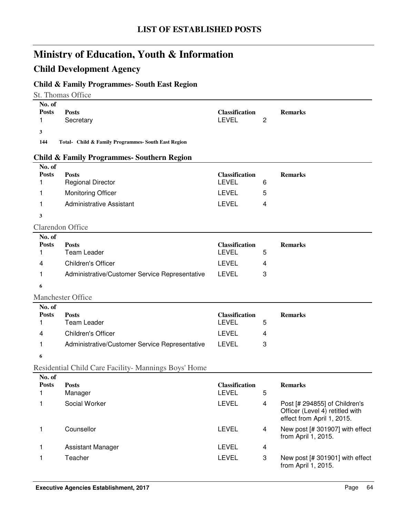## **Child Development Agency**

### **Child & Family Programmes- South East Region**

St. Thomas Office

| No. of            |                                                       |                                       |   |                                                               |
|-------------------|-------------------------------------------------------|---------------------------------------|---|---------------------------------------------------------------|
| <b>Posts</b><br>1 | <b>Posts</b><br>Secretary                             | <b>Classification</b><br><b>LEVEL</b> | 2 | <b>Remarks</b>                                                |
|                   |                                                       |                                       |   |                                                               |
| 3<br>144          | Total- Child & Family Programmes- South East Region   |                                       |   |                                                               |
|                   |                                                       |                                       |   |                                                               |
| No. of            | <b>Child &amp; Family Programmes- Southern Region</b> |                                       |   |                                                               |
| <b>Posts</b>      | <b>Posts</b>                                          | <b>Classification</b>                 |   | <b>Remarks</b>                                                |
| 1                 | <b>Regional Director</b>                              | <b>LEVEL</b>                          | 6 |                                                               |
| 1                 | <b>Monitoring Officer</b>                             | <b>LEVEL</b>                          | 5 |                                                               |
| 1                 | <b>Administrative Assistant</b>                       | <b>LEVEL</b>                          | 4 |                                                               |
| 3                 |                                                       |                                       |   |                                                               |
|                   | <b>Clarendon Office</b>                               |                                       |   |                                                               |
| No. of            |                                                       |                                       |   |                                                               |
| <b>Posts</b>      | <b>Posts</b>                                          | <b>Classification</b>                 |   | <b>Remarks</b>                                                |
| 1                 | <b>Team Leader</b>                                    | <b>LEVEL</b>                          | 5 |                                                               |
| 4                 | <b>Children's Officer</b>                             | <b>LEVEL</b>                          | 4 |                                                               |
| 1                 | Administrative/Customer Service Representative        | <b>LEVEL</b>                          | 3 |                                                               |
| 6                 |                                                       |                                       |   |                                                               |
|                   | <b>Manchester Office</b>                              |                                       |   |                                                               |
| No. of            |                                                       |                                       |   |                                                               |
| <b>Posts</b>      | <b>Posts</b>                                          | <b>Classification</b>                 |   | <b>Remarks</b>                                                |
| 1                 | <b>Team Leader</b>                                    | <b>LEVEL</b>                          | 5 |                                                               |
| 4                 | <b>Children's Officer</b>                             | <b>LEVEL</b>                          | 4 |                                                               |
| 1                 | Administrative/Customer Service Representative        | <b>LEVEL</b>                          | 3 |                                                               |
| 6                 |                                                       |                                       |   |                                                               |
|                   | Residential Child Care Facility- Mannings Boys' Home  |                                       |   |                                                               |
| No. of            |                                                       |                                       |   |                                                               |
| <b>Posts</b><br>1 | <b>Posts</b><br>Manager                               | <b>Classification</b><br><b>LEVEL</b> | 5 | <b>Remarks</b>                                                |
| 1                 | Social Worker                                         | <b>LEVEL</b>                          | 4 | Post [# 294855] of Children's                                 |
|                   |                                                       |                                       |   | Officer (Level 4) retitled with<br>effect from April 1, 2015. |
| 1                 | Counsellor                                            | <b>LEVEL</b>                          | 4 | New post [# 301907] with effect<br>from April 1, 2015.        |
| 1                 | <b>Assistant Manager</b>                              | <b>LEVEL</b>                          | 4 |                                                               |
| 1                 | Teacher                                               | <b>LEVEL</b>                          | 3 | New post [# 301901] with effect<br>from April 1, 2015.        |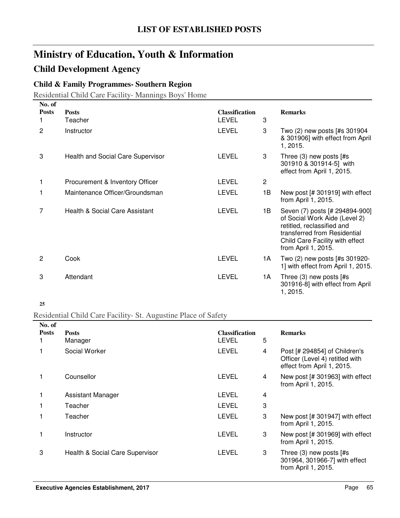### **Child Development Agency**

### **Child & Family Programmes- Southern Region**

Residential Child Care Facility- Mannings Boys' Home

| No. of       |                                          |                                       |    |                                                                                                                                                                                         |
|--------------|------------------------------------------|---------------------------------------|----|-----------------------------------------------------------------------------------------------------------------------------------------------------------------------------------------|
| <b>Posts</b> | <b>Posts</b><br>Teacher                  | <b>Classification</b><br><b>LEVEL</b> | 3  | <b>Remarks</b>                                                                                                                                                                          |
| 2            | Instructor                               | <b>LEVEL</b>                          | 3  | Two (2) new posts [#s 301904<br>& 301906] with effect from April<br>1, 2015.                                                                                                            |
| 3            | <b>Health and Social Care Supervisor</b> | LEVEL                                 | 3  | Three $(3)$ new posts $[#s]$<br>301910 & 301914-5] with<br>effect from April 1, 2015.                                                                                                   |
|              | Procurement & Inventory Officer          | LEVEL                                 | 2  |                                                                                                                                                                                         |
|              | Maintenance Officer/Groundsman           | LEVEL                                 | 1Β | New post $[# 301919]$ with effect<br>from April 1, 2015.                                                                                                                                |
| 7            | Health & Social Care Assistant           | <b>LEVEL</b>                          | 1B | Seven (7) posts [# 294894-900]<br>of Social Work Aide (Level 2)<br>retitled, reclassified and<br>transferred from Residential<br>Child Care Facility with effect<br>from April 1, 2015. |
| 2            | Cook                                     | <b>LEVEL</b>                          | 1A | Two (2) new posts [#s 301920-<br>1] with effect from April 1, 2015.                                                                                                                     |
| 3            | Attendant                                | <b>LEVEL</b>                          | 1A | Three $(3)$ new posts $[#s]$<br>301916-8] with effect from April<br>1, 2015.                                                                                                            |

#### **25**

#### Residential Child Care Facility- St. Augustine Place of Safety

| No. of       |                                 |                                |   |                                                                                                |
|--------------|---------------------------------|--------------------------------|---|------------------------------------------------------------------------------------------------|
| <b>Posts</b> | <b>Posts</b><br>Manager         | <b>Classification</b><br>LEVEL | 5 | <b>Remarks</b>                                                                                 |
| 1            | Social Worker                   | <b>LEVEL</b>                   | 4 | Post [# 294854] of Children's<br>Officer (Level 4) retitled with<br>effect from April 1, 2015. |
|              | Counsellor                      | LEVEL                          | 4 | New post [# 301963] with effect<br>from April 1, 2015.                                         |
| 1            | Assistant Manager               | LEVEL                          | 4 |                                                                                                |
|              | Teacher                         | <b>LEVEL</b>                   | 3 |                                                                                                |
|              | Teacher                         | <b>LEVEL</b>                   | 3 | New post [# 301947] with effect<br>from April 1, 2015.                                         |
|              | Instructor                      | <b>LEVEL</b>                   | 3 | New post [# 301969] with effect<br>from April 1, 2015.                                         |
| 3            | Health & Social Care Supervisor | <b>LEVEL</b>                   | 3 | Three $(3)$ new posts $[#s]$<br>301964, 301966-7] with effect<br>from April 1, 2015.           |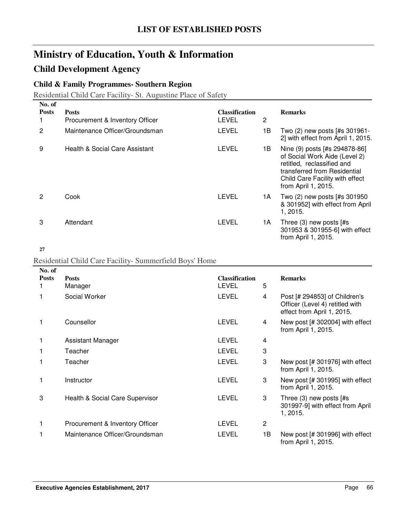# **Child Development Agency**

### **Child & Family Programmes- Southern Region**

Residential Child Care Facility- St. Augustine Place of Safety

| No. of       |                                 |                       |     |                                                                                                                                                                                        |
|--------------|---------------------------------|-----------------------|-----|----------------------------------------------------------------------------------------------------------------------------------------------------------------------------------------|
| <b>Posts</b> | <b>Posts</b>                    | <b>Classification</b> |     | <b>Remarks</b>                                                                                                                                                                         |
|              | Procurement & Inventory Officer | <b>LEVEL</b>          | 2   |                                                                                                                                                                                        |
| 2            | Maintenance Officer/Groundsman  | <b>LEVEL</b>          | 1В. | Two (2) new posts [#s 301961-<br>2] with effect from April 1, 2015.                                                                                                                    |
| 9            | Health & Social Care Assistant  | <b>LEVEL</b>          | 1B. | Nine (9) posts [#s 294878-86]<br>of Social Work Aide (Level 2)<br>retitled, reclassified and<br>transferred from Residential<br>Child Care Facility with effect<br>from April 1, 2015. |
| 2            | Cook                            | <b>LEVEL</b>          | 1A  | Two (2) new posts [#s 301950<br>& 301952] with effect from April<br>1, 2015.                                                                                                           |
| 3            | Attendant                       | LEVEL                 | 1A  | Three $(3)$ new posts $[#s]$<br>301953 & 301955-6] with effect<br>from April 1, 2015.                                                                                                  |

#### **27**

#### Residential Child Care Facility- Summerfield Boys' Home

| No. of       |                                 |                                       |    |                                                                                                |
|--------------|---------------------------------|---------------------------------------|----|------------------------------------------------------------------------------------------------|
| <b>Posts</b> | <b>Posts</b><br>Manager         | <b>Classification</b><br><b>LEVEL</b> | 5  | <b>Remarks</b>                                                                                 |
|              | Social Worker                   | <b>LEVEL</b>                          | 4  | Post [# 294853] of Children's<br>Officer (Level 4) retitled with<br>effect from April 1, 2015. |
|              | Counsellor                      | <b>LEVEL</b>                          | 4  | New post $[# 302004]$ with effect<br>from April 1, 2015.                                       |
| 1            | Assistant Manager               | <b>LEVEL</b>                          | 4  |                                                                                                |
|              | Teacher                         | LEVEL                                 | 3  |                                                                                                |
|              | Teacher                         | <b>LEVEL</b>                          | 3  | New post $[# 301976]$ with effect<br>from April 1, 2015.                                       |
|              | Instructor                      | LEVEL                                 | 3  | New post [# 301995] with effect<br>from April 1, 2015.                                         |
| 3            | Health & Social Care Supervisor | <b>LEVEL</b>                          | 3  | Three $(3)$ new posts $[#s]$<br>301997-9] with effect from April<br>1, 2015.                   |
|              | Procurement & Inventory Officer | LEVEL                                 | 2  |                                                                                                |
|              | Maintenance Officer/Groundsman  | <b>LEVEL</b>                          | 1B | New post [# 301996] with effect<br>from April 1, 2015.                                         |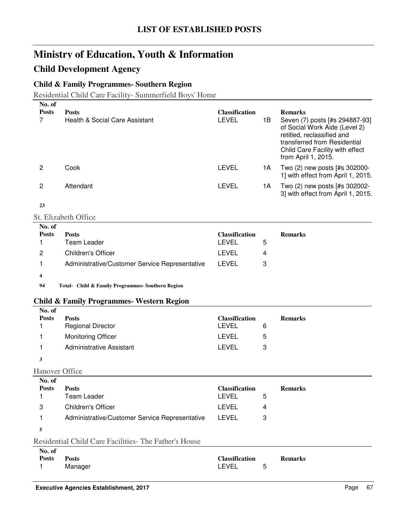## **Child Development Agency**

### **Child & Family Programmes- Southern Region**

Residential Child Care Facility- Summerfield Boys' Home

| No. of<br><b>Posts</b> | <b>Posts</b>                                          | Classification                 |    | <b>Remarks</b>                                                                                                                                                                          |
|------------------------|-------------------------------------------------------|--------------------------------|----|-----------------------------------------------------------------------------------------------------------------------------------------------------------------------------------------|
| $\overline{7}$         | Health & Social Care Assistant                        | <b>LEVEL</b>                   | 1B | Seven (7) posts [#s 294887-93]<br>of Social Work Aide (Level 2)<br>retitled, reclassified and<br>transferred from Residential<br>Child Care Facility with effect<br>from April 1, 2015. |
| $\overline{c}$         | Cook                                                  | <b>LEVEL</b>                   | 1A | Two (2) new posts [#s 302000-<br>1] with effect from April 1, 2015.                                                                                                                     |
| 2                      | Attendant                                             | <b>LEVEL</b>                   | 1A | Two (2) new posts [#s 302002-<br>3] with effect from April 1, 2015.                                                                                                                     |
| 23                     |                                                       |                                |    |                                                                                                                                                                                         |
|                        | <b>St. Elizabeth Office</b>                           |                                |    |                                                                                                                                                                                         |
| No. of                 |                                                       |                                |    |                                                                                                                                                                                         |
| <b>Posts</b>           | <b>Posts</b><br><b>Team Leader</b>                    | Classification<br><b>LEVEL</b> |    | <b>Remarks</b>                                                                                                                                                                          |
| 1                      |                                                       |                                | 5  |                                                                                                                                                                                         |
| 2                      | Children's Officer                                    | <b>LEVEL</b>                   | 4  |                                                                                                                                                                                         |
| 1                      | Administrative/Customer Service Representative        | <b>LEVEL</b>                   | 3  |                                                                                                                                                                                         |
| 4                      |                                                       |                                |    |                                                                                                                                                                                         |
| 94                     | Total- Child & Family Programmes- Southern Region     |                                |    |                                                                                                                                                                                         |
|                        | <b>Child &amp; Family Programmes- Western Region</b>  |                                |    |                                                                                                                                                                                         |
| No. of                 |                                                       |                                |    |                                                                                                                                                                                         |
| <b>Posts</b>           | <b>Posts</b>                                          | <b>Classification</b>          |    | <b>Remarks</b>                                                                                                                                                                          |
| 1                      | <b>Regional Director</b>                              | <b>LEVEL</b>                   | 6  |                                                                                                                                                                                         |
| 1                      | <b>Monitoring Officer</b>                             | <b>LEVEL</b>                   | 5  |                                                                                                                                                                                         |
| 1                      | <b>Administrative Assistant</b>                       | <b>LEVEL</b>                   | 3  |                                                                                                                                                                                         |
| 3                      |                                                       |                                |    |                                                                                                                                                                                         |
| <b>Hanover Office</b>  |                                                       |                                |    |                                                                                                                                                                                         |
| No. of                 |                                                       |                                |    |                                                                                                                                                                                         |
| <b>Posts</b><br>1      | <b>Posts</b><br>Team Leader                           | <b>Classification</b><br>LEVEL | 5  | <b>Remarks</b>                                                                                                                                                                          |
| 3                      | Children's Officer                                    | LEVEL                          | 4  |                                                                                                                                                                                         |
|                        |                                                       | <b>LEVEL</b>                   |    |                                                                                                                                                                                         |
| 1                      | Administrative/Customer Service Representative        |                                | 3  |                                                                                                                                                                                         |
| 5                      |                                                       |                                |    |                                                                                                                                                                                         |
|                        | Residential Child Care Facilities- The Father's House |                                |    |                                                                                                                                                                                         |
| No. of<br><b>Posts</b> | <b>Posts</b>                                          | Classification                 |    | <b>Remarks</b>                                                                                                                                                                          |
| 1                      | Manager                                               | LEVEL                          | 5  |                                                                                                                                                                                         |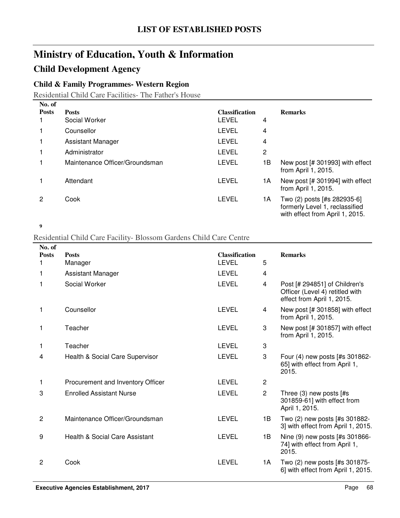## **Child Development Agency**

### **Child & Family Programmes- Western Region**

Residential Child Care Facilities- The Father's House

| No. of       |                                |                       |    |                                                                                                  |
|--------------|--------------------------------|-----------------------|----|--------------------------------------------------------------------------------------------------|
| <b>Posts</b> | <b>Posts</b>                   | <b>Classification</b> |    | <b>Remarks</b>                                                                                   |
|              | Social Worker                  | LEVEL                 | 4  |                                                                                                  |
|              | Counsellor                     | LEVEL                 | 4  |                                                                                                  |
|              | Assistant Manager              | LEVEL                 | 4  |                                                                                                  |
|              | Administrator                  | LEVEL                 | 2  |                                                                                                  |
|              | Maintenance Officer/Groundsman | LEVEL                 | 1Β | New post [# 301993] with effect<br>from April 1, 2015.                                           |
|              | Attendant                      | LEVEL                 | 1А | New post [# 301994] with effect<br>from April 1, 2015.                                           |
| 2            | Cook                           | LEVEL                 | 1A | Two (2) posts [#s 282935-6]<br>formerly Level 1, reclassified<br>with effect from April 1, 2015. |

**9**

#### Residential Child Care Facility- Blossom Gardens Child Care Centre

| No. of         |                                   |                       |                |                                                                                                |
|----------------|-----------------------------------|-----------------------|----------------|------------------------------------------------------------------------------------------------|
| <b>Posts</b>   | <b>Posts</b>                      | <b>Classification</b> |                | <b>Remarks</b>                                                                                 |
|                | Manager                           | <b>LEVEL</b>          | 5              |                                                                                                |
| 1              | <b>Assistant Manager</b>          | <b>LEVEL</b>          | 4              |                                                                                                |
| 1              | Social Worker                     | <b>LEVEL</b>          | 4              | Post [# 294851] of Children's<br>Officer (Level 4) retitled with<br>effect from April 1, 2015. |
| 1              | Counsellor                        | <b>LEVEL</b>          | 4              | New post [# 301858] with effect<br>from April 1, 2015.                                         |
| 1              | Teacher                           | <b>LEVEL</b>          | 3              | New post [# 301857] with effect<br>from April 1, 2015.                                         |
| 1              | Teacher                           | LEVEL                 | 3              |                                                                                                |
| 4              | Health & Social Care Supervisor   | <b>LEVEL</b>          | 3              | Four (4) new posts [#s 301862-<br>65] with effect from April 1,<br>2015.                       |
| 1              | Procurement and Inventory Officer | <b>LEVEL</b>          | $\overline{2}$ |                                                                                                |
| 3              | <b>Enrolled Assistant Nurse</b>   | <b>LEVEL</b>          | $\overline{2}$ | Three (3) new posts [#s<br>301859-61] with effect from<br>April 1, 2015.                       |
| $\overline{c}$ | Maintenance Officer/Groundsman    | <b>LEVEL</b>          | 1B             | Two (2) new posts [#s 301882-<br>3] with effect from April 1, 2015.                            |
| 9              | Health & Social Care Assistant    | <b>LEVEL</b>          | 1B             | Nine (9) new posts [#s 301866-<br>74] with effect from April 1,<br>2015.                       |
| $\overline{c}$ | Cook                              | <b>LEVEL</b>          | 1A             | Two (2) new posts [#s 301875-<br>6] with effect from April 1, 2015.                            |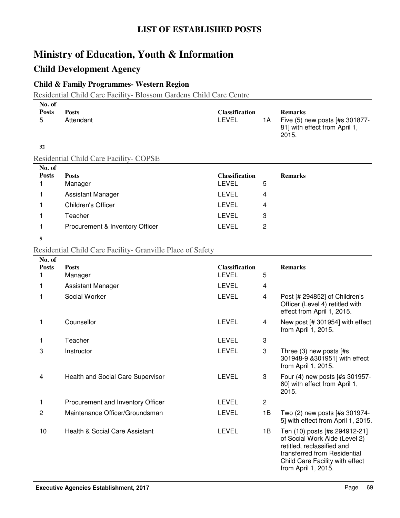### **Child Development Agency**

### **Child & Family Programmes- Western Region**

Residential Child Care Facility- Blossom Gardens Child Care Centre

| No. of<br><b>Posts</b><br>5 | <b>Posts</b><br>Attendant                     | <b>Classification</b><br><b>LEVEL</b> | 1A | <b>Remarks</b><br>Five (5) new posts [#s 301877-<br>81] with effect from April 1,<br>2015. |  |
|-----------------------------|-----------------------------------------------|---------------------------------------|----|--------------------------------------------------------------------------------------------|--|
| 32                          |                                               |                                       |    |                                                                                            |  |
|                             | <b>Residential Child Care Facility- COPSE</b> |                                       |    |                                                                                            |  |
| No. of                      |                                               |                                       |    |                                                                                            |  |
| <b>Posts</b>                | <b>Posts</b>                                  | <b>Classification</b>                 |    | <b>Remarks</b>                                                                             |  |
|                             | Manager                                       | <b>LEVEL</b>                          | 5  |                                                                                            |  |
|                             | <b>Assistant Manager</b>                      | LEVEL                                 | 4  |                                                                                            |  |
|                             | <b>Children's Officer</b>                     | LEVEL                                 | 4  |                                                                                            |  |
|                             | Teacher                                       | <b>LEVEL</b>                          | 3  |                                                                                            |  |

#### **5**

#### Residential Child Care Facility- Granville Place of Safety

1 Procurement & Inventory Officer **LEVEL** 2

| No. of       |                                          |                                       |                |                                                                                                                                                                                        |
|--------------|------------------------------------------|---------------------------------------|----------------|----------------------------------------------------------------------------------------------------------------------------------------------------------------------------------------|
| <b>Posts</b> | <b>Posts</b>                             | <b>Classification</b><br><b>LEVEL</b> | 5              | <b>Remarks</b>                                                                                                                                                                         |
| 1.           | Manager                                  |                                       |                |                                                                                                                                                                                        |
| 1            | Assistant Manager                        | <b>LEVEL</b>                          | $\overline{4}$ |                                                                                                                                                                                        |
| 1            | Social Worker                            | <b>LEVEL</b>                          | 4              | Post [# 294852] of Children's<br>Officer (Level 4) retitled with<br>effect from April 1, 2015.                                                                                         |
| 1            | Counsellor                               | LEVEL                                 | 4              | New post [# 301954] with effect<br>from April 1, 2015.                                                                                                                                 |
| 1            | Teacher                                  | <b>LEVEL</b>                          | 3              |                                                                                                                                                                                        |
| 3            | Instructor                               | <b>LEVEL</b>                          | 3              | Three $(3)$ new posts $[#s]$<br>301948-9 & 301951] with effect<br>from April 1, 2015.                                                                                                  |
| 4            | <b>Health and Social Care Supervisor</b> | <b>LEVEL</b>                          | 3              | Four (4) new posts [#s 301957-<br>60] with effect from April 1,<br>2015.                                                                                                               |
| 1            | Procurement and Inventory Officer        | <b>LEVEL</b>                          | $\overline{2}$ |                                                                                                                                                                                        |
| 2            | Maintenance Officer/Groundsman           | <b>LEVEL</b>                          | 1B             | Two (2) new posts [#s 301974-<br>5] with effect from April 1, 2015.                                                                                                                    |
| 10           | Health & Social Care Assistant           | <b>LEVEL</b>                          | 1B             | Ten (10) posts [#s 294912-21]<br>of Social Work Aide (Level 2)<br>retitled, reclassified and<br>transferred from Residential<br>Child Care Facility with effect<br>from April 1, 2015. |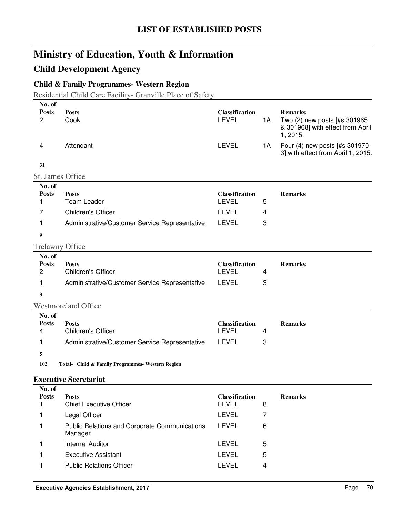## **Child Development Agency**

## **Child & Family Programmes- Western Region**

Residential Child Care Facility- Granville Place of Safety

| No. of                 |                                                                 |                                       |    |                                                                                                |
|------------------------|-----------------------------------------------------------------|---------------------------------------|----|------------------------------------------------------------------------------------------------|
| <b>Posts</b><br>2      | <b>Posts</b><br>Cook                                            | <b>Classification</b><br><b>LEVEL</b> | 1A | <b>Remarks</b><br>Two (2) new posts [#s 301965<br>& 301968] with effect from April<br>1, 2015. |
| 4                      | Attendant                                                       | <b>LEVEL</b>                          | 1A | Four (4) new posts [#s 301970-<br>3] with effect from April 1, 2015.                           |
| 31                     |                                                                 |                                       |    |                                                                                                |
| St. James Office       |                                                                 |                                       |    |                                                                                                |
| No. of                 |                                                                 |                                       |    |                                                                                                |
| <b>Posts</b><br>1      | <b>Posts</b><br><b>Team Leader</b>                              | <b>Classification</b><br><b>LEVEL</b> | 5  | <b>Remarks</b>                                                                                 |
| 7                      | Children's Officer                                              | <b>LEVEL</b>                          | 4  |                                                                                                |
|                        |                                                                 | <b>LEVEL</b>                          |    |                                                                                                |
| 1                      | Administrative/Customer Service Representative                  |                                       | 3  |                                                                                                |
| 9                      |                                                                 |                                       |    |                                                                                                |
| <b>Trelawny Office</b> |                                                                 |                                       |    |                                                                                                |
| No. of<br><b>Posts</b> | <b>Posts</b>                                                    | <b>Classification</b>                 |    | <b>Remarks</b>                                                                                 |
| $\overline{c}$         | Children's Officer                                              | <b>LEVEL</b>                          | 4  |                                                                                                |
| 1                      | Administrative/Customer Service Representative                  | <b>LEVEL</b>                          | 3  |                                                                                                |
| 3                      |                                                                 |                                       |    |                                                                                                |
|                        | <b>Westmoreland Office</b>                                      |                                       |    |                                                                                                |
| No. of                 |                                                                 |                                       |    |                                                                                                |
| <b>Posts</b>           | <b>Posts</b>                                                    | <b>Classification</b>                 |    | <b>Remarks</b>                                                                                 |
| 4                      | <b>Children's Officer</b>                                       | <b>LEVEL</b>                          | 4  |                                                                                                |
| 1                      | Administrative/Customer Service Representative                  | <b>LEVEL</b>                          | 3  |                                                                                                |
| 5                      |                                                                 |                                       |    |                                                                                                |
| 102                    | Total- Child & Family Programmes- Western Region                |                                       |    |                                                                                                |
|                        | <b>Executive Secretariat</b>                                    |                                       |    |                                                                                                |
| No. of                 |                                                                 |                                       |    |                                                                                                |
| <b>Posts</b><br>1      | <b>Posts</b>                                                    | <b>Classification</b><br><b>LEVEL</b> |    | <b>Remarks</b>                                                                                 |
|                        | <b>Chief Executive Officer</b>                                  |                                       | 8  |                                                                                                |
| 1                      | Legal Officer                                                   | <b>LEVEL</b>                          | 7  |                                                                                                |
| 1                      | <b>Public Relations and Corporate Communications</b><br>Manager | <b>LEVEL</b>                          | 6  |                                                                                                |
| 1                      | <b>Internal Auditor</b>                                         | <b>LEVEL</b>                          | 5  |                                                                                                |
| 1                      | <b>Executive Assistant</b>                                      | <b>LEVEL</b>                          | 5  |                                                                                                |
| 1                      | <b>Public Relations Officer</b>                                 | <b>LEVEL</b>                          | 4  |                                                                                                |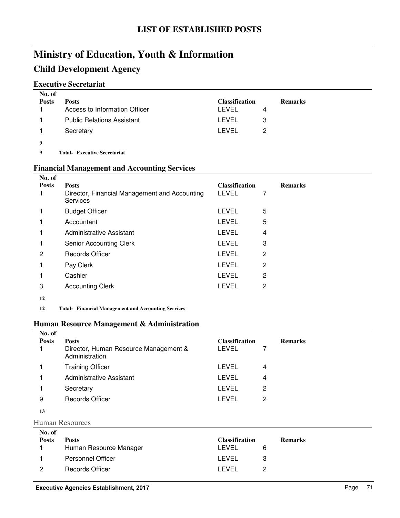## **Child Development Agency**

### **Executive Secretariat**

| No. of<br><b>Posts</b> | <b>Posts</b>                      | <b>Classification</b> |   | <b>Remarks</b> |
|------------------------|-----------------------------------|-----------------------|---|----------------|
|                        | Access to Information Officer     | LEVEL                 | 4 |                |
|                        | <b>Public Relations Assistant</b> | LEVEL                 | 3 |                |
|                        | Secretary                         | LEVEL                 | 2 |                |
| 9                      |                                   |                       |   |                |
| $\Omega$               | Total Expanding Connection of     |                       |   |                |

**9 Executive Secretariat Total-**

#### **Financial Management and Accounting Services**

| No. of       |                                                                                  |                                       |   |                |
|--------------|----------------------------------------------------------------------------------|---------------------------------------|---|----------------|
| <b>Posts</b> | <b>Posts</b><br>Director, Financial Management and Accounting<br><b>Services</b> | <b>Classification</b><br><b>LEVEL</b> |   | <b>Remarks</b> |
|              | <b>Budget Officer</b>                                                            | <b>LEVEL</b>                          | 5 |                |
|              | Accountant                                                                       | <b>LEVEL</b>                          | 5 |                |
|              | Administrative Assistant                                                         | <b>LEVEL</b>                          | 4 |                |
|              | Senior Accounting Clerk                                                          | <b>LEVEL</b>                          | 3 |                |
| 2            | <b>Records Officer</b>                                                           | <b>LEVEL</b>                          | 2 |                |
|              | Pay Clerk                                                                        | <b>LEVEL</b>                          | 2 |                |
|              | Cashier                                                                          | <b>LEVEL</b>                          | 2 |                |
| 3            | <b>Accounting Clerk</b>                                                          | <b>LEVEL</b>                          | 2 |                |
| 12           |                                                                                  |                                       |   |                |

12 Total- Financial Management and Accounting Services

#### **Human Resource Management & Administration**

| No. of       |                                                         |                       |   |                |
|--------------|---------------------------------------------------------|-----------------------|---|----------------|
| <b>Posts</b> | <b>Posts</b>                                            | <b>Classification</b> |   | <b>Remarks</b> |
|              | Director, Human Resource Management &<br>Administration | <b>LEVEL</b>          |   |                |
|              | <b>Training Officer</b>                                 | LEVEL                 | 4 |                |
|              | Administrative Assistant                                | <b>LEVEL</b>          | 4 |                |
|              | Secretary                                               | <b>LEVEL</b>          | 2 |                |
| 9            | <b>Records Officer</b>                                  | <b>LEVEL</b>          | 2 |                |
|              |                                                         |                       |   |                |

**13**

Human Resources

| No. of<br><b>Posts</b> | <b>Posts</b>             | <b>Classification</b> | <b>Remarks</b> |
|------------------------|--------------------------|-----------------------|----------------|
|                        | Human Resource Manager   | I EVEL                |                |
|                        | <b>Personnel Officer</b> | LEVEL                 | 3              |
| 2                      | Records Officer          | I EVEL                |                |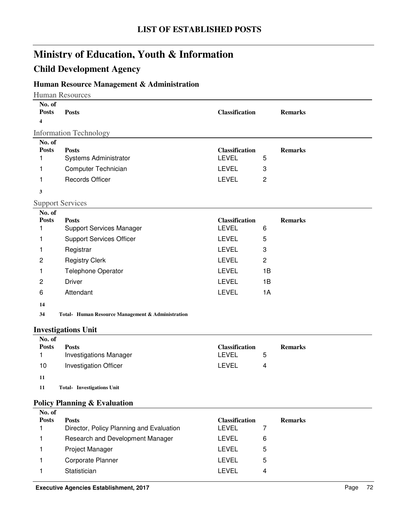## **Child Development Agency**

### **Human Resource Management & Administration**

Human Resources

| No. of<br><b>Posts</b><br>4                                                                  | <b>Posts</b>                                                                                                                                                                                                                                                    | <b>Classification</b>                                                                                                                 |                                                 | <b>Remarks</b> |
|----------------------------------------------------------------------------------------------|-----------------------------------------------------------------------------------------------------------------------------------------------------------------------------------------------------------------------------------------------------------------|---------------------------------------------------------------------------------------------------------------------------------------|-------------------------------------------------|----------------|
|                                                                                              | <b>Information Technology</b>                                                                                                                                                                                                                                   |                                                                                                                                       |                                                 |                |
| No. of<br><b>Posts</b><br>1<br>1<br>1                                                        | <b>Posts</b><br>Systems Administrator<br>Computer Technician<br><b>Records Officer</b>                                                                                                                                                                          | <b>Classification</b><br><b>LEVEL</b><br><b>LEVEL</b><br><b>LEVEL</b>                                                                 | 5<br>3<br>$\overline{c}$                        | <b>Remarks</b> |
| 3                                                                                            |                                                                                                                                                                                                                                                                 |                                                                                                                                       |                                                 |                |
|                                                                                              | <b>Support Services</b>                                                                                                                                                                                                                                         |                                                                                                                                       |                                                 |                |
| No. of<br><b>Posts</b><br>1<br>1<br>1<br>$\overline{c}$<br>1<br>$\mathbf 2$<br>6<br>14<br>34 | <b>Posts</b><br><b>Support Services Manager</b><br><b>Support Services Officer</b><br>Registrar<br><b>Registry Clerk</b><br>Telephone Operator<br><b>Driver</b><br>Attendant<br>Total- Human Resource Management & Administration<br><b>Investigations Unit</b> | <b>Classification</b><br><b>LEVEL</b><br><b>LEVEL</b><br><b>LEVEL</b><br><b>LEVEL</b><br><b>LEVEL</b><br><b>LEVEL</b><br><b>LEVEL</b> | 6<br>5<br>3<br>$\overline{c}$<br>1B<br>1B<br>1A | <b>Remarks</b> |
| No. of                                                                                       |                                                                                                                                                                                                                                                                 |                                                                                                                                       |                                                 |                |
| <b>Posts</b><br>1                                                                            | <b>Posts</b><br><b>Investigations Manager</b>                                                                                                                                                                                                                   | <b>Classification</b><br><b>LEVEL</b>                                                                                                 | 5                                               | <b>Remarks</b> |
| 10                                                                                           | <b>Investigation Officer</b>                                                                                                                                                                                                                                    | <b>LEVEL</b>                                                                                                                          | 4                                               |                |
| 11<br>11                                                                                     | <b>Total- Investigations Unit</b>                                                                                                                                                                                                                               |                                                                                                                                       |                                                 |                |
|                                                                                              | <b>Policy Planning &amp; Evaluation</b>                                                                                                                                                                                                                         |                                                                                                                                       |                                                 |                |

| No. of<br><b>Posts</b> | <b>Posts</b><br>Director, Policy Planning and Evaluation | <b>Classification</b><br>LEVEL |   | <b>Remarks</b> |
|------------------------|----------------------------------------------------------|--------------------------------|---|----------------|
|                        | Research and Development Manager                         | LEVEL                          | 6 |                |
|                        | <b>Project Manager</b>                                   | LEVEL                          | 5 |                |
|                        | Corporate Planner                                        | LEVEL                          | 5 |                |
|                        | Statistician                                             | LEVEL                          | 4 |                |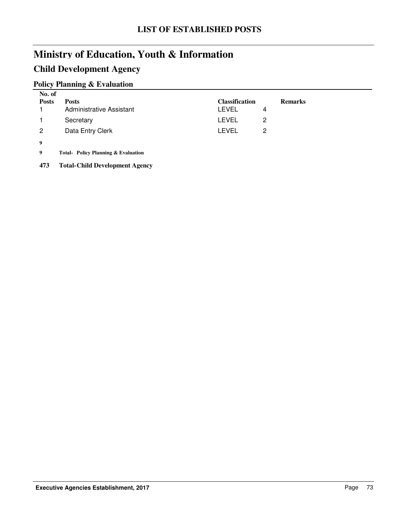## **Child Development Agency**

### **Policy Planning & Evaluation**

| No. of<br><b>Posts</b> | <b>Posts</b><br><b>Administrative Assistant</b> | <b>Classification</b><br>LEVEL | <b>Remarks</b><br>4 |
|------------------------|-------------------------------------------------|--------------------------------|---------------------|
|                        | Secretary                                       | LEVEL                          | 2                   |
| 2                      | Data Entry Clerk                                | LEVEL                          | 2                   |
| 9                      |                                                 |                                |                     |

**9 Policy Planning & Evaluation Total-**

**473 Total-Child Development Agency**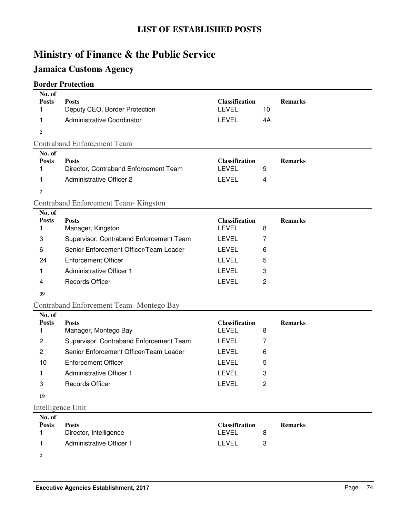# **Jamaica Customs Agency**

## **Border Protection**

| No. of<br><b>Posts</b><br>1 | <b>Posts</b><br>Deputy CEO, Border Protection | <b>Classification</b><br><b>LEVEL</b> | 10             | <b>Remarks</b> |
|-----------------------------|-----------------------------------------------|---------------------------------------|----------------|----------------|
| 1                           | Administrative Coordinator                    | <b>LEVEL</b>                          | 4A             |                |
| $\overline{2}$              |                                               |                                       |                |                |
|                             | <b>Contraband Enforcement Team</b>            |                                       |                |                |
| No. of                      |                                               |                                       |                |                |
| <b>Posts</b>                | <b>Posts</b>                                  | <b>Classification</b>                 |                | <b>Remarks</b> |
| 1                           | Director, Contraband Enforcement Team         | <b>LEVEL</b>                          | 9              |                |
| 1                           | <b>Administrative Officer 2</b>               | <b>LEVEL</b>                          | 4              |                |
| $\overline{2}$              |                                               |                                       |                |                |
|                             | <b>Contraband Enforcement Team-Kingston</b>   |                                       |                |                |
| No. of                      |                                               |                                       |                |                |
| <b>Posts</b><br>1           | <b>Posts</b><br>Manager, Kingston             | <b>Classification</b><br><b>LEVEL</b> | 8              | <b>Remarks</b> |
| 3                           | Supervisor, Contraband Enforcement Team       | <b>LEVEL</b>                          | 7              |                |
|                             |                                               |                                       |                |                |
| 6                           | Senior Enforcement Officer/Team Leader        | <b>LEVEL</b>                          | 6              |                |
| 24                          | <b>Enforcement Officer</b>                    | <b>LEVEL</b>                          | 5              |                |
| 1                           | <b>Administrative Officer 1</b>               | <b>LEVEL</b>                          | 3              |                |
| 4                           | <b>Records Officer</b>                        | <b>LEVEL</b>                          | 2              |                |
| 39                          |                                               |                                       |                |                |
|                             | Contraband Enforcement Team-Montego Bay       |                                       |                |                |
| No. of                      |                                               |                                       |                |                |
| <b>Posts</b><br>1           | <b>Posts</b>                                  | <b>Classification</b><br><b>LEVEL</b> | 8              | <b>Remarks</b> |
|                             | Manager, Montego Bay                          |                                       |                |                |
| $\overline{c}$              | Supervisor, Contraband Enforcement Team       | <b>LEVEL</b>                          | 7              |                |
| $\overline{2}$              | Senior Enforcement Officer/Team Leader        | <b>LEVEL</b>                          | 6              |                |
| 10                          | <b>Enforcement Officer</b>                    | <b>LEVEL</b>                          | 5              |                |
| 1                           | <b>Administrative Officer 1</b>               | <b>LEVEL</b>                          | 3              |                |
| 3                           | <b>Records Officer</b>                        | <b>LEVEL</b>                          | $\overline{c}$ |                |
| 19                          |                                               |                                       |                |                |
| Intelligence Unit           |                                               |                                       |                |                |
| No. of                      |                                               |                                       |                |                |

| <b>Posts</b> | <b>Posts</b>             | <b>Classification</b> | <b>Remarks</b> |
|--------------|--------------------------|-----------------------|----------------|
|              | Director, Intelligence   | LEVEL                 |                |
|              | Administrative Officer 1 | LEVEL                 |                |

**2**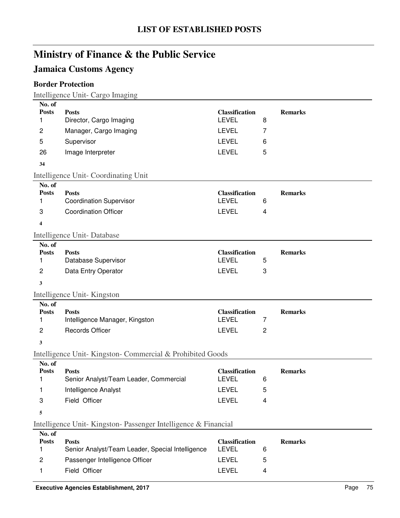## **Jamaica Customs Agency**

## **Border Protection**

Intelligence Unit- Cargo Imaging

| No. of<br><b>Posts</b><br>1 | <b>Posts</b><br>Director, Cargo Imaging                       | <b>Classification</b><br><b>LEVEL</b> | 8      | <b>Remarks</b> |
|-----------------------------|---------------------------------------------------------------|---------------------------------------|--------|----------------|
| $\overline{c}$              | Manager, Cargo Imaging                                        | <b>LEVEL</b>                          | 7      |                |
| 5                           | Supervisor                                                    | <b>LEVEL</b>                          | 6      |                |
| 26                          | Image Interpreter                                             | <b>LEVEL</b>                          | 5      |                |
| 34                          |                                                               |                                       |        |                |
|                             | Intelligence Unit-Coordinating Unit                           |                                       |        |                |
| No. of                      |                                                               |                                       |        |                |
| <b>Posts</b><br>1           | <b>Posts</b><br><b>Coordination Supervisor</b>                | <b>Classification</b><br><b>LEVEL</b> | 6      | <b>Remarks</b> |
| 3                           | <b>Coordination Officer</b>                                   | <b>LEVEL</b>                          | 4      |                |
|                             |                                                               |                                       |        |                |
| 4                           |                                                               |                                       |        |                |
| No. of                      | Intelligence Unit-Database                                    |                                       |        |                |
| <b>Posts</b>                | <b>Posts</b>                                                  | <b>Classification</b>                 |        | <b>Remarks</b> |
| 1                           | Database Supervisor                                           | <b>LEVEL</b>                          | 5      |                |
| $\overline{c}$              | Data Entry Operator                                           | <b>LEVEL</b>                          | 3      |                |
| 3                           |                                                               |                                       |        |                |
|                             | Intelligence Unit-Kingston                                    |                                       |        |                |
| No. of                      |                                                               |                                       |        |                |
| <b>Posts</b>                | <b>Posts</b>                                                  | <b>Classification</b>                 | 7      | <b>Remarks</b> |
|                             |                                                               |                                       |        |                |
| 1                           | Intelligence Manager, Kingston<br><b>Records Officer</b>      | <b>LEVEL</b><br><b>LEVEL</b>          | 2      |                |
| $\overline{c}$              |                                                               |                                       |        |                |
| 3                           |                                                               |                                       |        |                |
| No. of                      | Intelligence Unit-Kingston-Commercial & Prohibited Goods      |                                       |        |                |
| <b>Posts</b><br>1           | <b>Posts</b><br>Senior Analyst/Team Leader, Commercial        | <b>Classification</b><br><b>LEVEL</b> | 6      | <b>Remarks</b> |
| 1                           | Intelligence Analyst                                          | <b>LEVEL</b>                          | 5      |                |
| 3                           | Field Officer                                                 | <b>LEVEL</b>                          | 4      |                |
| 5                           |                                                               |                                       |        |                |
|                             |                                                               |                                       |        |                |
| No. of                      | Intelligence Unit-Kingston-Passenger Intelligence & Financial |                                       |        |                |
| <b>Posts</b>                | <b>Posts</b>                                                  | <b>Classification</b>                 |        | <b>Remarks</b> |
| 1                           | Senior Analyst/Team Leader, Special Intelligence              | <b>LEVEL</b>                          | 6      |                |
| 2<br>1                      | Passenger Intelligence Officer<br>Field Officer               | <b>LEVEL</b><br><b>LEVEL</b>          | 5<br>4 |                |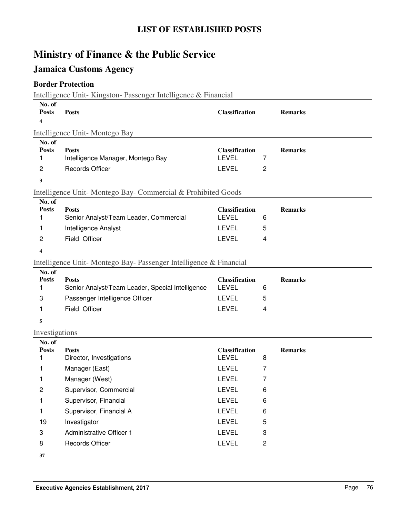## **Jamaica Customs Agency**

### **Border Protection**

Intelligence Unit- Kingston- Passenger Intelligence & Financial

| No. of<br><b>Posts</b>           | <b>Posts</b>                                                                   | <b>Classification</b>                                 |                         | <b>Remarks</b> |  |  |  |
|----------------------------------|--------------------------------------------------------------------------------|-------------------------------------------------------|-------------------------|----------------|--|--|--|
| 4                                |                                                                                |                                                       |                         |                |  |  |  |
|                                  | Intelligence Unit-Montego Bay                                                  |                                                       |                         |                |  |  |  |
| No. of<br><b>Posts</b><br>1      | <b>Posts</b><br>Intelligence Manager, Montego Bay                              | <b>Classification</b><br>LEVEL                        | 7                       | <b>Remarks</b> |  |  |  |
| $\overline{c}$                   | <b>Records Officer</b>                                                         | <b>LEVEL</b>                                          | $\overline{c}$          |                |  |  |  |
| 3                                |                                                                                |                                                       |                         |                |  |  |  |
|                                  | Intelligence Unit-Montego Bay-Commercial & Prohibited Goods                    |                                                       |                         |                |  |  |  |
| No. of<br><b>Posts</b><br>1<br>1 | <b>Posts</b><br>Senior Analyst/Team Leader, Commercial<br>Intelligence Analyst | <b>Classification</b><br><b>LEVEL</b><br><b>LEVEL</b> | 6<br>5                  | <b>Remarks</b> |  |  |  |
| 2                                | Field Officer                                                                  | <b>LEVEL</b>                                          | 4                       |                |  |  |  |
| 4                                |                                                                                |                                                       |                         |                |  |  |  |
|                                  | Intelligence Unit-Montego Bay-Passenger Intelligence & Financial               |                                                       |                         |                |  |  |  |
| No. of                           |                                                                                |                                                       |                         |                |  |  |  |
| <b>Posts</b><br>1                | <b>Posts</b><br>Senior Analyst/Team Leader, Special Intelligence               | <b>Classification</b><br><b>LEVEL</b>                 | 6                       | <b>Remarks</b> |  |  |  |
| 3                                | Passenger Intelligence Officer                                                 | <b>LEVEL</b>                                          | 5                       |                |  |  |  |
| 1                                | Field Officer                                                                  | <b>LEVEL</b>                                          | 4                       |                |  |  |  |
| 5                                |                                                                                |                                                       |                         |                |  |  |  |
| Investigations                   |                                                                                |                                                       |                         |                |  |  |  |
| No. of<br><b>Posts</b><br>1      | <b>Posts</b><br>Director, Investigations                                       | <b>Classification</b><br><b>LEVEL</b>                 | 8                       | <b>Remarks</b> |  |  |  |
| 1                                | Manager (East)                                                                 | <b>LEVEL</b>                                          | $\overline{7}$          |                |  |  |  |
| 1                                | Manager (West)                                                                 | <b>LEVEL</b>                                          | 7                       |                |  |  |  |
| 2                                | Supervisor, Commercial                                                         | <b>LEVEL</b>                                          | 6                       |                |  |  |  |
| 1                                | Supervisor, Financial                                                          | LEVEL                                                 | 6                       |                |  |  |  |
| 1                                | Supervisor, Financial A                                                        | LEVEL                                                 | 6                       |                |  |  |  |
| 19                               | Investigator                                                                   | LEVEL                                                 | 5                       |                |  |  |  |
| 3                                | <b>Administrative Officer 1</b>                                                | <b>LEVEL</b>                                          | 3                       |                |  |  |  |
| 8                                | <b>Records Officer</b>                                                         | <b>LEVEL</b>                                          | $\overline{\mathbf{c}}$ |                |  |  |  |
|                                  |                                                                                |                                                       |                         |                |  |  |  |

**37**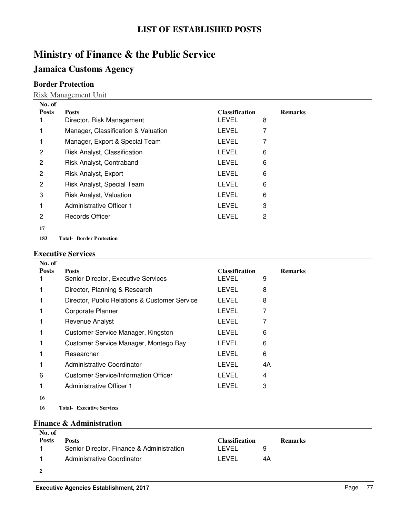## **Jamaica Customs Agency**

### **Border Protection**

Risk Management Unit

| No. of         |                                     |                       |   |                |
|----------------|-------------------------------------|-----------------------|---|----------------|
| <b>Posts</b>   | <b>Posts</b>                        | <b>Classification</b> |   | <b>Remarks</b> |
|                | Director, Risk Management           | <b>LEVEL</b>          | 8 |                |
|                | Manager, Classification & Valuation | <b>LEVEL</b>          |   |                |
|                | Manager, Export & Special Team      | <b>LEVEL</b>          | 7 |                |
| 2              | Risk Analyst, Classification        | LEVEL                 | 6 |                |
| 2              | Risk Analyst, Contraband            | <b>LEVEL</b>          | 6 |                |
| $\overline{c}$ | Risk Analyst, Export                | <b>LEVEL</b>          | 6 |                |
| $\overline{2}$ | Risk Analyst, Special Team          | <b>LEVEL</b>          | 6 |                |
| 3              | Risk Analyst, Valuation             | <b>LEVEL</b>          | 6 |                |
|                | Administrative Officer 1            | <b>LEVEL</b>          | 3 |                |
| 2              | <b>Records Officer</b>              | <b>LEVEL</b>          | 2 |                |
| 17             |                                     |                       |   |                |

183 Total-Border Protection

#### **Executive Services**

| No. of       |                                               |                       |                |
|--------------|-----------------------------------------------|-----------------------|----------------|
| <b>Posts</b> | <b>Posts</b>                                  | <b>Classification</b> | <b>Remarks</b> |
|              | Senior Director, Executive Services           | LEVEL                 | 9              |
|              | Director, Planning & Research                 | LEVEL                 | 8              |
|              | Director, Public Relations & Customer Service | LEVEL                 | 8              |
|              | Corporate Planner                             | LEVEL                 | 7              |
|              | Revenue Analyst                               | LEVEL                 |                |
|              | Customer Service Manager, Kingston            | <b>LEVEL</b>          | 6              |
|              | Customer Service Manager, Montego Bay         | LEVEL                 | 6              |
|              | Researcher                                    | LEVEL                 | 6              |
|              | Administrative Coordinator                    | LEVEL                 | 4A             |
| 6            | Customer Service/Information Officer          | <b>LEVEL</b>          | 4              |
|              | Administrative Officer 1                      | LEVEL                 | 3              |
| 16           |                                               |                       |                |
|              |                                               |                       |                |

**16 Executive Services Total-**

#### **Finance & Administration**

| No. of       |                                           |                       |                |  |
|--------------|-------------------------------------------|-----------------------|----------------|--|
| <b>Posts</b> | <b>Posts</b>                              | <b>Classification</b> | <b>Remarks</b> |  |
|              | Senior Director, Finance & Administration | LEVEL                 |                |  |
|              | Administrative Coordinator                | I EVEL                | 4A             |  |
|              |                                           |                       |                |  |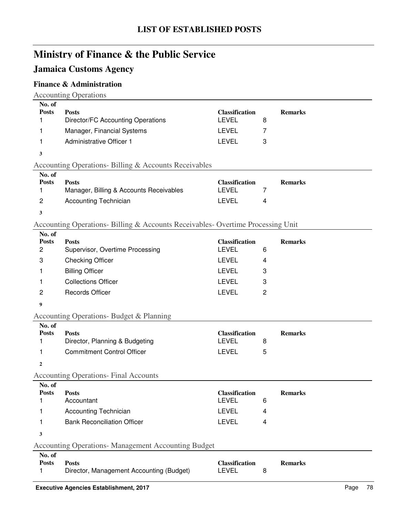## **Jamaica Customs Agency**

### **Finance & Administration**

Accounting Operations

| No. of       |                                   |                       |                |
|--------------|-----------------------------------|-----------------------|----------------|
| <b>Posts</b> | <b>Posts</b>                      | <b>Classification</b> | <b>Remarks</b> |
|              | Director/FC Accounting Operations | <b>LEVEL</b><br>8     |                |
|              | Manager, Financial Systems        | LEVEL                 |                |
|              | Administrative Officer 1          | LEVEL<br>3            |                |
|              |                                   |                       |                |

## Accounting Operations- Billing & Accounts Receivables

| No. of         |                                         |                       |                |
|----------------|-----------------------------------------|-----------------------|----------------|
| <b>Posts</b>   | <b>Posts</b>                            | <b>Classification</b> | <b>Remarks</b> |
|                | Manager, Billing & Accounts Receivables | LEVEL                 |                |
| $\overline{2}$ | <b>Accounting Technician</b>            | I FVFI.               |                |

**3**

#### Accounting Operations- Billing & Accounts Receivables- Overtime Processing Unit

| No. of       |                                 |                       |                |
|--------------|---------------------------------|-----------------------|----------------|
| <b>Posts</b> | <b>Posts</b>                    | <b>Classification</b> | <b>Remarks</b> |
| 2            | Supervisor, Overtime Processing | LEVEL                 | 6              |
| 3            | <b>Checking Officer</b>         | LEVEL                 | 4              |
|              | <b>Billing Officer</b>          | LEVEL                 |                |
|              | <b>Collections Officer</b>      | LEVEL                 | З              |
| 2            | <b>Records Officer</b>          | I EVEL                | 2              |

**9**

### Accounting Operations- Budget & Planning

| No. of       |                                |                       |                |
|--------------|--------------------------------|-----------------------|----------------|
| <b>Posts</b> | <b>Posts</b>                   | <b>Classification</b> | <b>Remarks</b> |
|              | Director, Planning & Budgeting | I EVEL                |                |
|              | Commitment Control Officer     | I FVFI.               |                |

**2**

Accounting Operations- Final Accounts

| No. of       |                                    |                       |                |
|--------------|------------------------------------|-----------------------|----------------|
| <b>Posts</b> | <b>Posts</b>                       | <b>Classification</b> | <b>Remarks</b> |
|              | Accountant                         | LEVEL                 |                |
|              | <b>Accounting Technician</b>       | LEVEL                 |                |
|              | <b>Bank Reconciliation Officer</b> | LEVEL                 |                |

#### **3**

#### Accounting Operations- Management Accounting Budget

| No. of       |                                          |                |                |
|--------------|------------------------------------------|----------------|----------------|
| <b>Posts</b> | <b>Posts</b>                             | Classification | <b>Remarks</b> |
|              | Director, Management Accounting (Budget) | LEVEL          |                |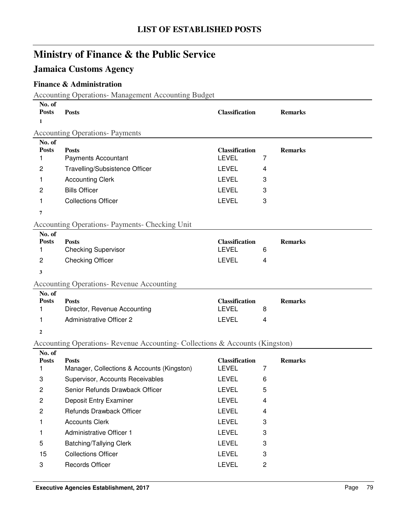## **Jamaica Customs Agency**

### **Finance & Administration**

Accounting Operations- Management Accounting Budget **No. of** 

| 170. UL<br><b>Posts</b><br>1 | <b>Posts</b>                                                                 | <b>Classification</b>                 |   | <b>Remarks</b> |
|------------------------------|------------------------------------------------------------------------------|---------------------------------------|---|----------------|
|                              | <b>Accounting Operations- Payments</b>                                       |                                       |   |                |
| No. of<br><b>Posts</b><br>1  | <b>Posts</b><br><b>Payments Accountant</b>                                   | <b>Classification</b><br><b>LEVEL</b> | 7 | <b>Remarks</b> |
| 2                            | Travelling/Subsistence Officer                                               | <b>LEVEL</b>                          | 4 |                |
| 1                            | <b>Accounting Clerk</b>                                                      | <b>LEVEL</b>                          | 3 |                |
| 2                            | <b>Bills Officer</b>                                                         | <b>LEVEL</b>                          | 3 |                |
| 1                            | <b>Collections Officer</b>                                                   | <b>LEVEL</b>                          | 3 |                |
| 7                            |                                                                              |                                       |   |                |
|                              | <b>Accounting Operations- Payments- Checking Unit</b>                        |                                       |   |                |
| No. of<br><b>Posts</b><br>1  | <b>Posts</b><br><b>Checking Supervisor</b>                                   | <b>Classification</b><br><b>LEVEL</b> | 6 | <b>Remarks</b> |
| 2                            | <b>Checking Officer</b>                                                      | <b>LEVEL</b>                          | 4 |                |
| 3                            |                                                                              |                                       |   |                |
|                              | <b>Accounting Operations- Revenue Accounting</b>                             |                                       |   |                |
|                              |                                                                              |                                       |   |                |
| No. of<br><b>Posts</b><br>1  | <b>Posts</b><br>Director, Revenue Accounting                                 | <b>Classification</b><br><b>LEVEL</b> | 8 | <b>Remarks</b> |
| 1                            | <b>Administrative Officer 2</b>                                              | <b>LEVEL</b>                          | 4 |                |
| $\mathbf{2}$                 |                                                                              |                                       |   |                |
|                              | Accounting Operations- Revenue Accounting- Collections & Accounts (Kingston) |                                       |   |                |
| No. of<br><b>Posts</b><br>1  | <b>Posts</b><br>Manager, Collections & Accounts (Kingston)                   | <b>Classification</b><br><b>LEVEL</b> | 7 | <b>Remarks</b> |
| 3                            | Supervisor, Accounts Receivables                                             | <b>LEVEL</b>                          | 6 |                |
| $\overline{c}$               | Senior Refunds Drawback Officer                                              | <b>LEVEL</b>                          | 5 |                |
| 2                            | Deposit Entry Examiner                                                       | <b>LEVEL</b>                          | 4 |                |
| $\overline{\mathbf{c}}$      | Refunds Drawback Officer                                                     | LEVEL                                 | 4 |                |
| 1                            | <b>Accounts Clerk</b>                                                        | <b>LEVEL</b>                          | 3 |                |
| 1                            | <b>Administrative Officer 1</b>                                              | LEVEL                                 | 3 |                |
| 5                            | Batching/Tallying Clerk                                                      | <b>LEVEL</b>                          | 3 |                |
| 15                           | <b>Collections Officer</b>                                                   | LEVEL                                 | 3 |                |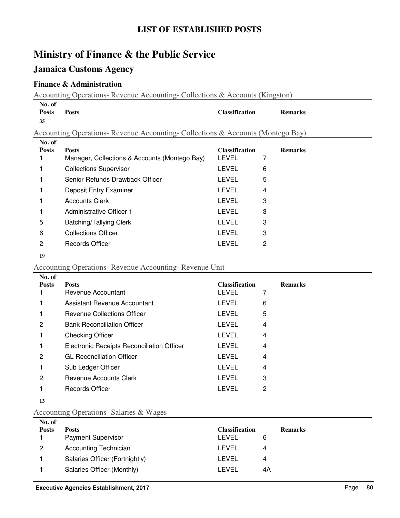# **Jamaica Customs Agency**

### **Finance & Administration**

Accounting Operations- Revenue Accounting- Collections & Accounts (Kingston)

| No. of<br><b>Posts</b><br>35 | <b>Posts</b>                                                                  | <b>Classification</b> |   | <b>Remarks</b> |
|------------------------------|-------------------------------------------------------------------------------|-----------------------|---|----------------|
|                              | Accounting Operations-Revenue Accounting-Collections & Accounts (Montego Bay) |                       |   |                |
| No. of<br><b>Posts</b>       | <b>Posts</b>                                                                  | <b>Classification</b> |   | <b>Remarks</b> |
|                              | Manager, Collections & Accounts (Montego Bay)                                 | LEVEL                 | 7 |                |
|                              | <b>Collections Supervisor</b>                                                 | LEVEL                 | 6 |                |
|                              | Senior Refunds Drawback Officer                                               | LEVEL                 | 5 |                |
|                              | Deposit Entry Examiner                                                        | LEVEL                 | 4 |                |
|                              | <b>Accounts Clerk</b>                                                         | LEVEL                 | 3 |                |
|                              | Administrative Officer 1                                                      | LEVEL                 | 3 |                |
| 5                            | Batching/Tallying Clerk                                                       | LEVEL                 | 3 |                |
| 6                            | <b>Collections Officer</b>                                                    | <b>LEVEL</b>          | 3 |                |
| 2                            | Records Officer                                                               | LEVEL                 | 2 |                |

## Accounting Operations- Revenue Accounting- Revenue Unit

| No. of       |                                            |                       |                |
|--------------|--------------------------------------------|-----------------------|----------------|
| <b>Posts</b> | <b>Posts</b>                               | <b>Classification</b> | <b>Remarks</b> |
|              | Revenue Accountant                         | <b>LEVEL</b>          | 7              |
|              | Assistant Revenue Accountant               | <b>LEVEL</b>          | 6              |
|              | Revenue Collections Officer                | <b>LEVEL</b>          | 5              |
| 2            | <b>Bank Reconciliation Officer</b>         | <b>LEVEL</b>          | 4              |
|              | <b>Checking Officer</b>                    | <b>LEVEL</b>          | 4              |
|              | Electronic Receipts Reconciliation Officer | LEVEL                 | 4              |
| 2            | <b>GL Reconciliation Officer</b>           | <b>LEVEL</b>          | 4              |
|              | Sub Ledger Officer                         | LEVEL                 | 4              |
| 2            | Revenue Accounts Clerk                     | LEVEL                 | 3              |
|              | Records Officer                            | LEVEL                 | 2              |
|              |                                            |                       |                |

### Accounting Operations- Salaries & Wages

| No. of       |                                |                       |                |  |
|--------------|--------------------------------|-----------------------|----------------|--|
| <b>Posts</b> | <b>Posts</b>                   | <b>Classification</b> | <b>Remarks</b> |  |
|              | <b>Payment Supervisor</b>      | LEVEL                 | 6              |  |
| 2            | <b>Accounting Technician</b>   | LEVEL                 | 4              |  |
|              | Salaries Officer (Fortnightly) | LEVEL                 | 4              |  |
|              | Salaries Officer (Monthly)     | I EVEL                | 4Α             |  |
|              |                                |                       |                |  |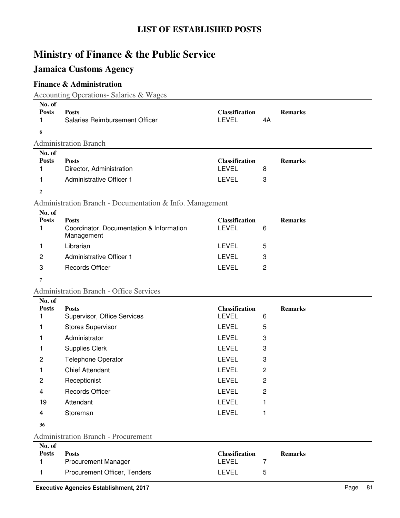## **Jamaica Customs Agency**

## **Finance & Administration**

Accounting Operations- Salaries & Wages

| No. of<br><b>Posts</b><br>1<br>6 | <b>Posts</b><br>Salaries Reimbursement Officer                         | <b>Classification</b><br><b>LEVEL</b> | 4A             | <b>Remarks</b> |
|----------------------------------|------------------------------------------------------------------------|---------------------------------------|----------------|----------------|
|                                  | <b>Administration Branch</b>                                           |                                       |                |                |
| No. of                           |                                                                        |                                       |                |                |
| <b>Posts</b>                     | <b>Posts</b>                                                           | <b>Classification</b>                 |                | <b>Remarks</b> |
| 1                                | Director, Administration                                               | <b>LEVEL</b>                          | 8              |                |
| 1                                | <b>Administrative Officer 1</b>                                        | <b>LEVEL</b>                          | 3              |                |
| $\boldsymbol{2}$                 |                                                                        |                                       |                |                |
|                                  | Administration Branch - Documentation & Info. Management               |                                       |                |                |
| No. of                           |                                                                        |                                       |                |                |
| <b>Posts</b><br>1                | <b>Posts</b><br>Coordinator, Documentation & Information<br>Management | <b>Classification</b><br><b>LEVEL</b> | 6              | <b>Remarks</b> |
| 1                                | Librarian                                                              | <b>LEVEL</b>                          | 5              |                |
| 2                                | <b>Administrative Officer 1</b>                                        | <b>LEVEL</b>                          | 3              |                |
| 3                                | <b>Records Officer</b>                                                 | <b>LEVEL</b>                          | $\overline{c}$ |                |
| 7                                |                                                                        |                                       |                |                |
|                                  | <b>Administration Branch - Office Services</b>                         |                                       |                |                |
| No. of                           |                                                                        |                                       |                |                |
| <b>Posts</b>                     | <b>Posts</b>                                                           | <b>Classification</b>                 |                | <b>Remarks</b> |
| 1                                | Supervisor, Office Services                                            | <b>LEVEL</b>                          | 6              |                |
| 1                                | <b>Stores Supervisor</b>                                               | <b>LEVEL</b>                          | 5              |                |
| 1                                | Administrator                                                          | <b>LEVEL</b>                          | 3              |                |
| 1                                | <b>Supplies Clerk</b>                                                  | <b>LEVEL</b>                          | 3              |                |
| $\overline{c}$                   | <b>Telephone Operator</b>                                              | <b>LEVEL</b>                          | 3              |                |
| 1                                | <b>Chief Attendant</b>                                                 | <b>LEVEL</b>                          | $\overline{c}$ |                |
| 2                                | Receptionist                                                           | <b>LEVEL</b>                          | $\overline{c}$ |                |
| 4                                | <b>Records Officer</b>                                                 | <b>LEVEL</b>                          | 2              |                |
| 19                               | Attendant                                                              | <b>LEVEL</b>                          | 1              |                |
| 4                                | Storeman                                                               | <b>LEVEL</b>                          | 1              |                |
| 36                               |                                                                        |                                       |                |                |
|                                  | <b>Administration Branch - Procurement</b>                             |                                       |                |                |
| No. of                           |                                                                        |                                       |                |                |
| <b>Posts</b>                     | <b>Posts</b>                                                           | <b>Classification</b><br>LEVEL        | 7              | <b>Remarks</b> |
| 1                                | <b>Procurement Manager</b>                                             |                                       |                |                |
| 1                                | Procurement Officer, Tenders                                           | LEVEL                                 | 5              |                |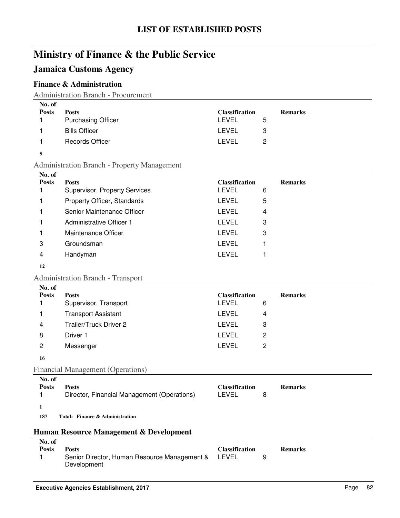## **Jamaica Customs Agency**

#### **Finance & Administration**

Administration Branch - Procurement

| <b>Posts</b><br><b>Classification</b><br><b>Posts</b><br><b>Remarks</b><br><b>Purchasing Officer</b><br>LEVEL<br>5 | No. of |  |  |
|--------------------------------------------------------------------------------------------------------------------|--------|--|--|
|                                                                                                                    |        |  |  |
|                                                                                                                    |        |  |  |
| <b>Bills Officer</b><br><b>LEVEL</b><br>3                                                                          |        |  |  |
| LEVEL<br><b>Records Officer</b>                                                                                    |        |  |  |

#### **5**

Administration Branch - Property Management

| No. of       |                                      |                       |                |
|--------------|--------------------------------------|-----------------------|----------------|
| <b>Posts</b> | <b>Posts</b>                         | <b>Classification</b> | <b>Remarks</b> |
|              | <b>Supervisor, Property Services</b> | <b>LEVEL</b>          | 6              |
|              | Property Officer, Standards          | <b>LEVEL</b>          | 5              |
|              | Senior Maintenance Officer           | <b>LEVEL</b>          | $\overline{4}$ |
|              | Administrative Officer 1             | LEVEL                 | 3              |
|              | Maintenance Officer                  | LEVEL                 | 3              |
| 3            | Groundsman                           | LEVEL                 |                |
| 4            | Handyman                             | LEVEL                 |                |
|              |                                      |                       |                |

#### **12**

Administration Branch - Transport

| No. of       |                                          |                       |   |                |
|--------------|------------------------------------------|-----------------------|---|----------------|
| <b>Posts</b> | <b>Posts</b>                             | <b>Classification</b> |   | <b>Remarks</b> |
|              | Supervisor, Transport                    | <b>LEVEL</b>          | 6 |                |
|              | <b>Transport Assistant</b>               | LEVEL                 | 4 |                |
| 4            | Trailer/Truck Driver 2                   | LEVEL                 | 3 |                |
| 8            | Driver 1                                 | <b>LEVEL</b>          | 2 |                |
| 2            | Messenger                                | <b>LEVEL</b>          | 2 |                |
| 16           |                                          |                       |   |                |
|              | <b>Financial Management (Operations)</b> |                       |   |                |
|              |                                          |                       |   |                |

#### **No. of Posts Posts**<br> **Posts Posts**<br> **Posts**<br> **Classification Remarks**<br> **Posts**<br> **Posts**<br> **CLASSIFICATION Remarks**<br> **Posts**<br> **Posts**<br> **Posts** 1 Director, Financial Management (Operations) LEVEL 8 **1** 187 Total-Finance & Administration

## **Human Resource Management & Development**

| No. of |                                                    |                       |                |
|--------|----------------------------------------------------|-----------------------|----------------|
| Posts  | Posts                                              | <b>Classification</b> | <b>Remarks</b> |
|        | Senior Director, Human Resource Management & LEVEL |                       |                |
|        | Development                                        |                       |                |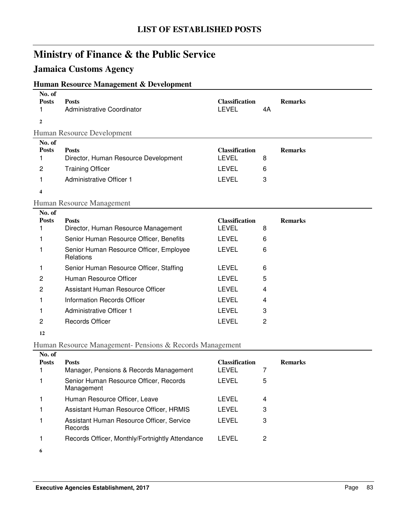## **Jamaica Customs Agency**

### **Human Resource Management & Development**

| No. of<br><b>Posts</b><br>1 | <b>Posts</b><br><b>Administrative Coordinator</b>    | <b>Classification</b><br><b>LEVEL</b> | 4A             | <b>Remarks</b> |
|-----------------------------|------------------------------------------------------|---------------------------------------|----------------|----------------|
| $\mathbf{2}$                |                                                      |                                       |                |                |
| No. of                      | Human Resource Development                           |                                       |                |                |
| <b>Posts</b>                | <b>Posts</b>                                         | <b>Classification</b>                 |                | <b>Remarks</b> |
| 1                           | Director, Human Resource Development                 | <b>LEVEL</b>                          | 8              |                |
| 2                           | <b>Training Officer</b>                              | <b>LEVEL</b>                          | 6              |                |
| 1                           | <b>Administrative Officer 1</b>                      | <b>LEVEL</b>                          | 3              |                |
| $\overline{\mathbf{4}}$     |                                                      |                                       |                |                |
|                             | Human Resource Management                            |                                       |                |                |
| No. of                      |                                                      |                                       |                |                |
| <b>Posts</b>                | <b>Posts</b>                                         | <b>Classification</b>                 |                | <b>Remarks</b> |
| 1                           | Director, Human Resource Management                  | <b>LEVEL</b>                          | 8              |                |
| 1                           | Senior Human Resource Officer, Benefits              | <b>LEVEL</b>                          | 6              |                |
| 1                           | Senior Human Resource Officer, Employee<br>Relations | <b>LEVEL</b>                          | 6              |                |
| 1                           | Senior Human Resource Officer, Staffing              | <b>LEVEL</b>                          | 6              |                |
| 2                           | Human Resource Officer                               | <b>LEVEL</b>                          | 5              |                |
| 2                           | Assistant Human Resource Officer                     | <b>LEVEL</b>                          | 4              |                |
| 1                           | <b>Information Records Officer</b>                   | <b>LEVEL</b>                          | 4              |                |
|                             | <b>Administrative Officer 1</b>                      | <b>LEVEL</b>                          | 3              |                |
| 2                           | <b>Records Officer</b>                               | <b>LEVEL</b>                          | $\overline{2}$ |                |
| 12                          |                                                      |                                       |                |                |

Human Resource Management- Pensions & Records Management

| No. of       |                                                      |                       |   |                |
|--------------|------------------------------------------------------|-----------------------|---|----------------|
| <b>Posts</b> | <b>Posts</b>                                         | <b>Classification</b> |   | <b>Remarks</b> |
|              | Manager, Pensions & Records Management               | LEVEL                 |   |                |
|              | Senior Human Resource Officer, Records<br>Management | LEVEL                 | 5 |                |
|              | Human Resource Officer, Leave                        | LEVEL                 | 4 |                |
|              | Assistant Human Resource Officer, HRMIS              | LEVEL                 | 3 |                |
|              | Assistant Human Resource Officer, Service<br>Records | LEVEL                 | 3 |                |
|              | Records Officer, Monthly/Fortnightly Attendance      | LEVEL                 | 2 |                |
| 6            |                                                      |                       |   |                |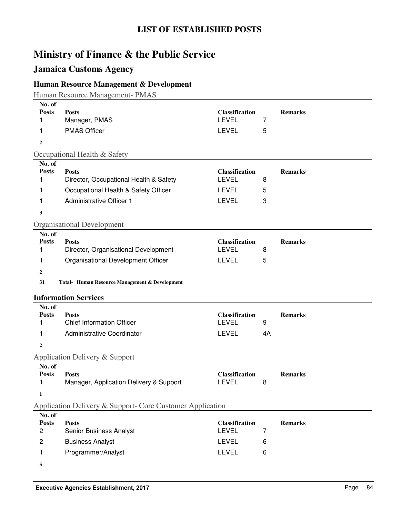## **Jamaica Customs Agency**

## **Human Resource Management & Development**

Human Resource Management- PMAS

| No. of<br><b>Posts</b> |                                                           |                                       |    |                |
|------------------------|-----------------------------------------------------------|---------------------------------------|----|----------------|
| 1                      | <b>Posts</b><br>Manager, PMAS                             | <b>Classification</b><br><b>LEVEL</b> | 7  | <b>Remarks</b> |
| 1                      | <b>PMAS Officer</b>                                       | <b>LEVEL</b>                          | 5  |                |
| $\overline{2}$         |                                                           |                                       |    |                |
|                        | Occupational Health & Safety                              |                                       |    |                |
| No. of                 |                                                           |                                       |    |                |
| <b>Posts</b>           | <b>Posts</b>                                              | <b>Classification</b>                 |    | <b>Remarks</b> |
| 1                      | Director, Occupational Health & Safety                    | <b>LEVEL</b>                          | 8  |                |
| 1                      | Occupational Health & Safety Officer                      | <b>LEVEL</b>                          | 5  |                |
| 1                      | <b>Administrative Officer 1</b>                           | <b>LEVEL</b>                          | 3  |                |
| 3                      |                                                           |                                       |    |                |
|                        | <b>Organisational Development</b>                         |                                       |    |                |
| No. of                 |                                                           |                                       |    |                |
| <b>Posts</b>           | <b>Posts</b>                                              | <b>Classification</b>                 |    | <b>Remarks</b> |
| 1                      | Director, Organisational Development                      | <b>LEVEL</b>                          | 8  |                |
| 1                      | Organisational Development Officer                        | <b>LEVEL</b>                          | 5  |                |
| 2                      |                                                           |                                       |    |                |
| 31                     | Total- Human Resource Management & Development            |                                       |    |                |
|                        | <b>Information Services</b>                               |                                       |    |                |
| No. of                 |                                                           |                                       |    |                |
| <b>Posts</b>           | <b>Posts</b>                                              | <b>Classification</b>                 |    | <b>Remarks</b> |
| 1                      | <b>Chief Information Officer</b>                          | <b>LEVEL</b>                          | 9  |                |
| 1                      | Administrative Coordinator                                | <b>LEVEL</b>                          | 4A |                |
| $\mathbf{2}$           |                                                           |                                       |    |                |
|                        | Application Delivery & Support                            |                                       |    |                |
| No. of                 |                                                           |                                       |    |                |
| <b>Posts</b>           | <b>Posts</b>                                              | <b>Classification</b><br><b>LEVEL</b> |    | <b>Remarks</b> |
| 1                      | Manager, Application Delivery & Support                   |                                       | 8  |                |
| 1                      |                                                           |                                       |    |                |
|                        | Application Delivery & Support- Core Customer Application |                                       |    |                |
| No. of                 |                                                           |                                       |    |                |
| <b>Posts</b><br>2      | <b>Posts</b><br>Senior Business Analyst                   | <b>Classification</b><br><b>LEVEL</b> | 7  | <b>Remarks</b> |
|                        |                                                           |                                       |    |                |
| 2                      | <b>Business Analyst</b>                                   | <b>LEVEL</b>                          | 6  |                |
| 1                      | Programmer/Analyst                                        | <b>LEVEL</b>                          | 6  |                |
| 5                      |                                                           |                                       |    |                |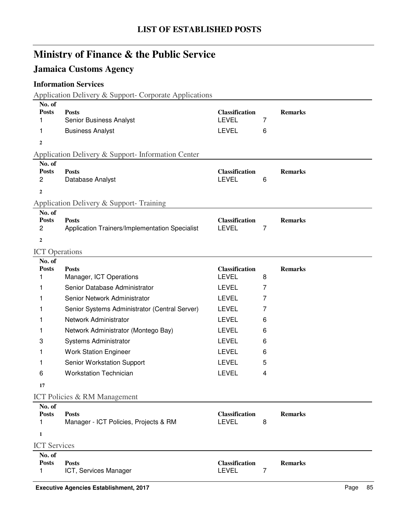## **Jamaica Customs Agency**

### **Information Services**

Application Delivery & Support- Corporate Applications

| <b>Posts</b>                                  | <b>Classification</b>                                                                                                                                                                                                                                                                                                                          |                                                                                                                                                                  | <b>Remarks</b>   |
|-----------------------------------------------|------------------------------------------------------------------------------------------------------------------------------------------------------------------------------------------------------------------------------------------------------------------------------------------------------------------------------------------------|------------------------------------------------------------------------------------------------------------------------------------------------------------------|------------------|
|                                               |                                                                                                                                                                                                                                                                                                                                                |                                                                                                                                                                  |                  |
|                                               |                                                                                                                                                                                                                                                                                                                                                |                                                                                                                                                                  |                  |
|                                               |                                                                                                                                                                                                                                                                                                                                                |                                                                                                                                                                  |                  |
|                                               |                                                                                                                                                                                                                                                                                                                                                |                                                                                                                                                                  |                  |
|                                               |                                                                                                                                                                                                                                                                                                                                                |                                                                                                                                                                  | <b>Remarks</b>   |
| Database Analyst                              | <b>LEVEL</b>                                                                                                                                                                                                                                                                                                                                   | 6                                                                                                                                                                |                  |
|                                               |                                                                                                                                                                                                                                                                                                                                                |                                                                                                                                                                  |                  |
|                                               |                                                                                                                                                                                                                                                                                                                                                |                                                                                                                                                                  |                  |
|                                               |                                                                                                                                                                                                                                                                                                                                                |                                                                                                                                                                  |                  |
| <b>Posts</b>                                  |                                                                                                                                                                                                                                                                                                                                                |                                                                                                                                                                  | <b>Remarks</b>   |
|                                               |                                                                                                                                                                                                                                                                                                                                                |                                                                                                                                                                  |                  |
|                                               |                                                                                                                                                                                                                                                                                                                                                |                                                                                                                                                                  |                  |
|                                               |                                                                                                                                                                                                                                                                                                                                                |                                                                                                                                                                  |                  |
|                                               |                                                                                                                                                                                                                                                                                                                                                |                                                                                                                                                                  | <b>Remarks</b>   |
| Manager, ICT Operations                       | <b>LEVEL</b>                                                                                                                                                                                                                                                                                                                                   | 8                                                                                                                                                                |                  |
| Senior Database Administrator                 | <b>LEVEL</b>                                                                                                                                                                                                                                                                                                                                   | 7                                                                                                                                                                |                  |
| Senior Network Administrator                  | <b>LEVEL</b>                                                                                                                                                                                                                                                                                                                                   | 7                                                                                                                                                                |                  |
| Senior Systems Administrator (Central Server) | <b>LEVEL</b>                                                                                                                                                                                                                                                                                                                                   | 7                                                                                                                                                                |                  |
| Network Administrator                         | <b>LEVEL</b>                                                                                                                                                                                                                                                                                                                                   | 6                                                                                                                                                                |                  |
| Network Administrator (Montego Bay)           | <b>LEVEL</b>                                                                                                                                                                                                                                                                                                                                   | 6                                                                                                                                                                |                  |
| Systems Administrator                         | <b>LEVEL</b>                                                                                                                                                                                                                                                                                                                                   | 6                                                                                                                                                                |                  |
| <b>Work Station Engineer</b>                  | <b>LEVEL</b>                                                                                                                                                                                                                                                                                                                                   | 6                                                                                                                                                                |                  |
| Senior Workstation Support                    | <b>LEVEL</b>                                                                                                                                                                                                                                                                                                                                   | 5                                                                                                                                                                |                  |
| <b>Workstation Technician</b>                 | <b>LEVEL</b>                                                                                                                                                                                                                                                                                                                                   | 4                                                                                                                                                                |                  |
|                                               |                                                                                                                                                                                                                                                                                                                                                |                                                                                                                                                                  |                  |
| <b>ICT Policies &amp; RM Management</b>       |                                                                                                                                                                                                                                                                                                                                                |                                                                                                                                                                  |                  |
|                                               |                                                                                                                                                                                                                                                                                                                                                |                                                                                                                                                                  |                  |
|                                               |                                                                                                                                                                                                                                                                                                                                                |                                                                                                                                                                  | <b>Remarks</b>   |
|                                               |                                                                                                                                                                                                                                                                                                                                                |                                                                                                                                                                  |                  |
|                                               |                                                                                                                                                                                                                                                                                                                                                |                                                                                                                                                                  |                  |
|                                               |                                                                                                                                                                                                                                                                                                                                                |                                                                                                                                                                  |                  |
| <b>Posts</b>                                  | <b>Classification</b>                                                                                                                                                                                                                                                                                                                          |                                                                                                                                                                  | <b>Remarks</b>   |
| ICT, Services Manager                         | <b>LEVEL</b>                                                                                                                                                                                                                                                                                                                                   | $\overline{7}$                                                                                                                                                   |                  |
|                                               | Senior Business Analyst<br><b>Business Analyst</b><br>Application Delivery & Support- Information Center<br><b>Posts</b><br>Application Delivery & Support-Training<br>Application Trainers/Implementation Specialist<br><b>ICT</b> Operations<br><b>Posts</b><br><b>Posts</b><br>Manager - ICT Policies, Projects & RM<br><b>ICT</b> Services | <b>LEVEL</b><br><b>LEVEL</b><br><b>Classification</b><br><b>Classification</b><br><b>LEVEL</b><br><b>Classification</b><br><b>Classification</b><br><b>LEVEL</b> | 7<br>6<br>7<br>8 |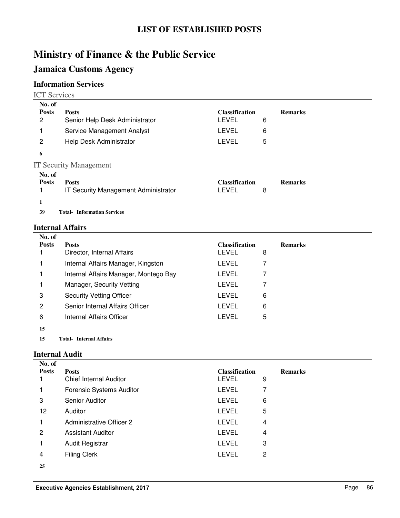## **Jamaica Customs Agency**

### **Information Services**

| CT Services |
|-------------|
|             |

| No. of       |                                      |                       |   |                |
|--------------|--------------------------------------|-----------------------|---|----------------|
| <b>Posts</b> | <b>Posts</b>                         | <b>Classification</b> |   | <b>Remarks</b> |
| 2            | Senior Help Desk Administrator       | LEVEL                 | 6 |                |
|              | Service Management Analyst           | LEVEL                 | 6 |                |
| 2            | Help Desk Administrator              | LEVEL                 | 5 |                |
| 6            |                                      |                       |   |                |
|              | <b>IT Security Management</b>        |                       |   |                |
| No. of       |                                      |                       |   |                |
| <b>Posts</b> | <b>Posts</b>                         | <b>Classification</b> |   | <b>Remarks</b> |
|              | IT Security Management Administrator | <b>LEVEL</b>          | 8 |                |
| 1            |                                      |                       |   |                |
| 39           | <b>Total- Information Services</b>   |                       |   |                |

### **Internal Affairs**

| No. of       |                                       |                       |   |                |
|--------------|---------------------------------------|-----------------------|---|----------------|
| <b>Posts</b> | <b>Posts</b>                          | <b>Classification</b> |   | <b>Remarks</b> |
|              | Director, Internal Affairs            | LEVEL                 | 8 |                |
|              | Internal Affairs Manager, Kingston    | LEVEL                 | 7 |                |
|              | Internal Affairs Manager, Montego Bay | LEVEL                 | 7 |                |
|              | Manager, Security Vetting             | <b>LEVEL</b>          | 7 |                |
| 3            | <b>Security Vetting Officer</b>       | LEVEL                 | 6 |                |
| 2            | Senior Internal Affairs Officer       | LEVEL                 | 6 |                |
| 6            | Internal Affairs Officer              | LEVEL                 | 5 |                |
| 15           |                                       |                       |   |                |

**15 Internal Affairs Total-**

#### **Internal Audit**

| No. of       |                                 |                       |   |                |
|--------------|---------------------------------|-----------------------|---|----------------|
| <b>Posts</b> | <b>Posts</b>                    | <b>Classification</b> |   | <b>Remarks</b> |
|              | <b>Chief Internal Auditor</b>   | <b>LEVEL</b>          | 9 |                |
|              | Forensic Systems Auditor        | <b>LEVEL</b>          |   |                |
| 3            | Senior Auditor                  | LEVEL                 | 6 |                |
| 12           | Auditor                         | <b>LEVEL</b>          | 5 |                |
|              | <b>Administrative Officer 2</b> | <b>LEVEL</b>          | 4 |                |
| 2            | <b>Assistant Auditor</b>        | <b>LEVEL</b>          | 4 |                |
|              | Audit Registrar                 | <b>LEVEL</b>          | 3 |                |
| 4            | <b>Filing Clerk</b>             | <b>LEVEL</b>          | 2 |                |
| 25           |                                 |                       |   |                |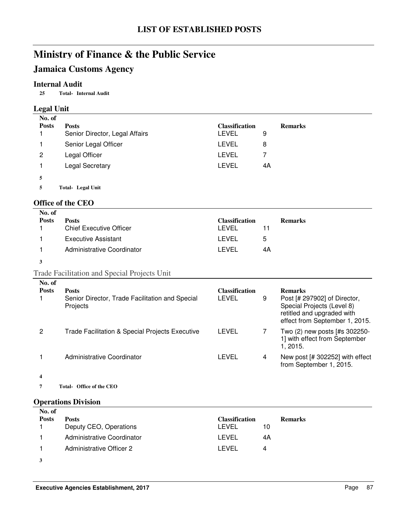## **Jamaica Customs Agency**

#### **Internal Audit**

**25 Internal Audit Total-**

### **Legal Unit**

| No. of       |                                |                       |    |                |
|--------------|--------------------------------|-----------------------|----|----------------|
| <b>Posts</b> | <b>Posts</b>                   | <b>Classification</b> |    | <b>Remarks</b> |
|              | Senior Director, Legal Affairs | LEVEL                 | 9  |                |
|              | Senior Legal Officer           | LEVEL                 | 8  |                |
| 2            | Legal Officer                  | LEVEL                 |    |                |
|              | Legal Secretary                | LEVEL                 | 4A |                |
| 5            |                                |                       |    |                |
|              | Total- Legal Unit              |                       |    |                |

#### **Office of the CEO**

| No. of       |                                |                       |                |
|--------------|--------------------------------|-----------------------|----------------|
| <b>Posts</b> | <b>Posts</b>                   | <b>Classification</b> | <b>Remarks</b> |
|              | <b>Chief Executive Officer</b> | LEVEL                 |                |
|              | <b>Executive Assistant</b>     | LEVEL                 | 5              |
|              | Administrative Coordinator     | LEVEL                 | 4A             |
|              |                                |                       |                |

## Trade Facilitation and Special Projects Unit

| No. of<br><b>Posts</b> | <b>Posts</b><br>Senior Director, Trade Facilitation and Special<br>Projects | <b>Classification</b><br>LEVEL | 9 | <b>Remarks</b><br>Post [# 297902] of Director,<br>Special Projects (Level 8)<br>retitled and upgraded with<br>effect from September 1, 2015. |
|------------------------|-----------------------------------------------------------------------------|--------------------------------|---|----------------------------------------------------------------------------------------------------------------------------------------------|
| 2                      | <b>Trade Facilitation &amp; Special Projects Executive</b>                  | LEVEL                          |   | Two (2) new posts [#s 302250-<br>1] with effect from September<br>1.2015.                                                                    |
|                        | Administrative Coordinator                                                  | LEVEL                          | 4 | New post [# 302252] with effect<br>from September 1, 2015.                                                                                   |
|                        |                                                                             |                                |   |                                                                                                                                              |

7 Total- Office of the CEO

### **Operations Division**

| No. of       |                            |                       |                |
|--------------|----------------------------|-----------------------|----------------|
| <b>Posts</b> | <b>Posts</b>               | <b>Classification</b> | <b>Remarks</b> |
|              | Deputy CEO, Operations     | LEVEL                 | 10             |
|              | Administrative Coordinator | I FVFI.               | 4Α             |
|              | Administrative Officer 2   | LEVEL                 | 4              |
|              |                            |                       |                |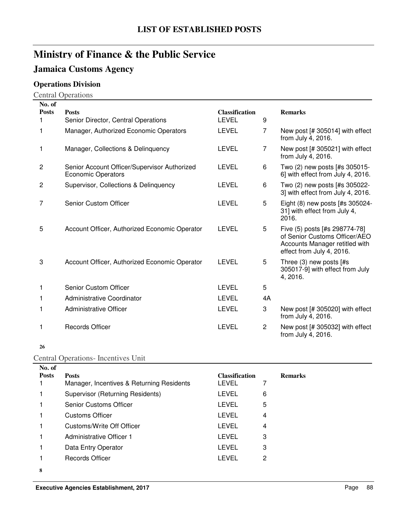## **Jamaica Customs Agency**

## **Operations Division**

Central Operations

| No. of       |                                                                           |                                       |                |                                                                                                                               |
|--------------|---------------------------------------------------------------------------|---------------------------------------|----------------|-------------------------------------------------------------------------------------------------------------------------------|
| <b>Posts</b> | <b>Posts</b><br>Senior Director, Central Operations                       | <b>Classification</b><br><b>LEVEL</b> | 9              | <b>Remarks</b>                                                                                                                |
|              |                                                                           |                                       |                |                                                                                                                               |
| 1            | Manager, Authorized Economic Operators                                    | <b>LEVEL</b>                          | 7              | New post $[# 305014]$ with effect<br>from July 4, 2016.                                                                       |
| 1            | Manager, Collections & Delinquency                                        | <b>LEVEL</b>                          | 7              | New post [# 305021] with effect<br>from July 4, 2016.                                                                         |
| 2            | Senior Account Officer/Supervisor Authorized<br><b>Economic Operators</b> | <b>LEVEL</b>                          | 6              | Two (2) new posts [#s 305015-<br>6] with effect from July 4, 2016.                                                            |
| 2            | Supervisor, Collections & Delinquency                                     | LEVEL                                 | 6              | Two (2) new posts [#s 305022-<br>3] with effect from July 4, 2016.                                                            |
| 7            | <b>Senior Custom Officer</b>                                              | <b>LEVEL</b>                          | 5              | Eight (8) new posts [#s 305024-<br>31] with effect from July 4,<br>2016.                                                      |
| 5            | Account Officer, Authorized Economic Operator                             | <b>LEVEL</b>                          | 5              | Five (5) posts [#s 298774-78]<br>of Senior Customs Officer/AEO<br>Accounts Manager retitled with<br>effect from July 4, 2016. |
| 3            | Account Officer, Authorized Economic Operator                             | <b>LEVEL</b>                          | 5              | Three $(3)$ new posts $[#s]$<br>305017-9] with effect from July<br>4, 2016.                                                   |
| 1            | <b>Senior Custom Officer</b>                                              | LEVEL                                 | 5              |                                                                                                                               |
| 1            | Administrative Coordinator                                                | <b>LEVEL</b>                          | 4A             |                                                                                                                               |
| 1            | Administrative Officer                                                    | <b>LEVEL</b>                          | 3              | New post $[# 305020]$ with effect<br>from July 4, 2016.                                                                       |
| 1            | <b>Records Officer</b>                                                    | <b>LEVEL</b>                          | $\overline{2}$ | New post [# 305032] with effect<br>from July 4, 2016.                                                                         |

#### **26**

### Central Operations- Incentives Unit

| No. of       |                                           |                       |   |                |
|--------------|-------------------------------------------|-----------------------|---|----------------|
| <b>Posts</b> | <b>Posts</b>                              | <b>Classification</b> |   | <b>Remarks</b> |
|              | Manager, Incentives & Returning Residents | LEVEL                 |   |                |
|              | Supervisor (Returning Residents)          | LEVEL                 | 6 |                |
|              | Senior Customs Officer                    | LEVEL                 | 5 |                |
|              | <b>Customs Officer</b>                    | <b>LEVEL</b>          | 4 |                |
|              | Customs/Write Off Officer                 | LEVEL                 | 4 |                |
|              | Administrative Officer 1                  | LEVEL                 | 3 |                |
|              | Data Entry Operator                       | <b>LEVEL</b>          | 3 |                |
|              | Records Officer                           | LEVEL                 | 2 |                |
| 8            |                                           |                       |   |                |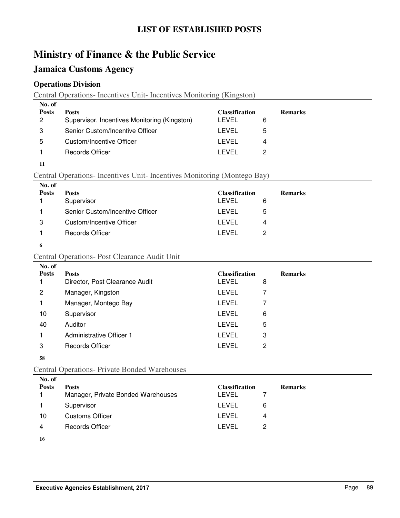## **Jamaica Customs Agency**

### **Operations Division**

Central Operations- Incentives Unit- Incentives Monitoring (Kingston)

| No. of<br><b>Posts</b><br>2 | <b>Posts</b><br>Supervisor, Incentives Monitoring (Kingston) | <b>Classification</b><br>I EVEL | <b>Remarks</b> |
|-----------------------------|--------------------------------------------------------------|---------------------------------|----------------|
| 3                           | Senior Custom/Incentive Officer                              | LEVEL                           | ٠h             |
| 5                           | Custom/Incentive Officer                                     | I FVFL                          | 4              |
|                             | Records Officer                                              | I FVFI.                         |                |

**11**

### Central Operations- Incentives Unit- Incentives Monitoring (Montego Bay)

| No. of<br><b>Posts</b> | <b>Posts</b><br>Supervisor      | <b>Classification</b><br>LEVEL | <b>Remarks</b><br>6 |
|------------------------|---------------------------------|--------------------------------|---------------------|
|                        | Senior Custom/Incentive Officer | LEVEL                          | 5                   |
| 3                      | Custom/Incentive Officer        | LEVEL                          | 4                   |
|                        | Records Officer                 | LEVEL                          | 2                   |
|                        |                                 |                                |                     |

**6**

#### Central Operations- Post Clearance Audit Unit **No. of**

| 140. QL      |                                |                       |   |                |
|--------------|--------------------------------|-----------------------|---|----------------|
| <b>Posts</b> | <b>Posts</b>                   | <b>Classification</b> |   | <b>Remarks</b> |
|              | Director, Post Clearance Audit | <b>LEVEL</b>          | 8 |                |
| 2            | Manager, Kingston              | <b>LEVEL</b>          |   |                |
|              | Manager, Montego Bay           | <b>LEVEL</b>          | 7 |                |
| 10           | Supervisor                     | <b>LEVEL</b>          | 6 |                |
| 40           | Auditor                        | <b>LEVEL</b>          | 5 |                |
|              | Administrative Officer 1       | LEVEL                 | 3 |                |
| 3            | <b>Records Officer</b>         | LEVEL                 | 2 |                |
|              |                                |                       |   |                |

#### **58**

### Central Operations- Private Bonded Warehouses

| No. of<br><b>Posts</b> | <b>Posts</b><br>Manager, Private Bonded Warehouses | <b>Classification</b><br>LEVEL | <b>Remarks</b> |
|------------------------|----------------------------------------------------|--------------------------------|----------------|
|                        | Supervisor                                         | LEVEL                          | 6              |
| 10                     | Customs Officer                                    | LEVEL                          | 4              |
| 4                      | Records Officer                                    | I FVFI.                        | 2              |
|                        |                                                    |                                |                |

**<sup>16</sup>**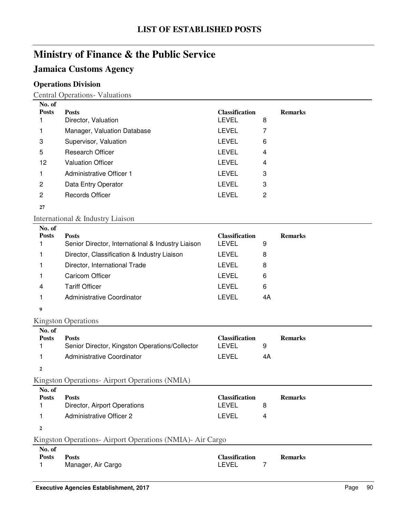## **Jamaica Customs Agency**

## **Operations Division**

Central Operations- Valuations

| No. of                 |                                                                   |                                       |    |                |
|------------------------|-------------------------------------------------------------------|---------------------------------------|----|----------------|
| <b>Posts</b><br>1      | <b>Posts</b><br>Director, Valuation                               | <b>Classification</b><br><b>LEVEL</b> | 8  | <b>Remarks</b> |
| 1                      | Manager, Valuation Database                                       | <b>LEVEL</b>                          | 7  |                |
| 3                      | Supervisor, Valuation                                             | <b>LEVEL</b>                          | 6  |                |
| 5                      | <b>Research Officer</b>                                           | <b>LEVEL</b>                          | 4  |                |
| 12                     | <b>Valuation Officer</b>                                          | <b>LEVEL</b>                          | 4  |                |
| 1.                     | <b>Administrative Officer 1</b>                                   | <b>LEVEL</b>                          | 3  |                |
| $\overline{c}$         | Data Entry Operator                                               | <b>LEVEL</b>                          | 3  |                |
| $\overline{c}$         | <b>Records Officer</b>                                            | <b>LEVEL</b>                          | 2  |                |
| 27                     |                                                                   |                                       |    |                |
|                        | International & Industry Liaison                                  |                                       |    |                |
| No. of                 |                                                                   |                                       |    |                |
| <b>Posts</b><br>1      | <b>Posts</b><br>Senior Director, International & Industry Liaison | <b>Classification</b><br><b>LEVEL</b> | 9  | <b>Remarks</b> |
| 1                      | Director, Classification & Industry Liaison                       | <b>LEVEL</b>                          | 8  |                |
| 1                      | Director, International Trade                                     | <b>LEVEL</b>                          | 8  |                |
| 1                      | <b>Caricom Officer</b>                                            | <b>LEVEL</b>                          | 6  |                |
| 4                      | <b>Tariff Officer</b>                                             | <b>LEVEL</b>                          | 6  |                |
| 1                      | Administrative Coordinator                                        | <b>LEVEL</b>                          | 4A |                |
|                        |                                                                   |                                       |    |                |
| 9                      |                                                                   |                                       |    |                |
|                        | <b>Kingston Operations</b>                                        |                                       |    |                |
| No. of<br><b>Posts</b> | <b>Posts</b>                                                      | <b>Classification</b>                 |    | <b>Remarks</b> |
| 1                      | Senior Director, Kingston Operations/Collector                    | <b>LEVEL</b>                          | 9  |                |
| 1                      | Administrative Coordinator                                        | <b>LEVEL</b>                          | 4A |                |
| $\mathbf{2}$           |                                                                   |                                       |    |                |
|                        | Kingston Operations-Airport Operations (NMIA)                     |                                       |    |                |
| No. of                 |                                                                   |                                       |    |                |
| <b>Posts</b><br>1      | <b>Posts</b><br>Director, Airport Operations                      | <b>Classification</b><br><b>LEVEL</b> | 8  | <b>Remarks</b> |
| 1                      | <b>Administrative Officer 2</b>                                   | <b>LEVEL</b>                          | 4  |                |
|                        |                                                                   |                                       |    |                |
| $\mathbf{2}$           |                                                                   |                                       |    |                |
| No. of                 | Kingston Operations- Airport Operations (NMIA)- Air Cargo         |                                       |    |                |
|                        |                                                                   |                                       |    |                |

| 130. VI      |                    |                       |                |  |
|--------------|--------------------|-----------------------|----------------|--|
| <b>Posts</b> | <b>Posts</b>       | <b>Classification</b> | <b>Remarks</b> |  |
|              | Manager, Air Cargo | LEVEL                 |                |  |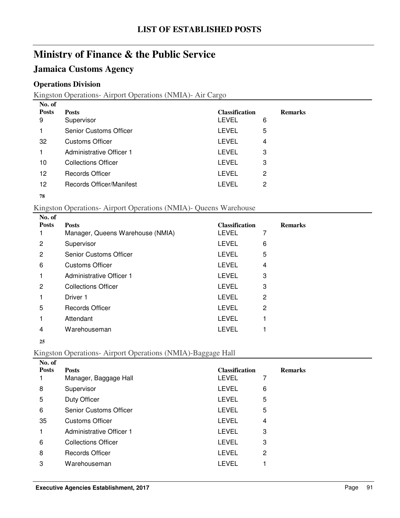## **Jamaica Customs Agency**

### **Operations Division**

Kingston Operations- Airport Operations (NMIA)- Air Cargo

| No. of       |                               |                       |   |                |
|--------------|-------------------------------|-----------------------|---|----------------|
| <b>Posts</b> | <b>Posts</b>                  | <b>Classification</b> |   | <b>Remarks</b> |
| 9            | Supervisor                    | <b>LEVEL</b>          | 6 |                |
|              | <b>Senior Customs Officer</b> | <b>LEVEL</b>          | 5 |                |
| 32           | <b>Customs Officer</b>        | <b>LEVEL</b>          | 4 |                |
|              | Administrative Officer 1      | LEVEL                 | 3 |                |
| 10           | <b>Collections Officer</b>    | <b>LEVEL</b>          | 3 |                |
| 12           | <b>Records Officer</b>        | LEVEL                 | 2 |                |
| 12           | Records Officer/Manifest      | LEVEL                 | 2 |                |
|              |                               |                       |   |                |

#### 

#### Kingston Operations- Airport Operations (NMIA)- Queens Warehouse

| <b>Remarks</b> |
|----------------|
|                |
|                |
|                |
|                |
|                |
|                |
|                |
|                |
|                |
|                |
|                |

#### 

### Kingston Operations- Airport Operations (NMIA)-Baggage Hall

| No. of       |                            |                       |   |                |
|--------------|----------------------------|-----------------------|---|----------------|
| <b>Posts</b> | <b>Posts</b>               | <b>Classification</b> |   | <b>Remarks</b> |
|              | Manager, Baggage Hall      | LEVEL                 | 7 |                |
| 8            | Supervisor                 | <b>LEVEL</b>          | 6 |                |
| 5            | Duty Officer               | LEVEL                 | 5 |                |
| 6            | Senior Customs Officer     | LEVEL                 | 5 |                |
| 35           | <b>Customs Officer</b>     | LEVEL                 | 4 |                |
|              | Administrative Officer 1   | LEVEL                 | 3 |                |
| 6            | <b>Collections Officer</b> | <b>LEVEL</b>          | 3 |                |
| 8            | <b>Records Officer</b>     | LEVEL                 | 2 |                |
| 3            | Warehouseman               | LEVEL                 |   |                |
|              |                            |                       |   |                |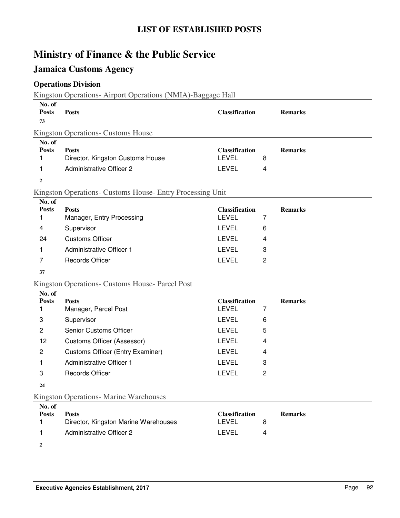## **Jamaica Customs Agency**

## **Operations Division**

Kingston Operations- Airport Operations (NMIA)-Baggage Hall

| No. of<br><b>Posts</b><br>73                           | <b>Posts</b>                                                                                                                                                                               | <b>Classification</b>                                                                                 |                                    | <b>Remarks</b> |
|--------------------------------------------------------|--------------------------------------------------------------------------------------------------------------------------------------------------------------------------------------------|-------------------------------------------------------------------------------------------------------|------------------------------------|----------------|
|                                                        | <b>Kingston Operations- Customs House</b>                                                                                                                                                  |                                                                                                       |                                    |                |
| No. of<br><b>Posts</b><br>1<br>1                       | <b>Posts</b><br>Director, Kingston Customs House<br><b>Administrative Officer 2</b>                                                                                                        | <b>Classification</b><br><b>LEVEL</b><br><b>LEVEL</b>                                                 | 8<br>4                             | <b>Remarks</b> |
| $\overline{2}$                                         |                                                                                                                                                                                            |                                                                                                       |                                    |                |
|                                                        | Kingston Operations- Customs House- Entry Processing Unit                                                                                                                                  |                                                                                                       |                                    |                |
| No. of<br><b>Posts</b><br>1<br>4<br>24<br>1<br>7<br>37 | <b>Posts</b><br>Manager, Entry Processing<br>Supervisor<br><b>Customs Officer</b><br>Administrative Officer 1<br><b>Records Officer</b><br>Kingston Operations- Customs House- Parcel Post | <b>Classification</b><br><b>LEVEL</b><br><b>LEVEL</b><br><b>LEVEL</b><br><b>LEVEL</b><br><b>LEVEL</b> | 7<br>6<br>4<br>3<br>$\overline{2}$ | <b>Remarks</b> |
| No. of                                                 |                                                                                                                                                                                            |                                                                                                       |                                    |                |
| <b>Posts</b>                                           | <b>Posts</b>                                                                                                                                                                               | <b>Classification</b>                                                                                 |                                    | <b>Remarks</b> |
| 1                                                      | Manager, Parcel Post                                                                                                                                                                       | <b>LEVEL</b><br><b>LEVEL</b>                                                                          | 7                                  |                |
| 3                                                      | Supervisor<br><b>Senior Customs Officer</b>                                                                                                                                                | <b>LEVEL</b>                                                                                          | 6                                  |                |
| $\overline{c}$                                         |                                                                                                                                                                                            | <b>LEVEL</b>                                                                                          | 5                                  |                |
| 12<br>$\mathbf{2}$                                     | Customs Officer (Assessor)                                                                                                                                                                 | <b>LEVEL</b>                                                                                          | 4<br>4                             |                |
|                                                        | <b>Customs Officer (Entry Examiner)</b><br><b>Administrative Officer 1</b>                                                                                                                 | <b>LEVEL</b>                                                                                          |                                    |                |
| 1<br>3                                                 | <b>Records Officer</b>                                                                                                                                                                     | <b>LEVEL</b>                                                                                          | 3<br>$\overline{c}$                |                |
| 24                                                     |                                                                                                                                                                                            |                                                                                                       |                                    |                |
|                                                        | Kingston Operations- Marine Warehouses                                                                                                                                                     |                                                                                                       |                                    |                |
| No. of                                                 |                                                                                                                                                                                            |                                                                                                       |                                    |                |
| <b>Posts</b><br>1                                      | <b>Posts</b><br>Director, Kingston Marine Warehouses                                                                                                                                       | <b>Classification</b><br><b>LEVEL</b>                                                                 | 8                                  | <b>Remarks</b> |
| 1                                                      | <b>Administrative Officer 2</b>                                                                                                                                                            | <b>LEVEL</b>                                                                                          | 4                                  |                |
| $\boldsymbol{2}$                                       |                                                                                                                                                                                            |                                                                                                       |                                    |                |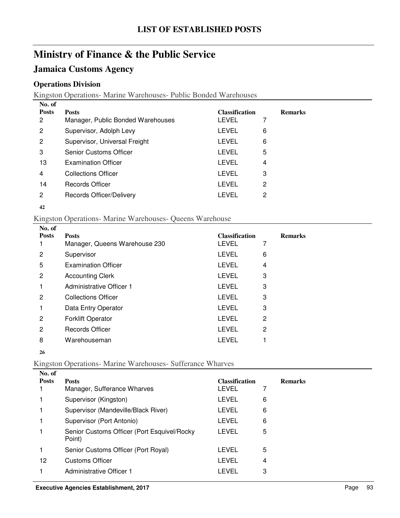## **Jamaica Customs Agency**

### **Operations Division**

Kingston Operations- Marine Warehouses- Public Bonded Warehouses

| No. of       |                                   |                       |   |                |
|--------------|-----------------------------------|-----------------------|---|----------------|
| <b>Posts</b> | <b>Posts</b>                      | <b>Classification</b> |   | <b>Remarks</b> |
| 2            | Manager, Public Bonded Warehouses | LEVEL                 | 7 |                |
| 2            | Supervisor, Adolph Levy           | LEVEL                 | 6 |                |
| 2            | Supervisor, Universal Freight     | LEVEL                 | 6 |                |
| 3            | <b>Senior Customs Officer</b>     | LEVEL                 | 5 |                |
| 13           | <b>Examination Officer</b>        | LEVEL                 | 4 |                |
| 4            | <b>Collections Officer</b>        | LEVEL                 | 3 |                |
| 14           | <b>Records Officer</b>            | LEVEL                 | 2 |                |
| 2            | Records Officer/Delivery          | LEVEL                 | 2 |                |
|              |                                   |                       |   |                |

#### Kingston Operations- Marine Warehouses- Queens Warehouse

| No. of       |                               |                       |                |                |
|--------------|-------------------------------|-----------------------|----------------|----------------|
| <b>Posts</b> | <b>Posts</b>                  | <b>Classification</b> |                | <b>Remarks</b> |
|              | Manager, Queens Warehouse 230 | <b>LEVEL</b>          | 7              |                |
| 2            | Supervisor                    | <b>LEVEL</b>          | 6              |                |
| 5            | <b>Examination Officer</b>    | <b>LEVEL</b>          | 4              |                |
| 2            | <b>Accounting Clerk</b>       | <b>LEVEL</b>          | 3              |                |
|              | Administrative Officer 1      | <b>LEVEL</b>          | 3              |                |
| 2            | <b>Collections Officer</b>    | <b>LEVEL</b>          | 3              |                |
|              | Data Entry Operator           | <b>LEVEL</b>          | 3              |                |
| 2            | <b>Forklift Operator</b>      | <b>LEVEL</b>          | 2              |                |
| 2            | <b>Records Officer</b>        | <b>LEVEL</b>          | $\overline{2}$ |                |
| 8            | Warehouseman                  | LEVEL                 |                |                |
|              |                               |                       |                |                |

## Kingston Operations- Marine Warehouses- Sufferance Wharves

| No. of       |                                                       |                       |   |                |
|--------------|-------------------------------------------------------|-----------------------|---|----------------|
| <b>Posts</b> | <b>Posts</b>                                          | <b>Classification</b> |   | <b>Remarks</b> |
|              | Manager, Sufferance Wharves                           | LEVEL                 |   |                |
|              | Supervisor (Kingston)                                 | LEVEL                 | 6 |                |
|              | Supervisor (Mandeville/Black River)                   | LEVEL                 | 6 |                |
|              | Supervisor (Port Antonio)                             | LEVEL                 | 6 |                |
|              | Senior Customs Officer (Port Esquivel/Rocky<br>Point) | LEVEL                 | 5 |                |
|              | Senior Customs Officer (Port Royal)                   | LEVEL                 | 5 |                |
| 12           | <b>Customs Officer</b>                                | LEVEL                 | 4 |                |
|              | Administrative Officer 1                              | LEVEL                 | 3 |                |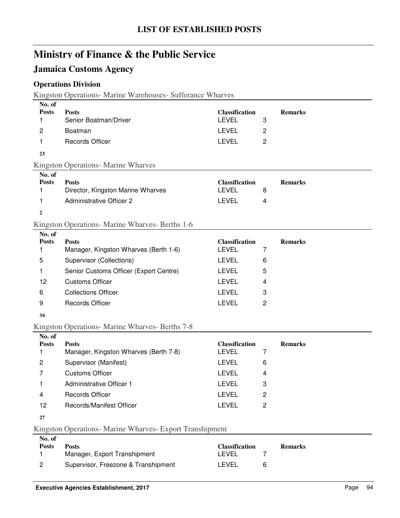## **Jamaica Customs Agency**

## **Operations Division**

Kingston Operations- Marine Warehouses- Sufferance Wharves

| No. of       |                                                 |                       |   |                |
|--------------|-------------------------------------------------|-----------------------|---|----------------|
| <b>Posts</b> | <b>Posts</b>                                    | <b>Classification</b> |   | <b>Remarks</b> |
| 1            | Senior Boatman/Driver                           | <b>LEVEL</b>          | 3 |                |
| 2            | Boatman                                         | <b>LEVEL</b>          | 2 |                |
| 1            | <b>Records Officer</b>                          | <b>LEVEL</b>          | 2 |                |
| 23           |                                                 |                       |   |                |
|              | <b>Kingston Operations- Marine Wharves</b>      |                       |   |                |
| No. of       |                                                 |                       |   |                |
| <b>Posts</b> | <b>Posts</b>                                    | <b>Classification</b> |   | <b>Remarks</b> |
| 1            | Director, Kingston Marine Wharves               | <b>LEVEL</b>          | 8 |                |
| 1            | <b>Administrative Officer 2</b>                 | <b>LEVEL</b>          | 4 |                |
| $\mathbf{2}$ |                                                 |                       |   |                |
|              | Kingston Operations- Marine Wharves- Berths 1-6 |                       |   |                |
| No. of       |                                                 |                       |   |                |
| <b>Posts</b> | <b>Posts</b>                                    | <b>Classification</b> |   | <b>Remarks</b> |
| 1            | Manager, Kingston Wharves (Berth 1-6)           | <b>LEVEL</b>          | 7 |                |
| 5            | Supervisor (Collections)                        | <b>LEVEL</b>          | 6 |                |
| 1            | Senior Customs Officer (Export Centre)          | <b>LEVEL</b>          | 5 |                |
| 12           | <b>Customs Officer</b>                          | <b>LEVEL</b>          | 4 |                |
| 6            | <b>Collections Officer</b>                      | <b>LEVEL</b>          | 3 |                |
| 9            | <b>Records Officer</b>                          | <b>LEVEL</b>          | 2 |                |
| 34           |                                                 |                       |   |                |
|              | Kingston Operations- Marine Wharves- Berths 7-8 |                       |   |                |
| No. of       |                                                 |                       |   |                |
| <b>Posts</b> | <b>Posts</b>                                    | <b>Classification</b> |   | <b>Remarks</b> |

| <b>Posts</b> | <b>Posts</b>                          | <b>Classification</b> |   | <b>Remarks</b> |
|--------------|---------------------------------------|-----------------------|---|----------------|
|              | Manager, Kingston Wharves (Berth 7-8) | LEVEL.                |   |                |
| 2            | Supervisor (Manifest)                 | LEVEL                 | 6 |                |
|              | Customs Officer                       | LEVEL                 | 4 |                |
|              | Administrative Officer 1              | LEVEL                 | 3 |                |
| 4            | Records Officer                       | LEVEL                 | 2 |                |
| 12           | <b>Records/Manifest Officer</b>       | I EVEL                |   |                |
|              |                                       |                       |   |                |

**27**

Kingston Operations- Marine Wharves- Export Transhipment

| No. of |                                     |                       |                |
|--------|-------------------------------------|-----------------------|----------------|
| Posts  | <b>Posts</b>                        | <b>Classification</b> | <b>Remarks</b> |
|        | Manager, Export Transhipment        | _FVEL                 |                |
|        | Supervisor, Freezone & Transhipment | LEVEL                 |                |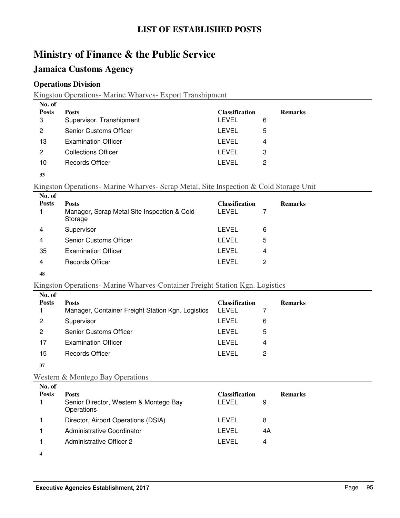## **Jamaica Customs Agency**

### **Operations Division**

Kingston Operations- Marine Wharves- Export Transhipment

| No. of<br><b>Posts</b><br>3<br>2 | <b>Posts</b><br>Supervisor, Transhipment<br>Senior Customs Officer | <b>Classification</b><br>LEVEL | 6      | <b>Remarks</b> |
|----------------------------------|--------------------------------------------------------------------|--------------------------------|--------|----------------|
| 13                               | <b>Examination Officer</b>                                         | <b>LEVEL</b><br>LEVEL          | 5<br>4 |                |
| 2<br>10                          | <b>Collections Officer</b><br><b>Records Officer</b>               | LEVEL<br>I FVFI                | З<br>2 |                |

#### **33**

### Kingston Operations- Marine Wharves- Scrap Metal, Site Inspection & Cold Storage Unit

| No. of       |                                                        |                       |   |                |
|--------------|--------------------------------------------------------|-----------------------|---|----------------|
| <b>Posts</b> | <b>Posts</b>                                           | <b>Classification</b> |   | <b>Remarks</b> |
|              | Manager, Scrap Metal Site Inspection & Cold<br>Storage | LEVEL                 |   |                |
| 4            | Supervisor                                             | LEVEL                 | 6 |                |
| 4            | <b>Senior Customs Officer</b>                          | LEVEL                 | 5 |                |
| 35           | <b>Examination Officer</b>                             | LEVEL                 | 4 |                |
| 4            | Records Officer                                        | I FVFI.               | 2 |                |
|              |                                                        |                       |   |                |

#### **48**

#### Kingston Operations- Marine Wharves-Container Freight Station Kgn. Logistics

| No. of       |                                                   |                       |   |                |
|--------------|---------------------------------------------------|-----------------------|---|----------------|
| <b>Posts</b> | <b>Posts</b>                                      | <b>Classification</b> |   | <b>Remarks</b> |
|              | Manager, Container Freight Station Kgn. Logistics | LEVEL                 |   |                |
| 2            | Supervisor                                        | LEVEL                 | 6 |                |
| 2            | <b>Senior Customs Officer</b>                     | LEVEL                 | 5 |                |
| 17           | <b>Examination Officer</b>                        | LEVEL                 | 4 |                |
| 15           | Records Officer                                   | LEVEL                 | 2 |                |
| 37           |                                                   |                       |   |                |

# Western & Montego Bay Operations

| No. of<br><b>Posts</b> | <b>Posts</b><br>Senior Director, Western & Montego Bay<br>Operations | <b>Classification</b><br>LEVEL | <b>Remarks</b><br>9 |
|------------------------|----------------------------------------------------------------------|--------------------------------|---------------------|
|                        | Director, Airport Operations (DSIA)                                  | LEVEL                          | 8                   |
|                        | Administrative Coordinator                                           | LEVEL                          | 4A                  |
|                        | Administrative Officer 2                                             | LEVEL                          | 4                   |
|                        |                                                                      |                                |                     |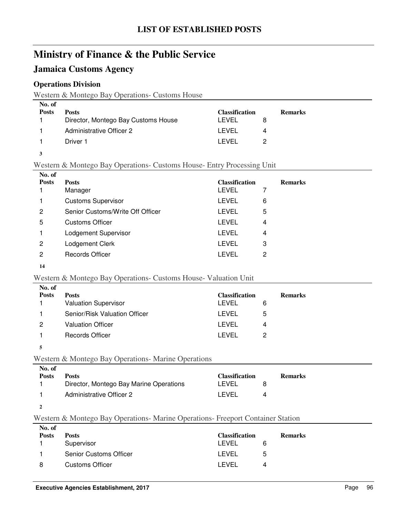## **Jamaica Customs Agency**

### **Operations Division**

Western & Montego Bay Operations- Customs House

| No. of       |                                     |                       |                |
|--------------|-------------------------------------|-----------------------|----------------|
| <b>Posts</b> | <b>Posts</b>                        | <b>Classification</b> | <b>Remarks</b> |
|              | Director, Montego Bay Customs House | LEVEL                 |                |
|              | <b>Administrative Officer 2</b>     | I EVEL                | 4              |
|              | Driver 1                            | I EVEL                |                |

#### **3**

Western & Montego Bay Operations- Customs House- Entry Processing Unit

| No. of       |                                  |                       |   |                |
|--------------|----------------------------------|-----------------------|---|----------------|
| <b>Posts</b> | <b>Posts</b>                     | <b>Classification</b> |   | <b>Remarks</b> |
|              | Manager                          | LEVEL                 |   |                |
| 1            | <b>Customs Supervisor</b>        | LEVEL                 | 6 |                |
| 2            | Senior Customs/Write Off Officer | LEVEL                 | 5 |                |
| 5            | <b>Customs Officer</b>           | LEVEL                 | 4 |                |
|              | Lodgement Supervisor             | LEVEL                 | 4 |                |
| 2            | Lodgement Clerk                  | LEVEL                 | 3 |                |
| 2            | <b>Records Officer</b>           | LEVEL                 | 2 |                |
|              |                                  |                       |   |                |

#### **14**

#### Western & Montego Bay Operations- Customs House- Valuation Unit

| <b>Posts</b><br><b>Classification</b><br><b>Posts</b><br><b>Remarks</b><br><b>Valuation Supervisor</b><br><b>LEVEL</b><br>6<br>Senior/Risk Valuation Officer<br>LEVEL<br>5<br><b>Valuation Officer</b><br>LEVEL<br>2<br>4<br><b>Records Officer</b><br>LEVEL<br>2 | No. of |  |  |
|-------------------------------------------------------------------------------------------------------------------------------------------------------------------------------------------------------------------------------------------------------------------|--------|--|--|
|                                                                                                                                                                                                                                                                   |        |  |  |
|                                                                                                                                                                                                                                                                   |        |  |  |
|                                                                                                                                                                                                                                                                   |        |  |  |
|                                                                                                                                                                                                                                                                   |        |  |  |
|                                                                                                                                                                                                                                                                   |        |  |  |

#### **5**

### Western & Montego Bay Operations- Marine Operations

| No. of       |                                         |                       |                |  |
|--------------|-----------------------------------------|-----------------------|----------------|--|
| <b>Posts</b> | <b>Posts</b>                            | <b>Classification</b> | <b>Remarks</b> |  |
|              | Director, Montego Bay Marine Operations | LEVEL                 |                |  |
|              | Administrative Officer 2                | FVFL                  | 4              |  |

**2**

### Western & Montego Bay Operations- Marine Operations- Freeport Container Station

| No. of       |                               |                       |    |                |
|--------------|-------------------------------|-----------------------|----|----------------|
| <b>Posts</b> | <b>Posts</b>                  | <b>Classification</b> |    | <b>Remarks</b> |
|              | Supervisor                    | I FVFI.               | 6  |                |
|              | <b>Senior Customs Officer</b> | I EVEL                | .5 |                |
| 8            | <b>Customs Officer</b>        | I EVEL                | 4  |                |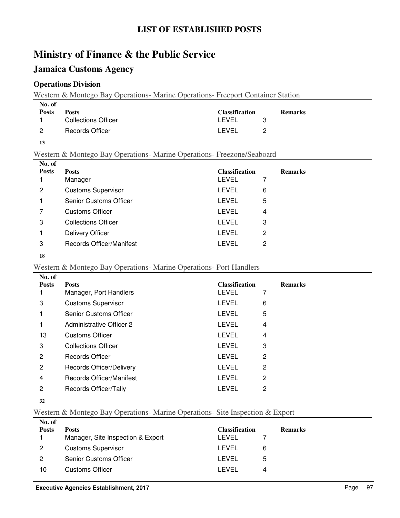## **Jamaica Customs Agency**

### **Operations Division**

Western & Montego Bay Operations- Marine Operations- Freeport Container Station

| No. of       |                     |                       |                |
|--------------|---------------------|-----------------------|----------------|
| <b>Posts</b> | <b>Posts</b>        | <b>Classification</b> | <b>Remarks</b> |
|              | Collections Officer | LEVEL                 |                |
| - 2          | Records Officer     | I EVEL                |                |

#### Western & Montego Bay Operations- Marine Operations- Freezone/Seaboard

| No. of       |                            |                       |   |                |
|--------------|----------------------------|-----------------------|---|----------------|
| <b>Posts</b> | <b>Posts</b>               | <b>Classification</b> |   | <b>Remarks</b> |
|              | Manager                    | LEVEL                 |   |                |
| 2            | <b>Customs Supervisor</b>  | LEVEL                 | 6 |                |
|              | Senior Customs Officer     | LEVEL                 | 5 |                |
| 7            | <b>Customs Officer</b>     | LEVEL                 | 4 |                |
| 3            | <b>Collections Officer</b> | LEVEL                 | 3 |                |
|              | <b>Delivery Officer</b>    | LEVEL                 | 2 |                |
| 3            | Records Officer/Manifest   | LEVEL                 | 2 |                |
|              |                            |                       |   |                |

#### 

#### Western & Montego Bay Operations- Marine Operations- Port Handlers

| No. of       |                                 |                       |   |                |
|--------------|---------------------------------|-----------------------|---|----------------|
| <b>Posts</b> | <b>Posts</b>                    | <b>Classification</b> |   | <b>Remarks</b> |
|              | Manager, Port Handlers          | LEVEL                 | 7 |                |
| 3            | <b>Customs Supervisor</b>       | LEVEL                 | 6 |                |
|              | Senior Customs Officer          | <b>LEVEL</b>          | 5 |                |
|              | <b>Administrative Officer 2</b> | LEVEL                 | 4 |                |
| 13           | <b>Customs Officer</b>          | <b>LEVEL</b>          | 4 |                |
| 3            | <b>Collections Officer</b>      | LEVEL                 | 3 |                |
| 2            | <b>Records Officer</b>          | LEVEL                 | 2 |                |
| 2            | Records Officer/Delivery        | LEVEL                 | 2 |                |
| 4            | Records Officer/Manifest        | <b>LEVEL</b>          | 2 |                |
| 2            | Records Officer/Tally           | LEVEL                 | 2 |                |
|              |                                 |                       |   |                |

## Western & Montego Bay Operations- Marine Operations- Site Inspection & Export

| No. of<br><b>Posts</b> | <b>Posts</b>                      | <b>Classification</b> |   | <b>Remarks</b> |
|------------------------|-----------------------------------|-----------------------|---|----------------|
|                        | Manager, Site Inspection & Export | LEVEL                 |   |                |
| 2                      | <b>Customs Supervisor</b>         | I EVEL                | 6 |                |
| 2                      | <b>Senior Customs Officer</b>     | I FVFI.               | ა |                |
| 10                     | Customs Officer                   | I EVEL                | 4 |                |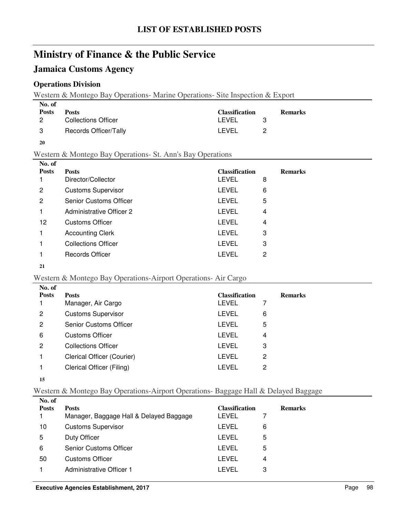## **Jamaica Customs Agency**

### **Operations Division**

Western & Montego Bay Operations- Marine Operations- Site Inspection & Export

| No. of        |                       |                       |                |
|---------------|-----------------------|-----------------------|----------------|
| <b>Posts</b>  | <b>Posts</b>          | <b>Classification</b> | <b>Remarks</b> |
| 2             | Collections Officer   | LEVEL                 |                |
| $\mathcal{B}$ | Records Officer/Tally | I EVEL                |                |

#### Western & Montego Bay Operations- St. Ann's Bay Operations

| No. of       |                               |                       |                |
|--------------|-------------------------------|-----------------------|----------------|
| <b>Posts</b> | <b>Posts</b>                  | <b>Classification</b> | <b>Remarks</b> |
|              | Director/Collector            | LEVEL                 | 8              |
| 2            | <b>Customs Supervisor</b>     | <b>LEVEL</b>          | 6              |
| 2            | <b>Senior Customs Officer</b> | <b>LEVEL</b>          | 5              |
|              | Administrative Officer 2      | LEVEL                 | 4              |
| 12           | Customs Officer               | <b>LEVEL</b>          | 4              |
|              | <b>Accounting Clerk</b>       | LEVEL                 | 3              |
|              | <b>Collections Officer</b>    | <b>LEVEL</b>          | 3              |
|              | <b>Records Officer</b>        | I EVEL                | 2              |
|              |                               |                       |                |

#### 

#### Western & Montego Bay Operations-Airport Operations- Air Cargo

| No. of       |                               |                       |   |                |
|--------------|-------------------------------|-----------------------|---|----------------|
| <b>Posts</b> | <b>Posts</b>                  | <b>Classification</b> |   | <b>Remarks</b> |
|              | Manager, Air Cargo            | LEVEL                 |   |                |
| 2            | <b>Customs Supervisor</b>     | LEVEL                 | 6 |                |
| 2            | <b>Senior Customs Officer</b> | LEVEL                 | 5 |                |
| 6            | <b>Customs Officer</b>        | LEVEL                 | 4 |                |
| 2            | <b>Collections Officer</b>    | LEVEL                 | 3 |                |
|              | Clerical Officer (Courier)    | <b>LEVEL</b>          | 2 |                |
|              | Clerical Officer (Filing)     | LEVEL                 | 2 |                |
|              |                               |                       |   |                |

#### 

### Western & Montego Bay Operations-Airport Operations- Baggage Hall & Delayed Baggage

| No. of       |                                         |                       |   |                |
|--------------|-----------------------------------------|-----------------------|---|----------------|
| <b>Posts</b> | <b>Posts</b>                            | <b>Classification</b> |   | <b>Remarks</b> |
|              | Manager, Baggage Hall & Delayed Baggage | LEVEL                 |   |                |
| 10           | <b>Customs Supervisor</b>               | LEVEL                 | 6 |                |
| 5            | Duty Officer                            | LEVEL                 | 5 |                |
| 6            | <b>Senior Customs Officer</b>           | LEVEL                 | 5 |                |
| 50           | <b>Customs Officer</b>                  | LEVEL                 | 4 |                |
|              | Administrative Officer 1                | I FVFI.               | 3 |                |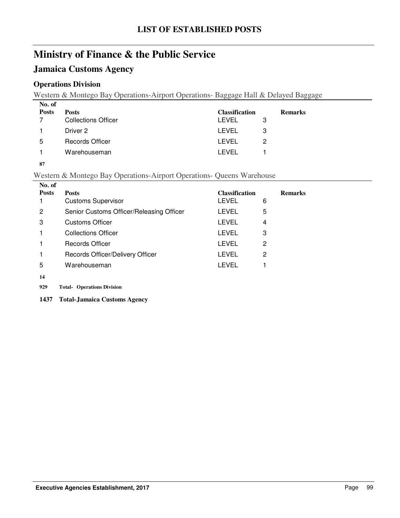## **Jamaica Customs Agency**

### **Operations Division**

Western & Montego Bay Operations-Airport Operations- Baggage Hall & Delayed Baggage

| No. of       |                            |                       |   |                |
|--------------|----------------------------|-----------------------|---|----------------|
| <b>Posts</b> | <b>Posts</b>               | <b>Classification</b> |   | <b>Remarks</b> |
|              | <b>Collections Officer</b> | LEVEL                 | З |                |
|              | Driver 2                   | LEVEL                 | 3 |                |
| 5            | Records Officer            | LEVEL                 | 2 |                |
|              | Warehouseman               | I FVFI.               |   |                |
|              |                            |                       |   |                |

**87**

### Western & Montego Bay Operations-Airport Operations- Queens Warehouse

| No. of       |                                          |                       |                |
|--------------|------------------------------------------|-----------------------|----------------|
| <b>Posts</b> | <b>Posts</b>                             | <b>Classification</b> | <b>Remarks</b> |
|              | <b>Customs Supervisor</b>                | LEVEL                 | 6              |
| 2            | Senior Customs Officer/Releasing Officer | <b>LEVEL</b>          | 5              |
| 3            | <b>Customs Officer</b>                   | <b>LEVEL</b>          | 4              |
|              | <b>Collections Officer</b>               | <b>LEVEL</b>          | 3              |
|              | Records Officer                          | <b>LEVEL</b>          | 2              |
|              | Records Officer/Delivery Officer         | <b>LEVEL</b>          | 2              |
| 5            | Warehouseman                             | LEVEL                 |                |
| 14           |                                          |                       |                |

- **929 Operations Division Total-**
- **1437 Total-Jamaica Customs Agency**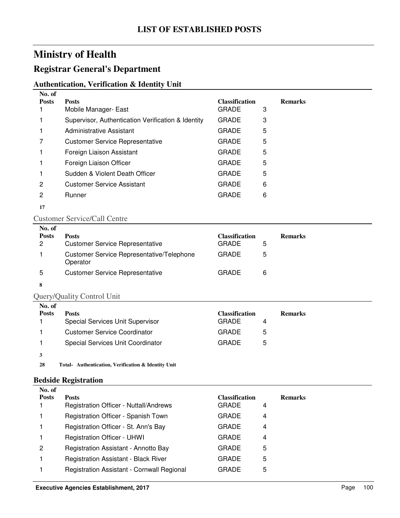## **Registrar General's Department**

### **Authentication, Verification & Identity Unit**

| No. of       |                                                    |                       |   |                |
|--------------|----------------------------------------------------|-----------------------|---|----------------|
| <b>Posts</b> | <b>Posts</b>                                       | <b>Classification</b> |   | <b>Remarks</b> |
|              | Mobile Manager- East                               | <b>GRADE</b>          | 3 |                |
|              | Supervisor, Authentication Verification & Identity | <b>GRADE</b>          | 3 |                |
|              | Administrative Assistant                           | <b>GRADE</b>          | 5 |                |
|              | <b>Customer Service Representative</b>             | <b>GRADE</b>          | 5 |                |
|              | Foreign Liaison Assistant                          | <b>GRADE</b>          | 5 |                |
|              | Foreign Liaison Officer                            | <b>GRADE</b>          | 5 |                |
|              | Sudden & Violent Death Officer                     | <b>GRADE</b>          | 5 |                |
| 2            | <b>Customer Service Assistant</b>                  | <b>GRADE</b>          | 6 |                |
| 2            | <b>Runner</b>                                      | <b>GRADE</b>          | 6 |                |
|              |                                                    |                       |   |                |

#### **17**

#### Customer Service/Call Centre

| No. of<br><b>Posts</b><br>2 | <b>Posts</b><br><b>Customer Service Representative</b>       | <b>Classification</b><br><b>GRADE</b> | <b>Remarks</b><br>5 |
|-----------------------------|--------------------------------------------------------------|---------------------------------------|---------------------|
|                             | <b>Customer Service Representative/Telephone</b><br>Operator | <b>GRADE</b>                          | 5                   |
| 5                           | <b>Customer Service Representative</b>                       | <b>GRADE</b>                          | 6                   |
| 8                           |                                                              |                                       |                     |

## Query/Quality Control Unit

| No. of       |                                     |                       |                |
|--------------|-------------------------------------|-----------------------|----------------|
| <b>Posts</b> | <b>Posts</b>                        | <b>Classification</b> | <b>Remarks</b> |
|              | Special Services Unit Supervisor    | <b>GRADE</b>          |                |
|              | <b>Customer Service Coordinator</b> | <b>GRADE</b><br>5     |                |
|              | Special Services Unit Coordinator   | <b>GRADE</b><br>5     |                |
|              |                                     |                       |                |

28 Total- Authentication, Verification & Identity Unit

#### **Bedside Registration**

| No. of         |                                             |                       |   |                |
|----------------|---------------------------------------------|-----------------------|---|----------------|
| <b>Posts</b>   | <b>Posts</b>                                | <b>Classification</b> |   | <b>Remarks</b> |
|                | Registration Officer - Nuttall/Andrews      | <b>GRADE</b>          | 4 |                |
|                | Registration Officer - Spanish Town         | <b>GRADE</b>          | 4 |                |
|                | Registration Officer - St. Ann's Bay        | <b>GRADE</b>          | 4 |                |
|                | <b>Registration Officer - UHWI</b>          | <b>GRADE</b>          | 4 |                |
| $\overline{2}$ | Registration Assistant - Annotto Bay        | <b>GRADE</b>          | 5 |                |
|                | <b>Registration Assistant - Black River</b> | GRADE                 | 5 |                |
|                | Registration Assistant - Cornwall Regional  | GRADE                 | 5 |                |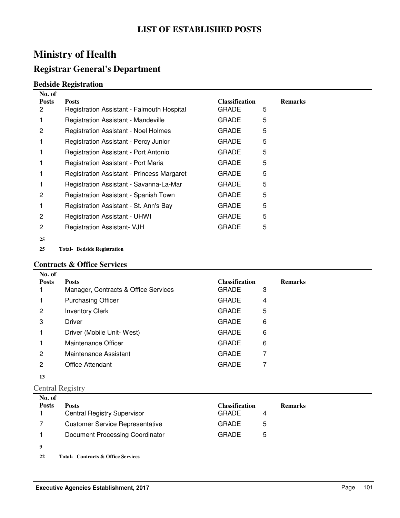## **Registrar General's Department**

### **Bedside Registration**

| No. of            |                                                            |                                       |   |                |
|-------------------|------------------------------------------------------------|---------------------------------------|---|----------------|
| <b>Posts</b><br>2 | <b>Posts</b><br>Registration Assistant - Falmouth Hospital | <b>Classification</b><br><b>GRADE</b> | 5 | <b>Remarks</b> |
|                   | <b>Registration Assistant - Mandeville</b>                 | <b>GRADE</b>                          | 5 |                |
| 2                 | <b>Registration Assistant - Noel Holmes</b>                | <b>GRADE</b>                          | 5 |                |
|                   | Registration Assistant - Percy Junior                      | <b>GRADE</b>                          | 5 |                |
|                   | Registration Assistant - Port Antonio                      | <b>GRADE</b>                          | 5 |                |
|                   | Registration Assistant - Port Maria                        | <b>GRADE</b>                          | 5 |                |
|                   | Registration Assistant - Princess Margaret                 | <b>GRADE</b>                          | 5 |                |
|                   | Registration Assistant - Savanna-La-Mar                    | <b>GRADE</b>                          | 5 |                |
| 2                 | Registration Assistant - Spanish Town                      | <b>GRADE</b>                          | 5 |                |
|                   | Registration Assistant - St. Ann's Bay                     | <b>GRADE</b>                          | 5 |                |
| 2                 | <b>Registration Assistant - UHWI</b>                       | <b>GRADE</b>                          | 5 |                |
| 2                 | <b>Registration Assistant- VJH</b>                         | <b>GRADE</b>                          | 5 |                |
| 25                |                                                            |                                       |   |                |
|                   |                                                            |                                       |   |                |

**25 Bedside Registration Total-**

#### **Contracts & Office Services**

| No. of       |                                      |                       |   |                |
|--------------|--------------------------------------|-----------------------|---|----------------|
| <b>Posts</b> | <b>Posts</b>                         | <b>Classification</b> |   | <b>Remarks</b> |
|              | Manager, Contracts & Office Services | <b>GRADE</b>          | 3 |                |
|              | <b>Purchasing Officer</b>            | <b>GRADE</b>          | 4 |                |
| 2            | <b>Inventory Clerk</b>               | <b>GRADE</b>          | 5 |                |
| 3            | <b>Driver</b>                        | <b>GRADE</b>          | 6 |                |
|              | Driver (Mobile Unit-West)            | <b>GRADE</b>          | 6 |                |
|              | Maintenance Officer                  | <b>GRADE</b>          | 6 |                |
| 2            | Maintenance Assistant                | <b>GRADE</b>          | 7 |                |
| 2            | Office Attendant                     | <b>GRADE</b>          | 7 |                |
| 13           |                                      |                       |   |                |

Central Registry

| No. of       |                                        |                       |   |                |
|--------------|----------------------------------------|-----------------------|---|----------------|
| <b>Posts</b> | <b>Posts</b>                           | <b>Classification</b> |   | <b>Remarks</b> |
|              | <b>Central Registry Supervisor</b>     | <b>GRADE</b>          | 4 |                |
|              | <b>Customer Service Representative</b> | <b>GRADE</b>          | 5 |                |
|              | Document Processing Coordinator        | <b>GRADE</b>          | 5 |                |
| 9            |                                        |                       |   |                |
|              |                                        |                       |   |                |

22 Total- Contracts & Office Services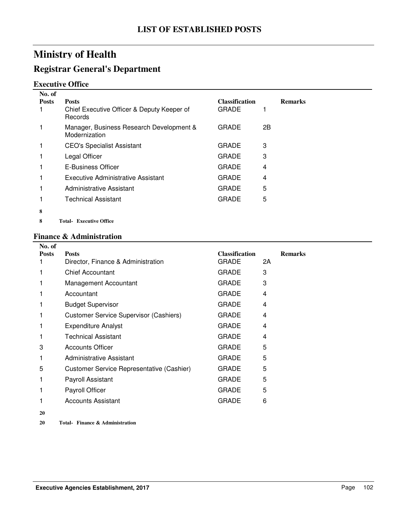## **Registrar General's Department**

### **Executive Office**

| No. of       |                                                                       |                                       |    |                |
|--------------|-----------------------------------------------------------------------|---------------------------------------|----|----------------|
| <b>Posts</b> | <b>Posts</b><br>Chief Executive Officer & Deputy Keeper of<br>Records | <b>Classification</b><br><b>GRADE</b> |    | <b>Remarks</b> |
|              | Manager, Business Research Development &<br>Modernization             | <b>GRADE</b>                          | 2B |                |
|              | <b>CEO's Specialist Assistant</b>                                     | <b>GRADE</b>                          | 3  |                |
|              | Legal Officer                                                         | <b>GRADE</b>                          | 3  |                |
|              | E-Business Officer                                                    | <b>GRADE</b>                          | 4  |                |
|              | <b>Executive Administrative Assistant</b>                             | <b>GRADE</b>                          | 4  |                |
|              | Administrative Assistant                                              | <b>GRADE</b>                          | 5  |                |
|              | <b>Technical Assistant</b>                                            | <b>GRADE</b>                          | 5  |                |
| 8            |                                                                       |                                       |    |                |
|              |                                                                       |                                       |    |                |

**8 Executive Office Total-**

#### **Finance & Administration**

| No. of       |                                               |                       |    |                |
|--------------|-----------------------------------------------|-----------------------|----|----------------|
| <b>Posts</b> | <b>Posts</b>                                  | <b>Classification</b> |    | <b>Remarks</b> |
|              | Director, Finance & Administration            | <b>GRADE</b>          | 2A |                |
|              | <b>Chief Accountant</b>                       | <b>GRADE</b>          | 3  |                |
|              | Management Accountant                         | <b>GRADE</b>          | 3  |                |
|              | Accountant                                    | <b>GRADE</b>          | 4  |                |
|              | <b>Budget Supervisor</b>                      | <b>GRADE</b>          | 4  |                |
|              | <b>Customer Service Supervisor (Cashiers)</b> | <b>GRADE</b>          | 4  |                |
|              | <b>Expenditure Analyst</b>                    | <b>GRADE</b>          | 4  |                |
|              | <b>Technical Assistant</b>                    | <b>GRADE</b>          | 4  |                |
| 3            | <b>Accounts Officer</b>                       | <b>GRADE</b>          | 5  |                |
|              | Administrative Assistant                      | <b>GRADE</b>          | 5  |                |
| 5            | Customer Service Representative (Cashier)     | <b>GRADE</b>          | 5  |                |
|              | Payroll Assistant                             | <b>GRADE</b>          | 5  |                |
|              | Payroll Officer                               | <b>GRADE</b>          | 5  |                |
|              | Accounts Assistant                            | <b>GRADE</b>          | 6  |                |
| 20           |                                               |                       |    |                |

20 Total- Finance & Administration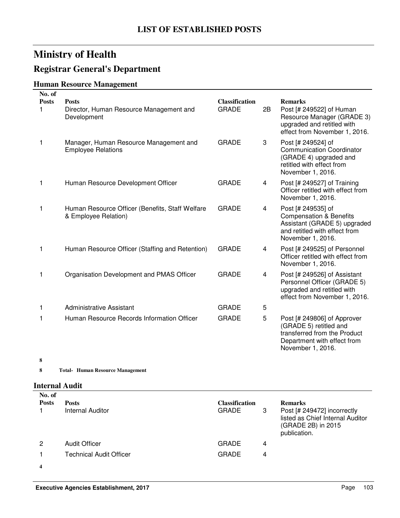## **Registrar General's Department**

## **Human Resource Management**

| No. of            |                                                                         |                                       |                |                                                                                                                                                |
|-------------------|-------------------------------------------------------------------------|---------------------------------------|----------------|------------------------------------------------------------------------------------------------------------------------------------------------|
| <b>Posts</b><br>1 | <b>Posts</b><br>Director, Human Resource Management and<br>Development  | <b>Classification</b><br><b>GRADE</b> | 2B             | <b>Remarks</b><br>Post [# 249522] of Human<br>Resource Manager (GRADE 3)<br>upgraded and retitled with<br>effect from November 1, 2016.        |
| 1                 | Manager, Human Resource Management and<br><b>Employee Relations</b>     | <b>GRADE</b>                          | 3              | Post [# 249524] of<br><b>Communication Coordinator</b><br>(GRADE 4) upgraded and<br>retitled with effect from<br>November 1, 2016.             |
| 1                 | Human Resource Development Officer                                      | <b>GRADE</b>                          | 4              | Post [# 249527] of Training<br>Officer retitled with effect from<br>November 1, 2016.                                                          |
| 1                 | Human Resource Officer (Benefits, Staff Welfare<br>& Employee Relation) | <b>GRADE</b>                          | 4              | Post [# 249535] of<br><b>Compensation &amp; Benefits</b><br>Assistant (GRADE 5) upgraded<br>and retitled with effect from<br>November 1, 2016. |
| 1                 | Human Resource Officer (Staffing and Retention)                         | <b>GRADE</b>                          | 4              | Post [# 249525] of Personnel<br>Officer retitled with effect from<br>November 1, 2016.                                                         |
| 1                 | Organisation Development and PMAS Officer                               | <b>GRADE</b>                          | $\overline{4}$ | Post [# 249526] of Assistant<br>Personnel Officer (GRADE 5)<br>upgraded and retitled with<br>effect from November 1, 2016.                     |
|                   | Administrative Assistant                                                | <b>GRADE</b>                          | 5              |                                                                                                                                                |
| 1                 | Human Resource Records Information Officer                              | <b>GRADE</b>                          | 5              | Post [# 249806] of Approver<br>(GRADE 5) retitled and<br>transferred from the Product<br>Department with effect from<br>November 1, 2016.      |
|                   |                                                                         |                                       |                |                                                                                                                                                |

**8**

**8 Human Resource Management Total-**

### **Internal Audit**

| No. of<br><b>Posts</b> | <b>Posts</b><br>Internal Auditor | <b>Classification</b><br><b>GRADE</b> | 3 | <b>Remarks</b><br>Post [# 249472] incorrectly<br>listed as Chief Internal Auditor<br>(GRADE 2B) in 2015<br>publication. |
|------------------------|----------------------------------|---------------------------------------|---|-------------------------------------------------------------------------------------------------------------------------|
| 2                      | <b>Audit Officer</b>             | <b>GRADE</b>                          | 4 |                                                                                                                         |
|                        | <b>Technical Audit Officer</b>   | <b>GRADE</b>                          | 4 |                                                                                                                         |
| 4                      |                                  |                                       |   |                                                                                                                         |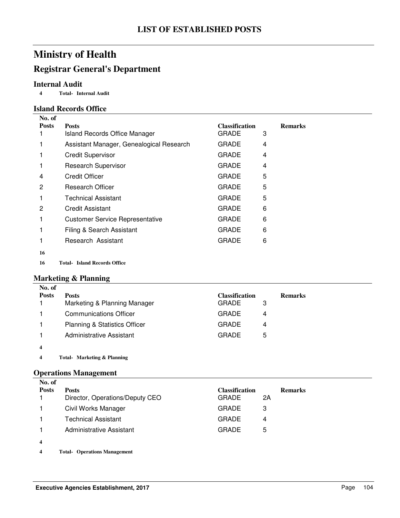## **Registrar General's Department**

### **Internal Audit**

**4 Internal Audit Total-**

#### **Island Records Office**

| <b>Posts</b><br><b>Classification</b><br><b>Remarks</b><br><b>Posts</b><br><b>GRADE</b><br>3<br><b>Island Records Office Manager</b><br>Assistant Manager, Genealogical Research<br><b>GRADE</b><br>4<br><b>GRADE</b><br><b>Credit Supervisor</b><br>4<br><b>GRADE</b><br><b>Research Supervisor</b><br>4<br>1<br><b>Credit Officer</b><br><b>GRADE</b><br>5<br>4<br>5<br><b>GRADE</b><br><b>Research Officer</b><br>2<br>5<br><b>Technical Assistant</b><br><b>GRADE</b><br><b>Credit Assistant</b><br><b>GRADE</b><br>6<br>2<br>6<br><b>Customer Service Representative</b><br>GRADE<br>1<br>Filing & Search Assistant<br><b>GRADE</b><br>6<br>Research Assistant<br><b>GRADE</b><br>6<br>16 | No. of |  |  |
|------------------------------------------------------------------------------------------------------------------------------------------------------------------------------------------------------------------------------------------------------------------------------------------------------------------------------------------------------------------------------------------------------------------------------------------------------------------------------------------------------------------------------------------------------------------------------------------------------------------------------------------------------------------------------------------------|--------|--|--|
|                                                                                                                                                                                                                                                                                                                                                                                                                                                                                                                                                                                                                                                                                                |        |  |  |
|                                                                                                                                                                                                                                                                                                                                                                                                                                                                                                                                                                                                                                                                                                |        |  |  |
|                                                                                                                                                                                                                                                                                                                                                                                                                                                                                                                                                                                                                                                                                                |        |  |  |
|                                                                                                                                                                                                                                                                                                                                                                                                                                                                                                                                                                                                                                                                                                |        |  |  |
|                                                                                                                                                                                                                                                                                                                                                                                                                                                                                                                                                                                                                                                                                                |        |  |  |
|                                                                                                                                                                                                                                                                                                                                                                                                                                                                                                                                                                                                                                                                                                |        |  |  |
|                                                                                                                                                                                                                                                                                                                                                                                                                                                                                                                                                                                                                                                                                                |        |  |  |
|                                                                                                                                                                                                                                                                                                                                                                                                                                                                                                                                                                                                                                                                                                |        |  |  |
|                                                                                                                                                                                                                                                                                                                                                                                                                                                                                                                                                                                                                                                                                                |        |  |  |
|                                                                                                                                                                                                                                                                                                                                                                                                                                                                                                                                                                                                                                                                                                |        |  |  |
|                                                                                                                                                                                                                                                                                                                                                                                                                                                                                                                                                                                                                                                                                                |        |  |  |
|                                                                                                                                                                                                                                                                                                                                                                                                                                                                                                                                                                                                                                                                                                |        |  |  |
|                                                                                                                                                                                                                                                                                                                                                                                                                                                                                                                                                                                                                                                                                                |        |  |  |

**16 Island Records Office Total-**

### **Marketing & Planning**

| No. of       |                                          |                       |                |
|--------------|------------------------------------------|-----------------------|----------------|
| <b>Posts</b> | <b>Posts</b>                             | <b>Classification</b> | <b>Remarks</b> |
|              | Marketing & Planning Manager             | <b>GRADE</b><br>3     |                |
|              | <b>Communications Officer</b>            | <b>GRADE</b><br>4     |                |
|              | <b>Planning &amp; Statistics Officer</b> | <b>GRADE</b><br>4     |                |
|              | Administrative Assistant                 | <b>GRADE</b><br>5     |                |
|              |                                          |                       |                |

**4 Marketing & Planning Total-**

#### **Operations Management**

| No. of<br><b>Posts</b>  | <b>Posts</b><br>Director, Operations/Deputy CEO | <b>Classification</b><br><b>GRADE</b> | 2A | <b>Remarks</b> |
|-------------------------|-------------------------------------------------|---------------------------------------|----|----------------|
|                         | Civil Works Manager                             | <b>GRADE</b>                          | З  |                |
|                         | <b>Technical Assistant</b>                      | <b>GRADE</b>                          | 4  |                |
|                         | Administrative Assistant                        | <b>GRADE</b>                          | 5  |                |
| $\overline{\mathbf{4}}$ |                                                 |                                       |    |                |

**4 Operations Management Total-**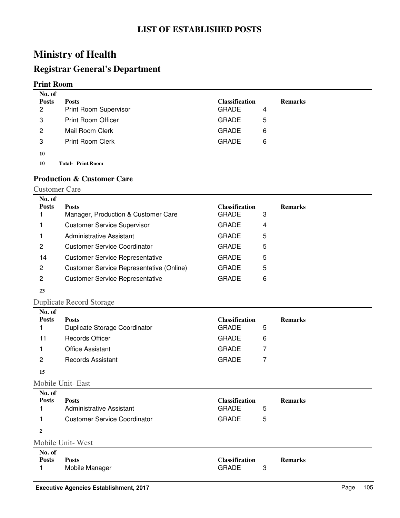## **Registrar General's Department**

#### **Print Room**

| No. of<br><b>Posts</b><br>2 | <b>Posts</b><br><b>Print Room Supervisor</b> | <b>Classification</b><br><b>GRADE</b> | 4 | <b>Remarks</b> |
|-----------------------------|----------------------------------------------|---------------------------------------|---|----------------|
| 3                           | <b>Print Room Officer</b>                    | <b>GRADE</b>                          | 5 |                |
| 2                           | Mail Room Clerk                              | <b>GRADE</b>                          | 6 |                |
| 3                           | <b>Print Room Clerk</b>                      | <b>GRADE</b>                          | 6 |                |
| 10                          |                                              |                                       |   |                |

10 Total-Print Room

#### **Production & Customer Care**

| <b>Customer Care</b> |  |
|----------------------|--|
|----------------------|--|

| No. of       |                                                 |                       |   |                |
|--------------|-------------------------------------------------|-----------------------|---|----------------|
| <b>Posts</b> | <b>Posts</b>                                    | <b>Classification</b> |   | <b>Remarks</b> |
|              | Manager, Production & Customer Care             | <b>GRADE</b>          | 3 |                |
|              | <b>Customer Service Supervisor</b>              | <b>GRADE</b>          | 4 |                |
|              | <b>Administrative Assistant</b>                 | <b>GRADE</b>          | 5 |                |
| 2            | <b>Customer Service Coordinator</b>             | <b>GRADE</b>          | 5 |                |
| 14           | <b>Customer Service Representative</b>          | <b>GRADE</b>          | 5 |                |
| 2            | <b>Customer Service Representative (Online)</b> | <b>GRADE</b>          | 5 |                |
| 2            | <b>Customer Service Representative</b>          | <b>GRADE</b>          | 6 |                |
| 23           |                                                 |                       |   |                |

## Duplicate Record Storage

| No. of<br><b>Posts</b> | <b>Posts</b><br>Duplicate Storage Coordinator | <b>Classification</b><br><b>GRADE</b> | 5 | <b>Remarks</b> |
|------------------------|-----------------------------------------------|---------------------------------------|---|----------------|
| 11                     | <b>Records Officer</b>                        | <b>GRADE</b>                          | 6 |                |
|                        | <b>Office Assistant</b>                       | <b>GRADE</b>                          |   |                |
| 2                      | <b>Records Assistant</b>                      | <b>GRADE</b>                          |   |                |
| 15                     |                                               |                                       |   |                |
|                        | <b>MAILLET</b>                                |                                       |   |                |

Mobile Unit- East

| No. of<br><b>Posts</b> | <b>Posts</b><br>Administrative Assistant | <b>Classification</b><br><b>GRADE</b><br>5 | <b>Remarks</b> |
|------------------------|------------------------------------------|--------------------------------------------|----------------|
|                        | <b>Customer Service Coordinator</b>      | <b>GRADE</b><br>5                          |                |
| $\mathbf{2}$           |                                          |                                            |                |
|                        | Mobile Unit-West                         |                                            |                |

| No. of       |                |                       |                |
|--------------|----------------|-----------------------|----------------|
| <b>Posts</b> | Posts          | <b>Classification</b> | <b>Remarks</b> |
|              | Mobile Manager | <b>GRADE</b>          |                |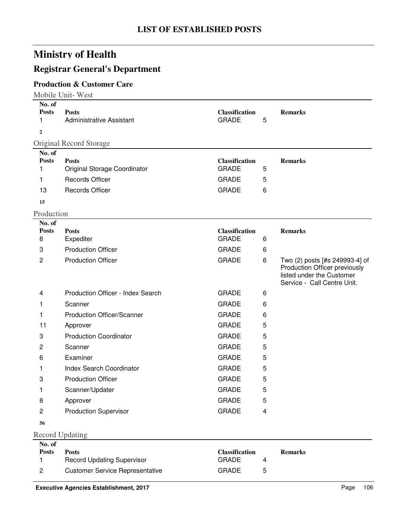# **Registrar General's Department**

### **Production & Customer Care**

Mobile Unit- West

| No. of<br><b>Posts</b><br>1 | <b>Posts</b><br>Administrative Assistant     | <b>Classification</b><br><b>GRADE</b> | 5 | <b>Remarks</b>                                                                                                              |
|-----------------------------|----------------------------------------------|---------------------------------------|---|-----------------------------------------------------------------------------------------------------------------------------|
| $\overline{2}$              |                                              |                                       |   |                                                                                                                             |
|                             | Original Record Storage                      |                                       |   |                                                                                                                             |
| No. of                      |                                              |                                       |   |                                                                                                                             |
| <b>Posts</b><br>1           | <b>Posts</b><br>Original Storage Coordinator | <b>Classification</b><br><b>GRADE</b> | 5 | <b>Remarks</b>                                                                                                              |
| 1                           | Records Officer                              | <b>GRADE</b>                          | 5 |                                                                                                                             |
| 13                          | <b>Records Officer</b>                       | <b>GRADE</b>                          | 6 |                                                                                                                             |
| 15                          |                                              |                                       |   |                                                                                                                             |
| Production                  |                                              |                                       |   |                                                                                                                             |
| No. of                      |                                              |                                       |   |                                                                                                                             |
| <b>Posts</b>                | <b>Posts</b>                                 | <b>Classification</b>                 |   | <b>Remarks</b>                                                                                                              |
| 8                           | Expediter                                    | <b>GRADE</b>                          | 6 |                                                                                                                             |
| 3                           | <b>Production Officer</b>                    | <b>GRADE</b>                          | 6 |                                                                                                                             |
| $\mathbf{2}$                | <b>Production Officer</b>                    | <b>GRADE</b>                          | 6 | Two (2) posts [#s 249993-4] of<br>Production Officer previously<br>listed under the Customer<br>Service - Call Centre Unit. |
| 4                           | Production Officer - Index Search            | <b>GRADE</b>                          | 6 |                                                                                                                             |
| 1.                          | Scanner                                      | <b>GRADE</b>                          | 6 |                                                                                                                             |
| 1                           | <b>Production Officer/Scanner</b>            | <b>GRADE</b>                          | 6 |                                                                                                                             |
| 11                          | Approver                                     | <b>GRADE</b>                          | 5 |                                                                                                                             |
| 3                           | <b>Production Coordinator</b>                | <b>GRADE</b>                          | 5 |                                                                                                                             |
| $\overline{2}$              | Scanner                                      | <b>GRADE</b>                          | 5 |                                                                                                                             |
| 6                           | Examiner                                     | <b>GRADE</b>                          | 5 |                                                                                                                             |
| 1                           | <b>Index Search Coordinator</b>              | <b>GRADE</b>                          | 5 |                                                                                                                             |
| 3                           | <b>Production Officer</b>                    | <b>GRADE</b>                          | 5 |                                                                                                                             |
| 1                           | Scanner/Updater                              | <b>GRADE</b>                          | 5 |                                                                                                                             |
| 8                           | Approver                                     | <b>GRADE</b>                          | 5 |                                                                                                                             |
| $\overline{c}$              | <b>Production Supervisor</b>                 | <b>GRADE</b>                          | 4 |                                                                                                                             |
| 56                          |                                              |                                       |   |                                                                                                                             |
| <b>Record Updating</b>      |                                              |                                       |   |                                                                                                                             |

| No. of       |                                        |                       |                |
|--------------|----------------------------------------|-----------------------|----------------|
| <b>Posts</b> | <b>Posts</b>                           | <b>Classification</b> | <b>Remarks</b> |
|              | <b>Record Updating Supervisor</b>      | <b>GRADE</b>          |                |
|              | <b>Customer Service Representative</b> | <b>GRADE</b><br>h     |                |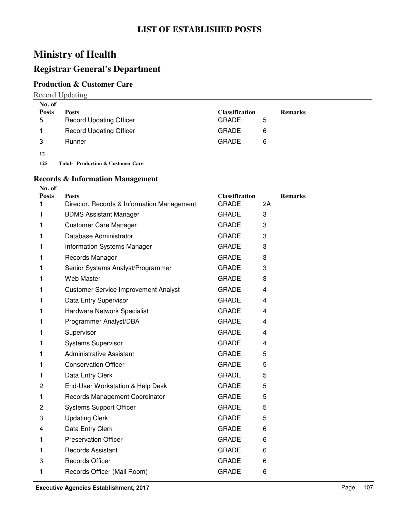### **Registrar General's Department**

#### **Production & Customer Care**

Record Updating

| No. of       |                                              |                       |                |
|--------------|----------------------------------------------|-----------------------|----------------|
| <b>Posts</b> | <b>Posts</b>                                 | <b>Classification</b> | <b>Remarks</b> |
| 5            | <b>Record Updating Officer</b>               | <b>GRADE</b><br>5     |                |
|              | <b>Record Updating Officer</b>               | <b>GRADE</b><br>6     |                |
| 3            | Runner                                       | <b>GRADE</b><br>6     |                |
| 12           |                                              |                       |                |
| 125          | <b>Total- Production &amp; Customer Care</b> |                       |                |

#### **Records & Information Management**

| No. of            |                                                            |                                       |    |                |
|-------------------|------------------------------------------------------------|---------------------------------------|----|----------------|
| <b>Posts</b><br>1 | <b>Posts</b><br>Director, Records & Information Management | <b>Classification</b><br><b>GRADE</b> | 2A | <b>Remarks</b> |
| 1                 | <b>BDMS Assistant Manager</b>                              | <b>GRADE</b>                          | 3  |                |
| 1                 | <b>Customer Care Manager</b>                               | <b>GRADE</b>                          | 3  |                |
| 1                 | Database Administrator                                     | <b>GRADE</b>                          | 3  |                |
| 1                 | <b>Information Systems Manager</b>                         | <b>GRADE</b>                          | 3  |                |
| 1                 | Records Manager                                            | <b>GRADE</b>                          | 3  |                |
| 1                 | Senior Systems Analyst/Programmer                          | <b>GRADE</b>                          | 3  |                |
| 1                 | <b>Web Master</b>                                          | <b>GRADE</b>                          | 3  |                |
| 1                 | <b>Customer Service Improvement Analyst</b>                | <b>GRADE</b>                          | 4  |                |
| 1                 | Data Entry Supervisor                                      | <b>GRADE</b>                          | 4  |                |
| 1                 | Hardware Network Specialist                                | <b>GRADE</b>                          | 4  |                |
| 1                 | Programmer Analyst/DBA                                     | <b>GRADE</b>                          | 4  |                |
| 1                 | Supervisor                                                 | <b>GRADE</b>                          | 4  |                |
| 1                 | <b>Systems Supervisor</b>                                  | <b>GRADE</b>                          | 4  |                |
| 1                 | <b>Administrative Assistant</b>                            | <b>GRADE</b>                          | 5  |                |
| 1                 | <b>Conservation Officer</b>                                | <b>GRADE</b>                          | 5  |                |
| 1                 | Data Entry Clerk                                           | <b>GRADE</b>                          | 5  |                |
| 2                 | End-User Workstation & Help Desk                           | <b>GRADE</b>                          | 5  |                |
| 1                 | Records Management Coordinator                             | <b>GRADE</b>                          | 5  |                |
| 2                 | <b>Systems Support Officer</b>                             | <b>GRADE</b>                          | 5  |                |
| 3                 | <b>Updating Clerk</b>                                      | <b>GRADE</b>                          | 5  |                |
| 4                 | Data Entry Clerk                                           | <b>GRADE</b>                          | 6  |                |
| 1                 | <b>Preservation Officer</b>                                | <b>GRADE</b>                          | 6  |                |
| 1                 | <b>Records Assistant</b>                                   | <b>GRADE</b>                          | 6  |                |
| 3                 | <b>Records Officer</b>                                     | <b>GRADE</b>                          | 6  |                |
| 1                 | Records Officer (Mail Room)                                | <b>GRADE</b>                          | 6  |                |
|                   |                                                            |                                       |    |                |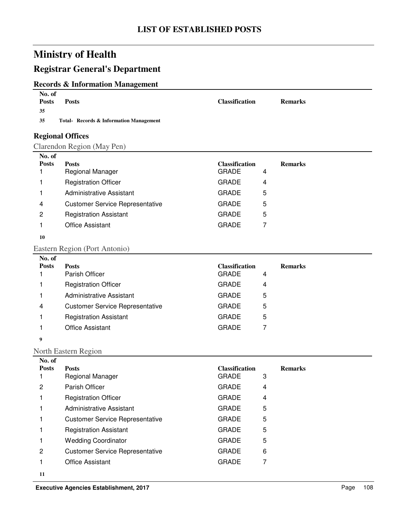# **Registrar General's Department**

### **Records & Information Management**

| No. of<br><b>Posts</b> | <b>Posts</b>                            | <b>Classification</b>                 |   | <b>Remarks</b> |
|------------------------|-----------------------------------------|---------------------------------------|---|----------------|
| 35                     |                                         |                                       |   |                |
| 35                     | Total- Records & Information Management |                                       |   |                |
|                        | <b>Regional Offices</b>                 |                                       |   |                |
|                        | Clarendon Region (May Pen)              |                                       |   |                |
| No. of                 |                                         |                                       |   |                |
| <b>Posts</b><br>1      | <b>Posts</b><br>Regional Manager        | <b>Classification</b><br><b>GRADE</b> | 4 | <b>Remarks</b> |
| 1                      | <b>Registration Officer</b>             | <b>GRADE</b>                          | 4 |                |
| 1                      | <b>Administrative Assistant</b>         | <b>GRADE</b>                          | 5 |                |
| 4                      | <b>Customer Service Representative</b>  | <b>GRADE</b>                          | 5 |                |
| 2                      | <b>Registration Assistant</b>           | <b>GRADE</b>                          | 5 |                |
| 1                      | <b>Office Assistant</b>                 | <b>GRADE</b>                          | 7 |                |
| 10                     |                                         |                                       |   |                |
|                        |                                         |                                       |   |                |
| No. of                 | Eastern Region (Port Antonio)           |                                       |   |                |
| <b>Posts</b>           | <b>Posts</b>                            | <b>Classification</b>                 |   | <b>Remarks</b> |
| 1                      | Parish Officer                          | <b>GRADE</b>                          | 4 |                |
| 1                      | <b>Registration Officer</b>             | <b>GRADE</b>                          | 4 |                |
| 1                      | <b>Administrative Assistant</b>         | <b>GRADE</b>                          | 5 |                |
| 4                      | <b>Customer Service Representative</b>  | <b>GRADE</b>                          | 5 |                |
| 1                      | <b>Registration Assistant</b>           | <b>GRADE</b>                          | 5 |                |
| 1                      | <b>Office Assistant</b>                 | <b>GRADE</b>                          | 7 |                |
| 9                      |                                         |                                       |   |                |
|                        | North Eastern Region                    |                                       |   |                |
| No. of                 |                                         |                                       |   |                |
| <b>Posts</b><br>1      | <b>Posts</b><br>Regional Manager        | <b>Classification</b><br><b>GRADE</b> | 3 | <b>Remarks</b> |
| 2                      | Parish Officer                          | GRADE                                 | 4 |                |
| 1                      | <b>Registration Officer</b>             | <b>GRADE</b>                          | 4 |                |
|                        |                                         |                                       |   |                |
| 1                      | <b>Administrative Assistant</b>         | <b>GRADE</b>                          | 5 |                |
| 1                      | <b>Customer Service Representative</b>  | <b>GRADE</b>                          | 5 |                |
| 1                      | <b>Registration Assistant</b>           | <b>GRADE</b>                          | 5 |                |
| 1                      | <b>Wedding Coordinator</b>              | <b>GRADE</b>                          | 5 |                |
| 2                      | <b>Customer Service Representative</b>  | <b>GRADE</b>                          | 6 |                |
| 1                      | <b>Office Assistant</b>                 | <b>GRADE</b>                          | 7 |                |

**<sup>11</sup>**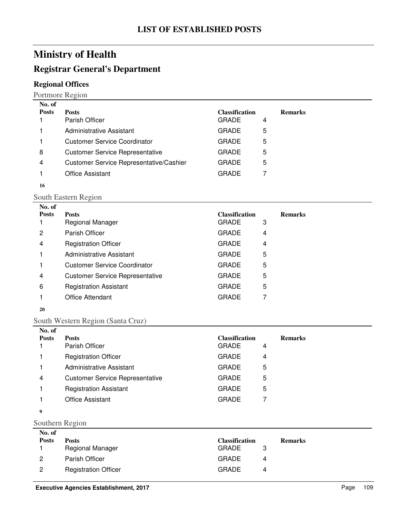### **Registrar General's Department**

### **Regional Offices**

Portmore Region

| No. of       |                                         |                       |                |
|--------------|-----------------------------------------|-----------------------|----------------|
| <b>Posts</b> | <b>Posts</b>                            | <b>Classification</b> | <b>Remarks</b> |
|              | Parish Officer                          | <b>GRADE</b><br>4     |                |
|              | Administrative Assistant                | <b>GRADE</b><br>5     |                |
|              | <b>Customer Service Coordinator</b>     | <b>GRADE</b><br>5     |                |
| 8            | <b>Customer Service Representative</b>  | <b>GRADE</b><br>5     |                |
| 4            | Customer Service Representative/Cashier | 5<br><b>GRADE</b>     |                |
|              | <b>Office Assistant</b>                 | <b>GRADE</b>          |                |
| 16           |                                         |                       |                |

#### South Eastern Region

| No. of       |                                        |                       |   |                |
|--------------|----------------------------------------|-----------------------|---|----------------|
| <b>Posts</b> | <b>Posts</b>                           | <b>Classification</b> |   | <b>Remarks</b> |
|              | Regional Manager                       | <b>GRADE</b>          | 3 |                |
| 2            | Parish Officer                         | <b>GRADE</b>          | 4 |                |
| 4            | <b>Registration Officer</b>            | <b>GRADE</b>          | 4 |                |
|              | Administrative Assistant               | <b>GRADE</b>          | 5 |                |
|              | <b>Customer Service Coordinator</b>    | <b>GRADE</b>          | 5 |                |
| 4            | <b>Customer Service Representative</b> | <b>GRADE</b>          | 5 |                |
| 6            | <b>Registration Assistant</b>          | <b>GRADE</b>          | 5 |                |
|              | <b>Office Attendant</b>                | <b>GRADE</b>          | 7 |                |
|              |                                        |                       |   |                |

#### 

### South Western Region (Santa Cruz)

| No. of       |                                        |                       |   |                |
|--------------|----------------------------------------|-----------------------|---|----------------|
| <b>Posts</b> | <b>Posts</b>                           | <b>Classification</b> |   | <b>Remarks</b> |
|              | Parish Officer                         | <b>GRADE</b>          | 4 |                |
|              | <b>Registration Officer</b>            | <b>GRADE</b>          | 4 |                |
|              | Administrative Assistant               | <b>GRADE</b>          | 5 |                |
| 4            | <b>Customer Service Representative</b> | <b>GRADE</b>          | 5 |                |
|              | <b>Registration Assistant</b>          | <b>GRADE</b>          | 5 |                |
|              | <b>Office Assistant</b>                | <b>GRADE</b>          |   |                |

#### Southern Region

| No. of         |                             |                       |   |                |
|----------------|-----------------------------|-----------------------|---|----------------|
| <b>Posts</b>   | <b>Posts</b>                | <b>Classification</b> |   | <b>Remarks</b> |
|                | <b>Regional Manager</b>     | <b>GRADE</b>          |   |                |
| 2              | Parish Officer              | <b>GRADE</b>          | 4 |                |
| $\overline{2}$ | <b>Registration Officer</b> | <b>GRADE</b>          | 4 |                |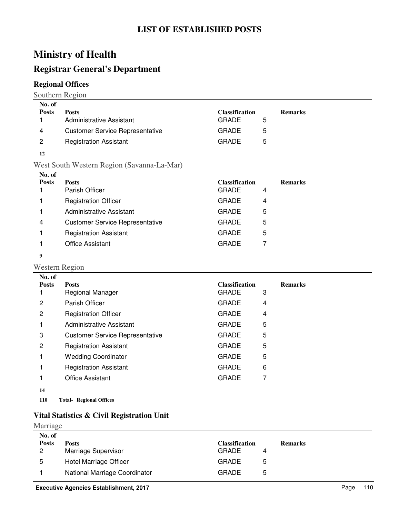### **Registrar General's Department**

### **Regional Offices**

Southern Region

| No. of       |                                        |                       |                |
|--------------|----------------------------------------|-----------------------|----------------|
| <b>Posts</b> | <b>Posts</b>                           | <b>Classification</b> | <b>Remarks</b> |
|              | <b>Administrative Assistant</b>        | <b>GRADE</b>          | 5              |
| 4            | <b>Customer Service Representative</b> | <b>GRADE</b>          | 5              |
| 2            | <b>Registration Assistant</b>          | <b>GRADE</b>          | 5              |
|              |                                        |                       |                |

**12**

#### West South Western Region (Savanna-La-Mar)

| No. of       |                                        |                       |   |                |
|--------------|----------------------------------------|-----------------------|---|----------------|
| <b>Posts</b> | <b>Posts</b>                           | <b>Classification</b> |   | <b>Remarks</b> |
|              | Parish Officer                         | <b>GRADE</b>          | 4 |                |
|              | <b>Registration Officer</b>            | <b>GRADE</b>          | 4 |                |
|              | Administrative Assistant               | <b>GRADE</b>          | 5 |                |
| 4            | <b>Customer Service Representative</b> | <b>GRADE</b>          | 5 |                |
|              | <b>Registration Assistant</b>          | <b>GRADE</b>          | 5 |                |
|              | <b>Office Assistant</b>                | <b>GRADE</b>          |   |                |
|              |                                        |                       |   |                |

**9**

#### Western Region

| No. of       |                                        |                       |   |                |
|--------------|----------------------------------------|-----------------------|---|----------------|
| <b>Posts</b> | <b>Posts</b>                           | <b>Classification</b> |   | <b>Remarks</b> |
|              | <b>Regional Manager</b>                | <b>GRADE</b>          | 3 |                |
| 2            | Parish Officer                         | <b>GRADE</b>          | 4 |                |
| 2            | <b>Registration Officer</b>            | <b>GRADE</b>          | 4 |                |
|              | <b>Administrative Assistant</b>        | <b>GRADE</b>          | 5 |                |
| 3            | <b>Customer Service Representative</b> | <b>GRADE</b>          | 5 |                |
| 2            | <b>Registration Assistant</b>          | <b>GRADE</b>          | 5 |                |
|              | <b>Wedding Coordinator</b>             | <b>GRADE</b>          | 5 |                |
|              | <b>Registration Assistant</b>          | <b>GRADE</b>          | 6 |                |
|              | <b>Office Assistant</b>                | <b>GRADE</b>          | 7 |                |
| 14           |                                        |                       |   |                |
|              |                                        |                       |   |                |

### **110 Regional Offices Total-**

### **Vital Statistics & Civil Registration Unit**

#### Marriage

| <b>Posts</b><br><b>Classification</b><br>Posts<br><b>Remarks</b><br>Marriage Supervisor<br><b>GRADE</b><br>2<br>Hotel Marriage Officer<br><b>GRADE</b><br>5<br>5<br>National Marriage Coordinator<br><b>GRADE</b><br>5 | No. of |  |  |
|------------------------------------------------------------------------------------------------------------------------------------------------------------------------------------------------------------------------|--------|--|--|
|                                                                                                                                                                                                                        |        |  |  |
|                                                                                                                                                                                                                        |        |  |  |
|                                                                                                                                                                                                                        |        |  |  |
|                                                                                                                                                                                                                        |        |  |  |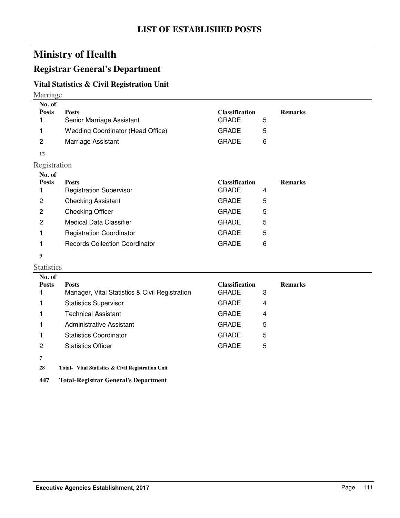### **Registrar General's Department**

### **Vital Statistics & Civil Registration Unit**

#### Marriage

| No. of       |                                          |                       |                |
|--------------|------------------------------------------|-----------------------|----------------|
| <b>Posts</b> | <b>Posts</b>                             | <b>Classification</b> | <b>Remarks</b> |
|              | Senior Marriage Assistant                | <b>GRADE</b><br>5     |                |
|              | <b>Wedding Coordinator (Head Office)</b> | <b>GRADE</b><br>5     |                |
| 2            | Marriage Assistant                       | <b>GRADE</b><br>6     |                |
| 12           |                                          |                       |                |

Registration

| No. of       |                                 |                       |   |                |
|--------------|---------------------------------|-----------------------|---|----------------|
| <b>Posts</b> | <b>Posts</b>                    | <b>Classification</b> |   | <b>Remarks</b> |
|              | <b>Registration Supervisor</b>  | <b>GRADE</b>          | 4 |                |
| 2            | <b>Checking Assistant</b>       | <b>GRADE</b>          | 5 |                |
| 2            | <b>Checking Officer</b>         | <b>GRADE</b>          | 5 |                |
| 2            | <b>Medical Data Classifier</b>  | <b>GRADE</b>          | 5 |                |
|              | <b>Registration Coordinator</b> | <b>GRADE</b>          | 5 |                |
|              | Records Collection Coordinator  | GRADE                 | 6 |                |
|              |                                 |                       |   |                |

#### **9**

#### Statistics

| No. of       |                                                |                       |                |
|--------------|------------------------------------------------|-----------------------|----------------|
| <b>Posts</b> | <b>Posts</b>                                   | <b>Classification</b> | <b>Remarks</b> |
|              | Manager, Vital Statistics & Civil Registration | <b>GRADE</b>          | 3              |
|              | <b>Statistics Supervisor</b>                   | <b>GRADE</b>          | 4              |
|              | <b>Technical Assistant</b>                     | <b>GRADE</b>          | 4              |
|              | Administrative Assistant                       | <b>GRADE</b>          | 5              |
|              | <b>Statistics Coordinator</b>                  | <b>GRADE</b>          | 5              |
| 2            | <b>Statistics Officer</b>                      | <b>GRADE</b>          | 5              |
|              |                                                |                       |                |

**7**

28 Total- Vital Statistics & Civil Registration Unit

**447 Total-Registrar General's Department**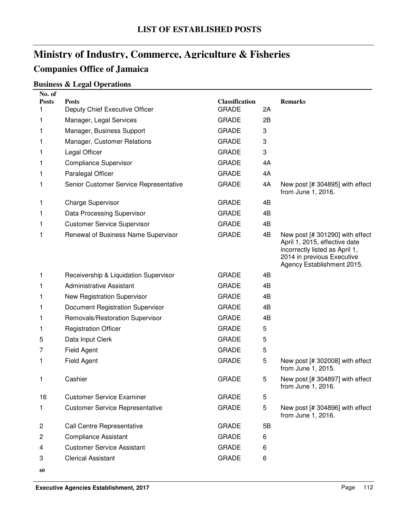# **Ministry of Industry, Commerce, Agriculture & Fisheries Companies Office of Jamaica**

### **Business & Legal Operations**

| No. of<br><b>Posts</b> | <b>Posts</b>                           | <b>Classification</b> |    | <b>Remarks</b>                                                                                                                                                 |
|------------------------|----------------------------------------|-----------------------|----|----------------------------------------------------------------------------------------------------------------------------------------------------------------|
| 1.                     | Deputy Chief Executive Officer         | <b>GRADE</b>          | 2A |                                                                                                                                                                |
| 1                      | Manager, Legal Services                | <b>GRADE</b>          | 2B |                                                                                                                                                                |
| 1                      | Manager, Business Support              | <b>GRADE</b>          | 3  |                                                                                                                                                                |
| 1                      | Manager, Customer Relations            | <b>GRADE</b>          | 3  |                                                                                                                                                                |
| 1                      | Legal Officer                          | <b>GRADE</b>          | 3  |                                                                                                                                                                |
| 1                      | <b>Compliance Supervisor</b>           | <b>GRADE</b>          | 4A |                                                                                                                                                                |
| 1                      | Paralegal Officer                      | <b>GRADE</b>          | 4A |                                                                                                                                                                |
| 1                      | Senior Customer Service Representative | <b>GRADE</b>          | 4A | New post [# 304895] with effect<br>from June 1, 2016.                                                                                                          |
| 1                      | <b>Charge Supervisor</b>               | <b>GRADE</b>          | 4B |                                                                                                                                                                |
| 1                      | Data Processing Supervisor             | <b>GRADE</b>          | 4B |                                                                                                                                                                |
| 1                      | <b>Customer Service Supervisor</b>     | <b>GRADE</b>          | 4B |                                                                                                                                                                |
| 1                      | Renewal of Business Name Supervisor    | <b>GRADE</b>          | 4B | New post [# 301290] with effect<br>April 1, 2015, effective date<br>incorrectly listed as April 1,<br>2014 in previous Executive<br>Agency Establishment 2015. |
| 1                      | Receivership & Liquidation Supervisor  | <b>GRADE</b>          | 4B |                                                                                                                                                                |
| 1                      | <b>Administrative Assistant</b>        | <b>GRADE</b>          | 4B |                                                                                                                                                                |
| 1                      | New Registration Supervisor            | <b>GRADE</b>          | 4B |                                                                                                                                                                |
| 1                      | Document Registration Supervisor       | <b>GRADE</b>          | 4B |                                                                                                                                                                |
| 1                      | Removals/Restoration Supervisor        | <b>GRADE</b>          | 4B |                                                                                                                                                                |
| 1.                     | <b>Registration Officer</b>            | <b>GRADE</b>          | 5  |                                                                                                                                                                |
| 5                      | Data Input Clerk                       | <b>GRADE</b>          | 5  |                                                                                                                                                                |
| 7                      | Field Agent                            | <b>GRADE</b>          | 5  |                                                                                                                                                                |
| 1.                     | Field Agent                            | <b>GRADE</b>          | 5  | New post [# 302008] with effect<br>from June 1, 2015.                                                                                                          |
| 1                      | Cashier                                | <b>GRADE</b>          | 5  | New post [# 304897] with effect<br>from June 1, 2016.                                                                                                          |
| 16                     | <b>Customer Service Examiner</b>       | <b>GRADE</b>          | 5  |                                                                                                                                                                |
| 1.                     | <b>Customer Service Representative</b> | <b>GRADE</b>          | 5  | New post [# 304896] with effect<br>from June 1, 2016.                                                                                                          |
| 2                      | <b>Call Centre Representative</b>      | <b>GRADE</b>          | 5B |                                                                                                                                                                |
| 2                      | <b>Compliance Assistant</b>            | <b>GRADE</b>          | 6  |                                                                                                                                                                |
| 4                      | <b>Customer Service Assistant</b>      | <b>GRADE</b>          | 6  |                                                                                                                                                                |
| 3                      | <b>Clerical Assistant</b>              | <b>GRADE</b>          | 6  |                                                                                                                                                                |
| 60                     |                                        |                       |    |                                                                                                                                                                |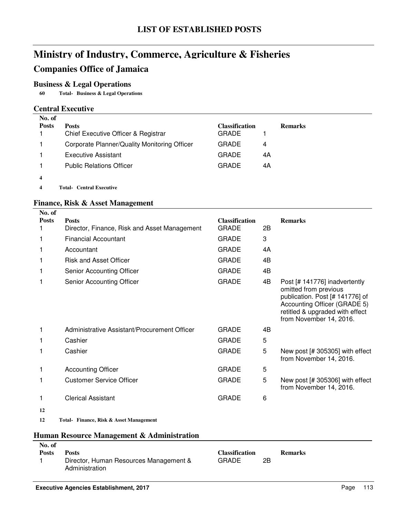# **Ministry of Industry, Commerce, Agriculture & Fisheries Companies Office of Jamaica**

### **Business & Legal Operations**

**60 Business & Legal Operations Total-**

#### **Central Executive**

| No. of       |                                              |                       |                |
|--------------|----------------------------------------------|-----------------------|----------------|
| <b>Posts</b> | <b>Posts</b>                                 | <b>Classification</b> | <b>Remarks</b> |
|              | Chief Executive Officer & Registrar          | <b>GRADE</b>          |                |
|              | Corporate Planner/Quality Monitoring Officer | <b>GRADE</b>          | 4              |
|              | Executive Assistant                          | <b>GRADE</b>          | 4Α             |
|              | <b>Public Relations Officer</b>              | <b>GRADE</b>          | 4A             |
| 4            |                                              |                       |                |

**4 Central Executive Total-**

#### **Finance, Risk & Asset Management**

| No. of       |                                              |                       |    |                                                                                                                                                                                         |
|--------------|----------------------------------------------|-----------------------|----|-----------------------------------------------------------------------------------------------------------------------------------------------------------------------------------------|
| <b>Posts</b> | <b>Posts</b>                                 | <b>Classification</b> |    | <b>Remarks</b>                                                                                                                                                                          |
|              | Director, Finance, Risk and Asset Management | <b>GRADE</b>          | 2B |                                                                                                                                                                                         |
|              | <b>Financial Accountant</b>                  | <b>GRADE</b>          | 3  |                                                                                                                                                                                         |
|              | Accountant                                   | <b>GRADE</b>          | 4A |                                                                                                                                                                                         |
|              | <b>Risk and Asset Officer</b>                | <b>GRADE</b>          | 4B |                                                                                                                                                                                         |
| 1            | Senior Accounting Officer                    | <b>GRADE</b>          | 4B |                                                                                                                                                                                         |
| 1            | Senior Accounting Officer                    | <b>GRADE</b>          | 4B | Post [# 141776] inadvertently<br>omitted from previous<br>publication. Post [# 141776] of<br>Accounting Officer (GRADE 5)<br>retitled & upgraded with effect<br>from November 14, 2016. |
| 1            | Administrative Assistant/Procurement Officer | <b>GRADE</b>          | 4B |                                                                                                                                                                                         |
|              | Cashier                                      | <b>GRADE</b>          | 5  |                                                                                                                                                                                         |
| 1            | Cashier                                      | <b>GRADE</b>          | 5  | New post [# 305305] with effect<br>from November 14, 2016.                                                                                                                              |
| 1            | <b>Accounting Officer</b>                    | <b>GRADE</b>          | 5  |                                                                                                                                                                                         |
|              | <b>Customer Service Officer</b>              | <b>GRADE</b>          | 5  | New post [# 305306] with effect<br>from November 14, 2016.                                                                                                                              |
|              | <b>Clerical Assistant</b>                    | <b>GRADE</b>          | 6  |                                                                                                                                                                                         |
| 12           |                                              |                       |    |                                                                                                                                                                                         |
| 12           | Total- Finance, Risk & Asset Management      |                       |    |                                                                                                                                                                                         |
|              | Human Resource Management & Administration   |                       |    |                                                                                                                                                                                         |

| No. of       |                                        |                       |    |                |
|--------------|----------------------------------------|-----------------------|----|----------------|
| <b>Posts</b> | Posts                                  | <b>Classification</b> |    | <b>Remarks</b> |
|              | Director, Human Resources Management & | GRADE                 | 2B |                |
|              | Administration                         |                       |    |                |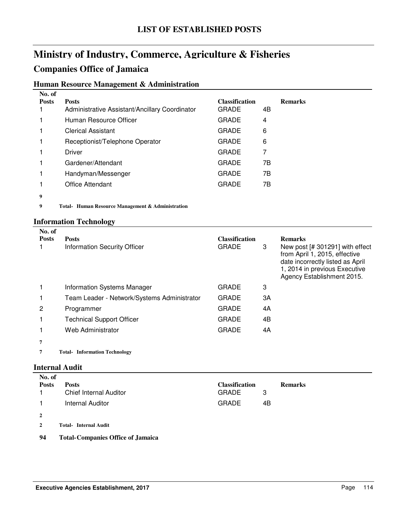# **Ministry of Industry, Commerce, Agriculture & Fisheries**

### **Companies Office of Jamaica**

### **Human Resource Management & Administration**

| No. of       |                                                  |                       |                |
|--------------|--------------------------------------------------|-----------------------|----------------|
| <b>Posts</b> | <b>Posts</b>                                     | <b>Classification</b> | <b>Remarks</b> |
|              | Administrative Assistant/Ancillary Coordinator   | GRADE                 | 4B             |
|              | Human Resource Officer                           | <b>GRADE</b>          | 4              |
|              | <b>Clerical Assistant</b>                        | <b>GRADE</b>          | 6              |
|              | Receptionist/Telephone Operator                  | GRADE                 | 6              |
|              | Driver                                           | <b>GRADE</b>          | 7              |
|              | Gardener/Attendant                               | <b>GRADE</b>          | 7Β             |
|              | Handyman/Messenger                               | <b>GRADE</b>          | 7B             |
|              | Office Attendant                                 | <b>GRADE</b>          | 7Β             |
| 9            |                                                  |                       |                |
| 9            | Total Human Resource Management & Administration |                       |                |

### **Information Technology**

| No. of       |                                             |                       |    |                                                                                                                                                                     |
|--------------|---------------------------------------------|-----------------------|----|---------------------------------------------------------------------------------------------------------------------------------------------------------------------|
| <b>Posts</b> | <b>Posts</b>                                | <b>Classification</b> |    | <b>Remarks</b>                                                                                                                                                      |
|              | <b>Information Security Officer</b>         | <b>GRADE</b>          | 3  | New post [# 301291] with effect<br>from April 1, 2015, effective<br>date incorrectly listed as April<br>1, 2014 in previous Executive<br>Agency Establishment 2015. |
|              | Information Systems Manager                 | <b>GRADE</b>          | 3  |                                                                                                                                                                     |
|              | Team Leader - Network/Systems Administrator | <b>GRADE</b>          | ЗA |                                                                                                                                                                     |
| 2            | Programmer                                  | <b>GRADE</b>          | 4A |                                                                                                                                                                     |
|              | <b>Technical Support Officer</b>            | <b>GRADE</b>          | 4B |                                                                                                                                                                     |
|              | Web Administrator                           | <b>GRADE</b>          | 4A |                                                                                                                                                                     |
| 7            |                                             |                       |    |                                                                                                                                                                     |
|              | Total- Information Technology               |                       |    |                                                                                                                                                                     |

#### **Internal Audit**

| No. of         |                                          |                       |    |                |
|----------------|------------------------------------------|-----------------------|----|----------------|
| <b>Posts</b>   | <b>Posts</b>                             | <b>Classification</b> |    | <b>Remarks</b> |
| 1.             | <b>Chief Internal Auditor</b>            | <b>GRADE</b>          | 3  |                |
| $\mathbf{1}$   | Internal Auditor                         | <b>GRADE</b>          | 4B |                |
| $\overline{2}$ |                                          |                       |    |                |
| $\overline{2}$ | <b>Total-Internal Audit</b>              |                       |    |                |
| 94             | <b>Total-Companies Office of Jamaica</b> |                       |    |                |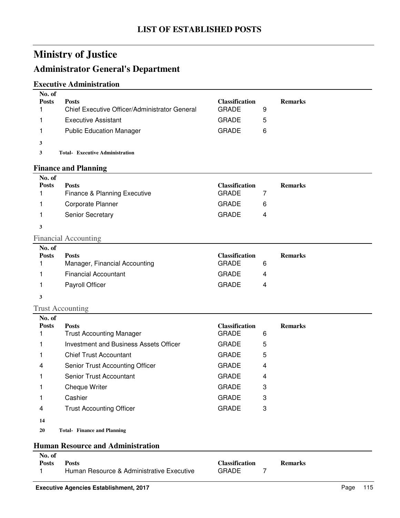### **Administrator General's Department**

### **Executive Administration**

| No. of<br><b>Posts</b> | <b>Posts</b><br>Chief Executive Officer/Administrator General | <b>Classification</b><br><b>GRADE</b> | 9 | <b>Remarks</b> |
|------------------------|---------------------------------------------------------------|---------------------------------------|---|----------------|
|                        | <b>Executive Assistant</b>                                    | <b>GRADE</b>                          | 5 |                |
|                        | <b>Public Education Manager</b>                               | <b>GRADE</b>                          | 6 |                |
| 3                      |                                                               |                                       |   |                |
|                        | <b>Total- Executive Administration</b>                        |                                       |   |                |
|                        |                                                               |                                       |   |                |

#### **Finance and Planning**

| No. of       |                              |                       |   |                |
|--------------|------------------------------|-----------------------|---|----------------|
| <b>Posts</b> | <b>Posts</b>                 | <b>Classification</b> |   | <b>Remarks</b> |
|              | Finance & Planning Executive | <b>GRADE</b>          |   |                |
|              | Corporate Planner            | <b>GRADE</b>          | 6 |                |
|              | <b>Senior Secretary</b>      | <b>GRADE</b>          | 4 |                |
|              |                              |                       |   |                |

#### Financial Accounting

| No. of       |                               |                       |                |
|--------------|-------------------------------|-----------------------|----------------|
| <b>Posts</b> | <b>Posts</b>                  | <b>Classification</b> | <b>Remarks</b> |
|              | Manager, Financial Accounting | <b>GRADE</b><br>6     |                |
|              | <b>Financial Accountant</b>   | <b>GRADE</b><br>4     |                |
|              | Payroll Officer               | <b>GRADE</b><br>4     |                |
|              |                               |                       |                |

#### **3**

#### Trust Accounting

| No. of       |                                        |                       |                |
|--------------|----------------------------------------|-----------------------|----------------|
| <b>Posts</b> | <b>Posts</b>                           | <b>Classification</b> | <b>Remarks</b> |
|              | <b>Trust Accounting Manager</b>        | <b>GRADE</b><br>6     |                |
|              | Investment and Business Assets Officer | 5<br><b>GRADE</b>     |                |
|              | <b>Chief Trust Accountant</b>          | 5<br><b>GRADE</b>     |                |
| 4            | Senior Trust Accounting Officer        | <b>GRADE</b><br>4     |                |
|              | Senior Trust Accountant                | <b>GRADE</b><br>4     |                |
|              | Cheque Writer                          | <b>GRADE</b><br>3     |                |
|              | Cashier                                | 3<br><b>GRADE</b>     |                |
| 4            | <b>Trust Accounting Officer</b>        | <b>GRADE</b><br>3     |                |
| 14           |                                        |                       |                |

**20 Finance and Planning Total-**

#### **Human Resource and Administration**

| No. of       |                                           |                |                |
|--------------|-------------------------------------------|----------------|----------------|
| <b>Posts</b> | <b>Posts</b>                              | Classification | <b>Remarks</b> |
|              | Human Resource & Administrative Executive | <b>GRADE</b>   |                |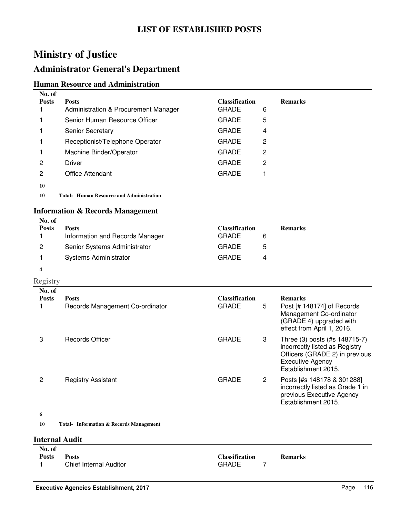### **Administrator General's Department**

#### **Human Resource and Administration**

| No. of<br><b>Posts</b> | <b>Posts</b>                             | <b>Classification</b> |   | <b>Remarks</b> |
|------------------------|------------------------------------------|-----------------------|---|----------------|
|                        | Administration & Procurement Manager     | <b>GRADE</b>          | 6 |                |
|                        | Senior Human Resource Officer            | <b>GRADE</b>          | 5 |                |
|                        | <b>Senior Secretary</b>                  | <b>GRADE</b>          | 4 |                |
|                        | Receptionist/Telephone Operator          | <b>GRADE</b>          | 2 |                |
|                        | Machine Binder/Operator                  | <b>GRADE</b>          | 2 |                |
| 2                      | Driver                                   | <b>GRADE</b>          | 2 |                |
| 2                      | <b>Office Attendant</b>                  | <b>GRADE</b>          |   |                |
| 10                     |                                          |                       |   |                |
| 10                     | Total- Human Resource and Administration |                       |   |                |

### **Information & Records Management**

| No. of       |                                 |                       |   |                |
|--------------|---------------------------------|-----------------------|---|----------------|
| <b>Posts</b> | <b>Posts</b>                    | <b>Classification</b> |   | <b>Remarks</b> |
|              | Information and Records Manager | <b>GRADE</b>          | 6 |                |
| 2            | Senior Systems Administrator    | <b>GRADE</b>          | ხ |                |
|              | <b>Systems Administrator</b>    | <b>GRADE</b>          | 4 |                |
|              |                                 |                       |   |                |

### Registry

| No. of<br><b>Posts</b> | <b>Posts</b><br>Records Management Co-ordinator | <b>Classification</b><br><b>GRADE</b> | 5            | <b>Remarks</b><br>Post [# 148174] of Records<br>Management Co-ordinator<br>(GRADE 4) upgraded with<br>effect from April 1, 2016.                    |
|------------------------|-------------------------------------------------|---------------------------------------|--------------|-----------------------------------------------------------------------------------------------------------------------------------------------------|
| 3                      | <b>Records Officer</b>                          | <b>GRADE</b>                          | 3            | Three (3) posts (#s 148715-7)<br>incorrectly listed as Registry<br>Officers (GRADE 2) in previous<br><b>Executive Agency</b><br>Establishment 2015. |
| 2<br>6                 | <b>Registry Assistant</b>                       | <b>GRADE</b>                          | $\mathbf{2}$ | Posts [#s 148178 & 301288]<br>incorrectly listed as Grade 1 in<br>previous Executive Agency<br>Establishment 2015.                                  |
| 10                     | <b>Total-</b> Information & Records Management  |                                       |              |                                                                                                                                                     |
|                        |                                                 |                                       |              |                                                                                                                                                     |
|                        | <b>Internal Audit</b>                           |                                       |              |                                                                                                                                                     |
| $N = \mathbb{R}$       |                                                 |                                       |              |                                                                                                                                                     |

| No. of       |                        |                       |                |
|--------------|------------------------|-----------------------|----------------|
| <b>Posts</b> | <b>Posts</b>           | <b>Classification</b> | <b>Remarks</b> |
|              | Chief Internal Auditor | <b>GRADE</b>          |                |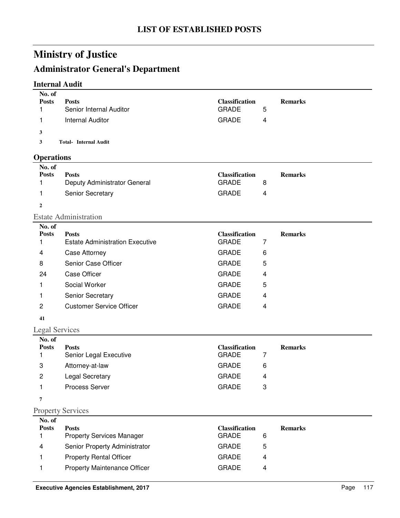# **Administrator General's Department**

### **Internal Audit**

| No. of<br><b>Posts</b><br>1 | <b>Posts</b><br>Senior Internal Auditor      | <b>Classification</b><br><b>GRADE</b> | 5                       | <b>Remarks</b> |  |
|-----------------------------|----------------------------------------------|---------------------------------------|-------------------------|----------------|--|
|                             |                                              |                                       |                         |                |  |
| 1                           | <b>Internal Auditor</b>                      | <b>GRADE</b>                          | 4                       |                |  |
| 3                           |                                              |                                       |                         |                |  |
| 3                           | <b>Total- Internal Audit</b>                 |                                       |                         |                |  |
| <b>Operations</b>           |                                              |                                       |                         |                |  |
| No. of                      |                                              |                                       |                         |                |  |
| <b>Posts</b><br>1           | <b>Posts</b><br>Deputy Administrator General | <b>Classification</b><br><b>GRADE</b> | 8                       | <b>Remarks</b> |  |
| 1                           | Senior Secretary                             | <b>GRADE</b>                          | 4                       |                |  |
|                             |                                              |                                       |                         |                |  |
| $\overline{2}$              |                                              |                                       |                         |                |  |
| No. of                      | <b>Estate Administration</b>                 |                                       |                         |                |  |
| <b>Posts</b>                | <b>Posts</b>                                 | <b>Classification</b>                 |                         | <b>Remarks</b> |  |
| 1                           | <b>Estate Administration Executive</b>       | <b>GRADE</b>                          | 7                       |                |  |
| 4                           | Case Attorney                                | <b>GRADE</b>                          | 6                       |                |  |
| 8                           | Senior Case Officer                          | <b>GRADE</b>                          | 5                       |                |  |
| 24                          | <b>Case Officer</b>                          | <b>GRADE</b>                          | 4                       |                |  |
| 1                           | Social Worker                                | <b>GRADE</b>                          | 5                       |                |  |
| 1                           | Senior Secretary                             | <b>GRADE</b>                          | $\overline{\mathbf{4}}$ |                |  |
| $\mathbf{2}$                | <b>Customer Service Officer</b>              | <b>GRADE</b>                          | 4                       |                |  |
| 41                          |                                              |                                       |                         |                |  |
| <b>Legal Services</b>       |                                              |                                       |                         |                |  |
| No. of                      |                                              |                                       |                         |                |  |
| <b>Posts</b>                | <b>Posts</b>                                 | <b>Classification</b><br><b>GRADE</b> | 7                       | <b>Remarks</b> |  |
| 1                           | Senior Legal Executive                       | <b>GRADE</b>                          |                         |                |  |
| 3                           | Attorney-at-law                              |                                       | 6                       |                |  |
| 2                           | <b>Legal Secretary</b>                       | <b>GRADE</b>                          | 4                       |                |  |
| 1                           | Process Server                               | GRADE                                 | 3                       |                |  |
| 7                           |                                              |                                       |                         |                |  |
|                             | <b>Property Services</b>                     |                                       |                         |                |  |
| No. of<br><b>Posts</b>      | <b>Posts</b>                                 | <b>Classification</b>                 |                         | <b>Remarks</b> |  |
| 1                           | <b>Property Services Manager</b>             | <b>GRADE</b>                          | 6                       |                |  |
| 4                           | Senior Property Administrator                | <b>GRADE</b>                          | 5                       |                |  |
| 1                           | <b>Property Rental Officer</b>               | <b>GRADE</b>                          | 4                       |                |  |

1 Property Maintenance Officer GRADE 4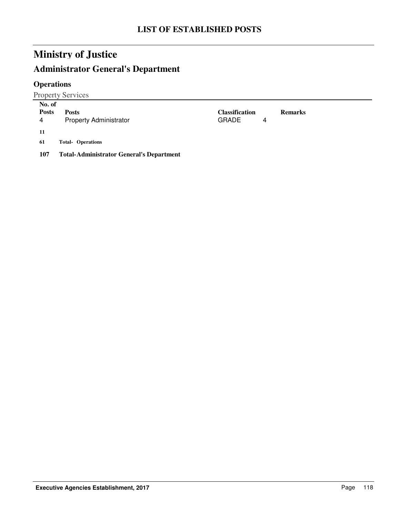# **Administrator General's Department**

### **Operations**

Property Services

| No. of       |                                                 |                |   |                |
|--------------|-------------------------------------------------|----------------|---|----------------|
| <b>Posts</b> | <b>Posts</b>                                    | Classification |   | <b>Remarks</b> |
| 4            | <b>Property Administrator</b>                   | <b>GRADE</b>   | 4 |                |
| -11          |                                                 |                |   |                |
| 61           | <b>Total- Operations</b>                        |                |   |                |
| 107          | <b>Total-Administrator General's Department</b> |                |   |                |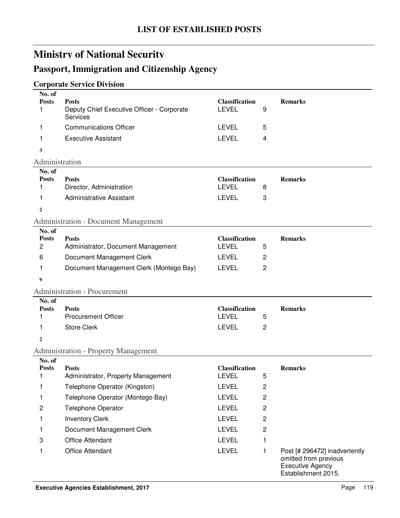# **Passport, Immigration and Citizenship Agency**

### **Corporate Service Division**

| No. of<br><b>Posts</b> | <b>Posts</b>                                           | <b>Classification</b>                 |                         | <b>Remarks</b>                                                                                           |
|------------------------|--------------------------------------------------------|---------------------------------------|-------------------------|----------------------------------------------------------------------------------------------------------|
| 1                      | Deputy Chief Executive Officer - Corporate<br>Services | <b>LEVEL</b>                          | 9                       |                                                                                                          |
| 1                      | <b>Communications Officer</b>                          | <b>LEVEL</b>                          | 5                       |                                                                                                          |
| 1                      | <b>Executive Assistant</b>                             | <b>LEVEL</b>                          | 4                       |                                                                                                          |
| 3                      |                                                        |                                       |                         |                                                                                                          |
| Administration         |                                                        |                                       |                         |                                                                                                          |
| No. of                 |                                                        |                                       |                         |                                                                                                          |
| <b>Posts</b><br>1      | <b>Posts</b><br>Director, Administration               | <b>Classification</b><br><b>LEVEL</b> | 8                       | <b>Remarks</b>                                                                                           |
| 1                      | <b>Administrative Assistant</b>                        | <b>LEVEL</b>                          | 3                       |                                                                                                          |
|                        |                                                        |                                       |                         |                                                                                                          |
| $\overline{2}$         |                                                        |                                       |                         |                                                                                                          |
| No. of                 | <b>Administration - Document Management</b>            |                                       |                         |                                                                                                          |
| <b>Posts</b>           | <b>Posts</b>                                           | <b>Classification</b>                 |                         | <b>Remarks</b>                                                                                           |
| $\overline{c}$         | Administrator, Document Management                     | <b>LEVEL</b>                          | 5                       |                                                                                                          |
| 6                      | Document Management Clerk                              | <b>LEVEL</b>                          | $\overline{c}$          |                                                                                                          |
| 1                      | Document Management Clerk (Montego Bay)                | <b>LEVEL</b>                          | $\overline{c}$          |                                                                                                          |
| 9                      |                                                        |                                       |                         |                                                                                                          |
|                        | <b>Administration - Procurement</b>                    |                                       |                         |                                                                                                          |
| No. of                 |                                                        |                                       |                         |                                                                                                          |
| <b>Posts</b><br>1      | <b>Posts</b><br><b>Procurement Officer</b>             | <b>Classification</b><br><b>LEVEL</b> | 5                       | <b>Remarks</b>                                                                                           |
|                        | <b>Store Clerk</b>                                     | <b>LEVEL</b>                          |                         |                                                                                                          |
| 1                      |                                                        |                                       | 2                       |                                                                                                          |
| 2                      |                                                        |                                       |                         |                                                                                                          |
|                        | <b>Administration - Property Management</b>            |                                       |                         |                                                                                                          |
| No. of<br><b>Posts</b> | <b>Posts</b>                                           | <b>Classification</b>                 |                         | <b>Remarks</b>                                                                                           |
| 1                      | Administrator, Property Management                     | <b>LEVEL</b>                          | 5                       |                                                                                                          |
| 1                      | Telephone Operator (Kingston)                          | <b>LEVEL</b>                          | $\overline{\mathbf{c}}$ |                                                                                                          |
| 1                      | Telephone Operator (Montego Bay)                       | <b>LEVEL</b>                          | $\overline{c}$          |                                                                                                          |
| $\overline{c}$         | <b>Telephone Operator</b>                              | <b>LEVEL</b>                          | $\overline{c}$          |                                                                                                          |
| 1                      | <b>Inventory Clerk</b>                                 | <b>LEVEL</b>                          | $\overline{c}$          |                                                                                                          |
| 1                      | Document Management Clerk                              | <b>LEVEL</b>                          | $\overline{c}$          |                                                                                                          |
| 3                      | Office Attendant                                       | <b>LEVEL</b>                          | 1                       |                                                                                                          |
| 1                      | Office Attendant                                       | <b>LEVEL</b>                          | 1                       | Post [# 296472] inadvertently<br>omitted from previous<br><b>Executive Agency</b><br>Establishment 2015. |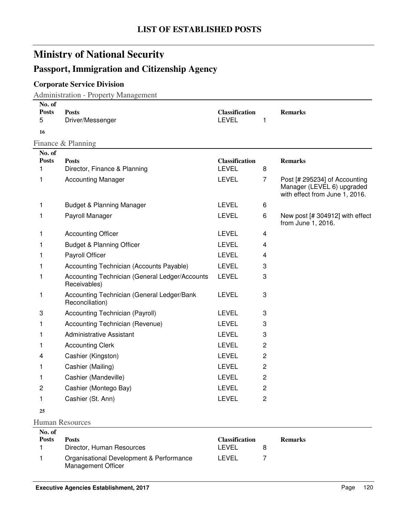### **Passport, Immigration and Citizenship Agency**

### **Corporate Service Division**

Administration - Property Management

| No. of<br><b>Posts</b><br>5 | <b>Posts</b><br>Driver/Messenger                               | <b>Classification</b><br><b>LEVEL</b> | 1              | <b>Remarks</b>                                                                                |
|-----------------------------|----------------------------------------------------------------|---------------------------------------|----------------|-----------------------------------------------------------------------------------------------|
| 16                          |                                                                |                                       |                |                                                                                               |
|                             | Finance & Planning                                             |                                       |                |                                                                                               |
| No. of                      |                                                                |                                       |                |                                                                                               |
| <b>Posts</b><br>1           | <b>Posts</b><br>Director, Finance & Planning                   | <b>Classification</b><br><b>LEVEL</b> | 8              | <b>Remarks</b>                                                                                |
| 1                           | <b>Accounting Manager</b>                                      | <b>LEVEL</b>                          | $\overline{7}$ | Post [# 295234] of Accounting<br>Manager (LEVEL 6) upgraded<br>with effect from June 1, 2016. |
| 1                           | <b>Budget &amp; Planning Manager</b>                           | <b>LEVEL</b>                          | 6              |                                                                                               |
| 1                           | Payroll Manager                                                | <b>LEVEL</b>                          | 6              | New post [# 304912] with effect<br>from June 1, 2016.                                         |
| 1                           | <b>Accounting Officer</b>                                      | <b>LEVEL</b>                          | 4              |                                                                                               |
| 1                           | <b>Budget &amp; Planning Officer</b>                           | <b>LEVEL</b>                          | 4              |                                                                                               |
| 1                           | Payroll Officer                                                | <b>LEVEL</b>                          | 4              |                                                                                               |
| 1                           | Accounting Technician (Accounts Payable)                       | <b>LEVEL</b>                          | 3              |                                                                                               |
| 1                           | Accounting Technician (General Ledger/Accounts<br>Receivables) | <b>LEVEL</b>                          | 3              |                                                                                               |
| 1                           | Accounting Technician (General Ledger/Bank<br>Reconciliation)  | <b>LEVEL</b>                          | 3              |                                                                                               |
| 3                           | Accounting Technician (Payroll)                                | <b>LEVEL</b>                          | 3              |                                                                                               |
| 1                           | Accounting Technician (Revenue)                                | <b>LEVEL</b>                          | 3              |                                                                                               |
| 1                           | <b>Administrative Assistant</b>                                | <b>LEVEL</b>                          | 3              |                                                                                               |
| 1                           | <b>Accounting Clerk</b>                                        | <b>LEVEL</b>                          | 2              |                                                                                               |
| 4                           | Cashier (Kingston)                                             | <b>LEVEL</b>                          | 2              |                                                                                               |
| 1                           | Cashier (Mailing)                                              | <b>LEVEL</b>                          | $\overline{c}$ |                                                                                               |
| 1                           | Cashier (Mandeville)                                           | <b>LEVEL</b>                          | $\overline{c}$ |                                                                                               |
| 2                           | Cashier (Montego Bay)                                          | <b>LEVEL</b>                          | $\overline{c}$ |                                                                                               |
| 1                           | Cashier (St. Ann)                                              | <b>LEVEL</b>                          | $\overline{c}$ |                                                                                               |
| 25                          |                                                                |                                       |                |                                                                                               |

#### Human Resources

| No. of |                                                                |                       |                |
|--------|----------------------------------------------------------------|-----------------------|----------------|
| Posts  | <b>Posts</b>                                                   | <b>Classification</b> | <b>Remarks</b> |
|        | Director, Human Resources                                      | LEVEL                 |                |
|        | Organisational Development & Performance<br>Management Officer | LEVEL                 |                |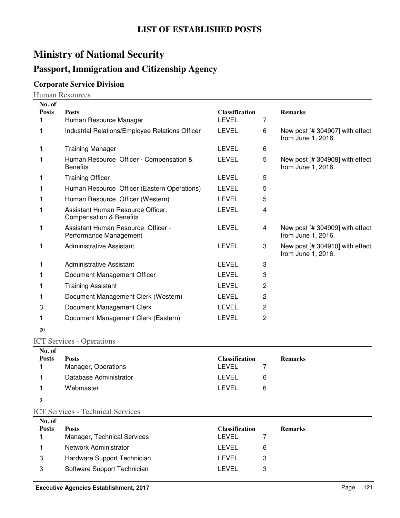### **Passport, Immigration and Citizenship Agency**

### **Corporate Service Division**

Human Resources

| No. of       |                                                                         |                       |   |                                                         |
|--------------|-------------------------------------------------------------------------|-----------------------|---|---------------------------------------------------------|
| <b>Posts</b> | <b>Posts</b>                                                            | <b>Classification</b> |   | <b>Remarks</b>                                          |
|              | Human Resource Manager                                                  | <b>LEVEL</b>          | 7 |                                                         |
| 1            | Industrial Relations/Employee Relations Officer                         | <b>LEVEL</b>          | 6 | New post $[# 304907]$ with effect<br>from June 1, 2016. |
|              | <b>Training Manager</b>                                                 | LEVEL                 | 6 |                                                         |
|              | Human Resource Officer - Compensation &<br><b>Benefits</b>              | <b>LEVEL</b>          | 5 | New post [# 304908] with effect<br>from June 1, 2016.   |
|              | <b>Training Officer</b>                                                 | LEVEL                 | 5 |                                                         |
|              | Human Resource Officer (Eastern Operations)                             | LEVEL                 | 5 |                                                         |
|              | Human Resource Officer (Western)                                        | <b>LEVEL</b>          | 5 |                                                         |
|              | Assistant Human Resource Officer,<br><b>Compensation &amp; Benefits</b> | <b>LEVEL</b>          | 4 |                                                         |
| 1            | Assistant Human Resource Officer -<br>Performance Management            | LEVEL                 | 4 | New post [# 304909] with effect<br>from June 1, 2016.   |
| 1            | <b>Administrative Assistant</b>                                         | <b>LEVEL</b>          | 3 | New post [# 304910] with effect<br>from June 1, 2016.   |
| 1            | Administrative Assistant                                                | LEVEL                 | 3 |                                                         |
|              | Document Management Officer                                             | <b>LEVEL</b>          | 3 |                                                         |
|              | <b>Training Assistant</b>                                               | <b>LEVEL</b>          | 2 |                                                         |
|              | Document Management Clerk (Western)                                     | LEVEL                 | 2 |                                                         |
| 3            | Document Management Clerk                                               | LEVEL                 | 2 |                                                         |
|              | Document Management Clerk (Eastern)                                     | <b>LEVEL</b>          | 2 |                                                         |
|              |                                                                         |                       |   |                                                         |

**20**

### ICT Services - Operations

| No. of       |                        |                       |   |                |
|--------------|------------------------|-----------------------|---|----------------|
| <b>Posts</b> | <b>Posts</b>           | <b>Classification</b> |   | <b>Remarks</b> |
|              | Manager, Operations    | LEVEL                 |   |                |
|              | Database Administrator | LEVEL                 | 6 |                |
|              | Webmaster              | LEVEL                 | 6 |                |
|              |                        |                       |   |                |

**3**

#### ICT Services - Technical Services

| No. of       |                             |                       |   |                |
|--------------|-----------------------------|-----------------------|---|----------------|
| <b>Posts</b> | <b>Posts</b>                | <b>Classification</b> |   | <b>Remarks</b> |
|              | Manager, Technical Services | LEVEL                 |   |                |
|              | Network Administrator       | I FVFI.               | 6 |                |
| 3            | Hardware Support Technician | LEVEL                 |   |                |
| 3            | Software Support Technician | I EVEL                |   |                |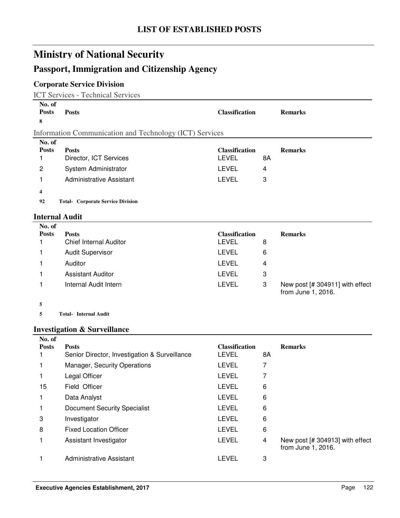### **Passport, Immigration and Citizenship Agency**

### **Corporate Service Division**

ICT Services - Technical Services

| No. of<br><b>Posts</b><br>8 | <b>Posts</b>                                            | <b>Classification</b> |    | <b>Remarks</b> |
|-----------------------------|---------------------------------------------------------|-----------------------|----|----------------|
|                             | Information Communication and Technology (ICT) Services |                       |    |                |
| No. of                      |                                                         |                       |    |                |
| <b>Posts</b>                | <b>Posts</b>                                            | <b>Classification</b> |    | <b>Remarks</b> |
|                             | Director, ICT Services                                  | LEVEL                 | 8A |                |
| 2                           | System Administrator                                    | <b>LEVEL</b>          | 4  |                |
|                             | Administrative Assistant                                | <b>LEVEL</b>          | 3  |                |
| 4                           |                                                         |                       |    |                |
| 92                          | <b>Total- Corporate Service Division</b>                |                       |    |                |
|                             | <b>Internal Audit</b>                                   |                       |    |                |

| No. of       |                               |                       |   |                                                       |
|--------------|-------------------------------|-----------------------|---|-------------------------------------------------------|
| <b>Posts</b> | <b>Posts</b>                  | <b>Classification</b> |   | <b>Remarks</b>                                        |
|              | <b>Chief Internal Auditor</b> | LEVEL                 | 8 |                                                       |
|              | <b>Audit Supervisor</b>       | LEVEL                 | 6 |                                                       |
|              | Auditor                       | LEVEL                 | 4 |                                                       |
|              | Assistant Auditor             | LEVEL                 | 3 |                                                       |
|              | Internal Audit Intern         | <b>LEVEL</b>          | 3 | New post [# 304911] with effect<br>from June 1, 2016. |

**5**

**5 Internal Audit Total-**

### **Investigation & Surveillance**

| No. of       |                                               |                       |    |                                                       |
|--------------|-----------------------------------------------|-----------------------|----|-------------------------------------------------------|
| <b>Posts</b> | <b>Posts</b>                                  | <b>Classification</b> |    | <b>Remarks</b>                                        |
|              | Senior Director, Investigation & Surveillance | LEVEL                 | 8Α |                                                       |
|              | <b>Manager, Security Operations</b>           | LEVEL                 | 7  |                                                       |
|              | Legal Officer                                 | <b>LEVEL</b>          | 7  |                                                       |
| 15           | Field Officer                                 | <b>LEVEL</b>          | 6  |                                                       |
|              | Data Analyst                                  | <b>LEVEL</b>          | 6  |                                                       |
|              | Document Security Specialist                  | <b>LEVEL</b>          | 6  |                                                       |
| 3            | Investigator                                  | <b>LEVEL</b>          | 6  |                                                       |
| 8            | <b>Fixed Location Officer</b>                 | <b>LEVEL</b>          | 6  |                                                       |
|              | Assistant Investigator                        | <b>LEVEL</b>          | 4  | New post [# 304913] with effect<br>from June 1, 2016. |
|              | Administrative Assistant                      | LEVEL                 | 3  |                                                       |
|              |                                               |                       |    |                                                       |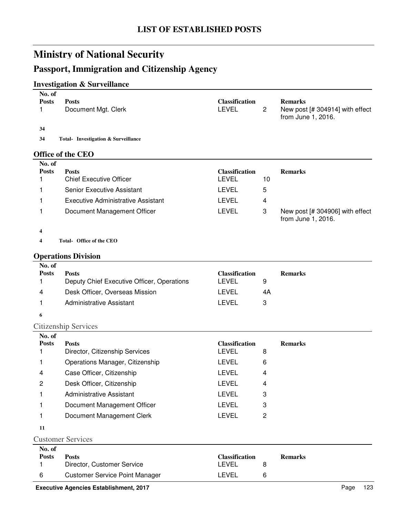### **Passport, Immigration and Citizenship Agency**

### **Investigation & Surveillance**

| No. of<br><b>Posts</b> | <b>Posts</b>                               | <b>Classification</b> |              | <b>Remarks</b>                                        |
|------------------------|--------------------------------------------|-----------------------|--------------|-------------------------------------------------------|
| 1                      | Document Mgt. Clerk                        | <b>LEVEL</b>          | $\mathbf{2}$ | New post [# 304914] with effect<br>from June 1, 2016. |
| 34                     |                                            |                       |              |                                                       |
| 34                     | <b>Total-</b> Investigation & Surveillance |                       |              |                                                       |
|                        | <b>Office of the CEO</b>                   |                       |              |                                                       |
| No. of                 |                                            |                       |              |                                                       |
| <b>Posts</b>           | <b>Posts</b>                               | <b>Classification</b> |              | <b>Remarks</b>                                        |
|                        | <b>Chief Executive Officer</b>             | <b>LEVEL</b>          | 10           |                                                       |
| 1                      | Senior Executive Assistant                 | <b>LEVEL</b>          | 5            |                                                       |
| 1                      | Executive Administrative Assistant         | <b>LEVEL</b>          | 4            |                                                       |
| 1                      | Document Management Officer                | <b>LEVEL</b>          | 3            | New post [# 304906] with effect<br>from June 1, 2016. |
| 4                      |                                            |                       |              |                                                       |
| 4                      | Total- Office of the CEO                   |                       |              |                                                       |
|                        |                                            |                       |              |                                                       |
|                        | <b>Operations Division</b>                 |                       |              |                                                       |
| No. of<br><b>Posts</b> | <b>Posts</b>                               | <b>Classification</b> |              | <b>Remarks</b>                                        |
| 1                      | Deputy Chief Executive Officer, Operations | <b>LEVEL</b>          | 9            |                                                       |
| 4                      | Desk Officer, Overseas Mission             | <b>LEVEL</b>          | 4A           |                                                       |
| 1                      | <b>Administrative Assistant</b>            | <b>LEVEL</b>          | 3            |                                                       |
| 6                      |                                            |                       |              |                                                       |
|                        | <b>Citizenship Services</b>                |                       |              |                                                       |
| No. of                 |                                            |                       |              |                                                       |
| <b>Posts</b>           | <b>Posts</b>                               | <b>Classification</b> |              | <b>Remarks</b>                                        |
| 1                      | Director, Citizenship Services             | <b>LEVEL</b>          | 8            |                                                       |
| 1                      | Operations Manager, Citizenship            | <b>LEVEL</b>          | 6            |                                                       |
| 4                      | Case Officer, Citizenship                  | <b>LEVEL</b>          | 4            |                                                       |

| No. of<br><b>Posts</b>   | Posts                       | <b>Classification</b> |   |  |  |
|--------------------------|-----------------------------|-----------------------|---|--|--|
| <b>Customer Services</b> |                             |                       |   |  |  |
| 11                       |                             |                       |   |  |  |
|                          | Document Management Clerk   | I EVEL                | 2 |  |  |
|                          | Document Management Officer | <b>LEVEL</b>          | 3 |  |  |
|                          | Administrative Assistant    | LEVEL                 | 3 |  |  |
|                          |                             |                       |   |  |  |

2 Desk Officer, Citizenship **LEVEL** 4

| <b>Posts</b> | Posts                                 | <b>Classification</b> | <b>Remarks</b> |
|--------------|---------------------------------------|-----------------------|----------------|
|              | Director, Customer Service            | _EVEL                 |                |
| -6           | <b>Customer Service Point Manager</b> | .EVEL                 |                |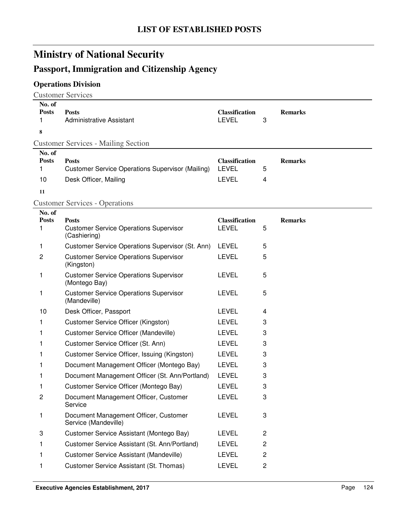# **Passport, Immigration and Citizenship Agency**

# **Operations Division**

Customer Services

| No. of<br><b>Posts</b><br>1<br>8 | <b>Posts</b><br><b>Administrative Assistant</b>                | <b>Classification</b><br><b>LEVEL</b> | 3              | <b>Remarks</b> |
|----------------------------------|----------------------------------------------------------------|---------------------------------------|----------------|----------------|
|                                  | <b>Customer Services - Mailing Section</b>                     |                                       |                |                |
| No. of                           |                                                                |                                       |                |                |
| <b>Posts</b>                     | <b>Posts</b>                                                   | <b>Classification</b><br><b>LEVEL</b> |                | <b>Remarks</b> |
| 1                                | <b>Customer Service Operations Supervisor (Mailing)</b>        |                                       | 5              |                |
| 10                               | Desk Officer, Mailing                                          | <b>LEVEL</b>                          | 4              |                |
| 11                               |                                                                |                                       |                |                |
|                                  | <b>Customer Services - Operations</b>                          |                                       |                |                |
| No. of<br><b>Posts</b>           | <b>Posts</b>                                                   | <b>Classification</b>                 |                | <b>Remarks</b> |
| 1                                | <b>Customer Service Operations Supervisor</b><br>(Cashiering)  | <b>LEVEL</b>                          | 5              |                |
| 1                                | Customer Service Operations Supervisor (St. Ann)               | LEVEL                                 | 5              |                |
| 2                                | <b>Customer Service Operations Supervisor</b><br>(Kingston)    | <b>LEVEL</b>                          | 5              |                |
| 1                                | <b>Customer Service Operations Supervisor</b><br>(Montego Bay) | <b>LEVEL</b>                          | 5              |                |
| 1                                | <b>Customer Service Operations Supervisor</b><br>(Mandeville)  | <b>LEVEL</b>                          | 5              |                |
| 10                               | Desk Officer, Passport                                         | <b>LEVEL</b>                          | 4              |                |
| 1                                | <b>Customer Service Officer (Kingston)</b>                     | <b>LEVEL</b>                          | 3              |                |
| 1                                | Customer Service Officer (Mandeville)                          | <b>LEVEL</b>                          | 3              |                |
| 1                                | Customer Service Officer (St. Ann)                             | <b>LEVEL</b>                          | 3              |                |
| 1                                | Customer Service Officer, Issuing (Kingston)                   | <b>LEVEL</b>                          | 3              |                |
|                                  | Document Management Officer (Montego Bay)                      | <b>LEVEL</b>                          | 3              |                |
| 1                                | Document Management Officer (St. Ann/Portland)                 | <b>LEVEL</b>                          | 3              |                |
| 1                                | Customer Service Officer (Montego Bay)                         | <b>LEVEL</b>                          | 3              |                |
| 2                                | Document Management Officer, Customer<br>Service               | <b>LEVEL</b>                          | 3              |                |
| 1                                | Document Management Officer, Customer<br>Service (Mandeville)  | <b>LEVEL</b>                          | 3              |                |
| 3                                | Customer Service Assistant (Montego Bay)                       | <b>LEVEL</b>                          | $\overline{c}$ |                |
| 1                                | Customer Service Assistant (St. Ann/Portland)                  | <b>LEVEL</b>                          | $\overline{c}$ |                |
| 1                                | Customer Service Assistant (Mandeville)                        | <b>LEVEL</b>                          | $\overline{c}$ |                |
| 1                                | Customer Service Assistant (St. Thomas)                        | <b>LEVEL</b>                          | $\overline{c}$ |                |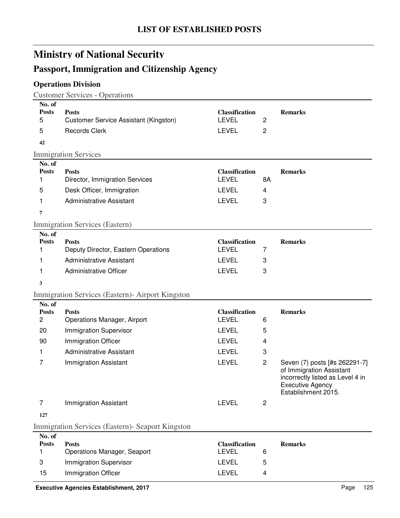# **Passport, Immigration and Citizenship Agency**

### **Operations Division**

Customer Services - Operations

| No. of<br><b>Posts</b><br>5          | <b>Posts</b><br>Customer Service Assistant (Kingston) | <b>Classification</b><br><b>LEVEL</b> | $\overline{c}$ | <b>Remarks</b>                                                                                                                                  |
|--------------------------------------|-------------------------------------------------------|---------------------------------------|----------------|-------------------------------------------------------------------------------------------------------------------------------------------------|
| 5                                    | <b>Records Clerk</b>                                  | <b>LEVEL</b>                          | $\overline{2}$ |                                                                                                                                                 |
| 42                                   |                                                       |                                       |                |                                                                                                                                                 |
|                                      | <b>Immigration Services</b>                           |                                       |                |                                                                                                                                                 |
| No. of                               |                                                       |                                       |                |                                                                                                                                                 |
| <b>Posts</b>                         | <b>Posts</b>                                          | <b>Classification</b>                 |                | <b>Remarks</b>                                                                                                                                  |
| 1                                    | Director, Immigration Services                        | <b>LEVEL</b>                          | 8A             |                                                                                                                                                 |
| 5                                    | Desk Officer, Immigration                             | <b>LEVEL</b>                          | 4              |                                                                                                                                                 |
| 1                                    | <b>Administrative Assistant</b>                       | <b>LEVEL</b>                          | 3              |                                                                                                                                                 |
| $\overline{7}$                       |                                                       |                                       |                |                                                                                                                                                 |
|                                      | Immigration Services (Eastern)                        |                                       |                |                                                                                                                                                 |
| No. of                               |                                                       |                                       |                |                                                                                                                                                 |
| <b>Posts</b>                         | <b>Posts</b>                                          | <b>Classification</b>                 |                | <b>Remarks</b>                                                                                                                                  |
| 1                                    | Deputy Director, Eastern Operations                   | <b>LEVEL</b>                          | 7              |                                                                                                                                                 |
| 1                                    | <b>Administrative Assistant</b>                       | <b>LEVEL</b>                          | 3              |                                                                                                                                                 |
| 1                                    | <b>Administrative Officer</b>                         | <b>LEVEL</b>                          | 3              |                                                                                                                                                 |
| 3                                    |                                                       |                                       |                |                                                                                                                                                 |
|                                      | Immigration Services (Eastern) - Airport Kingston     |                                       |                |                                                                                                                                                 |
| No. of                               |                                                       |                                       |                |                                                                                                                                                 |
| <b>Posts</b>                         | <b>Posts</b>                                          | <b>Classification</b><br><b>LEVEL</b> |                | <b>Remarks</b>                                                                                                                                  |
| $\overline{c}$                       | Operations Manager, Airport                           |                                       | 6              |                                                                                                                                                 |
| 20                                   | <b>Immigration Supervisor</b>                         | <b>LEVEL</b>                          | 5              |                                                                                                                                                 |
| 90                                   | Immigration Officer                                   | <b>LEVEL</b>                          | 4              |                                                                                                                                                 |
| 1                                    | <b>Administrative Assistant</b>                       | <b>LEVEL</b>                          | 3              |                                                                                                                                                 |
| 7                                    | <b>Immigration Assistant</b>                          | <b>LEVEL</b>                          | $\overline{2}$ | Seven (7) posts [#s 262291-7]<br>of Immigration Assistant<br>incorrectly listed as Level 4 in<br><b>Executive Agency</b><br>Establishment 2015. |
| $\overline{7}$                       | <b>Immigration Assistant</b>                          | <b>LEVEL</b>                          | $\overline{2}$ |                                                                                                                                                 |
| 127                                  |                                                       |                                       |                |                                                                                                                                                 |
|                                      | Immigration Services (Eastern) - Seaport Kingston     |                                       |                |                                                                                                                                                 |
| $\mathbf{M} = \mathbf{A} \mathbf{P}$ |                                                       |                                       |                |                                                                                                                                                 |

| No. of       |                                    |                       |    |                |
|--------------|------------------------------------|-----------------------|----|----------------|
| <b>Posts</b> | <b>Posts</b>                       | <b>Classification</b> |    | <b>Remarks</b> |
|              | <b>Operations Manager, Seaport</b> | LEVEL                 |    |                |
| 3            | Immigration Supervisor             | LEVEL                 | ٠h |                |
| 15           | Immigration Officer                | LEVEL                 |    |                |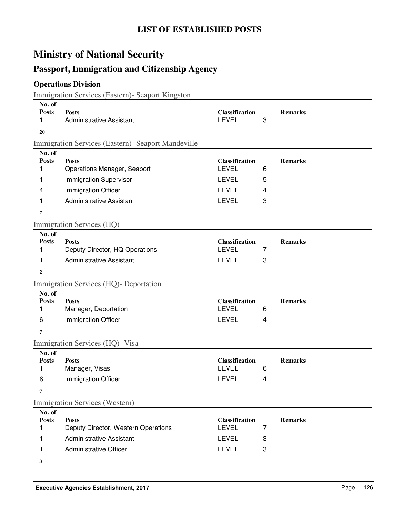# **Passport, Immigration and Citizenship Agency**

### **Operations Division**

Immigration Services (Eastern)- Seaport Kingston

| No. of<br><b>Posts</b><br>1      | <b>Posts</b><br><b>Administrative Assistant</b>       | <b>Classification</b><br><b>LEVEL</b>                 | 3              | <b>Remarks</b> |
|----------------------------------|-------------------------------------------------------|-------------------------------------------------------|----------------|----------------|
| 20                               |                                                       |                                                       |                |                |
|                                  | Immigration Services (Eastern) - Seaport Mandeville   |                                                       |                |                |
| No. of<br><b>Posts</b><br>1      | <b>Posts</b><br>Operations Manager, Seaport           | <b>Classification</b><br><b>LEVEL</b>                 | 6              | <b>Remarks</b> |
| 1                                | <b>Immigration Supervisor</b>                         | <b>LEVEL</b>                                          | 5              |                |
| 4                                | Immigration Officer                                   | <b>LEVEL</b>                                          | 4              |                |
| 1                                | <b>Administrative Assistant</b>                       | <b>LEVEL</b>                                          | 3              |                |
| 7                                |                                                       |                                                       |                |                |
|                                  | Immigration Services (HQ)                             |                                                       |                |                |
| No. of<br><b>Posts</b><br>1      | <b>Posts</b><br>Deputy Director, HQ Operations        | <b>Classification</b><br><b>LEVEL</b>                 | $\overline{7}$ | <b>Remarks</b> |
| 1                                | <b>Administrative Assistant</b>                       | <b>LEVEL</b>                                          | 3              |                |
| 2                                |                                                       |                                                       |                |                |
|                                  | Immigration Services (HQ)- Deportation                |                                                       |                |                |
| No. of<br><b>Posts</b><br>1      | <b>Posts</b><br>Manager, Deportation                  | <b>Classification</b><br><b>LEVEL</b>                 | 6              | <b>Remarks</b> |
| 6                                | Immigration Officer                                   | <b>LEVEL</b>                                          | 4              |                |
| 7                                |                                                       |                                                       |                |                |
|                                  | Immigration Services (HQ)- Visa                       |                                                       |                |                |
| No. of<br><b>Posts</b><br>1<br>6 | <b>Posts</b><br>Manager, Visas<br>Immigration Officer | <b>Classification</b><br><b>LEVEL</b><br><b>LEVEL</b> | 6<br>4         | <b>Remarks</b> |
| 7                                |                                                       |                                                       |                |                |
|                                  | Immigration Services (Western)                        |                                                       |                |                |
| No. of<br><b>Posts</b><br>1      | <b>Posts</b><br>Deputy Director, Western Operations   | <b>Classification</b><br><b>LEVEL</b>                 | 7              | <b>Remarks</b> |
| 1                                | <b>Administrative Assistant</b>                       | <b>LEVEL</b>                                          | 3              |                |
| 1                                | <b>Administrative Officer</b>                         | <b>LEVEL</b>                                          | 3              |                |
| 3                                |                                                       |                                                       |                |                |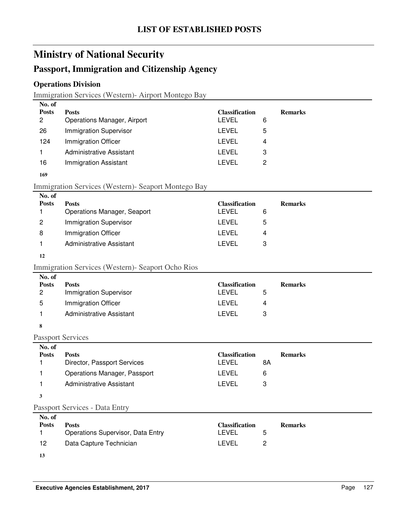### **Passport, Immigration and Citizenship Agency**

### **Operations Division**

Immigration Services (Western)- Airport Montego Bay

| 5<br>Immigration Officer<br>124<br>LEVEL<br>4<br>Administrative Assistant<br>LEVEL<br>3<br><b>Immigration Assistant</b><br>16<br>LEVEL<br>2 | No. of<br><b>Posts</b><br>2 | <b>Posts</b><br>Operations Manager, Airport | <b>Classification</b><br>LEVEL<br>6 | <b>Remarks</b> |
|---------------------------------------------------------------------------------------------------------------------------------------------|-----------------------------|---------------------------------------------|-------------------------------------|----------------|
|                                                                                                                                             | 26                          | <b>Immigration Supervisor</b>               | LEVEL                               |                |
|                                                                                                                                             |                             |                                             |                                     |                |
|                                                                                                                                             |                             |                                             |                                     |                |
|                                                                                                                                             |                             |                                             |                                     |                |

#### **169**

#### Immigration Services (Western)- Seaport Montego Bay

| No. of       |                                    |                       |   |                |
|--------------|------------------------------------|-----------------------|---|----------------|
| <b>Posts</b> | <b>Posts</b>                       | <b>Classification</b> |   | <b>Remarks</b> |
|              | <b>Operations Manager, Seaport</b> | LEVEL                 | 6 |                |
| 2            | <b>Immigration Supervisor</b>      | LEVEL                 | 5 |                |
| 8            | Immigration Officer                | LEVEL                 | 4 |                |
|              | Administrative Assistant           | LEVEL                 | З |                |

#### **12**

### Immigration Services (Western)- Seaport Ocho Rios

| No. of       |                               |                       |   |                |
|--------------|-------------------------------|-----------------------|---|----------------|
| <b>Posts</b> | <b>Posts</b>                  | <b>Classification</b> |   | <b>Remarks</b> |
| 2            | <b>Immigration Supervisor</b> | LEVEL                 | ხ |                |
| 5            | Immigration Officer           | LEVEL                 | 4 |                |
|              | Administrative Assistant      | LEVEL                 | 3 |                |
|              |                               |                       |   |                |

#### **8**

Passport Services

| No. of       |                                             |                                |                      |
|--------------|---------------------------------------------|--------------------------------|----------------------|
| <b>Posts</b> | <b>Posts</b><br>Director, Passport Services | <b>Classification</b><br>LEVEL | <b>Remarks</b><br>8Α |
|              | <b>Operations Manager, Passport</b>         | LEVEL<br>6                     |                      |
|              | Administrative Assistant                    | LEVEL                          |                      |
|              |                                             |                                |                      |

#### Passport Services - Data Entry

| No. of       |                                          |                       |                |
|--------------|------------------------------------------|-----------------------|----------------|
| <b>Posts</b> | <b>Posts</b>                             | <b>Classification</b> | <b>Remarks</b> |
|              | <b>Operations Supervisor, Data Entry</b> | LEVEL                 | 5              |
| 12           | Data Capture Technician                  | I EVEL                |                |
| 13           |                                          |                       |                |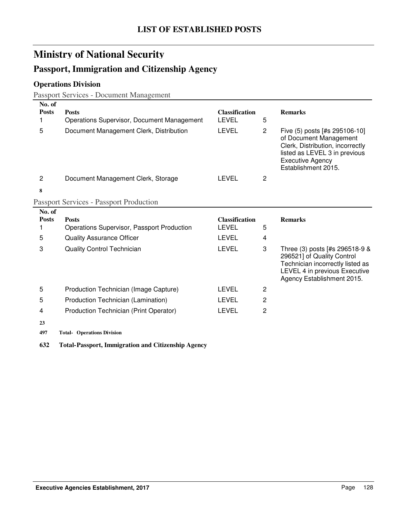### **Passport, Immigration and Citizenship Agency**

### **Operations Division**

Passport Services - Document Management

| No. of<br><b>Posts</b><br>1 | <b>Posts</b><br>Operations Supervisor, Document Management | <b>Classification</b><br><b>LEVEL</b> | 5                     | <b>Remarks</b>                                                                                                                                                                 |
|-----------------------------|------------------------------------------------------------|---------------------------------------|-----------------------|--------------------------------------------------------------------------------------------------------------------------------------------------------------------------------|
| 5                           | Document Management Clerk, Distribution                    | <b>LEVEL</b>                          | $\mathbf{2}^{\prime}$ | Five (5) posts [#s 295106-10]<br>of Document Management<br>Clerk, Distribution, incorrectly<br>listed as LEVEL 3 in previous<br><b>Executive Agency</b><br>Establishment 2015. |
| $\overline{2}$              | Document Management Clerk, Storage                         | <b>LEVEL</b>                          | 2                     |                                                                                                                                                                                |
| 8                           |                                                            |                                       |                       |                                                                                                                                                                                |
|                             | <b>Passport Services - Passport Production</b>             |                                       |                       |                                                                                                                                                                                |
| No. of                      |                                                            |                                       |                       |                                                                                                                                                                                |
| <b>Posts</b><br>1           | <b>Posts</b><br>Operations Supervisor, Passport Production | <b>Classification</b><br><b>LEVEL</b> | 5                     | <b>Remarks</b>                                                                                                                                                                 |
| 5                           | <b>Quality Assurance Officer</b>                           | <b>LEVEL</b>                          | 4                     |                                                                                                                                                                                |
| 3                           | <b>Quality Control Technician</b>                          | <b>LEVEL</b>                          | 3                     | Three (3) posts [#s 296518-9 &<br>296521] of Quality Control<br>Technician incorrectly listed as<br>LEVEL 4 in previous Executive<br>Agency Establishment 2015.                |
| 5                           | Production Technician (Image Capture)                      | <b>LEVEL</b>                          | 2                     |                                                                                                                                                                                |
| 5                           | Production Technician (Lamination)                         | <b>LEVEL</b>                          | $\overline{2}$        |                                                                                                                                                                                |
|                             |                                                            | LEVEL                                 | 2                     |                                                                                                                                                                                |
| 4                           | Production Technician (Print Operator)                     |                                       |                       |                                                                                                                                                                                |
| 23                          |                                                            |                                       |                       |                                                                                                                                                                                |

**632 Total-Passport, Immigration and Citizenship Agency**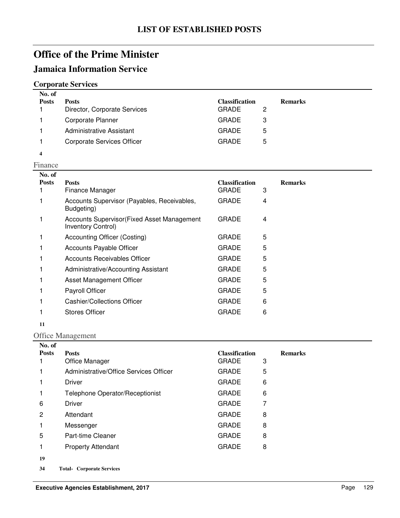### **Jamaica Information Service**

### **Corporate Services**

| No. of<br><b>Posts</b> | <b>Posts</b><br>Director, Corporate Services | <b>Classification</b><br><b>GRADE</b> | 2 | <b>Remarks</b> |
|------------------------|----------------------------------------------|---------------------------------------|---|----------------|
|                        | Corporate Planner                            | <b>GRADE</b>                          | З |                |
|                        | Administrative Assistant                     | <b>GRADE</b>                          | 5 |                |
|                        | <b>Corporate Services Officer</b>            | <b>GRADE</b>                          | 5 |                |

**4**

| Finance                |                                                                   |                                       |   |                |
|------------------------|-------------------------------------------------------------------|---------------------------------------|---|----------------|
| No. of<br><b>Posts</b> | <b>Posts</b><br>Finance Manager                                   | <b>Classification</b><br><b>GRADE</b> | 3 | <b>Remarks</b> |
|                        | Accounts Supervisor (Payables, Receivables,<br>Budgeting)         | <b>GRADE</b>                          | 4 |                |
|                        | Accounts Supervisor (Fixed Asset Management<br>Inventory Control) | <b>GRADE</b>                          | 4 |                |
|                        | <b>Accounting Officer (Costing)</b>                               | <b>GRADE</b>                          | 5 |                |
|                        | <b>Accounts Payable Officer</b>                                   | <b>GRADE</b>                          | 5 |                |
|                        | Accounts Receivables Officer                                      | <b>GRADE</b>                          | 5 |                |
|                        | Administrative/Accounting Assistant                               | <b>GRADE</b>                          | 5 |                |
|                        | Asset Management Officer                                          | <b>GRADE</b>                          | 5 |                |
|                        | Payroll Officer                                                   | <b>GRADE</b>                          | 5 |                |
|                        | <b>Cashier/Collections Officer</b>                                | <b>GRADE</b>                          | 6 |                |
|                        | <b>Stores Officer</b>                                             | GRADE                                 | 6 |                |

### **11**

#### Office Management

| No. of       |                                        |                       |                |
|--------------|----------------------------------------|-----------------------|----------------|
| <b>Posts</b> | <b>Posts</b>                           | <b>Classification</b> | <b>Remarks</b> |
|              | Office Manager                         | <b>GRADE</b>          | 3              |
|              | Administrative/Office Services Officer | <b>GRADE</b>          | 5              |
|              | <b>Driver</b>                          | <b>GRADE</b>          | 6              |
|              | Telephone Operator/Receptionist        | <b>GRADE</b>          | 6              |
| 6            | <b>Driver</b>                          | <b>GRADE</b>          | 7              |
| 2            | Attendant                              | <b>GRADE</b>          | 8              |
|              | Messenger                              | <b>GRADE</b>          | 8              |
| 5            | Part-time Cleaner                      | <b>GRADE</b>          | 8              |
|              | <b>Property Attendant</b>              | <b>GRADE</b>          | 8              |
| 19           |                                        |                       |                |
| 34           | <b>Total- Corporate Services</b>       |                       |                |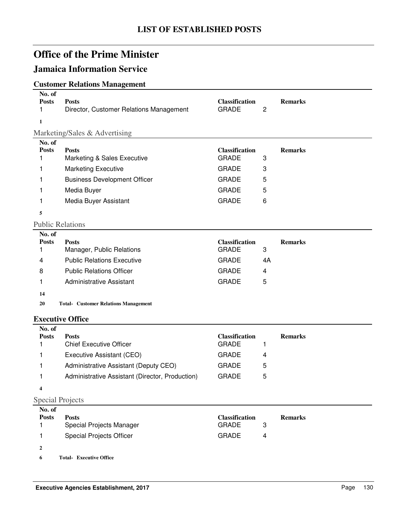### **Jamaica Information Service**

### **Customer Relations Management**

| No. of<br><b>Posts</b><br>1<br>$\mathbf{1}$ | <b>Posts</b><br>Director, Customer Relations Management | <b>Classification</b><br><b>GRADE</b> | 2  | <b>Remarks</b> |
|---------------------------------------------|---------------------------------------------------------|---------------------------------------|----|----------------|
|                                             |                                                         |                                       |    |                |
| No. of                                      | Marketing/Sales & Advertising                           |                                       |    |                |
| <b>Posts</b>                                | <b>Posts</b>                                            | <b>Classification</b>                 |    | <b>Remarks</b> |
| 1                                           | Marketing & Sales Executive                             | <b>GRADE</b>                          | 3  |                |
| 1                                           | <b>Marketing Executive</b>                              | <b>GRADE</b>                          | 3  |                |
| 1                                           | <b>Business Development Officer</b>                     | <b>GRADE</b>                          | 5  |                |
| 1                                           | Media Buyer                                             | <b>GRADE</b>                          | 5  |                |
| 1                                           | Media Buyer Assistant                                   | <b>GRADE</b>                          | 6  |                |
| 5                                           |                                                         |                                       |    |                |
|                                             | <b>Public Relations</b>                                 |                                       |    |                |
| No. of                                      |                                                         |                                       |    |                |
| <b>Posts</b>                                | <b>Posts</b>                                            | <b>Classification</b>                 |    | <b>Remarks</b> |
| 1                                           | Manager, Public Relations                               | <b>GRADE</b>                          | 3  |                |
| 4                                           | <b>Public Relations Executive</b>                       | <b>GRADE</b>                          | 4A |                |
| 8                                           | <b>Public Relations Officer</b>                         |                                       |    |                |
|                                             |                                                         | <b>GRADE</b>                          | 4  |                |
| 1                                           | <b>Administrative Assistant</b>                         | <b>GRADE</b>                          | 5  |                |
| 14                                          |                                                         |                                       |    |                |
| 20                                          | <b>Total- Customer Relations Management</b>             |                                       |    |                |
|                                             | <b>Executive Office</b>                                 |                                       |    |                |
| No. of                                      |                                                         |                                       |    |                |
| <b>Posts</b>                                | <b>Posts</b>                                            | <b>Classification</b>                 |    | <b>Remarks</b> |
| 1                                           | <b>Chief Executive Officer</b>                          | <b>GRADE</b>                          | 1  |                |
| 1                                           | Executive Assistant (CEO)                               | <b>GRADE</b>                          | 4  |                |

### Special Projects

**4**

| No. of       |                                 |                       |   |                |
|--------------|---------------------------------|-----------------------|---|----------------|
| <b>Posts</b> | <b>Posts</b>                    | <b>Classification</b> |   | <b>Remarks</b> |
|              | Special Projects Manager        | <b>GRADE</b>          |   |                |
|              | <b>Special Projects Officer</b> | <b>GRADE</b>          | 4 |                |
| $\mathbf{2}$ |                                 |                       |   |                |
| 6            | <b>Total- Executive Office</b>  |                       |   |                |

1 Administrative Assistant (Director, Production) GRADE 5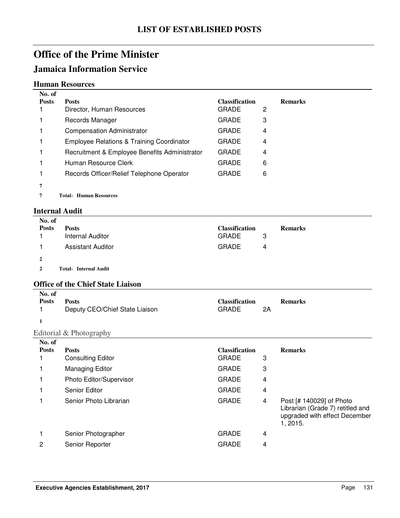### **Jamaica Information Service**

#### **Human Resources**

| No. of       |                                                      |                       |   |                |
|--------------|------------------------------------------------------|-----------------------|---|----------------|
| <b>Posts</b> | <b>Posts</b>                                         | <b>Classification</b> |   | <b>Remarks</b> |
|              | Director, Human Resources                            | <b>GRADE</b>          | 2 |                |
|              | Records Manager                                      | <b>GRADE</b>          | 3 |                |
|              | <b>Compensation Administrator</b>                    | <b>GRADE</b>          | 4 |                |
|              | <b>Employee Relations &amp; Training Coordinator</b> | <b>GRADE</b>          | 4 |                |
|              | Recruitment & Employee Benefits Administrator        | <b>GRADE</b>          | 4 |                |
|              | Human Resource Clerk                                 | <b>GRADE</b>          | 6 |                |
|              | Records Officer/Relief Telephone Operator            | <b>GRADE</b>          | 6 |                |
| 7            |                                                      |                       |   |                |

**7** Total- Human Resources

#### **Internal Audit**

| No. of         |                                          |                       |    |                                                                                                           |
|----------------|------------------------------------------|-----------------------|----|-----------------------------------------------------------------------------------------------------------|
| <b>Posts</b>   | <b>Posts</b>                             | <b>Classification</b> |    | <b>Remarks</b>                                                                                            |
|                | <b>Internal Auditor</b>                  | <b>GRADE</b>          | 3  |                                                                                                           |
| 1              | <b>Assistant Auditor</b>                 | <b>GRADE</b>          | 4  |                                                                                                           |
| 2              |                                          |                       |    |                                                                                                           |
| $\overline{2}$ | <b>Total- Internal Audit</b>             |                       |    |                                                                                                           |
|                | <b>Office of the Chief State Liaison</b> |                       |    |                                                                                                           |
| No. of         |                                          |                       |    |                                                                                                           |
| <b>Posts</b>   | <b>Posts</b>                             | <b>Classification</b> |    | <b>Remarks</b>                                                                                            |
| 1              | Deputy CEO/Chief State Liaison           | <b>GRADE</b>          | 2A |                                                                                                           |
| $\mathbf{1}$   |                                          |                       |    |                                                                                                           |
|                | Editorial & Photography                  |                       |    |                                                                                                           |
| No. of         |                                          |                       |    |                                                                                                           |
| <b>Posts</b>   | <b>Posts</b>                             | <b>Classification</b> |    | <b>Remarks</b>                                                                                            |
|                | <b>Consulting Editor</b>                 | <b>GRADE</b>          | 3  |                                                                                                           |
|                | <b>Managing Editor</b>                   | <b>GRADE</b>          | 3  |                                                                                                           |
|                | Photo Editor/Supervisor                  | <b>GRADE</b>          | 4  |                                                                                                           |
|                | <b>Senior Editor</b>                     | <b>GRADE</b>          | 4  |                                                                                                           |
| 1              | Senior Photo Librarian                   | <b>GRADE</b>          | 4  | Post [# 140029] of Photo<br>Librarian (Grade 7) retitled and<br>upgraded with effect December<br>1, 2015. |
| 1              | Senior Photographer                      | <b>GRADE</b>          | 4  |                                                                                                           |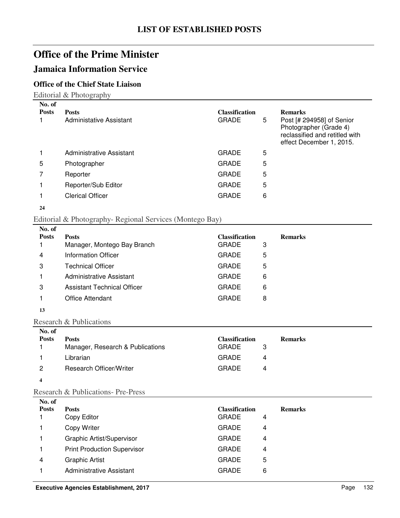### **Jamaica Information Service**

### **Office of the Chief State Liaison**

Editorial & Photography

| No. of<br><b>Posts</b> | <b>Posts</b><br>Administative Assistant | <b>Classification</b><br><b>GRADE</b> | 5 | <b>Remarks</b><br>Post [# 294958] of Senior<br>Photographer (Grade 4)<br>reclassified and retitled with<br>effect December 1, 2015. |
|------------------------|-----------------------------------------|---------------------------------------|---|-------------------------------------------------------------------------------------------------------------------------------------|
|                        | Administrative Assistant                | <b>GRADE</b>                          | 5 |                                                                                                                                     |
| 5                      | Photographer                            | <b>GRADE</b>                          | 5 |                                                                                                                                     |
|                        | Reporter                                | <b>GRADE</b>                          | 5 |                                                                                                                                     |
|                        | Reporter/Sub Editor                     | <b>GRADE</b>                          | 5 |                                                                                                                                     |
|                        | <b>Clerical Officer</b>                 | <b>GRADE</b>                          | 6 |                                                                                                                                     |
| $\sim$ $\sim$          |                                         |                                       |   |                                                                                                                                     |

```
24
```
#### Editorial & Photography- Regional Services (Montego Bay)

| No. of       |                                    |                       |                |
|--------------|------------------------------------|-----------------------|----------------|
| <b>Posts</b> | <b>Posts</b>                       | <b>Classification</b> | <b>Remarks</b> |
|              | Manager, Montego Bay Branch        | <b>GRADE</b><br>3     |                |
| 4            | Information Officer                | <b>GRADE</b><br>5     |                |
| 3            | <b>Technical Officer</b>           | <b>GRADE</b><br>5     |                |
|              | Administrative Assistant           | <b>GRADE</b><br>6     |                |
| 3            | <b>Assistant Technical Officer</b> | <b>GRADE</b><br>6     |                |
|              | <b>Office Attendant</b>            | <b>GRADE</b><br>8     |                |
|              |                                    |                       |                |

**13**

#### Research & Publications

| No. of       |                                  |                       |                |  |
|--------------|----------------------------------|-----------------------|----------------|--|
| <b>Posts</b> | <b>Posts</b>                     | <b>Classification</b> | <b>Remarks</b> |  |
|              | Manager, Research & Publications | <b>GRADE</b>          |                |  |
|              | Librarian                        | <b>GRADE</b>          | 4              |  |
| 2            | Research Officer/Writer          | <b>GRADE</b>          | 4              |  |
| 4            |                                  |                       |                |  |

#### Research & Publications- Pre-Press

| No. of       |                                    |                       |   |                |
|--------------|------------------------------------|-----------------------|---|----------------|
| <b>Posts</b> | <b>Posts</b>                       | <b>Classification</b> |   | <b>Remarks</b> |
|              | Copy Editor                        | <b>GRADE</b>          | 4 |                |
|              | Copy Writer                        | <b>GRADE</b>          | 4 |                |
|              | Graphic Artist/Supervisor          | <b>GRADE</b>          | 4 |                |
|              | <b>Print Production Supervisor</b> | <b>GRADE</b>          | 4 |                |
| 4            | <b>Graphic Artist</b>              | <b>GRADE</b>          | 5 |                |
|              | Administrative Assistant           | <b>GRADE</b>          | 6 |                |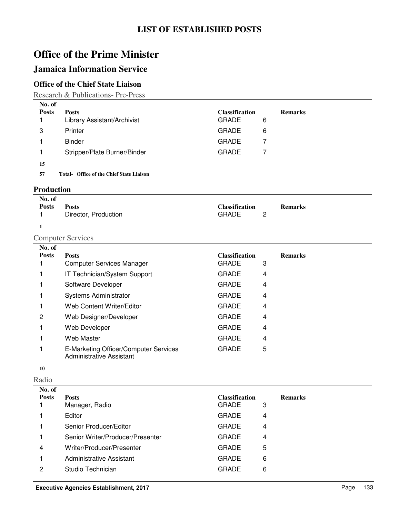### **Jamaica Information Service**

### **Office of the Chief State Liaison**

Research & Publications- Pre-Press

| No. of       |                                                 |                       |                |  |
|--------------|-------------------------------------------------|-----------------------|----------------|--|
| <b>Posts</b> | <b>Posts</b>                                    | <b>Classification</b> | <b>Remarks</b> |  |
|              | Library Assistant/Archivist                     | <b>GRADE</b>          | 6              |  |
| 3            | Printer                                         | <b>GRADE</b>          | 6              |  |
|              | Binder                                          | <b>GRADE</b>          |                |  |
|              | Stripper/Plate Burner/Binder                    | <b>GRADE</b>          |                |  |
| 15           |                                                 |                       |                |  |
| 57           | <b>Total- Office of the Chief State Liaison</b> |                       |                |  |

#### **Production**

| No. of       |                      |                       |                |
|--------------|----------------------|-----------------------|----------------|
| <b>Posts</b> | <b>Posts</b>         | <b>Classification</b> | <b>Remarks</b> |
|              | Director, Production | GRADE                 |                |

**1**

### Computer Services

| No. of       |                                                                   |                       |                |
|--------------|-------------------------------------------------------------------|-----------------------|----------------|
| <b>Posts</b> | <b>Posts</b>                                                      | <b>Classification</b> | <b>Remarks</b> |
|              | <b>Computer Services Manager</b>                                  | <b>GRADE</b><br>3     |                |
|              | IT Technician/System Support                                      | <b>GRADE</b><br>4     |                |
|              | Software Developer                                                | <b>GRADE</b><br>4     |                |
|              | <b>Systems Administrator</b>                                      | <b>GRADE</b><br>4     |                |
|              | Web Content Writer/Editor                                         | <b>GRADE</b><br>4     |                |
| 2            | Web Designer/Developer                                            | <b>GRADE</b><br>4     |                |
|              | Web Developer                                                     | <b>GRADE</b><br>4     |                |
|              | Web Master                                                        | <b>GRADE</b><br>4     |                |
|              | E-Marketing Officer/Computer Services<br>Administrative Assistant | 5<br><b>GRADE</b>     |                |

#### **10**

Radio

| No. of       |                                  |                       |   |                |
|--------------|----------------------------------|-----------------------|---|----------------|
| <b>Posts</b> | <b>Posts</b>                     | <b>Classification</b> |   | <b>Remarks</b> |
|              | Manager, Radio                   | <b>GRADE</b>          | 3 |                |
|              | Editor                           | <b>GRADE</b>          | 4 |                |
|              | Senior Producer/Editor           | <b>GRADE</b>          | 4 |                |
|              | Senior Writer/Producer/Presenter | <b>GRADE</b>          | 4 |                |
| 4            | Writer/Producer/Presenter        | <b>GRADE</b>          | 5 |                |
|              | Administrative Assistant         | <b>GRADE</b>          | 6 |                |
| 2            | Studio Technician                | <b>GRADE</b>          | 6 |                |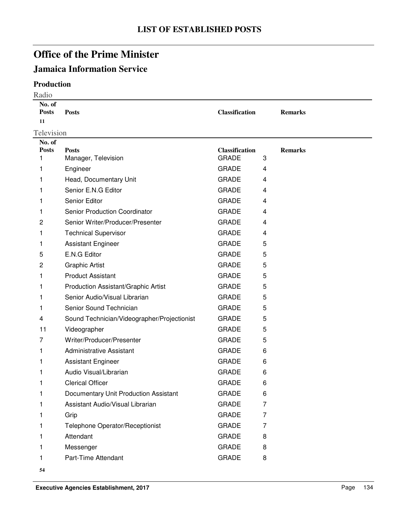## **Jamaica Information Service**

### **Production**

| Radio                        |                                             |                       |   |                |  |
|------------------------------|---------------------------------------------|-----------------------|---|----------------|--|
| No. of<br><b>Posts</b><br>11 | <b>Posts</b>                                | <b>Classification</b> |   | <b>Remarks</b> |  |
| Television                   |                                             |                       |   |                |  |
| No. of                       |                                             |                       |   |                |  |
| <b>Posts</b>                 | <b>Posts</b>                                | <b>Classification</b> |   | <b>Remarks</b> |  |
| 1                            | Manager, Television                         | <b>GRADE</b>          | 3 |                |  |
| 1                            | Engineer                                    | <b>GRADE</b>          | 4 |                |  |
| 1                            | Head, Documentary Unit                      | <b>GRADE</b>          | 4 |                |  |
|                              | Senior E.N.G Editor                         | <b>GRADE</b>          | 4 |                |  |
| 1                            | Senior Editor                               | <b>GRADE</b>          | 4 |                |  |
| 1                            | Senior Production Coordinator               | <b>GRADE</b>          | 4 |                |  |
| 2                            | Senior Writer/Producer/Presenter            | <b>GRADE</b>          | 4 |                |  |
| 1                            | <b>Technical Supervisor</b>                 | <b>GRADE</b>          | 4 |                |  |
| 1                            | <b>Assistant Engineer</b>                   | <b>GRADE</b>          | 5 |                |  |
| 5                            | E.N.G Editor                                | <b>GRADE</b>          | 5 |                |  |
| 2                            | <b>Graphic Artist</b>                       | <b>GRADE</b>          | 5 |                |  |
| 1                            | <b>Product Assistant</b>                    | <b>GRADE</b>          | 5 |                |  |
| 1                            | Production Assistant/Graphic Artist         | <b>GRADE</b>          | 5 |                |  |
| 1                            | Senior Audio/Visual Librarian               | <b>GRADE</b>          | 5 |                |  |
| 1                            | Senior Sound Technician                     | <b>GRADE</b>          | 5 |                |  |
| 4                            | Sound Technician/Videographer/Projectionist | <b>GRADE</b>          | 5 |                |  |
| 11                           | Videographer                                | <b>GRADE</b>          | 5 |                |  |
| 7                            | Writer/Producer/Presenter                   | <b>GRADE</b>          | 5 |                |  |
| 1                            | Administrative Assistant                    | <b>GRADE</b>          | 6 |                |  |
| 1                            | <b>Assistant Engineer</b>                   | <b>GRADE</b>          | 6 |                |  |
| 1                            | Audio Visual/Librarian                      | <b>GRADE</b>          | 6 |                |  |
| 1.                           | <b>Clerical Officer</b>                     | <b>GRADE</b>          | 6 |                |  |
| 1                            | Documentary Unit Production Assistant       | <b>GRADE</b>          | 6 |                |  |
|                              | Assistant Audio/Visual Librarian            | <b>GRADE</b>          | 7 |                |  |
|                              | Grip                                        | <b>GRADE</b>          | 7 |                |  |
|                              | Telephone Operator/Receptionist             | <b>GRADE</b>          | 7 |                |  |
|                              | Attendant                                   | <b>GRADE</b>          | 8 |                |  |
|                              | Messenger                                   | <b>GRADE</b>          | 8 |                |  |
| 1                            | Part-Time Attendant                         | <b>GRADE</b>          | 8 |                |  |
|                              |                                             |                       |   |                |  |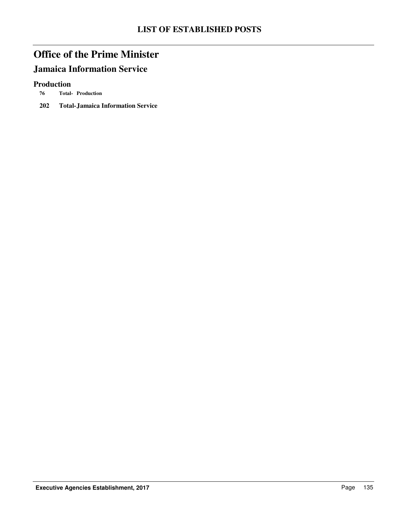# **Jamaica Information Service**

#### **Production**

- **76 Production Total-**
- **202 Total-Jamaica Information Service**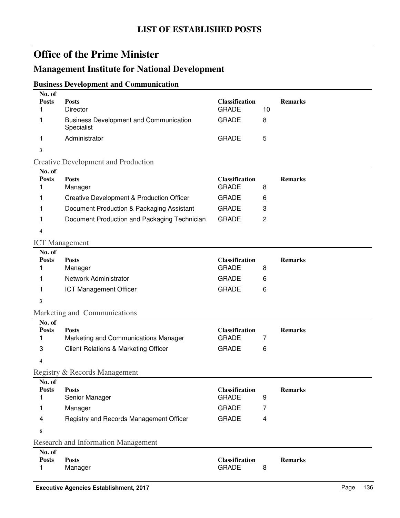### **Management Institute for National Development**

### **Business Development and Communication**

| No. of<br><b>Posts</b><br>1 | <b>Posts</b><br><b>Director</b>                             | <b>Classification</b><br><b>GRADE</b> | 10             | <b>Remarks</b> |
|-----------------------------|-------------------------------------------------------------|---------------------------------------|----------------|----------------|
| 1                           | <b>Business Development and Communication</b><br>Specialist | <b>GRADE</b>                          | 8              |                |
| 1                           | Administrator                                               | <b>GRADE</b>                          | 5              |                |
| 3                           |                                                             |                                       |                |                |
|                             | <b>Creative Development and Production</b>                  |                                       |                |                |
| No. of                      |                                                             |                                       |                |                |
| <b>Posts</b><br>1           | <b>Posts</b><br>Manager                                     | <b>Classification</b><br><b>GRADE</b> | 8              | <b>Remarks</b> |
| 1                           | <b>Creative Development &amp; Production Officer</b>        | <b>GRADE</b>                          | 6              |                |
| 1                           | Document Production & Packaging Assistant                   | <b>GRADE</b>                          | 3              |                |
| 1                           | Document Production and Packaging Technician                | <b>GRADE</b>                          | $\overline{c}$ |                |
| $\overline{\mathbf{4}}$     |                                                             |                                       |                |                |
| <b>ICT</b> Management       |                                                             |                                       |                |                |
| No. of                      |                                                             |                                       |                |                |
| <b>Posts</b>                | <b>Posts</b>                                                | <b>Classification</b>                 |                | <b>Remarks</b> |
| 1                           | Manager                                                     | <b>GRADE</b>                          | 8              |                |
| 1                           | Network Administrator                                       | <b>GRADE</b>                          | 6              |                |
| 1                           | <b>ICT Management Officer</b>                               | <b>GRADE</b>                          | 6              |                |
| 3                           |                                                             |                                       |                |                |
|                             | Marketing and Communications                                |                                       |                |                |
| No. of<br><b>Posts</b>      | <b>Posts</b>                                                | <b>Classification</b>                 |                | <b>Remarks</b> |
| 1                           | Marketing and Communications Manager                        | <b>GRADE</b>                          | $\overline{7}$ |                |
| 3                           | <b>Client Relations &amp; Marketing Officer</b>             | <b>GRADE</b>                          | 6              |                |
| 4                           |                                                             |                                       |                |                |
|                             | Registry & Records Management                               |                                       |                |                |
| No. of                      |                                                             |                                       |                |                |
| <b>Posts</b><br>1           | <b>Posts</b><br>Senior Manager                              | <b>Classification</b><br><b>GRADE</b> | 9              | <b>Remarks</b> |
| 1                           | Manager                                                     | <b>GRADE</b>                          | 7              |                |
|                             |                                                             |                                       |                |                |
| 4                           | Registry and Records Management Officer                     | <b>GRADE</b>                          | 4              |                |
| 6                           |                                                             |                                       |                |                |
|                             | <b>Research and Information Management</b>                  |                                       |                |                |
| No. of<br><b>Posts</b>      | <b>Posts</b>                                                | <b>Classification</b>                 |                | <b>Remarks</b> |
| 1                           | Manager                                                     | <b>GRADE</b>                          | 8              |                |
|                             |                                                             |                                       |                |                |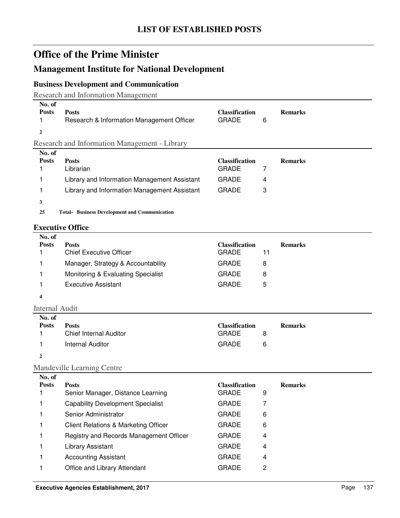### **Management Institute for National Development**

#### **Business Development and Communication**

Research and Information Management

| No. of<br><b>Posts</b> | <b>Posts</b><br>Research & Information Management Officer | <b>Classification</b><br><b>GRADE</b> | 6 | <b>Remarks</b> |  |
|------------------------|-----------------------------------------------------------|---------------------------------------|---|----------------|--|
|                        |                                                           |                                       |   |                |  |
|                        | <b>Research and Information Management - Library</b>      |                                       |   |                |  |
| No. of                 |                                                           |                                       |   |                |  |

| Library and Information Management Assistant<br><b>GRADE</b><br>Library and Information Management Assistant<br>GRADE<br>3 | <b>Posts</b> | <b>Posts</b><br>Librarian | <b>Classification</b><br>GRADE | <b>Remarks</b> |
|----------------------------------------------------------------------------------------------------------------------------|--------------|---------------------------|--------------------------------|----------------|
|                                                                                                                            |              |                           |                                |                |
|                                                                                                                            |              |                           |                                |                |

**3**

25 Total-Business Development and Communication

#### **Executive Office**

| No. of       |                                    |                       |                |
|--------------|------------------------------------|-----------------------|----------------|
| <b>Posts</b> | <b>Posts</b>                       | <b>Classification</b> | <b>Remarks</b> |
|              | <b>Chief Executive Officer</b>     | <b>GRADE</b>          | 11             |
|              | Manager, Strategy & Accountability | <b>GRADE</b><br>8     |                |
|              | Monitoring & Evaluating Specialist | <b>GRADE</b><br>8     |                |
|              | <b>Executive Assistant</b>         | <b>GRADE</b><br>5     |                |
| 4            |                                    |                       |                |

Internal Audit

| No. of       |                        |                       |   |                |
|--------------|------------------------|-----------------------|---|----------------|
| <b>Posts</b> | <b>Posts</b>           | <b>Classification</b> |   | <b>Remarks</b> |
|              | Chief Internal Auditor | <b>GRADE</b>          | 8 |                |
|              | Internal Auditor       | GRADE                 | 6 |                |
|              |                        |                       |   |                |

#### Mandeville Learning Centre

| No. of       |                                                 |                       |   |                |
|--------------|-------------------------------------------------|-----------------------|---|----------------|
| <b>Posts</b> | <b>Posts</b>                                    | <b>Classification</b> |   | <b>Remarks</b> |
|              | Senior Manager, Distance Learning               | <b>GRADE</b>          | 9 |                |
|              | <b>Capability Development Specialist</b>        | <b>GRADE</b>          | 7 |                |
|              | Senior Administrator                            | <b>GRADE</b>          | 6 |                |
|              | <b>Client Relations &amp; Marketing Officer</b> | <b>GRADE</b>          | 6 |                |
|              | Registry and Records Management Officer         | <b>GRADE</b>          | 4 |                |
|              | Library Assistant                               | <b>GRADE</b>          | 4 |                |
|              | <b>Accounting Assistant</b>                     | <b>GRADE</b>          | 4 |                |
|              | Office and Library Attendant                    | <b>GRADE</b>          | 2 |                |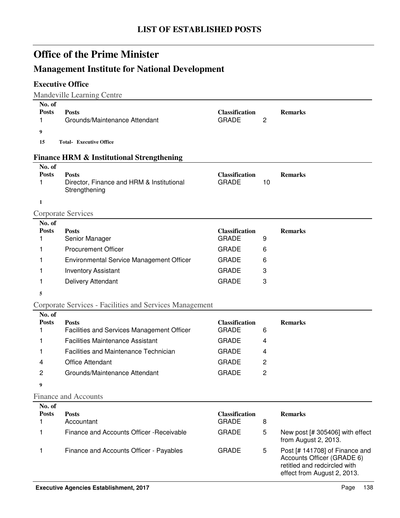# **Management Institute for National Development**

### **Executive Office**

Mandeville Learning Centre

| No. of<br><b>Posts</b><br>1 | <b>Posts</b><br>Grounds/Maintenance Attendant                              | <b>Classification</b><br><b>GRADE</b> | $\overline{c}$ | <b>Remarks</b>                                                                                                              |
|-----------------------------|----------------------------------------------------------------------------|---------------------------------------|----------------|-----------------------------------------------------------------------------------------------------------------------------|
| 9                           |                                                                            |                                       |                |                                                                                                                             |
| 15                          | <b>Total- Executive Office</b>                                             |                                       |                |                                                                                                                             |
|                             | <b>Finance HRM &amp; Institutional Strengthening</b>                       |                                       |                |                                                                                                                             |
| No. of                      |                                                                            |                                       |                |                                                                                                                             |
| <b>Posts</b><br>1           | <b>Posts</b><br>Director, Finance and HRM & Institutional<br>Strengthening | <b>Classification</b><br><b>GRADE</b> | 10             | <b>Remarks</b>                                                                                                              |
| 1                           |                                                                            |                                       |                |                                                                                                                             |
|                             | <b>Corporate Services</b>                                                  |                                       |                |                                                                                                                             |
| No. of<br><b>Posts</b>      | <b>Posts</b>                                                               | <b>Classification</b>                 |                | <b>Remarks</b>                                                                                                              |
| 1                           | Senior Manager                                                             | <b>GRADE</b>                          | 9              |                                                                                                                             |
| 1                           | <b>Procurement Officer</b>                                                 | <b>GRADE</b>                          | 6              |                                                                                                                             |
| 1                           | Environmental Service Management Officer                                   | <b>GRADE</b>                          | 6              |                                                                                                                             |
| 1                           | <b>Inventory Assistant</b>                                                 | <b>GRADE</b>                          | 3              |                                                                                                                             |
| 1                           | Delivery Attendant                                                         | <b>GRADE</b>                          | 3              |                                                                                                                             |
| 5                           |                                                                            |                                       |                |                                                                                                                             |
|                             | Corporate Services - Facilities and Services Management                    |                                       |                |                                                                                                                             |
| No. of<br><b>Posts</b><br>1 | <b>Posts</b><br>Facilities and Services Management Officer                 | <b>Classification</b><br><b>GRADE</b> | 6              | <b>Remarks</b>                                                                                                              |
| 1                           | <b>Facilities Maintenance Assistant</b>                                    | <b>GRADE</b>                          | 4              |                                                                                                                             |
| 1                           | Facilities and Maintenance Technician                                      | <b>GRADE</b>                          | 4              |                                                                                                                             |
| 4                           | <b>Office Attendant</b>                                                    | <b>GRADE</b>                          | 2              |                                                                                                                             |
| 2                           | Grounds/Maintenance Attendant                                              | <b>GRADE</b>                          | $\overline{c}$ |                                                                                                                             |
| 9                           |                                                                            |                                       |                |                                                                                                                             |
|                             | <b>Finance and Accounts</b>                                                |                                       |                |                                                                                                                             |
| No. of                      |                                                                            |                                       |                |                                                                                                                             |
| <b>Posts</b>                | <b>Posts</b>                                                               | <b>Classification</b>                 |                | <b>Remarks</b>                                                                                                              |
| 1                           | Accountant                                                                 | <b>GRADE</b>                          | 8              |                                                                                                                             |
| 1                           | Finance and Accounts Officer - Receivable                                  | <b>GRADE</b>                          | 5              | New post [# 305406] with effect<br>from August 2, 2013.                                                                     |
| 1                           | Finance and Accounts Officer - Payables                                    | <b>GRADE</b>                          | 5              | Post [# 141708] of Finance and<br>Accounts Officer (GRADE 6)<br>retitled and redcircled with<br>effect from August 2, 2013. |
|                             | <b>Executive Agencies Establishment, 2017</b>                              |                                       |                | 138<br>Page                                                                                                                 |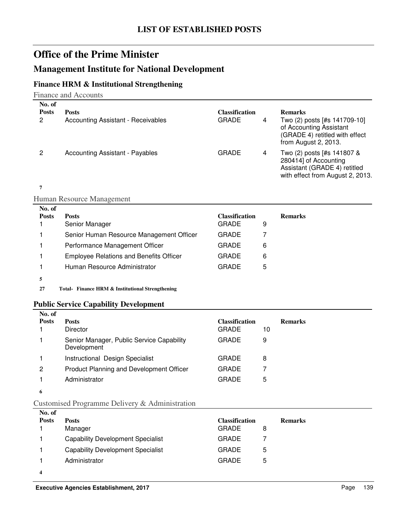### **Management Institute for National Development**

### **Finance HRM & Institutional Strengthening**

Finance and Accounts

| No. of<br><b>Posts</b><br>2 | <b>Posts</b><br><b>Accounting Assistant - Receivables</b> | Classification<br>GRADE<br>4 | <b>Remarks</b><br>Two (2) posts [#s 141709-10]<br>of Accounting Assistant<br>(GRADE 4) retitled with effect<br>from August 2, 2013. |
|-----------------------------|-----------------------------------------------------------|------------------------------|-------------------------------------------------------------------------------------------------------------------------------------|
| 2                           | <b>Accounting Assistant - Payables</b>                    | <b>GRADE</b><br>4            | Two (2) posts [#s 141807 &<br>280414] of Accounting<br>Assistant (GRADE 4) retitled<br>with effect from August 2, 2013.             |

#### **7**

Human Resource Management

| No. of<br><b>Posts</b> | <b>Posts</b><br>Senior Manager                 | <b>Classification</b><br><b>GRADE</b> | <b>Remarks</b><br>9 |
|------------------------|------------------------------------------------|---------------------------------------|---------------------|
|                        | Senior Human Resource Management Officer       | GRADE                                 |                     |
|                        | Performance Management Officer                 | GRADE                                 | 6                   |
|                        | <b>Employee Relations and Benefits Officer</b> | GRADE                                 | 6                   |
|                        | Human Resource Administrator                   | GRADE                                 | 5                   |
|                        |                                                |                                       |                     |

**27 Finance HRM & Institutional Strengthening Total-**

#### **Public Service Capability Development**

| No. of       |                                                          |                       |    |                |
|--------------|----------------------------------------------------------|-----------------------|----|----------------|
| <b>Posts</b> | <b>Posts</b>                                             | <b>Classification</b> |    | <b>Remarks</b> |
|              | <b>Director</b>                                          | <b>GRADE</b>          | 10 |                |
|              | Senior Manager, Public Service Capability<br>Development | <b>GRADE</b>          | 9  |                |
|              | Instructional Design Specialist                          | GRADE                 | 8  |                |
| 2            | Product Planning and Development Officer                 | <b>GRADE</b>          |    |                |
|              | Administrator                                            | <b>GRADE</b>          | 5  |                |
| 6            |                                                          |                       |    |                |

#### Customised Programme Delivery & Administration

| No. of       |                                          |                       |   |                |
|--------------|------------------------------------------|-----------------------|---|----------------|
| <b>Posts</b> | <b>Posts</b>                             | <b>Classification</b> |   | <b>Remarks</b> |
|              | Manager                                  | <b>GRADE</b>          | 8 |                |
|              | <b>Capability Development Specialist</b> | <b>GRADE</b>          |   |                |
|              | <b>Capability Development Specialist</b> | <b>GRADE</b>          | 5 |                |
|              | Administrator                            | <b>GRADE</b>          | 5 |                |
| 4            |                                          |                       |   |                |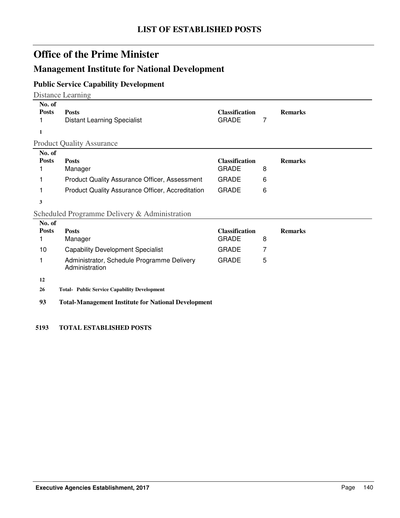### **Management Institute for National Development**

### **Public Service Capability Development**

Distance Learning

| No. of<br><b>Posts</b><br>1 | <b>Posts</b><br><b>Distant Learning Specialist</b>   | <b>Classification</b><br><b>GRADE</b> |   | <b>Remarks</b> |
|-----------------------------|------------------------------------------------------|---------------------------------------|---|----------------|
|                             | <b>Product Quality Assurance</b>                     |                                       |   |                |
| No. of                      |                                                      |                                       |   |                |
| <b>Posts</b>                | <b>Posts</b>                                         | <b>Classification</b>                 |   | <b>Remarks</b> |
|                             | Manager                                              | <b>GRADE</b>                          | 8 |                |
|                             | <b>Product Quality Assurance Officer, Assessment</b> | <b>GRADE</b>                          | 6 |                |
|                             | Product Quality Assurance Officer, Accreditation     | <b>GRADE</b>                          | 6 |                |
| 3                           |                                                      |                                       |   |                |
|                             | Scheduled Programme Delivery & Administration        |                                       |   |                |
| No. of                      |                                                      |                                       |   |                |
| <b>Posts</b>                | <b>Posts</b>                                         | <b>Classification</b><br>-----        |   | <b>Remarks</b> |

| 180. OL      |                                                              |                       |   |                |
|--------------|--------------------------------------------------------------|-----------------------|---|----------------|
| <b>Posts</b> | <b>Posts</b>                                                 | <b>Classification</b> |   | <b>Remarks</b> |
|              | Manager                                                      | GRADE                 | 8 |                |
| 10           | <b>Capability Development Specialist</b>                     | <b>GRADE</b>          | 7 |                |
|              | Administrator, Schedule Programme Delivery<br>Administration | GRADE                 | 5 |                |
| 12           |                                                              |                       |   |                |
| 26           | <b>Total- Public Service Capability Development</b>          |                       |   |                |
| 93           | <b>Total-Management Institute for National Development</b>   |                       |   |                |

**5193 TOTAL ESTABLISHED POSTS**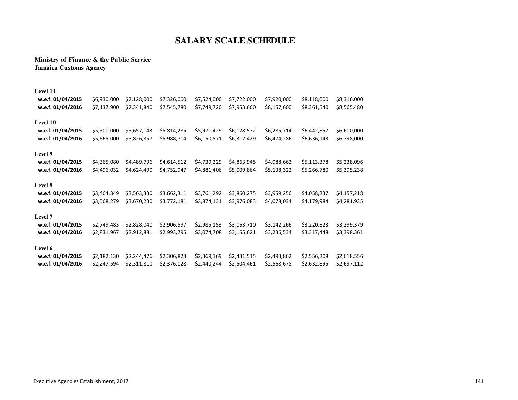### **SALARY SCALE SCHEDULE**

#### **Ministry of Finance & the Public ServiceJamaica Customs Agency**

| Level 11          |             |             |             |             |             |             |             |             |
|-------------------|-------------|-------------|-------------|-------------|-------------|-------------|-------------|-------------|
| w.e.f. 01/04/2015 | \$6,930,000 | \$7,128,000 | \$7,326,000 | \$7,524,000 | \$7,722,000 | \$7,920,000 | \$8,118,000 | \$8,316,000 |
| w.e.f. 01/04/2016 | \$7,137,900 | \$7,341,840 | \$7,545,780 | \$7,749,720 | \$7,953,660 | \$8,157,600 | \$8,361,540 | \$8,565,480 |
| Level 10          |             |             |             |             |             |             |             |             |
| w.e.f. 01/04/2015 | \$5,500,000 | \$5,657,143 | \$5,814,285 | \$5,971,429 | \$6,128,572 | \$6,285,714 | \$6,442,857 | \$6,600,000 |
| w.e.f. 01/04/2016 | \$5,665,000 | \$5,826,857 | \$5,988,714 | \$6,150,571 | \$6,312,429 | \$6,474,286 | \$6,636,143 | \$6,798,000 |
| Level 9           |             |             |             |             |             |             |             |             |
| w.e.f. 01/04/2015 | \$4,365,080 | \$4,489,796 | \$4,614,512 | \$4,739,229 | \$4,863,945 | \$4,988,662 | \$5,113,378 | \$5,238,096 |
| w.e.f. 01/04/2016 | \$4,496,032 | \$4,624,490 | \$4,752,947 | \$4,881,406 | \$5,009,864 | \$5,138,322 | \$5,266,780 | \$5,395,238 |
| Level 8           |             |             |             |             |             |             |             |             |
| w.e.f. 01/04/2015 | \$3,464,349 | \$3,563,330 | \$3,662,311 | \$3,761,292 | \$3,860,275 | \$3,959,256 | \$4,058,237 | \$4,157,218 |
| w.e.f. 01/04/2016 | \$3,568,279 | \$3,670,230 | \$3,772,181 | \$3,874,131 | \$3,976,083 | \$4,078,034 | \$4,179,984 | \$4,281,935 |
| Level 7           |             |             |             |             |             |             |             |             |
| w.e.f. 01/04/2015 | \$2,749,483 | \$2,828,040 | \$2,906,597 | \$2,985,153 | \$3,063,710 | \$3,142,266 | \$3,220,823 | \$3,299,379 |
| w.e.f. 01/04/2016 | \$2,831,967 | \$2,912,881 | \$2,993,795 | \$3,074,708 | \$3,155,621 | \$3,236,534 | \$3,317,448 | \$3,398,361 |
| Level 6           |             |             |             |             |             |             |             |             |
| w.e.f. 01/04/2015 | \$2,182,130 | \$2,244,476 | \$2,306,823 | \$2,369,169 | \$2,431,515 | \$2,493,862 | \$2,556,208 | \$2,618,556 |
| w.e.f. 01/04/2016 | \$2,247,594 | \$2,311,810 | \$2,376,028 | \$2,440,244 | \$2,504,461 | \$2,568,678 | \$2,632,895 | \$2,697,112 |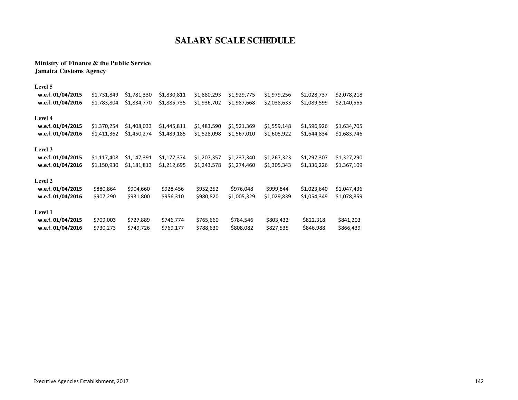#### **Ministry of Finance & the Public ServiceJamaica Customs Agency**

| Level 5           |             |             |             |             |             |             |             |             |
|-------------------|-------------|-------------|-------------|-------------|-------------|-------------|-------------|-------------|
| w.e.f. 01/04/2015 | \$1,731,849 | \$1,781,330 | \$1,830,811 | \$1,880,293 | \$1,929,775 | \$1,979,256 | \$2,028,737 | \$2,078,218 |
| w.e.f. 01/04/2016 | \$1,783,804 | \$1,834,770 | \$1,885,735 | \$1,936,702 | \$1,987,668 | \$2,038,633 | \$2,089,599 | \$2,140,565 |
| <b>Level 4</b>    |             |             |             |             |             |             |             |             |
| w.e.f. 01/04/2015 | \$1,370,254 | \$1,408,033 | \$1,445,811 | \$1,483,590 | \$1,521,369 | \$1,559,148 | \$1,596,926 | \$1,634,705 |
| w.e.f. 01/04/2016 | \$1,411,362 | \$1,450,274 | \$1,489,185 | \$1,528,098 | \$1,567,010 | \$1,605,922 | \$1,644,834 | \$1,683,746 |
| <b>Level 3</b>    |             |             |             |             |             |             |             |             |
| w.e.f. 01/04/2015 | \$1,117,408 | \$1,147,391 | \$1,177,374 | \$1,207,357 | \$1,237,340 | \$1,267,323 | \$1,297,307 | \$1,327,290 |
| w.e.f. 01/04/2016 | \$1,150,930 | \$1,181,813 | \$1,212,695 | \$1,243,578 | \$1,274,460 | \$1,305,343 | \$1,336,226 | \$1,367,109 |
| <b>Level 2</b>    |             |             |             |             |             |             |             |             |
| w.e.f. 01/04/2015 | \$880,864   | \$904,660   | \$928,456   | \$952,252   | \$976,048   | \$999,844   | \$1,023,640 | \$1,047,436 |
| w.e.f. 01/04/2016 | \$907,290   | \$931,800   | \$956,310   | \$980,820   | \$1,005,329 | \$1,029,839 | \$1,054,349 | \$1,078,859 |
| <b>Level 1</b>    |             |             |             |             |             |             |             |             |
| w.e.f. 01/04/2015 | \$709,003   | \$727,889   | \$746,774   | \$765,660   | \$784,546   | \$803,432   | \$822,318   | \$841,203   |
| w.e.f. 01/04/2016 | \$730,273   | \$749,726   | \$769,177   | \$788,630   | \$808,082   | \$827,535   | \$846,988   | \$866,439   |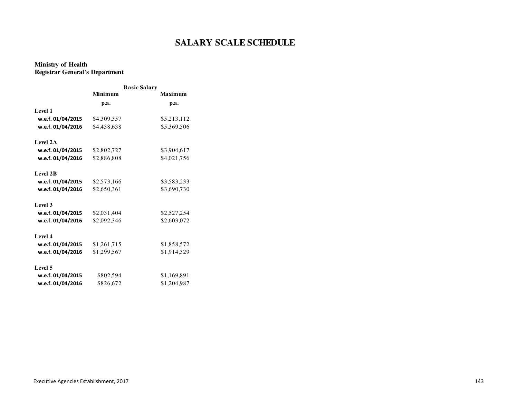#### **Ministry of HealthRegistrar General's Department**

|                   |             | <b>Basic Salary</b> |
|-------------------|-------------|---------------------|
|                   | Minimum     | <b>Maximum</b>      |
|                   | p.a.        | p.a.                |
| Level 1           |             |                     |
| w.e.f. 01/04/2015 | \$4,309,357 | \$5,213,112         |
| w.e.f. 01/04/2016 | \$4,438,638 | \$5,369,506         |
| Level 2A          |             |                     |
| w.e.f. 01/04/2015 | \$2,802,727 | \$3,904,617         |
| w.e.f. 01/04/2016 | \$2,886,808 | \$4,021,756         |
| <b>Level 2B</b>   |             |                     |
| w.e.f. 01/04/2015 | \$2,573,166 | \$3,583,233         |
| w.e.f. 01/04/2016 | \$2,650,361 | \$3,690,730         |
| Level 3           |             |                     |
| w.e.f. 01/04/2015 | \$2,031,404 | \$2,527,254         |
| w.e.f. 01/04/2016 | \$2,092,346 | \$2,603,072         |
| Level 4           |             |                     |
| w.e.f. 01/04/2015 | \$1,261,715 | \$1,858,572         |
| w.e.f. 01/04/2016 | \$1,299,567 | \$1,914,329         |
| Level 5           |             |                     |
| w.e.f. 01/04/2015 | \$802,594   | \$1,169,891         |
| w.e.f. 01/04/2016 | \$826,672   | \$1,204,987         |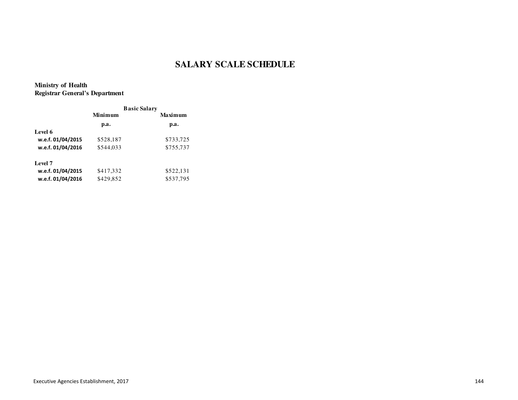**Ministry of HealthRegistrar General's Department**

|                   | <b>Basic Salary</b> |           |  |
|-------------------|---------------------|-----------|--|
|                   | Minimum             | Maximum   |  |
|                   | p.a.                | p.a.      |  |
| Level 6           |                     |           |  |
| w.e.f. 01/04/2015 | \$528,187           | \$733,725 |  |
| w.e.f. 01/04/2016 | \$544,033           | \$755,737 |  |
| Level 7           |                     |           |  |
| w.e.f. 01/04/2015 | \$417,332           | \$522,131 |  |
| w.e.f. 01/04/2016 | \$429,852           | \$537,795 |  |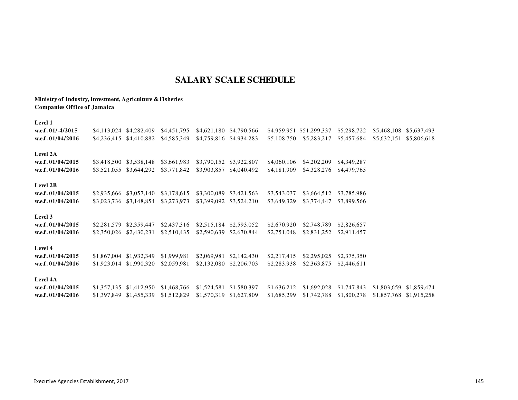#### **Ministry of Industry, Investment, Agriculture & FisheriesCompanies Office of Jamaica**

| <b>Level 1</b>      |             |                         |                                     |                         |             |                          |             |             |             |
|---------------------|-------------|-------------------------|-------------------------------------|-------------------------|-------------|--------------------------|-------------|-------------|-------------|
| w.e.f. $01/-4/2015$ | \$4.113.024 | \$4.282.409             | \$4.451.795                         | \$4,621,180 \$4,790,566 |             | \$4,959,951 \$51,299,337 | \$5,298,722 | \$5,468,108 | \$5,637,493 |
| w.e.f. $01/04/2016$ |             |                         | \$4,236,415 \$4,410,882 \$4,585,349 | \$4,759,816 \$4,934,283 | \$5,108,750 | \$5,283,217              | \$5.457.684 | \$5,632,151 | \$5,806,618 |
| Level 2A            |             |                         |                                     |                         |             |                          |             |             |             |
| w.e.f. $01/04/2015$ |             | \$3,418,500 \$3,538,148 | \$3,661,983                         | \$3,790,152 \$3,922,807 | \$4,060,106 | \$4,202,209              | \$4,349,287 |             |             |
| w.e.f. $01/04/2016$ |             |                         | \$3,521,055 \$3,644,292 \$3,771,842 | \$3,903,857 \$4,040,492 | \$4,181,909 | \$4,328,276              | \$4,479,765 |             |             |
| Level 2B            |             |                         |                                     |                         |             |                          |             |             |             |
| w.e.f. $01/04/2015$ |             | \$2,935,666 \$3,057,140 | \$3.178.615                         | \$3,300,089 \$3,421,563 | \$3,543,037 | \$3,664.512              | \$3.785.986 |             |             |
| w.e.f. $01/04/2016$ |             |                         | \$3,023,736 \$3,148,854 \$3,273,973 | \$3,399,092 \$3,524,210 | \$3,649,329 | \$3,774,447              | \$3,899,566 |             |             |
| <b>Level 3</b>      |             |                         |                                     |                         |             |                          |             |             |             |

 **w.e.f. 01/04/2015** \$2,281,579 \$2,359,447 \$2,437,316 \$2,515,184 \$2,593,052 \$2,670,920 \$2,748,789 \$2,826,657 **w.e.f. 01/04/2016**\$2,350,026 \$2,430,231 \$2,510,435 \$2,590,639 \$2,670,844 \$2,751,048 \$2,831,252 \$2,911,457

**Level 4**

| w.e.f. 01/04/2015 |  |  | \$1,867,004 \$1,932,349 \$1,999,981 \$2,069,981 \$2,142,430 \$2,217,415 \$2,295,025 \$2,375,350 |  |  |
|-------------------|--|--|-------------------------------------------------------------------------------------------------|--|--|
| w.e.f. 01/04/2016 |  |  | \$1,923,014 \$1,990,320 \$2,059,981 \$2,132,080 \$2,206,703 \$2,283,938 \$2,363,875 \$2,446,611 |  |  |

#### **Level 4A**

 **w.e.f. 01/04/2015** \$1,357,135 \$1,412,950 \$1,468,766 \$1,524,581 \$1,580,397 \$1,636,212 \$1,692,028 \$1,747,843 \$1,803,659 \$1,859,474 **w.e.f. 01/04/2016**\$1,397,849 \$1,455,339 \$1,512,829 \$1,570,319 \$1,627,809 \$1,685,299 \$1,742,788 \$1,800,278 \$1,857,768 \$1,915,258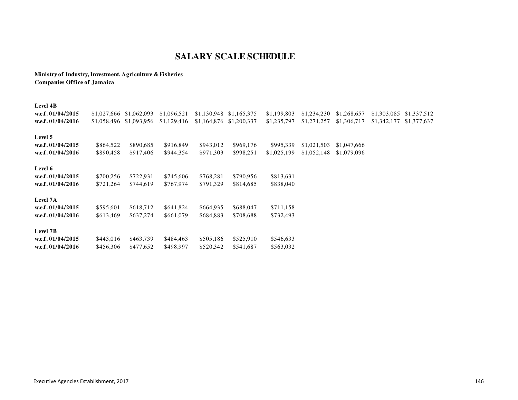**Ministry of Industry, Investment, Agriculture & FisheriesCompanies Office of Jamaica**

#### **Level 4B**

| w.e.f. $01/04/2015$<br>w.e.f. 01/04/2016               | \$1,027,666<br>\$1,058,496 | \$1,062,093<br>\$1,093,956 | \$1,096,521<br>\$1,129,416 | \$1,130,948<br>\$1,164,876 | \$1,165,375<br>\$1,200,337 | \$1,199,803<br>\$1,235,797 | \$1,234,230<br>\$1,271,257 | \$1,268,657<br>\$1,306,717 | \$1,303,085<br>\$1,342,177 | \$1,337,512<br>\$1,377,637 |
|--------------------------------------------------------|----------------------------|----------------------------|----------------------------|----------------------------|----------------------------|----------------------------|----------------------------|----------------------------|----------------------------|----------------------------|
| Level 5<br>w.e.f. 01/04/2015<br>w.e.f. 01/04/2016      | \$864,522<br>\$890,458     | \$890,685<br>\$917,406     | \$916,849<br>\$944,354     | \$943,012<br>\$971,303     | \$969,176<br>\$998,251     | \$995,339<br>\$1,025,199   | \$1,021,503<br>\$1,052,148 | \$1,047,666<br>\$1,079,096 |                            |                            |
| Level 6<br>w.e.f. 01/04/2015<br>w.e.f. 01/04/2016      | \$700,256<br>\$721,264     | \$722,931<br>\$744,619     | \$745,606<br>\$767,974     | \$768,281<br>\$791,329     | \$790,956<br>\$814,685     | \$813,631<br>\$838,040     |                            |                            |                            |                            |
| Level 7A<br>w.e.f. $01/04/2015$<br>w.e.f. $01/04/2016$ | \$595,601<br>\$613,469     | \$618,712<br>\$637,274     | \$641,824<br>\$661,079     | \$664,935<br>\$684,883     | \$688,047<br>\$708,688     | \$711,158<br>\$732,493     |                            |                            |                            |                            |
| Level 7B<br>w.e.f. $01/04/2015$<br>w.e.f. $01/04/2016$ | \$443,016<br>\$456,306     | \$463,739<br>\$477,652     | \$484,463<br>\$498,997     | \$505,186<br>\$520,342     | \$525,910<br>\$541,687     | \$546,633<br>\$563,032     |                            |                            |                            |                            |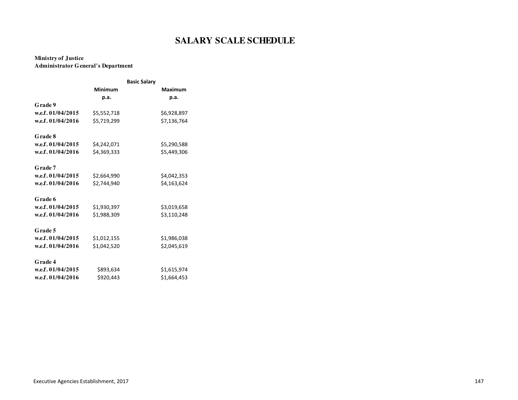#### **Ministry of JusticeAdministrator General's Department**

|                   |                | <b>Basic Salary</b> |                |
|-------------------|----------------|---------------------|----------------|
|                   | <b>Minimum</b> |                     | <b>Maximum</b> |
|                   | p.a.           |                     | p.a.           |
| Grade 9           |                |                     |                |
| w.e.f. 01/04/2015 | \$5,552,718    |                     | \$6,928,897    |
| w.e.f. 01/04/2016 | \$5,719,299    |                     | \$7,136,764    |
| Grade 8           |                |                     |                |
| w.e.f. 01/04/2015 | \$4,242,071    |                     | \$5,290,588    |
| w.e.f. 01/04/2016 | \$4,369,333    |                     | \$5,449,306    |
| Grade 7           |                |                     |                |
| w.e.f. 01/04/2015 | \$2,664,990    |                     | \$4,042,353    |
| w.e.f. 01/04/2016 | \$2,744,940    |                     | \$4,163,624    |
| Grade 6           |                |                     |                |
| w.e.f. 01/04/2015 | \$1,930,397    |                     | \$3,019,658    |
| w.e.f. 01/04/2016 | \$1,988,309    |                     | \$3,110,248    |
| Grade 5           |                |                     |                |
| w.e.f. 01/04/2015 | \$1,012,155    |                     | \$1,986,038    |
| w.e.f. 01/04/2016 | \$1,042,520    |                     | \$2,045,619    |
| Grade 4           |                |                     |                |
| w.e.f. 01/04/2015 | \$893,634      |                     | \$1,615,974    |
| w.e.f. 01/04/2016 | \$920,443      |                     | \$1,664,453    |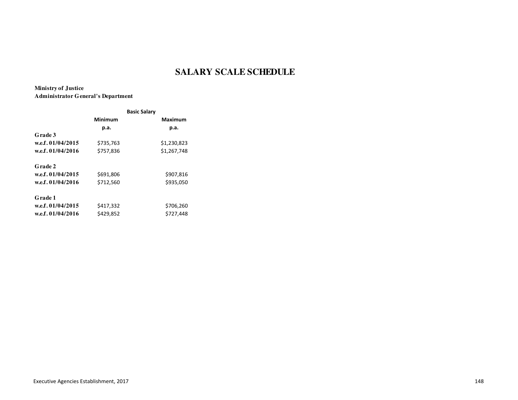**Ministry of JusticeAdministrator General's Department**

|                   | <b>Basic Salary</b> |                |  |  |
|-------------------|---------------------|----------------|--|--|
|                   | Minimum             | <b>Maximum</b> |  |  |
|                   | p.a.                | р.а.           |  |  |
| Grade 3           |                     |                |  |  |
| w.e.f. 01/04/2015 | \$735,763           | \$1,230,823    |  |  |
| w.e.f. 01/04/2016 | \$757.836           | \$1,267,748    |  |  |
| <b>Grade 2</b>    |                     |                |  |  |
| w.e.f. 01/04/2015 | \$691,806           | \$907,816      |  |  |
| w.e.f. 01/04/2016 | \$712,560           | \$935,050      |  |  |
| Grade 1           |                     |                |  |  |
| w.e.f. 01/04/2015 | \$417,332           | \$706,260      |  |  |
| w.e.f. 01/04/2016 | \$429,852           | \$727,448      |  |  |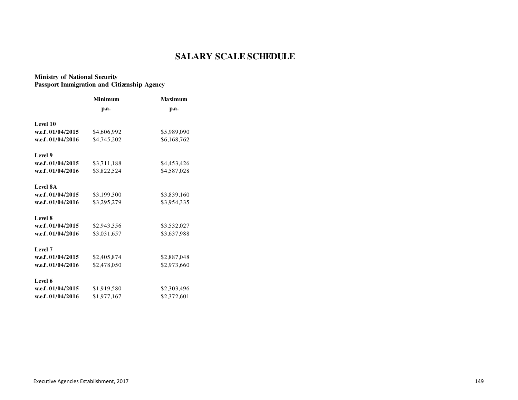### **Ministry of National SecurityPassport Immigration and Citizenship Agency**

|                   | Minimum     | <b>Maximum</b> |  |  |
|-------------------|-------------|----------------|--|--|
|                   | p.a.        | p.a.           |  |  |
| Level 10          |             |                |  |  |
| w.e.f. 01/04/2015 | \$4,606,992 | \$5,989,090    |  |  |
| w.e.f. 01/04/2016 | \$4,745,202 | \$6,168,762    |  |  |
| Level 9           |             |                |  |  |
| w.e.f. 01/04/2015 | \$3,711,188 | \$4,453,426    |  |  |
| w.e.f. 01/04/2016 | \$3,822,524 | \$4,587,028    |  |  |
| <b>Level 8A</b>   |             |                |  |  |
| w.e.f. 01/04/2015 | \$3,199,300 | \$3,839,160    |  |  |
| w.e.f. 01/04/2016 | \$3,295,279 | \$3,954,335    |  |  |
| Level 8           |             |                |  |  |
| w.e.f. 01/04/2015 | \$2,943,356 | \$3,532,027    |  |  |
| w.e.f. 01/04/2016 | \$3,031,657 | \$3,637,988    |  |  |
| Level 7           |             |                |  |  |
| w.e.f. 01/04/2015 | \$2,405,874 | \$2,887,048    |  |  |
| w.e.f. 01/04/2016 | \$2,478,050 | \$2,973,660    |  |  |
| Level 6           |             |                |  |  |
| w.e.f. 01/04/2015 | \$1,919,580 | \$2,303,496    |  |  |
| w.e.f. 01/04/2016 | \$1,977,167 | \$2,372,601    |  |  |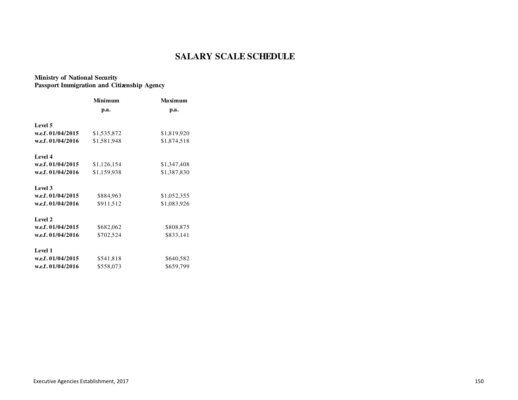### **Ministry of National SecurityPassport Immigration and Citizenship Agency**

|                     | Minimum     | Maximum     |  |  |
|---------------------|-------------|-------------|--|--|
|                     | p.a.        | p.a.        |  |  |
| Level 5             |             |             |  |  |
| w.e.f. 01/04/2015   | \$1,535,872 | \$1,819,920 |  |  |
| w.e.f. 01/04/2016   | \$1,581,948 | \$1,874,518 |  |  |
| Level 4             |             |             |  |  |
| w.e.f. $01/04/2015$ | \$1,126,154 | \$1,347,408 |  |  |
| w.e.f. 01/04/2016   | \$1,159,938 | \$1,387,830 |  |  |
| Level 3             |             |             |  |  |
| w.e.f. 01/04/2015   | \$884,963   | \$1,052,355 |  |  |
| w.e.f. 01/04/2016   | \$911,512   | \$1,083,926 |  |  |
| Level 2             |             |             |  |  |
| w.e.f. 01/04/2015   | \$682,062   | \$808,875   |  |  |
| w.e.f. 01/04/2016   | \$702,524   | \$833,141   |  |  |
| Level 1             |             |             |  |  |
| w.e.f. $01/04/2015$ | \$541,818   | \$640,582   |  |  |
| w.e.f. 01/04/2016   | \$558,073   | \$659,799   |  |  |
|                     |             |             |  |  |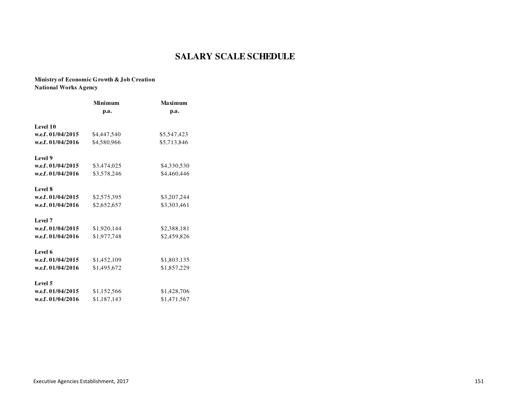#### **Ministry of Economic Growth & Job CreationNational Works Agency**

| Minimum     | <b>Maximum</b> |  |  |
|-------------|----------------|--|--|
| p.a.        | p.a.           |  |  |
|             |                |  |  |
| \$4,447,540 | \$5,547,423    |  |  |
| \$4,580,966 | \$5,713,846    |  |  |
|             |                |  |  |
| \$3,474,025 | \$4,330,530    |  |  |
| \$3,578,246 | \$4,460,446    |  |  |
|             |                |  |  |
| \$2,575,395 | \$3,207,244    |  |  |
| \$2,652,657 | \$3,303,461    |  |  |
|             |                |  |  |
| \$1,920,144 | \$2,388,181    |  |  |
| \$1,977,748 | \$2,459,826    |  |  |
|             |                |  |  |
| \$1,452,109 | \$1,803,135    |  |  |
| \$1,495,672 | \$1,857,229    |  |  |
|             |                |  |  |
| \$1,152,566 | \$1,428,706    |  |  |
| \$1,187,143 | \$1,471,567    |  |  |
|             |                |  |  |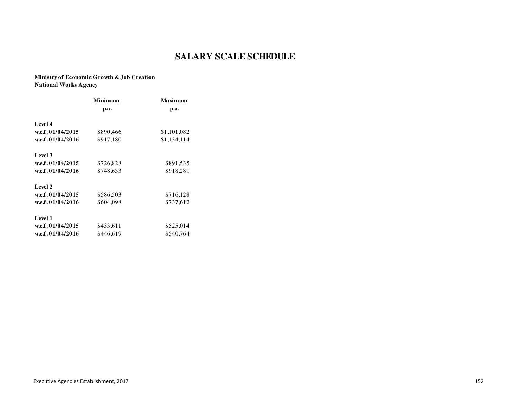### **Ministry of Economic Growth & Job CreationNational Works Agency**

|                     | Minimum   | Maximum     |
|---------------------|-----------|-------------|
|                     | p.a.      | p.a.        |
| Level 4             |           |             |
| w.e.f. 01/04/2015   | \$890,466 | \$1,101,082 |
| w.e.f. 01/04/2016   | \$917,180 | \$1,134,114 |
| Level 3             |           |             |
| w.e.f. $01/04/2015$ | \$726,828 | \$891,535   |
| w.e.f. 01/04/2016   | \$748,633 | \$918,281   |
| Level 2             |           |             |
| w.e.f. 01/04/2015   | \$586,503 | \$716,128   |
| w.e.f. 01/04/2016   | \$604,098 | \$737,612   |
| Level 1             |           |             |
| w.e.f. 01/04/2015   | \$433,611 | \$525,014   |
| w.e.f. 01/04/2016   | \$446.619 | \$540,764   |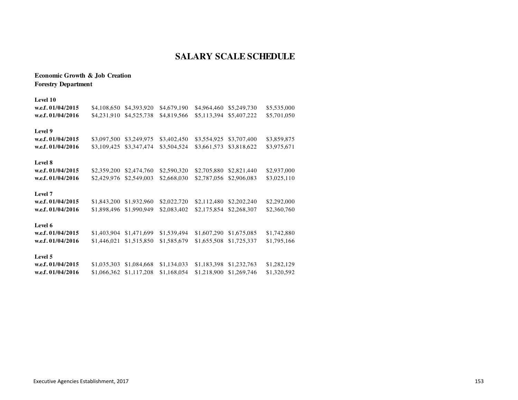**Economic Growth & Job CreationForestry Department**

#### **Level 10**

| w.e.f. 01/04/2015   | \$4,108,650 | \$4,393,920 | \$4,679,190 | \$4,964,460 | \$5,249,730 | \$5,535,000 |
|---------------------|-------------|-------------|-------------|-------------|-------------|-------------|
| w.e.f. 01/04/2016   | \$4,231,910 | \$4,525,738 | \$4,819,566 | \$5,113,394 | \$5,407,222 | \$5,701,050 |
| Level 9             |             |             |             |             |             |             |
| w.e.f. 01/04/2015   | \$3,097,500 | \$3,249,975 | \$3,402,450 | \$3,554,925 | \$3,707,400 | \$3,859,875 |
| w.e.f. 01/04/2016   | \$3,109,425 | \$3,347,474 | \$3,504,524 | \$3,661,573 | \$3,818,622 | \$3,975,671 |
| Level 8             |             |             |             |             |             |             |
| w.e.f. 01/04/2015   | \$2,359,200 | \$2,474,760 | \$2,590,320 | \$2,705,880 | \$2,821,440 | \$2,937,000 |
| w.e.f. 01/04/2016   | \$2,429,976 | \$2,549,003 | \$2,668,030 | \$2,787,056 | \$2,906,083 | \$3,025,110 |
| Level 7             |             |             |             |             |             |             |
| w.e.f. 01/04/2015   | \$1,843,200 | \$1,932,960 | \$2,022,720 | \$2,112,480 | \$2,202,240 | \$2,292,000 |
| w.e.f. 01/04/2016   | \$1,898,496 | \$1,990,949 | \$2,083,402 | \$2,175,854 | \$2,268,307 | \$2,360,760 |
| Level 6             |             |             |             |             |             |             |
| w.e.f. $01/04/2015$ | \$1,403,904 | \$1,471,699 | \$1,539,494 | \$1,607,290 | \$1,675,085 | \$1,742,880 |
| w.e.f. 01/04/2016   | \$1,446,021 | \$1,515,850 | \$1,585,679 | \$1,655,508 | \$1,725,337 | \$1,795,166 |
| Level 5             |             |             |             |             |             |             |
| w.e.f. 01/04/2015   | \$1,035,303 | \$1,084,668 | \$1,134,033 | \$1,183,398 | \$1,232,763 | \$1,282,129 |

| W.C.I. VI/V4/4VIJ |  |  | $0.1,0.2,0.00$ $0.1,0.00$ $0.1,1.01,0.00$ $0.1,0.00$ $0.000$ , $0.000$ , $0.000$ , $0.000$ , $0.000$ , $0.000$ , $0.000$ , $0.000$ , $0.000$ , $0.000$ , $0.000$ , $0.000$ , $0.000$ , $0.000$ , $0.000$ , $0.000$ , $0.000$ , $0.000$ , $0.000$ |  |
|-------------------|--|--|--------------------------------------------------------------------------------------------------------------------------------------------------------------------------------------------------------------------------------------------------|--|
| w.e.f. 01/04/2016 |  |  | $$1,066,362$ $$1,117,208$ $$1,168,054$ $$1,218,900$ $$1,269,746$ $$1,320,592$                                                                                                                                                                    |  |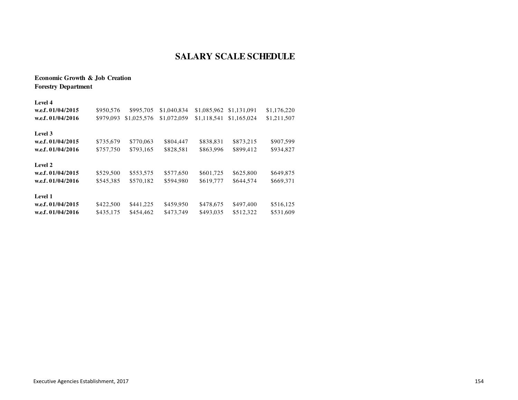### **Economic Growth & Job CreationForestry Department**

| Level 4           |           |             |             |             |             |             |  |
|-------------------|-----------|-------------|-------------|-------------|-------------|-------------|--|
| w.e.f. 01/04/2015 | \$950,576 | \$995,705   | \$1,040,834 | \$1,085,962 | \$1,131,091 | \$1,176,220 |  |
| w.e.f. 01/04/2016 | \$979,093 | \$1,025,576 | \$1,072,059 | \$1.118.541 | \$1,165,024 | \$1,211,507 |  |
| Level 3           |           |             |             |             |             |             |  |
| w.e.f. 01/04/2015 | \$735,679 | \$770,063   | \$804,447   | \$838,831   | \$873,215   | \$907,599   |  |
| w.e.f. 01/04/2016 | \$757,750 | \$793,165   | \$828,581   | \$863,996   | \$899,412   | \$934,827   |  |
| Level 2           |           |             |             |             |             |             |  |
| w.e.f. 01/04/2015 | \$529,500 | \$553,575   | \$577,650   | \$601,725   | \$625,800   | \$649,875   |  |
| w.e.f. 01/04/2016 | \$545,385 | \$570,182   | \$594.980   | \$619,777   | \$644.574   | \$669,371   |  |
| Level 1           |           |             |             |             |             |             |  |
| w.e.f. 01/04/2015 | \$422,500 | \$441,225   | \$459,950   | \$478,675   | \$497,400   | \$516,125   |  |
| w.e.f. 01/04/2016 | \$435,175 | \$454,462   | \$473.749   | \$493.035   | \$512,322   | \$531,609   |  |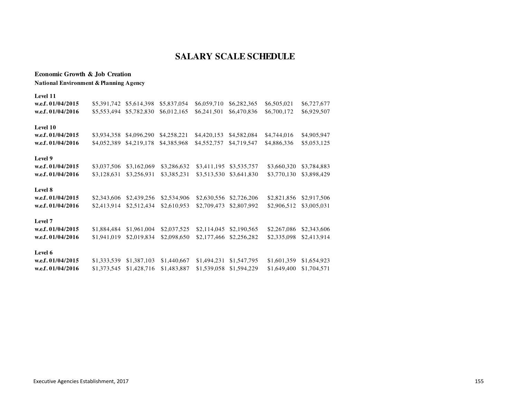#### **Economic Growth & Job CreationNational Environment & Planning Agency**

| Level 11          |             |             |             |             |             |             |             |
|-------------------|-------------|-------------|-------------|-------------|-------------|-------------|-------------|
| w.e.f. 01/04/2015 | \$5,391,742 | \$5,614,398 | \$5,837,054 | \$6,059,710 | \$6,282,365 | \$6,505,021 | \$6,727,677 |
| w.e.f. 01/04/2016 | \$5,553,494 | \$5,782,830 | \$6,012,165 | \$6,241,501 | \$6,470,836 | \$6,700,172 | \$6,929,507 |
| Level 10          |             |             |             |             |             |             |             |
| w.e.f. 01/04/2015 | \$3,934,358 | \$4,096,290 | \$4,258,221 | \$4,420,153 | \$4,582,084 | \$4,744,016 | \$4,905,947 |
| w.e.f. 01/04/2016 | \$4,052,389 | \$4,219,178 | \$4,385,968 | \$4,552,757 | \$4,719,547 | \$4,886,336 | \$5,053,125 |
| Level 9           |             |             |             |             |             |             |             |
| w.e.f. 01/04/2015 | \$3,037,506 | \$3,162,069 | \$3,286,632 | \$3,411,195 | \$3,535,757 | \$3,660,320 | \$3,784,883 |
| w.e.f. 01/04/2016 | \$3,128,631 | \$3,256,931 | \$3,385,231 | \$3,513,530 | \$3,641,830 | \$3,770,130 | \$3,898,429 |
| Level 8           |             |             |             |             |             |             |             |
| w.e.f. 01/04/2015 | \$2,343,606 | \$2,439,256 | \$2,534,906 | \$2,630,556 | \$2,726,206 | \$2,821,856 | \$2,917,506 |
| w.e.f. 01/04/2016 | \$2,413,914 | \$2,512,434 | \$2,610,953 | \$2,709,473 | \$2,807,992 | \$2,906,512 | \$3,005,031 |
| Level 7           |             |             |             |             |             |             |             |
| w.e.f. 01/04/2015 | \$1,884,484 | \$1,961,004 | \$2,037,525 | \$2,114,045 | \$2,190,565 | \$2,267,086 | \$2,343,606 |
| w.e.f. 01/04/2016 | \$1,941,019 | \$2,019,834 | \$2,098,650 | \$2,177,466 | \$2,256,282 | \$2,335,098 | \$2,413,914 |
| Level 6           |             |             |             |             |             |             |             |
| w.e.f. 01/04/2015 | \$1,333,539 | \$1,387,103 | \$1,440,667 | \$1,494,231 | \$1,547,795 | \$1,601,359 | \$1,654,923 |
| w.e.f. 01/04/2016 | \$1,373,545 | \$1,428,716 | \$1,483,887 | \$1,539,058 | \$1,594,229 | \$1,649,400 | \$1,704,571 |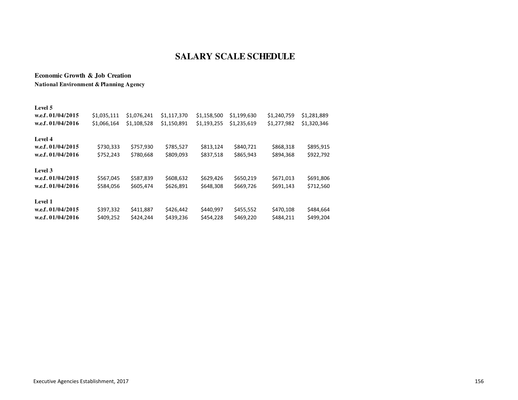**Economic Growth & Job CreationNational Environment & Planning Agency**

| Level 5<br>w.e.f. 01/04/2015<br>w.e.f. $01/04/2016$ | \$1,035,111<br>\$1,066,164 | \$1,076,241<br>\$1,108,528 | \$1,117,370<br>\$1,150,891 | \$1,158,500<br>\$1,193,255 | \$1,199,630<br>\$1,235,619 | \$1,240,759<br>\$1,277,982 | \$1,281,889<br>\$1,320,346 |
|-----------------------------------------------------|----------------------------|----------------------------|----------------------------|----------------------------|----------------------------|----------------------------|----------------------------|
| Level 4<br>w.e.f. 01/04/2015<br>w.e.f. 01/04/2016   | \$730,333<br>\$752,243     | \$757,930<br>\$780,668     | \$785,527<br>\$809,093     | \$813,124<br>\$837,518     | \$840,721<br>\$865,943     | \$868,318<br>\$894,368     | \$895,915<br>\$922,792     |
| Level 3<br>w.e.f. 01/04/2015<br>w.e.f. 01/04/2016   | \$567,045<br>\$584,056     | \$587,839<br>\$605,474     | \$608,632<br>\$626,891     | \$629,426<br>\$648,308     | \$650,219<br>\$669,726     | \$671,013<br>\$691,143     | \$691,806<br>\$712,560     |
| Level 1<br>w.e.f. $01/04/2015$<br>w.e.f. 01/04/2016 | \$397,332<br>\$409,252     | \$411,887<br>\$424.244     | \$426,442<br>\$439,236     | \$440,997<br>\$454,228     | \$455,552<br>\$469,220     | \$470,108<br>\$484,211     | \$484,664<br>\$499,204     |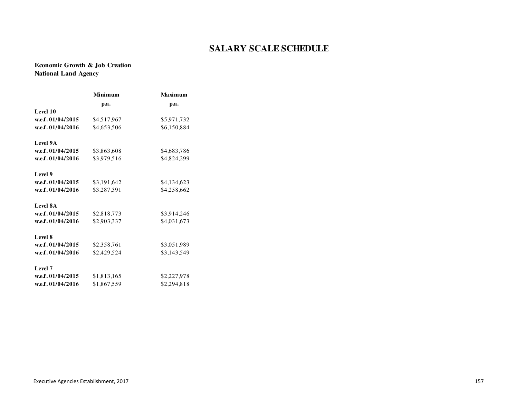**Economic Growth & Job CreationNational Land Agency**

|                   | Minimum     | <b>Maximum</b> |
|-------------------|-------------|----------------|
|                   | p.a.        | p.a.           |
| Level 10          |             |                |
| w.e.f. 01/04/2015 | \$4,517,967 | \$5,971,732    |
| w.e.f. 01/04/2016 | \$4,653,506 | \$6,150,884    |
| Level 9A          |             |                |
| w.e.f. 01/04/2015 | \$3,863,608 | \$4,683,786    |
| w.e.f. 01/04/2016 | \$3,979,516 | \$4,824,299    |
| Level 9           |             |                |
| w.e.f. 01/04/2015 | \$3,191,642 | \$4,134,623    |
| w.e.f. 01/04/2016 | \$3,287,391 | \$4,258,662    |
| <b>Level 8A</b>   |             |                |
| w.e.f. 01/04/2015 | \$2,818,773 | \$3,914,246    |
| w.e.f. 01/04/2016 | \$2,903,337 | \$4,031,673    |
| Level 8           |             |                |
| w.e.f. 01/04/2015 | \$2,358,761 | \$3,051,989    |
| w.e.f. 01/04/2016 | \$2,429,524 | \$3,143,549    |
| Level 7           |             |                |
| w.e.f. 01/04/2015 | \$1,813,165 | \$2,227,978    |
| w.e.f. 01/04/2016 | \$1,867,559 | \$2,294,818    |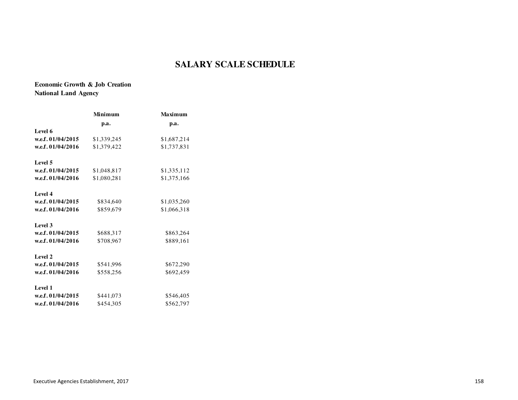**Economic Growth & Job CreationNational Land Agency**

|                   | Minimum     | <b>Maximum</b> |
|-------------------|-------------|----------------|
|                   | p.a.        | p.a.           |
| Level 6           |             |                |
| w.e.f. 01/04/2015 | \$1,339,245 | \$1,687,214    |
| w.e.f. 01/04/2016 | \$1,379,422 | \$1,737,831    |
| Level 5           |             |                |
| w.e.f. 01/04/2015 | \$1,048,817 | \$1,335,112    |
| w.e.f. 01/04/2016 | \$1,080,281 | \$1,375,166    |
| Level 4           |             |                |
| w.e.f. 01/04/2015 | \$834,640   | \$1,035,260    |
| w.e.f. 01/04/2016 | \$859,679   | \$1,066,318    |
| Level 3           |             |                |
| w.e.f. 01/04/2015 | \$688,317   | \$863,264      |
| w.e.f. 01/04/2016 | \$708,967   | \$889,161      |
| Level 2           |             |                |
| w.e.f. 01/04/2015 | \$541,996   | \$672,290      |
| w.e.f. 01/04/2016 | \$558,256   | \$692,459      |
| Level 1           |             |                |
| w.e.f. 01/04/2015 | \$441,073   | \$546,405      |
| w.e.f. 01/04/2016 | \$454,305   | \$562,797      |
|                   |             |                |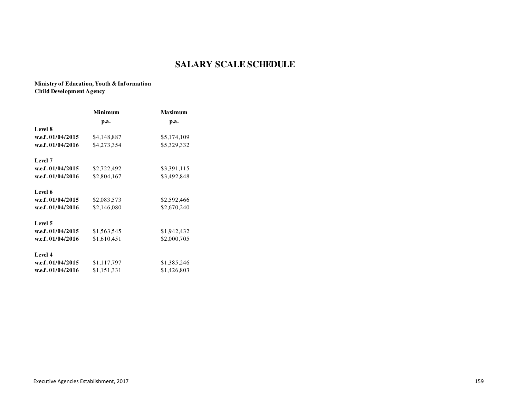**Ministry of Education, Youth & InformationChild Development Agency**

| Minimum     | <b>Maximum</b> |
|-------------|----------------|
| p.a.        | p.a.           |
|             |                |
| \$4,148,887 | \$5,174,109    |
| \$4,273,354 | \$5,329,332    |
|             |                |
| \$2,722,492 | \$3,391,115    |
| \$2,804,167 | \$3,492,848    |
|             |                |
| \$2,083,573 | \$2,592,466    |
| \$2,146,080 | \$2,670,240    |
|             |                |
| \$1,563,545 | \$1,942,432    |
| \$1,610,451 | \$2,000,705    |
|             |                |
| \$1,117,797 | \$1,385,246    |
| \$1,151,331 | \$1,426,803    |
|             |                |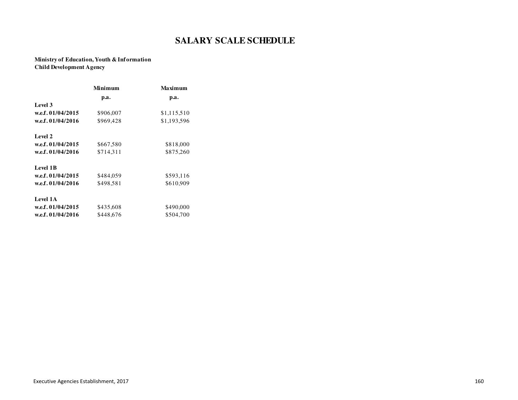#### **Ministry of Education, Youth & InformationChild Development Agency**

|                   | Minimum   | Maximum     |
|-------------------|-----------|-------------|
|                   | p.a.      | p.a.        |
| Level 3           |           |             |
| w.e.f. 01/04/2015 | \$906,007 | \$1,115,510 |
| w.e.f. 01/04/2016 | \$969.428 | \$1,193,596 |
| Level 2           |           |             |
| w.e.f. 01/04/2015 | \$667,580 | \$818,000   |
| w.e.f. 01/04/2016 | \$714,311 | \$875,260   |
| Level 1B          |           |             |
| w.e.f. 01/04/2015 | \$484,059 | \$593,116   |
| w.e.f. 01/04/2016 | \$498,581 | \$610,909   |
| Level 1A          |           |             |
| w.e.f. 01/04/2015 | \$435,608 | \$490,000   |
| w.e.f. 01/04/2016 | \$448,676 | \$504,700   |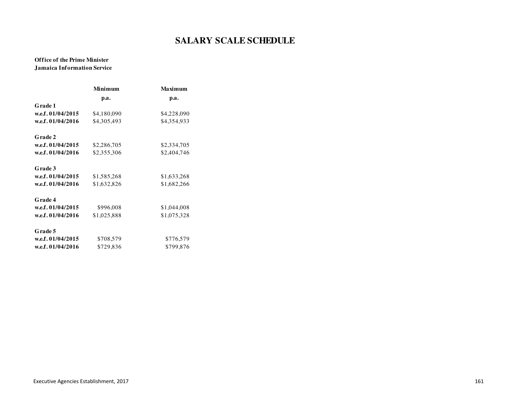#### **Office of the Prime MinisterJamaica Information Service**

| Minimum     | Maximum     |
|-------------|-------------|
| p.a.        | p.a.        |
|             |             |
| \$4,180,090 | \$4,228,090 |
| \$4,305,493 | \$4,354,933 |
|             |             |
| \$2,286,705 | \$2,334,705 |
| \$2,355,306 | \$2,404,746 |
|             |             |
| \$1,585,268 | \$1,633,268 |
| \$1,632,826 | \$1,682,266 |
|             |             |
| \$996,008   | \$1,044,008 |
| \$1,025,888 | \$1,075,328 |
|             |             |
| \$708,579   | \$776,579   |
| \$729,836   | \$799,876   |
|             |             |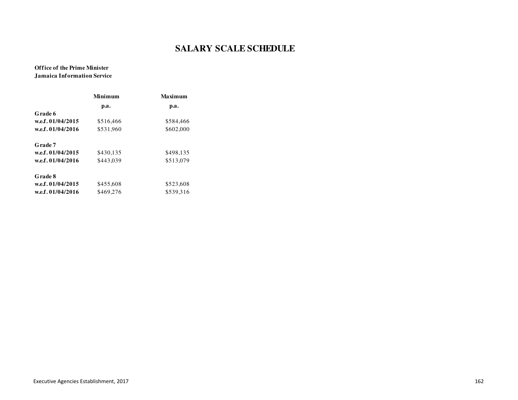#### **Office of the Prime MinisterJamaica Information Service**

|                   | Minimum   | Maximum   |
|-------------------|-----------|-----------|
|                   | p.a.      | p.a.      |
| Grade 6           |           |           |
| w.e.f. 01/04/2015 | \$516,466 | \$584,466 |
| w.e.f. 01/04/2016 | \$531,960 | \$602,000 |
| Grade 7           |           |           |
| w.e.f. 01/04/2015 | \$430.135 | \$498.135 |
| w.e.f. 01/04/2016 | \$443.039 | \$513,079 |
| Grade 8           |           |           |
| w.e.f. 01/04/2015 | \$455,608 | \$523,608 |
| w.e.f. 01/04/2016 | \$469.276 | \$539.316 |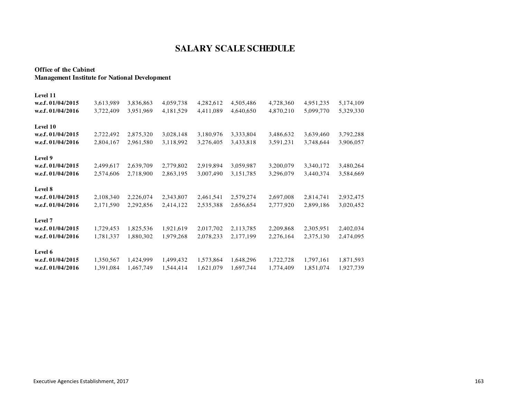#### **Office of the CabinetManagement Institute for National Development**

| Level 11          |           |           |           |           |           |           |           |           |
|-------------------|-----------|-----------|-----------|-----------|-----------|-----------|-----------|-----------|
| w.e.f. 01/04/2015 | 3,613,989 | 3,836,863 | 4,059,738 | 4,282,612 | 4,505,486 | 4,728,360 | 4,951,235 | 5,174,109 |
| w.e.f. 01/04/2016 | 3,722,409 | 3,951,969 | 4,181,529 | 4,411,089 | 4,640,650 | 4,870,210 | 5,099,770 | 5,329,330 |
| Level 10          |           |           |           |           |           |           |           |           |
| w.e.f. 01/04/2015 | 2,722,492 | 2,875,320 | 3,028,148 | 3,180,976 | 3,333,804 | 3,486,632 | 3,639,460 | 3,792,288 |
| w.e.f. 01/04/2016 | 2,804,167 | 2,961,580 | 3,118,992 | 3,276,405 | 3,433,818 | 3,591,231 | 3,748,644 | 3,906,057 |
| Level 9           |           |           |           |           |           |           |           |           |
| w.e.f. 01/04/2015 | 2,499,617 | 2,639,709 | 2,779,802 | 2,919,894 | 3,059,987 | 3,200,079 | 3,340,172 | 3,480,264 |
| w.e.f. 01/04/2016 | 2,574,606 | 2,718,900 | 2,863,195 | 3,007,490 | 3,151,785 | 3,296,079 | 3,440,374 | 3,584,669 |
| Level 8           |           |           |           |           |           |           |           |           |
| w.e.f. 01/04/2015 | 2,108,340 | 2,226,074 | 2,343,807 | 2,461,541 | 2,579,274 | 2,697,008 | 2,814,741 | 2,932,475 |
| w.e.f. 01/04/2016 | 2,171,590 | 2,292,856 | 2,414,122 | 2,535,388 | 2,656,654 | 2,777,920 | 2,899,186 | 3,020,452 |
| Level 7           |           |           |           |           |           |           |           |           |
| w.e.f. 01/04/2015 | 1,729,453 | 1,825,536 | 1,921,619 | 2,017,702 | 2,113,785 | 2,209,868 | 2,305,951 | 2,402,034 |
| w.e.f. 01/04/2016 | 1,781,337 | 1,880,302 | 1,979,268 | 2,078,233 | 2,177,199 | 2,276,164 | 2,375,130 | 2,474,095 |
| Level 6           |           |           |           |           |           |           |           |           |
| w.e.f. 01/04/2015 | 1,350,567 | 1,424,999 | 1,499,432 | 1,573,864 | 1,648,296 | 1,722,728 | 1,797,161 | 1,871,593 |
| w.e.f. 01/04/2016 | 1,391,084 | 1,467,749 | 1,544,414 | 1,621,079 | 1,697,744 | 1,774,409 | 1,851,074 | 1,927,739 |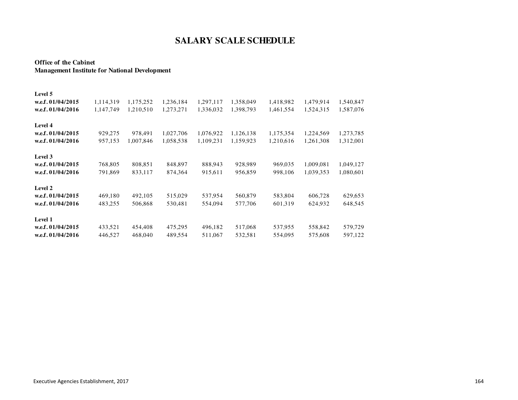#### **Office of the CabinetManagement Institute for National Development**

| Level 5             |           |           |           |           |           |           |           |           |
|---------------------|-----------|-----------|-----------|-----------|-----------|-----------|-----------|-----------|
| w.e.f. $01/04/2015$ | 1,114,319 | 1,175,252 | 1,236,184 | 1,297,117 | 1,358,049 | 1,418,982 | 1,479,914 | 1,540,847 |
| w.e.f. $01/04/2016$ | 1,147,749 | 1,210,510 | 1,273,271 | 1,336,032 | 1,398,793 | 1,461,554 | 1,524,315 | 1,587,076 |
| Level 4             |           |           |           |           |           |           |           |           |
| w.e.f. $01/04/2015$ | 929,275   | 978,491   | 1,027,706 | 1,076,922 | 1,126,138 | 1,175,354 | 1,224,569 | 1,273,785 |
| w.e.f. $01/04/2016$ | 957,153   | 1,007,846 | 1,058,538 | 1,109,231 | 1,159,923 | 1,210,616 | 1,261,308 | 1,312,001 |
| Level 3             |           |           |           |           |           |           |           |           |
| w.e.f. 01/04/2015   | 768,805   | 808,851   | 848,897   | 888,943   | 928,989   | 969,035   | 1,009,081 | 1,049,127 |
| w.e.f. 01/04/2016   | 791,869   | 833,117   | 874,364   | 915,611   | 956,859   | 998,106   | 1,039,353 | 1,080,601 |
| Level 2             |           |           |           |           |           |           |           |           |
| w.e.f. 01/04/2015   | 469,180   | 492,105   | 515,029   | 537,954   | 560,879   | 583,804   | 606,728   | 629,653   |
| w.e.f. 01/04/2016   | 483,255   | 506,868   | 530,481   | 554,094   | 577,706   | 601,319   | 624,932   | 648,545   |
| Level 1             |           |           |           |           |           |           |           |           |
| w.e.f. 01/04/2015   | 433,521   | 454,408   | 475,295   | 496,182   | 517,068   | 537,955   | 558,842   | 579,729   |
| w.e.f. 01/04/2016   | 446,527   | 468,040   | 489,554   | 511,067   | 532,581   | 554,095   | 575,608   | 597,122   |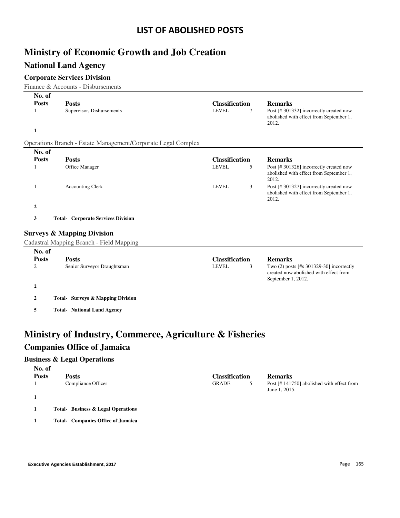# **Ministry of Economic Growth and Job Creation**

### **National Land Agency**

#### **Corporate Services Division**

Finance & Accounts - Disbursements

| No. of            |                                                               |                                            |                                                                                                          |
|-------------------|---------------------------------------------------------------|--------------------------------------------|----------------------------------------------------------------------------------------------------------|
| <b>Posts</b><br>1 | <b>Posts</b><br>Supervisor, Disbursements                     | <b>Classification</b><br><b>LEVEL</b><br>7 | <b>Remarks</b><br>Post [#301332] incorrectly created now                                                 |
|                   |                                                               |                                            | abolished with effect from September 1,<br>2012.                                                         |
| $\mathbf{1}$      |                                                               |                                            |                                                                                                          |
|                   | Operations Branch - Estate Management/Corporate Legal Complex |                                            |                                                                                                          |
| No. of            |                                                               |                                            |                                                                                                          |
| <b>Posts</b>      | <b>Posts</b>                                                  | <b>Classification</b>                      | <b>Remarks</b>                                                                                           |
| 1                 | Office Manager                                                | <b>LEVEL</b><br>5                          | Post [# 301326] incorrectly created now<br>abolished with effect from September 1,<br>2012.              |
| 1                 | <b>Accounting Clerk</b>                                       | <b>LEVEL</b><br>3                          | Post [#301327] incorrectly created now<br>abolished with effect from September 1,<br>2012.               |
| $\boldsymbol{2}$  |                                                               |                                            |                                                                                                          |
| 3                 | <b>Total- Corporate Services Division</b>                     |                                            |                                                                                                          |
|                   | <b>Surveys &amp; Mapping Division</b>                         |                                            |                                                                                                          |
|                   | Cadastral Mapping Branch - Field Mapping                      |                                            |                                                                                                          |
| No. of            |                                                               |                                            |                                                                                                          |
| <b>Posts</b>      | <b>Posts</b>                                                  | <b>Classification</b>                      | <b>Remarks</b>                                                                                           |
| $\mathbf{2}$      | Senior Surveyor Draughtsman                                   | <b>LEVEL</b><br>3                          | Two (2) posts [#s 301329-30] incorrectly<br>created now abolished with effect from<br>September 1, 2012. |
| $\boldsymbol{2}$  |                                                               |                                            |                                                                                                          |
| $\overline{2}$    | <b>Total- Surveys &amp; Mapping Division</b>                  |                                            |                                                                                                          |
| 5                 | <b>Total- National Land Agency</b>                            |                                            |                                                                                                          |

## **Ministry of Industry, Commerce, Agriculture & Fisheries Companies Office of Jamaica**

#### **Business & Legal Operations**

| No. of       |                                           |                       |                                                            |
|--------------|-------------------------------------------|-----------------------|------------------------------------------------------------|
| <b>Posts</b> | <b>Posts</b>                              | <b>Classification</b> | <b>Remarks</b>                                             |
|              | Compliance Officer                        | <b>GRADE</b>          | Post [#141750] abolished with effect from<br>June 1, 2015. |
|              |                                           |                       |                                                            |
|              | <b>Total-</b> Business & Legal Operations |                       |                                                            |
|              | <b>Total- Companies Office of Jamaica</b> |                       |                                                            |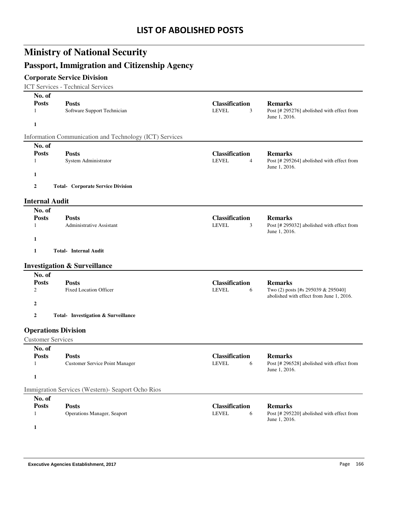# **Ministry of National Security**

## **Passport, Immigration and Citizenship Agency**

### **Corporate Service Division**

ICT Services - Technical Services

| No. of                       |                                                         |                                            |                                                                               |
|------------------------------|---------------------------------------------------------|--------------------------------------------|-------------------------------------------------------------------------------|
| <b>Posts</b><br>$\mathbf{1}$ | <b>Posts</b><br>Software Support Technician             | <b>Classification</b><br><b>LEVEL</b><br>3 | <b>Remarks</b><br>Post [# 295276] abolished with effect from<br>June 1, 2016. |
| $\mathbf{1}$                 |                                                         |                                            |                                                                               |
|                              | Information Communication and Technology (ICT) Services |                                            |                                                                               |
| No. of                       |                                                         |                                            |                                                                               |
| <b>Posts</b>                 | <b>Posts</b>                                            | <b>Classification</b>                      | <b>Remarks</b>                                                                |
| 1                            | System Administrator                                    | <b>LEVEL</b><br>4                          | Post [# 295264] abolished with effect from<br>June 1, 2016.                   |
| 1                            |                                                         |                                            |                                                                               |
| 2                            | <b>Total- Corporate Service Division</b>                |                                            |                                                                               |
| <b>Internal Audit</b>        |                                                         |                                            |                                                                               |
| No. of                       |                                                         |                                            |                                                                               |
| <b>Posts</b>                 | <b>Posts</b>                                            | <b>Classification</b>                      | <b>Remarks</b>                                                                |
| $\mathbf{1}$                 | <b>Administrative Assistant</b>                         | <b>LEVEL</b><br>3                          | Post [# 295032] abolished with effect from<br>June 1, 2016.                   |
| 1                            |                                                         |                                            |                                                                               |
| $\mathbf{1}$                 | <b>Total-</b> Internal Audit                            |                                            |                                                                               |
|                              | <b>Investigation &amp; Surveillance</b>                 |                                            |                                                                               |
| No. of                       |                                                         |                                            |                                                                               |
| <b>Posts</b>                 | <b>Posts</b>                                            | <b>Classification</b>                      | <b>Remarks</b>                                                                |
| 2                            | <b>Fixed Location Officer</b>                           | <b>LEVEL</b><br>6                          | Two (2) posts [#s 295039 & 295040]                                            |
| 2                            |                                                         |                                            | abolished with effect from June 1, 2016.                                      |
|                              |                                                         |                                            |                                                                               |
| $\overline{2}$               | Total- Investigation & Surveillance                     |                                            |                                                                               |
|                              | <b>Operations Division</b>                              |                                            |                                                                               |
| <b>Customer Services</b>     |                                                         |                                            |                                                                               |
| No. of                       |                                                         |                                            |                                                                               |
| <b>Posts</b>                 | <b>Posts</b>                                            | <b>Classification</b>                      | <b>Remarks</b>                                                                |
| $\mathbf{1}$                 | <b>Customer Service Point Manager</b>                   | LEVEL<br>6                                 | Post [# 296528] abolished with effect from<br>June 1, 2016.                   |
| 1                            |                                                         |                                            |                                                                               |
|                              | Immigration Services (Western)- Seaport Ocho Rios       |                                            |                                                                               |
| No. of                       |                                                         |                                            |                                                                               |
| <b>Posts</b>                 | <b>Posts</b>                                            | <b>Classification</b>                      | <b>Remarks</b>                                                                |
| $\mathbf{1}$                 | Operations Manager, Seaport                             | <b>LEVEL</b><br>6                          | Post [# 295220] abolished with effect from<br>June 1, 2016.                   |
| $\mathbf{1}$                 |                                                         |                                            |                                                                               |